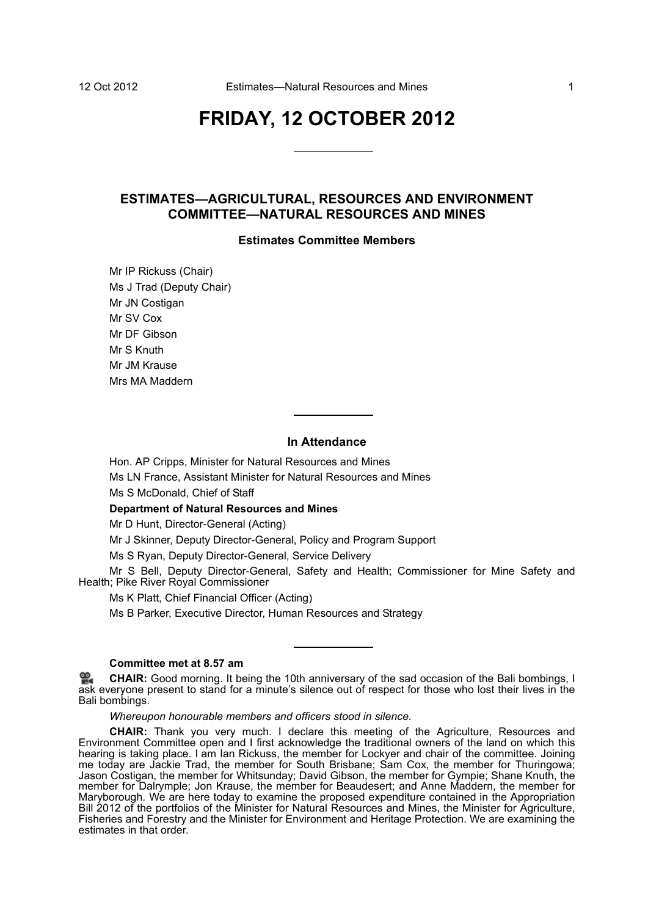# **FRIDAY, 12 OCTOBER 2012**

## **ESTIMATES—AGRICULTURAL, RESOURCES AND ENVIRONMENT COMMITTEE—NATURAL RESOURCES AND MINES**

#### **Estimates Committee Members**

Mr IP Rickuss (Chair) Ms J Trad (Deputy Chair) Mr JN Costigan Mr SV Cox Mr DF Gibson Mr S Knuth Mr JM Krause Mrs MA Maddern

## **In Attendance**

Hon. AP Cripps, Minister for Natural Resources and Mines Ms LN France, Assistant Minister for Natural Resources and Mines

Ms S McDonald, Chief of Staff

**Department of Natural Resources and Mines**

Mr D Hunt, Director-General (Acting)

Mr J Skinner, Deputy Director-General, Policy and Program Support

Ms S Ryan, Deputy Director-General, Service Delivery

Mr S Bell, Deputy Director-General, Safety and Health; Commissioner for Mine Safety and Health; Pike River Royal Commissioner

Ms K Platt, Chief Financial Officer (Acting)

Ms B Parker, Executive Director, Human Resources and Strategy

## **Committee met at 8.57 am**

**[CHAIR:](http://www.parliament.qld.gov.au/docs/find.aspx?id=0Mba20121012_085912)** Good morning. It being the 10th anniversary of the sad occasion of the Bali bombings, I [ask](http://www.parliament.qld.gov.au/docs/find.aspx?id=0Mba20121012_085912) everyone present to stand for a minute's silence out of respect for those who lost their lives in the Bali bombings.

*Whereupon honourable members and officers stood in silence.*

**CHAIR:** Thank you very much. I declare this meeting of the Agriculture, Resources and Environment Committee open and I first acknowledge the traditional owners of the land on which this hearing is taking place. I am Ian Rickuss, the member for Lockyer and chair of the committee. Joining me today are Jackie Trad, the member for South Brisbane; Sam Cox, the member for Thuringowa; Jason Costigan, the member for Whitsunday; David Gibson, the member for Gympie; Shane Knuth, the member for Dalrymple; Jon Krause, the member for Beaudesert; and Anne Maddern, the member for Maryborough. We are here today to examine the proposed expenditure contained in the Appropriation Bill 2012 of the portfolios of the Minister for Natural Resources and Mines, the Minister for Agriculture, Fisheries and Forestry and the Minister for Environment and Heritage Protection. We are examining the estimates in that order.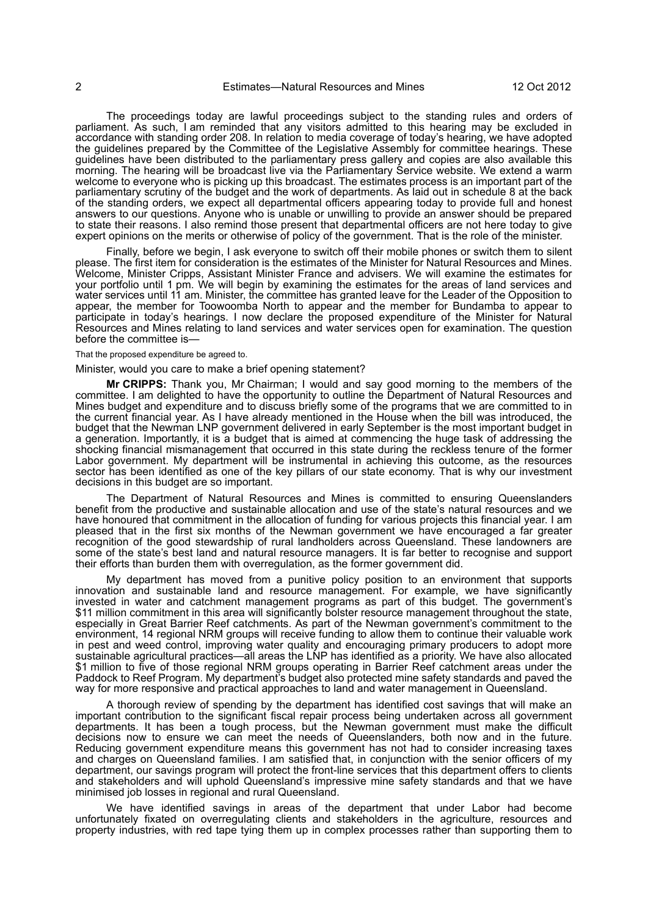The proceedings today are lawful proceedings subject to the standing rules and orders of parliament. As such, I am reminded that any visitors admitted to this hearing may be excluded in accordance with standing order 208. In relation to media coverage of today's hearing, we have adopted the guidelines prepared by the Committee of the Legislative Assembly for committee hearings. These guidelines have been distributed to the parliamentary press gallery and copies are also available this morning. The hearing will be broadcast live via the Parliamentary Service website. We extend a warm welcome to everyone who is picking up this broadcast. The estimates process is an important part of the parliamentary scrutiny of the budget and the work of departments. As laid out in schedule 8 at the back of the standing orders, we expect all departmental officers appearing today to provide full and honest answers to our questions. Anyone who is unable or unwilling to provide an answer should be prepared to state their reasons. I also remind those present that departmental officers are not here today to give expert opinions on the merits or otherwise of policy of the government. That is the role of the minister.

Finally, before we begin, I ask everyone to switch off their mobile phones or switch them to silent please. The first item for consideration is the estimates of the Minister for Natural Resources and Mines. Welcome, Minister Cripps, Assistant Minister France and advisers. We will examine the estimates for your portfolio until 1 pm. We will begin by examining the estimates for the areas of land services and water services until 11 am. Minister, the committee has granted leave for the Leader of the Opposition to appear, the member for Toowoomba North to appear and the member for Bundamba to appear to participate in today's hearings. I now declare the proposed expenditure of the Minister for Natural Resources and Mines relating to land services and water services open for examination. The question before the committee is—

#### That the proposed expenditure be agreed to.

#### Minister, would you care to make a brief opening statement?

**Mr CRIPPS:** Thank you, Mr Chairman; I would and say good morning to the members of the committee. I am delighted to have the opportunity to outline the Department of Natural Resources and Mines budget and expenditure and to discuss briefly some of the programs that we are committed to in the current financial year. As I have already mentioned in the House when the bill was introduced, the budget that the Newman LNP government delivered in early September is the most important budget in a generation. Importantly, it is a budget that is aimed at commencing the huge task of addressing the shocking financial mismanagement that occurred in this state during the reckless tenure of the former Labor government. My department will be instrumental in achieving this outcome, as the resources sector has been identified as one of the key pillars of our state economy. That is why our investment decisions in this budget are so important.

The Department of Natural Resources and Mines is committed to ensuring Queenslanders benefit from the productive and sustainable allocation and use of the state's natural resources and we have honoured that commitment in the allocation of funding for various projects this financial year. I am pleased that in the first six months of the Newman government we have encouraged a far greater recognition of the good stewardship of rural landholders across Queensland. These landowners are some of the state's best land and natural resource managers. It is far better to recognise and support their efforts than burden them with overregulation, as the former government did.

My department has moved from a punitive policy position to an environment that supports innovation and sustainable land and resource management. For example, we have significantly invested in water and catchment management programs as part of this budget. The government's \$11 million commitment in this area will significantly bolster resource management throughout the state, especially in Great Barrier Reef catchments. As part of the Newman government's commitment to the environment, 14 regional NRM groups will receive funding to allow them to continue their valuable work in pest and weed control, improving water quality and encouraging primary producers to adopt more sustainable agricultural practices—all areas the LNP has identified as a priority. We have also allocated \$1 million to five of those regional NRM groups operating in Barrier Reef catchment areas under the Paddock to Reef Program. My department's budget also protected mine safety standards and paved the way for more responsive and practical approaches to land and water management in Queensland.

A thorough review of spending by the department has identified cost savings that will make an important contribution to the significant fiscal repair process being undertaken across all government departments. It has been a tough process, but the Newman government must make the difficult decisions now to ensure we can meet the needs of Queenslanders, both now and in the future. Reducing government expenditure means this government has not had to consider increasing taxes and charges on Queensland families. I am satisfied that, in conjunction with the senior officers of my department, our savings program will protect the front-line services that this department offers to clients and stakeholders and will uphold Queensland's impressive mine safety standards and that we have minimised job losses in regional and rural Queensland.

We have identified savings in areas of the department that under Labor had become unfortunately fixated on overregulating clients and stakeholders in the agriculture, resources and property industries, with red tape tying them up in complex processes rather than supporting them to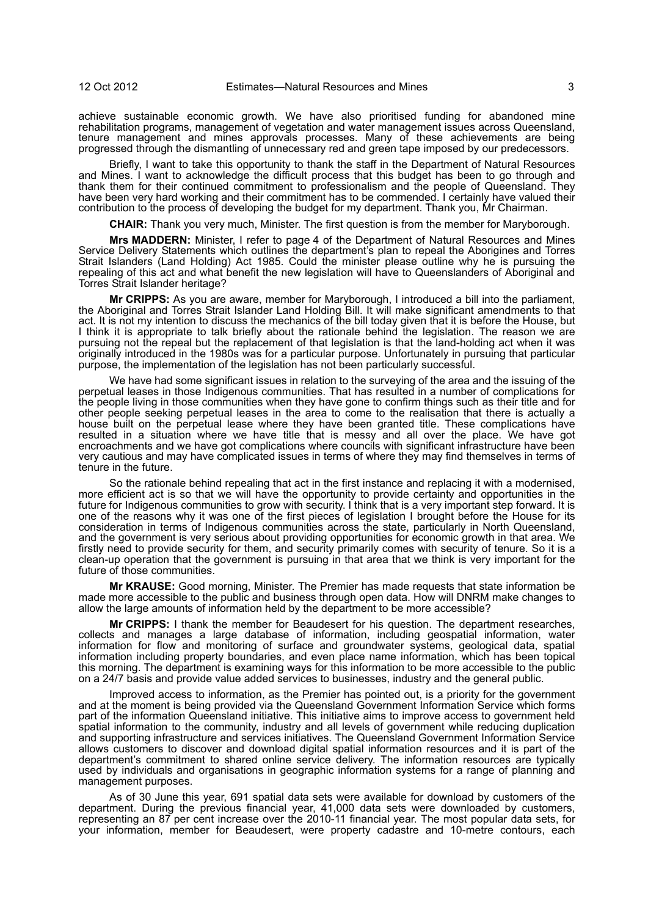achieve sustainable economic growth. We have also prioritised funding for abandoned mine rehabilitation programs, management of vegetation and water management issues across Queensland, tenure management and mines approvals processes. Many of these achievements are being progressed through the dismantling of unnecessary red and green tape imposed by our predecessors.

Briefly, I want to take this opportunity to thank the staff in the Department of Natural Resources and Mines. I want to acknowledge the difficult process that this budget has been to go through and thank them for their continued commitment to professionalism and the people of Queensland. They have been very hard working and their commitment has to be commended. I certainly have valued their contribution to the process of developing the budget for my department. Thank you, Mr Chairman.

**CHAIR:** Thank you very much, Minister. The first question is from the member for Maryborough.

**Mrs MADDERN:** Minister, I refer to page 4 of the Department of Natural Resources and Mines Service Delivery Statements which outlines the department's plan to repeal the Aborigines and Torres Strait Islanders (Land Holding) Act 1985. Could the minister please outline why he is pursuing the repealing of this act and what benefit the new legislation will have to Queenslanders of Aboriginal and Torres Strait Islander heritage?

**Mr CRIPPS:** As you are aware, member for Maryborough, I introduced a bill into the parliament, the Aboriginal and Torres Strait Islander Land Holding Bill. It will make significant amendments to that act. It is not my intention to discuss the mechanics of the bill today given that it is before the House, but I think it is appropriate to talk briefly about the rationale behind the legislation. The reason we are pursuing not the repeal but the replacement of that legislation is that the land-holding act when it was originally introduced in the 1980s was for a particular purpose. Unfortunately in pursuing that particular purpose, the implementation of the legislation has not been particularly successful.

We have had some significant issues in relation to the surveying of the area and the issuing of the perpetual leases in those Indigenous communities. That has resulted in a number of complications for the people living in those communities when they have gone to confirm things such as their title and for other people seeking perpetual leases in the area to come to the realisation that there is actually a house built on the perpetual lease where they have been granted title. These complications have resulted in a situation where we have title that is messy and all over the place. We have got encroachments and we have got complications where councils with significant infrastructure have been very cautious and may have complicated issues in terms of where they may find themselves in terms of tenure in the future.

So the rationale behind repealing that act in the first instance and replacing it with a modernised, more efficient act is so that we will have the opportunity to provide certainty and opportunities in the future for Indigenous communities to grow with security. I think that is a very important step forward. It is one of the reasons why it was one of the first pieces of legislation I brought before the House for its consideration in terms of Indigenous communities across the state, particularly in North Queensland, and the government is very serious about providing opportunities for economic growth in that area. We firstly need to provide security for them, and security primarily comes with security of tenure. So it is a clean-up operation that the government is pursuing in that area that we think is very important for the future of those communities.

**Mr KRAUSE:** Good morning, Minister. The Premier has made requests that state information be made more accessible to the public and business through open data. How will DNRM make changes to allow the large amounts of information held by the department to be more accessible?

**Mr CRIPPS:** I thank the member for Beaudesert for his question. The department researches, collects and manages a large database of information, including geospatial information, water information for flow and monitoring of surface and groundwater systems, geological data, spatial information including property boundaries, and even place name information, which has been topical this morning. The department is examining ways for this information to be more accessible to the public on a 24/7 basis and provide value added services to businesses, industry and the general public.

Improved access to information, as the Premier has pointed out, is a priority for the government and at the moment is being provided via the Queensland Government Information Service which forms part of the information Queensland initiative. This initiative aims to improve access to government held spatial information to the community, industry and all levels of government while reducing duplication and supporting infrastructure and services initiatives. The Queensland Government Information Service allows customers to discover and download digital spatial information resources and it is part of the department's commitment to shared online service delivery. The information resources are typically used by individuals and organisations in geographic information systems for a range of planning and management purposes.

As of 30 June this year, 691 spatial data sets were available for download by customers of the department. During the previous financial year, 41,000 data sets were downloaded by customers, representing an 87 per cent increase over the 2010-11 financial year. The most popular data sets, for your information, member for Beaudesert, were property cadastre and 10-metre contours, each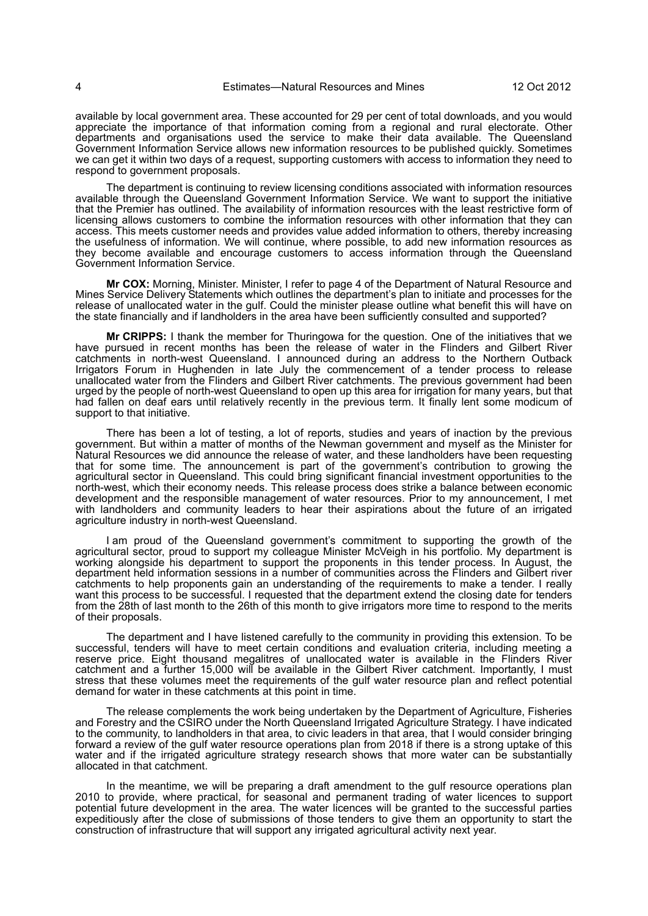available by local government area. These accounted for 29 per cent of total downloads, and you would appreciate the importance of that information coming from a regional and rural electorate. Other departments and organisations used the service to make their data available. The Queensland Government Information Service allows new information resources to be published quickly. Sometimes we can get it within two days of a request, supporting customers with access to information they need to respond to government proposals.

The department is continuing to review licensing conditions associated with information resources available through the Queensland Government Information Service. We want to support the initiative that the Premier has outlined. The availability of information resources with the least restrictive form of licensing allows customers to combine the information resources with other information that they can access. This meets customer needs and provides value added information to others, thereby increasing the usefulness of information. We will continue, where possible, to add new information resources as they become available and encourage customers to access information through the Queensland Government Information Service.

**Mr COX:** Morning, Minister. Minister, I refer to page 4 of the Department of Natural Resource and Mines Service Delivery Statements which outlines the department's plan to initiate and processes for the release of unallocated water in the gulf. Could the minister please outline what benefit this will have on the state financially and if landholders in the area have been sufficiently consulted and supported?

**Mr CRIPPS:** I thank the member for Thuringowa for the question. One of the initiatives that we have pursued in recent months has been the release of water in the Flinders and Gilbert River catchments in north-west Queensland. I announced during an address to the Northern Outback Irrigators Forum in Hughenden in late July the commencement of a tender process to release unallocated water from the Flinders and Gilbert River catchments. The previous government had been urged by the people of north-west Queensland to open up this area for irrigation for many years, but that had fallen on deaf ears until relatively recently in the previous term. It finally lent some modicum of support to that initiative.

There has been a lot of testing, a lot of reports, studies and years of inaction by the previous government. But within a matter of months of the Newman government and myself as the Minister for Natural Resources we did announce the release of water, and these landholders have been requesting that for some time. The announcement is part of the government's contribution to growing the agricultural sector in Queensland. This could bring significant financial investment opportunities to the north-west, which their economy needs. This release process does strike a balance between economic development and the responsible management of water resources. Prior to my announcement, I met with landholders and community leaders to hear their aspirations about the future of an irrigated agriculture industry in north-west Queensland.

I am proud of the Queensland government's commitment to supporting the growth of the agricultural sector, proud to support my colleague Minister McVeigh in his portfolio. My department is working alongside his department to support the proponents in this tender process. In August, the department held information sessions in a number of communities across the Flinders and Gilbert river catchments to help proponents gain an understanding of the requirements to make a tender. I really want this process to be successful. I requested that the department extend the closing date for tenders from the 28th of last month to the 26th of this month to give irrigators more time to respond to the merits of their proposals.

The department and I have listened carefully to the community in providing this extension. To be successful, tenders will have to meet certain conditions and evaluation criteria, including meeting a reserve price. Eight thousand megalitres of unallocated water is available in the Flinders River catchment and a further 15,000 will be available in the Gilbert River catchment. Importantly, I must stress that these volumes meet the requirements of the gulf water resource plan and reflect potential demand for water in these catchments at this point in time.

The release complements the work being undertaken by the Department of Agriculture, Fisheries and Forestry and the CSIRO under the North Queensland Irrigated Agriculture Strategy. I have indicated to the community, to landholders in that area, to civic leaders in that area, that I would consider bringing forward a review of the gulf water resource operations plan from 2018 if there is a strong uptake of this water and if the irrigated agriculture strategy research shows that more water can be substantially allocated in that catchment.

In the meantime, we will be preparing a draft amendment to the gulf resource operations plan 2010 to provide, where practical, for seasonal and permanent trading of water licences to support potential future development in the area. The water licences will be granted to the successful parties expeditiously after the close of submissions of those tenders to give them an opportunity to start the construction of infrastructure that will support any irrigated agricultural activity next year.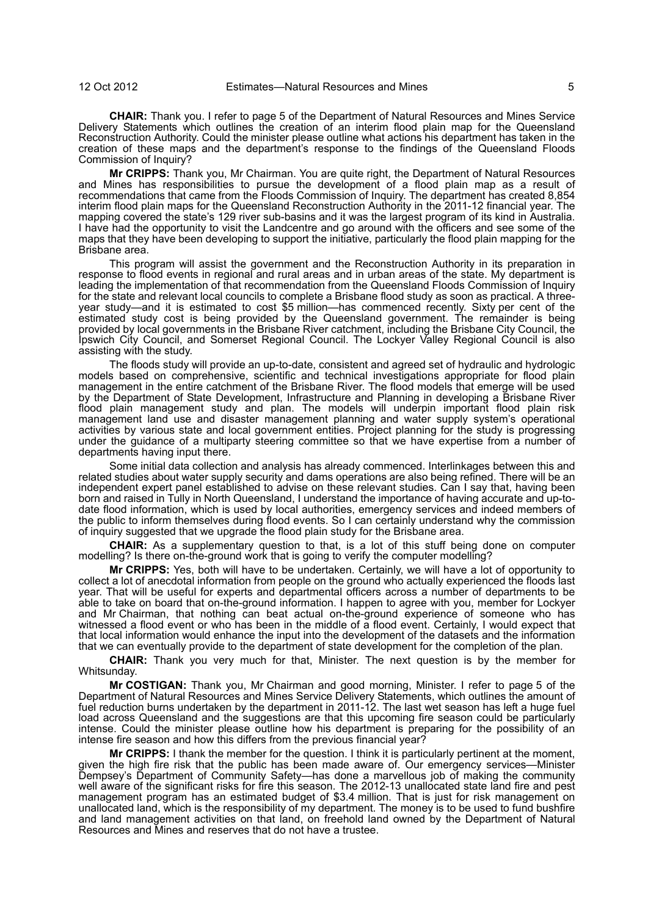**CHAIR:** Thank you. I refer to page 5 of the Department of Natural Resources and Mines Service Delivery Statements which outlines the creation of an interim flood plain map for the Queensland Reconstruction Authority. Could the minister please outline what actions his department has taken in the creation of these maps and the department's response to the findings of the Queensland Floods Commission of Inquiry?

**Mr CRIPPS:** Thank you, Mr Chairman. You are quite right, the Department of Natural Resources and Mines has responsibilities to pursue the development of a flood plain map as a result of recommendations that came from the Floods Commission of Inquiry. The department has created 8,854 interim flood plain maps for the Queensland Reconstruction Authority in the 2011-12 financial year. The mapping covered the state's 129 river sub-basins and it was the largest program of its kind in Australia. I have had the opportunity to visit the Landcentre and go around with the officers and see some of the maps that they have been developing to support the initiative, particularly the flood plain mapping for the Brisbane area.

This program will assist the government and the Reconstruction Authority in its preparation in response to flood events in regional and rural areas and in urban areas of the state. My department is leading the implementation of that recommendation from the Queensland Floods Commission of Inquiry for the state and relevant local councils to complete a Brisbane flood study as soon as practical. A threeyear study—and it is estimated to cost \$5 million—has commenced recently. Sixty per cent of the estimated study cost is being provided by the Queensland government. The remainder is being provided by local governments in the Brisbane River catchment, including the Brisbane City Council, the Ipswich City Council, and Somerset Regional Council. The Lockyer Valley Regional Council is also assisting with the study.

The floods study will provide an up-to-date, consistent and agreed set of hydraulic and hydrologic models based on comprehensive, scientific and technical investigations appropriate for flood plain management in the entire catchment of the Brisbane River. The flood models that emerge will be used by the Department of State Development, Infrastructure and Planning in developing a Brisbane River flood plain management study and plan. The models will underpin important flood plain risk management land use and disaster management planning and water supply system's operational activities by various state and local government entities. Project planning for the study is progressing under the guidance of a multiparty steering committee so that we have expertise from a number of departments having input there.

Some initial data collection and analysis has already commenced. Interlinkages between this and related studies about water supply security and dams operations are also being refined. There will be an independent expert panel established to advise on these relevant studies. Can I say that, having been born and raised in Tully in North Queensland, I understand the importance of having accurate and up-todate flood information, which is used by local authorities, emergency services and indeed members of the public to inform themselves during flood events. So I can certainly understand why the commission of inquiry suggested that we upgrade the flood plain study for the Brisbane area.

**CHAIR:** As a supplementary question to that, is a lot of this stuff being done on computer modelling? Is there on-the-ground work that is going to verify the computer modelling?

**Mr CRIPPS:** Yes, both will have to be undertaken. Certainly, we will have a lot of opportunity to collect a lot of anecdotal information from people on the ground who actually experienced the floods last year. That will be useful for experts and departmental officers across a number of departments to be able to take on board that on-the-ground information. I happen to agree with you, member for Lockyer and Mr Chairman, that nothing can beat actual on-the-ground experience of someone who has witnessed a flood event or who has been in the middle of a flood event. Certainly, I would expect that that local information would enhance the input into the development of the datasets and the information that we can eventually provide to the department of state development for the completion of the plan.

**CHAIR:** Thank you very much for that, Minister. The next question is by the member for Whitsunday.

**Mr COSTIGAN:** Thank you, Mr Chairman and good morning, Minister. I refer to page 5 of the Department of Natural Resources and Mines Service Delivery Statements, which outlines the amount of fuel reduction burns undertaken by the department in 2011-12. The last wet season has left a huge fuel load across Queensland and the suggestions are that this upcoming fire season could be particularly intense. Could the minister please outline how his department is preparing for the possibility of an intense fire season and how this differs from the previous financial year?

**Mr CRIPPS:** I thank the member for the question. I think it is particularly pertinent at the moment, given the high fire risk that the public has been made aware of. Our emergency services—Minister Dempsey's Department of Community Safety—has done a marvellous job of making the community well aware of the significant risks for fire this season. The 2012-13 unallocated state land fire and pest management program has an estimated budget of \$3.4 million. That is just for risk management on unallocated land, which is the responsibility of my department. The money is to be used to fund bushfire and land management activities on that land, on freehold land owned by the Department of Natural Resources and Mines and reserves that do not have a trustee.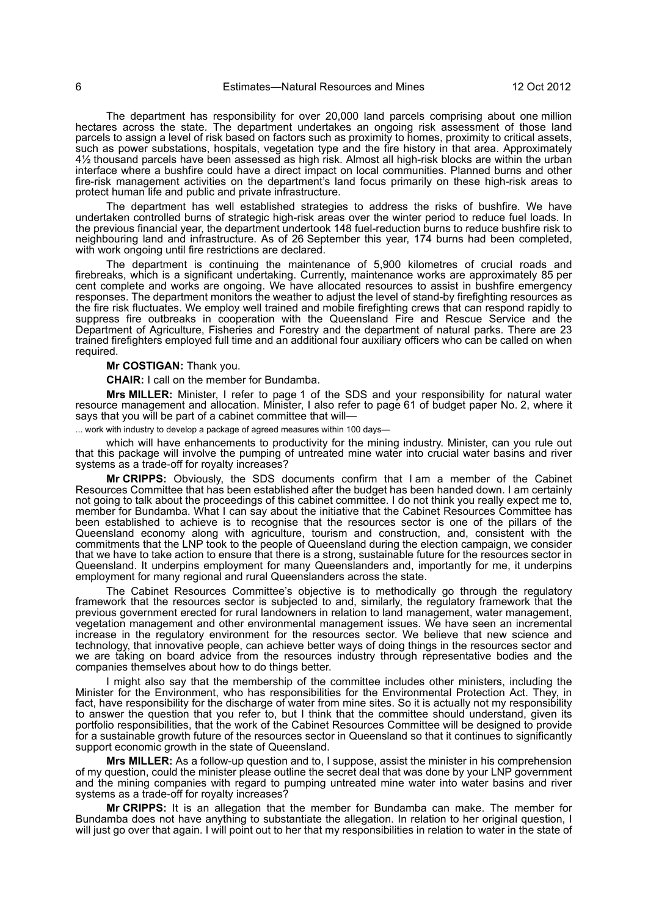The department has responsibility for over 20,000 land parcels comprising about one million hectares across the state. The department undertakes an ongoing risk assessment of those land parcels to assign a level of risk based on factors such as proximity to homes, proximity to critical assets, such as power substations, hospitals, vegetation type and the fire history in that area. Approximately 41/2 thousand parcels have been assessed as high risk. Almost all high-risk blocks are within the urban interface where a bushfire could have a direct impact on local communities. Planned burns and other fire-risk management activities on the department's land focus primarily on these high-risk areas to protect human life and public and private infrastructure.

The department has well established strategies to address the risks of bushfire. We have undertaken controlled burns of strategic high-risk areas over the winter period to reduce fuel loads. In the previous financial year, the department undertook 148 fuel-reduction burns to reduce bushfire risk to neighbouring land and infrastructure. As of 26 September this year, 174 burns had been completed, with work ongoing until fire restrictions are declared.

The department is continuing the maintenance of 5,900 kilometres of crucial roads and firebreaks, which is a significant undertaking. Currently, maintenance works are approximately 85 per cent complete and works are ongoing. We have allocated resources to assist in bushfire emergency responses. The department monitors the weather to adjust the level of stand-by firefighting resources as the fire risk fluctuates. We employ well trained and mobile firefighting crews that can respond rapidly to suppress fire outbreaks in cooperation with the Queensland Fire and Rescue Service and the Department of Agriculture, Fisheries and Forestry and the department of natural parks. There are 23 trained firefighters employed full time and an additional four auxiliary officers who can be called on when required.

#### **Mr COSTIGAN:** Thank you.

**CHAIR:** I call on the member for Bundamba.

**Mrs MILLER:** Minister, I refer to page 1 of the SDS and your responsibility for natural water resource management and allocation. Minister, I also refer to page 61 of budget paper No. 2, where it says that you will be part of a cabinet committee that will-

... work with industry to develop a package of agreed measures within 100 days—

which will have enhancements to productivity for the mining industry. Minister, can you rule out that this package will involve the pumping of untreated mine water into crucial water basins and river systems as a trade-off for royalty increases?

**Mr CRIPPS:** Obviously, the SDS documents confirm that I am a member of the Cabinet Resources Committee that has been established after the budget has been handed down. I am certainly not going to talk about the proceedings of this cabinet committee. I do not think you really expect me to, member for Bundamba. What I can say about the initiative that the Cabinet Resources Committee has been established to achieve is to recognise that the resources sector is one of the pillars of the Queensland economy along with agriculture, tourism and construction, and, consistent with the commitments that the LNP took to the people of Queensland during the election campaign, we consider that we have to take action to ensure that there is a strong, sustainable future for the resources sector in Queensland. It underpins employment for many Queenslanders and, importantly for me, it underpins employment for many regional and rural Queenslanders across the state.

The Cabinet Resources Committee's objective is to methodically go through the regulatory framework that the resources sector is subjected to and, similarly, the regulatory framework that the previous government erected for rural landowners in relation to land management, water management, vegetation management and other environmental management issues. We have seen an incremental increase in the regulatory environment for the resources sector. We believe that new science and technology, that innovative people, can achieve better ways of doing things in the resources sector and we are taking on board advice from the resources industry through representative bodies and the companies themselves about how to do things better.

I might also say that the membership of the committee includes other ministers, including the Minister for the Environment, who has responsibilities for the Environmental Protection Act. They, in fact, have responsibility for the discharge of water from mine sites. So it is actually not my responsibility to answer the question that you refer to, but I think that the committee should understand, given its portfolio responsibilities, that the work of the Cabinet Resources Committee will be designed to provide for a sustainable growth future of the resources sector in Queensland so that it continues to significantly support economic growth in the state of Queensland.

**Mrs MILLER:** As a follow-up question and to, I suppose, assist the minister in his comprehension of my question, could the minister please outline the secret deal that was done by your LNP government and the mining companies with regard to pumping untreated mine water into water basins and river systems as a trade-off for royalty increases?

**Mr CRIPPS:** It is an allegation that the member for Bundamba can make. The member for Bundamba does not have anything to substantiate the allegation. In relation to her original question, I will just go over that again. I will point out to her that my responsibilities in relation to water in the state of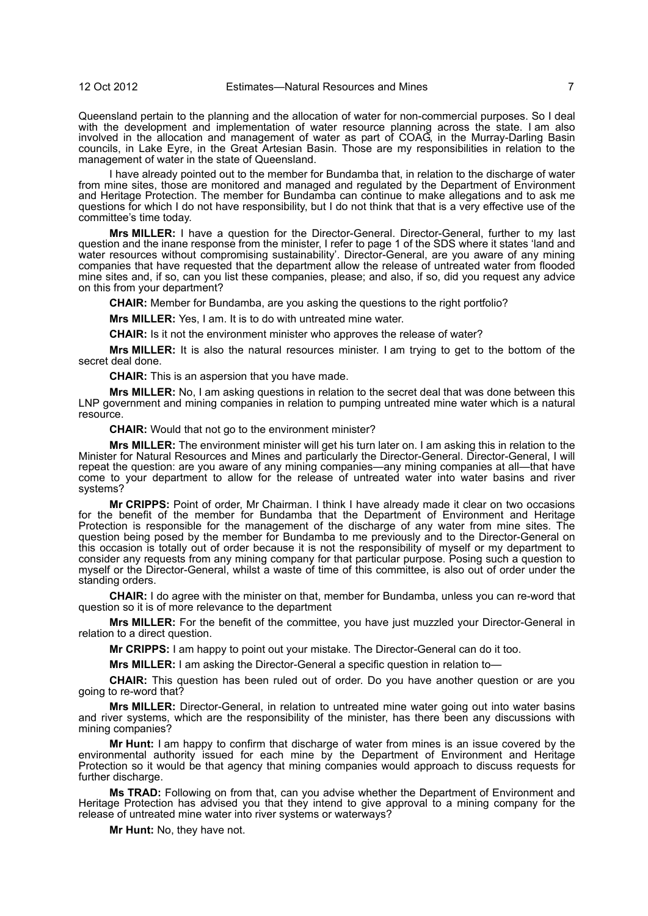Queensland pertain to the planning and the allocation of water for non-commercial purposes. So I deal with the development and implementation of water resource planning across the state. I am also involved in the allocation and management of water as part of COAG, in the Murray-Darling Basin councils, in Lake Eyre, in the Great Artesian Basin. Those are my responsibilities in relation to the management of water in the state of Queensland.

I have already pointed out to the member for Bundamba that, in relation to the discharge of water from mine sites, those are monitored and managed and regulated by the Department of Environment and Heritage Protection. The member for Bundamba can continue to make allegations and to ask me questions for which I do not have responsibility, but I do not think that that is a very effective use of the committee's time today.

**Mrs MILLER:** I have a question for the Director-General. Director-General, further to my last question and the inane response from the minister, I refer to page 1 of the SDS where it states 'land and water resources without compromising sustainability'. Director-General, are you aware of any mining companies that have requested that the department allow the release of untreated water from flooded mine sites and, if so, can you list these companies, please; and also, if so, did you request any advice on this from your department?

**CHAIR:** Member for Bundamba, are you asking the questions to the right portfolio?

**Mrs MILLER:** Yes, I am. It is to do with untreated mine water.

**CHAIR:** Is it not the environment minister who approves the release of water?

**Mrs MILLER:** It is also the natural resources minister. I am trying to get to the bottom of the secret deal done.

**CHAIR:** This is an aspersion that you have made.

**Mrs MILLER:** No, I am asking questions in relation to the secret deal that was done between this LNP government and mining companies in relation to pumping untreated mine water which is a natural resource.

**CHAIR:** Would that not go to the environment minister?

**Mrs MILLER:** The environment minister will get his turn later on. I am asking this in relation to the Minister for Natural Resources and Mines and particularly the Director-General. Director-General, I will repeat the question: are you aware of any mining companies—any mining companies at all—that have come to your department to allow for the release of untreated water into water basins and river systems?

**Mr CRIPPS:** Point of order, Mr Chairman. I think I have already made it clear on two occasions for the benefit of the member for Bundamba that the Department of Environment and Heritage Protection is responsible for the management of the discharge of any water from mine sites. The question being posed by the member for Bundamba to me previously and to the Director-General on this occasion is totally out of order because it is not the responsibility of myself or my department to consider any requests from any mining company for that particular purpose. Posing such a question to myself or the Director-General, whilst a waste of time of this committee, is also out of order under the standing orders.

**CHAIR:** I do agree with the minister on that, member for Bundamba, unless you can re-word that question so it is of more relevance to the department

**Mrs MILLER:** For the benefit of the committee, you have just muzzled your Director-General in relation to a direct question.

**Mr CRIPPS:** I am happy to point out your mistake. The Director-General can do it too.

**Mrs MILLER:** I am asking the Director-General a specific question in relation to—

**CHAIR:** This question has been ruled out of order. Do you have another question or are you going to re-word that?

**Mrs MILLER:** Director-General, in relation to untreated mine water going out into water basins and river systems, which are the responsibility of the minister, has there been any discussions with mining companies?

**Mr Hunt:** I am happy to confirm that discharge of water from mines is an issue covered by the environmental authority issued for each mine by the Department of Environment and Heritage Protection so it would be that agency that mining companies would approach to discuss requests for further discharge.

**Ms TRAD:** Following on from that, can you advise whether the Department of Environment and Heritage Protection has advised you that they intend to give approval to a mining company for the release of untreated mine water into river systems or waterways?

**Mr Hunt:** No, they have not.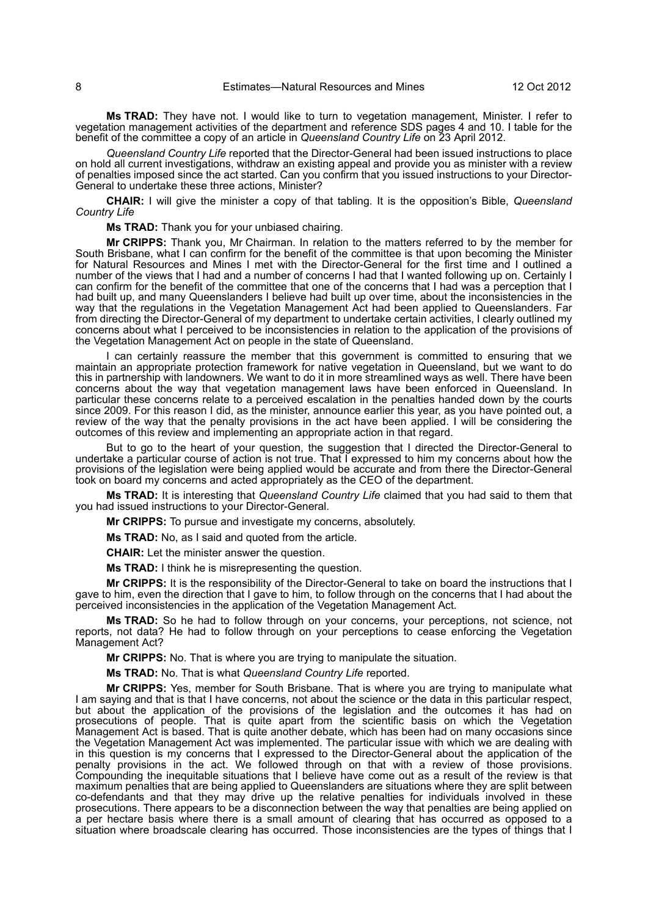**Ms TRAD:** They have not. I would like to turn to vegetation management, Minister. I refer to vegetation management activities of the department and reference SDS pages 4 and 10. I table for the benefit of the committee a copy of an article in *Queensland Country Life* on 23 April 2012.

*Queensland Country Life* reported that the Director-General had been issued instructions to place on hold all current investigations, withdraw an existing appeal and provide you as minister with a review of penalties imposed since the act started. Can you confirm that you issued instructions to your Director-General to undertake these three actions, Minister?

**CHAIR:** I will give the minister a copy of that tabling. It is the opposition's Bible, *Queensland Country Life*

**Ms TRAD:** Thank you for your unbiased chairing.

**Mr CRIPPS:** Thank you, Mr Chairman. In relation to the matters referred to by the member for South Brisbane, what I can confirm for the benefit of the committee is that upon becoming the Minister for Natural Resources and Mines I met with the Director-General for the first time and I outlined a number of the views that I had and a number of concerns I had that I wanted following up on. Certainly I can confirm for the benefit of the committee that one of the concerns that I had was a perception that I had built up, and many Queenslanders I believe had built up over time, about the inconsistencies in the way that the regulations in the Vegetation Management Act had been applied to Queenslanders. Far from directing the Director-General of my department to undertake certain activities, I clearly outlined my concerns about what I perceived to be inconsistencies in relation to the application of the provisions of the Vegetation Management Act on people in the state of Queensland.

I can certainly reassure the member that this government is committed to ensuring that we maintain an appropriate protection framework for native vegetation in Queensland, but we want to do this in partnership with landowners. We want to do it in more streamlined ways as well. There have been concerns about the way that vegetation management laws have been enforced in Queensland. In particular these concerns relate to a perceived escalation in the penalties handed down by the courts since 2009. For this reason I did, as the minister, announce earlier this year, as you have pointed out, a review of the way that the penalty provisions in the act have been applied. I will be considering the outcomes of this review and implementing an appropriate action in that regard.

But to go to the heart of your question, the suggestion that I directed the Director-General to undertake a particular course of action is not true. That I expressed to him my concerns about how the provisions of the legislation were being applied would be accurate and from there the Director-General took on board my concerns and acted appropriately as the CEO of the department.

**Ms TRAD:** It is interesting that *Queensland Country Life* claimed that you had said to them that you had issued instructions to your Director-General.

**Mr CRIPPS:** To pursue and investigate my concerns, absolutely.

**Ms TRAD:** No, as I said and quoted from the article.

**CHAIR:** Let the minister answer the question.

**Ms TRAD:** I think he is misrepresenting the question.

**Mr CRIPPS:** It is the responsibility of the Director-General to take on board the instructions that I gave to him, even the direction that I gave to him, to follow through on the concerns that I had about the perceived inconsistencies in the application of the Vegetation Management Act.

**Ms TRAD:** So he had to follow through on your concerns, your perceptions, not science, not reports, not data? He had to follow through on your perceptions to cease enforcing the Vegetation Management Act?

**Mr CRIPPS:** No. That is where you are trying to manipulate the situation.

**Ms TRAD:** No. That is what *Queensland Country Life* reported.

**Mr CRIPPS:** Yes, member for South Brisbane. That is where you are trying to manipulate what I am saying and that is that I have concerns, not about the science or the data in this particular respect, but about the application of the provisions of the legislation and the outcomes it has had on prosecutions of people. That is quite apart from the scientific basis on which the Vegetation Management Act is based. That is quite another debate, which has been had on many occasions since the Vegetation Management Act was implemented. The particular issue with which we are dealing with in this question is my concerns that I expressed to the Director-General about the application of the penalty provisions in the act. We followed through on that with a review of those provisions. Compounding the inequitable situations that I believe have come out as a result of the review is that maximum penalties that are being applied to Queenslanders are situations where they are split between co-defendants and that they may drive up the relative penalties for individuals involved in these prosecutions. There appears to be a disconnection between the way that penalties are being applied on a per hectare basis where there is a small amount of clearing that has occurred as opposed to a situation where broadscale clearing has occurred. Those inconsistencies are the types of things that I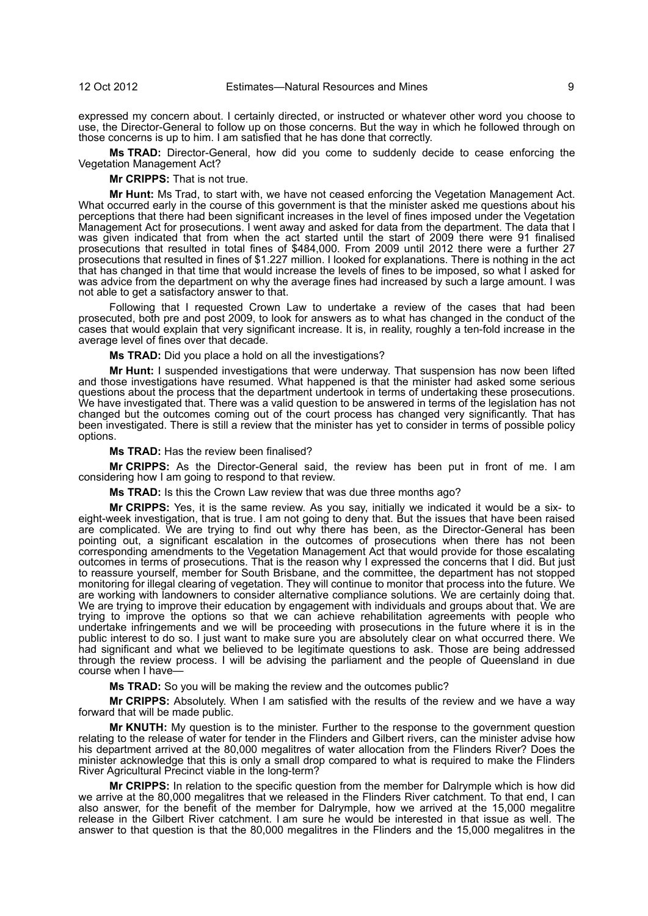expressed my concern about. I certainly directed, or instructed or whatever other word you choose to use, the Director-General to follow up on those concerns. But the way in which he followed through on those concerns is up to him. I am satisfied that he has done that correctly.

**Ms TRAD:** Director-General, how did you come to suddenly decide to cease enforcing the Vegetation Management Act?

**Mr CRIPPS:** That is not true.

**Mr Hunt:** Ms Trad, to start with, we have not ceased enforcing the Vegetation Management Act. What occurred early in the course of this government is that the minister asked me questions about his perceptions that there had been significant increases in the level of fines imposed under the Vegetation Management Act for prosecutions. I went away and asked for data from the department. The data that I was given indicated that from when the act started until the start of 2009 there were 91 finalised prosecutions that resulted in total fines of \$484,000. From 2009 until 2012 there were a further 27 prosecutions that resulted in fines of \$1.227 million. I looked for explanations. There is nothing in the act that has changed in that time that would increase the levels of fines to be imposed, so what I asked for was advice from the department on why the average fines had increased by such a large amount. I was not able to get a satisfactory answer to that.

Following that I requested Crown Law to undertake a review of the cases that had been prosecuted, both pre and post 2009, to look for answers as to what has changed in the conduct of the cases that would explain that very significant increase. It is, in reality, roughly a ten-fold increase in the average level of fines over that decade.

**Ms TRAD:** Did you place a hold on all the investigations?

**Mr Hunt:** I suspended investigations that were underway. That suspension has now been lifted and those investigations have resumed. What happened is that the minister had asked some serious questions about the process that the department undertook in terms of undertaking these prosecutions. We have investigated that. There was a valid question to be answered in terms of the legislation has not changed but the outcomes coming out of the court process has changed very significantly. That has been investigated. There is still a review that the minister has yet to consider in terms of possible policy options.

**Ms TRAD:** Has the review been finalised?

**Mr CRIPPS:** As the Director-General said, the review has been put in front of me. I am considering how I am going to respond to that review.

**Ms TRAD:** Is this the Crown Law review that was due three months ago?

**Mr CRIPPS:** Yes, it is the same review. As you say, initially we indicated it would be a six- to eight-week investigation, that is true. I am not going to deny that. But the issues that have been raised are complicated. We are trying to find out why there has been, as the Director-General has been pointing out, a significant escalation in the outcomes of prosecutions when there has not been corresponding amendments to the Vegetation Management Act that would provide for those escalating outcomes in terms of prosecutions. That is the reason why I expressed the concerns that I did. But just to reassure yourself, member for South Brisbane, and the committee, the department has not stopped monitoring for illegal clearing of vegetation. They will continue to monitor that process into the future. We are working with landowners to consider alternative compliance solutions. We are certainly doing that. We are trying to improve their education by engagement with individuals and groups about that. We are trying to improve the options so that we can achieve rehabilitation agreements with people who undertake infringements and we will be proceeding with prosecutions in the future where it is in the public interest to do so. I just want to make sure you are absolutely clear on what occurred there. We had significant and what we believed to be legitimate questions to ask. Those are being addressed through the review process. I will be advising the parliament and the people of Queensland in due course when I have—

**Ms TRAD:** So you will be making the review and the outcomes public?

**Mr CRIPPS:** Absolutely. When I am satisfied with the results of the review and we have a way forward that will be made public.

**Mr KNUTH:** My question is to the minister. Further to the response to the government question relating to the release of water for tender in the Flinders and Gilbert rivers, can the minister advise how his department arrived at the 80,000 megalitres of water allocation from the Flinders River? Does the minister acknowledge that this is only a small drop compared to what is required to make the Flinders River Agricultural Precinct viable in the long-term?

**Mr CRIPPS:** In relation to the specific question from the member for Dalrymple which is how did we arrive at the 80,000 megalitres that we released in the Flinders River catchment. To that end, I can also answer, for the benefit of the member for Dalrymple, how we arrived at the 15,000 megalitre release in the Gilbert River catchment. I am sure he would be interested in that issue as well. The answer to that question is that the 80,000 megalitres in the Flinders and the 15,000 megalitres in the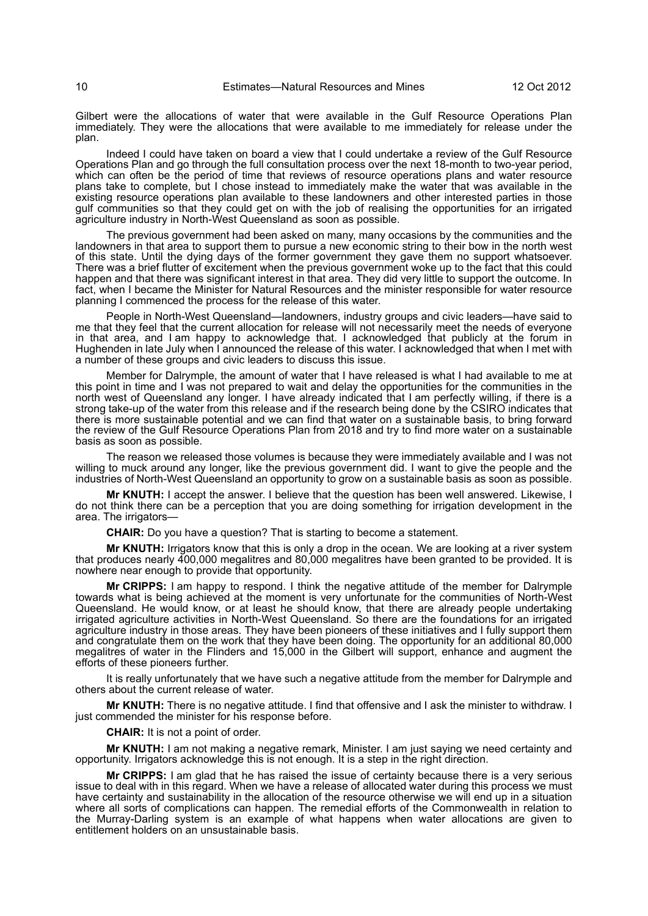Gilbert were the allocations of water that were available in the Gulf Resource Operations Plan immediately. They were the allocations that were available to me immediately for release under the plan.

Indeed I could have taken on board a view that I could undertake a review of the Gulf Resource Operations Plan and go through the full consultation process over the next 18-month to two-year period, which can often be the period of time that reviews of resource operations plans and water resource plans take to complete, but I chose instead to immediately make the water that was available in the existing resource operations plan available to these landowners and other interested parties in those gulf communities so that they could get on with the job of realising the opportunities for an irrigated agriculture industry in North-West Queensland as soon as possible.

The previous government had been asked on many, many occasions by the communities and the landowners in that area to support them to pursue a new economic string to their bow in the north west of this state. Until the dying days of the former government they gave them no support whatsoever. There was a brief flutter of excitement when the previous government woke up to the fact that this could happen and that there was significant interest in that area. They did very little to support the outcome. In fact, when I became the Minister for Natural Resources and the minister responsible for water resource planning I commenced the process for the release of this water.

People in North-West Queensland—landowners, industry groups and civic leaders—have said to me that they feel that the current allocation for release will not necessarily meet the needs of everyone in that area, and I am happy to acknowledge that. I acknowledged that publicly at the forum in Hughenden in late July when I announced the release of this water. I acknowledged that when I met with a number of these groups and civic leaders to discuss this issue.

Member for Dalrymple, the amount of water that I have released is what I had available to me at this point in time and I was not prepared to wait and delay the opportunities for the communities in the north west of Queensland any longer. I have already indicated that I am perfectly willing, if there is a strong take-up of the water from this release and if the research being done by the CSIRO indicates that there is more sustainable potential and we can find that water on a sustainable basis, to bring forward the review of the Gulf Resource Operations Plan from 2018 and try to find more water on a sustainable basis as soon as possible.

The reason we released those volumes is because they were immediately available and I was not willing to muck around any longer, like the previous government did. I want to give the people and the industries of North-West Queensland an opportunity to grow on a sustainable basis as soon as possible.

**Mr KNUTH:** I accept the answer. I believe that the question has been well answered. Likewise, I do not think there can be a perception that you are doing something for irrigation development in the area. The irrigators—

**CHAIR:** Do you have a question? That is starting to become a statement.

**Mr KNUTH:** Irrigators know that this is only a drop in the ocean. We are looking at a river system that produces nearly 400,000 megalitres and 80,000 megalitres have been granted to be provided. It is nowhere near enough to provide that opportunity.

**Mr CRIPPS:** I am happy to respond. I think the negative attitude of the member for Dalrymple towards what is being achieved at the moment is very unfortunate for the communities of North-West Queensland. He would know, or at least he should know, that there are already people undertaking irrigated agriculture activities in North-West Queensland. So there are the foundations for an irrigated agriculture industry in those areas. They have been pioneers of these initiatives and I fully support them and congratulate them on the work that they have been doing. The opportunity for an additional 80,000 megalitres of water in the Flinders and 15,000 in the Gilbert will support, enhance and augment the efforts of these pioneers further.

It is really unfortunately that we have such a negative attitude from the member for Dalrymple and others about the current release of water.

**Mr KNUTH:** There is no negative attitude. I find that offensive and I ask the minister to withdraw. I just commended the minister for his response before.

**CHAIR:** It is not a point of order.

**Mr KNUTH:** I am not making a negative remark, Minister. I am just saying we need certainty and opportunity. Irrigators acknowledge this is not enough. It is a step in the right direction.

**Mr CRIPPS:** I am glad that he has raised the issue of certainty because there is a very serious issue to deal with in this regard. When we have a release of allocated water during this process we must have certainty and sustainability in the allocation of the resource otherwise we will end up in a situation where all sorts of complications can happen. The remedial efforts of the Commonwealth in relation to the Murray-Darling system is an example of what happens when water allocations are given to entitlement holders on an unsustainable basis.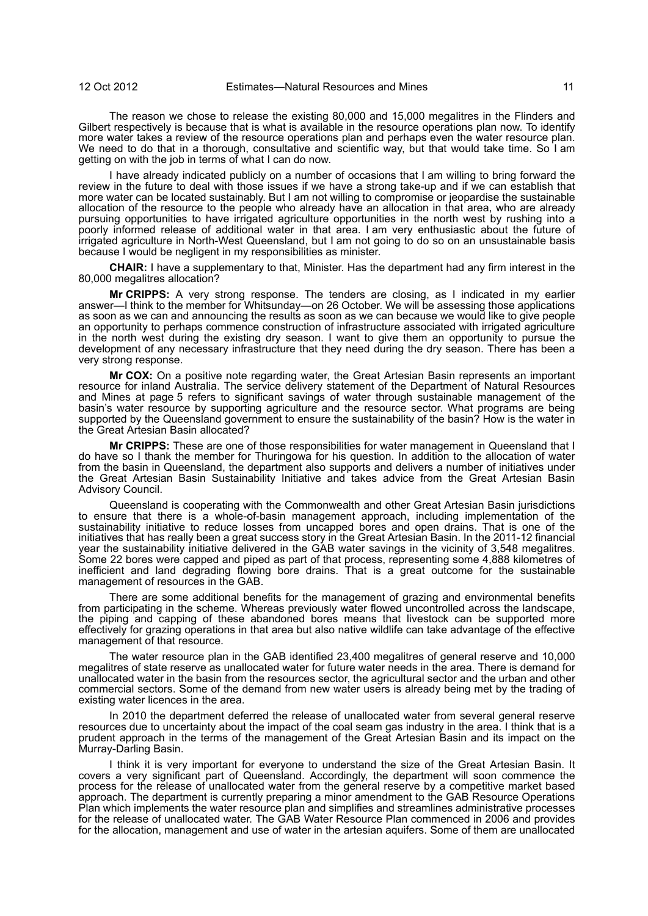The reason we chose to release the existing 80,000 and 15,000 megalitres in the Flinders and Gilbert respectively is because that is what is available in the resource operations plan now. To identify more water takes a review of the resource operations plan and perhaps even the water resource plan. We need to do that in a thorough, consultative and scientific way, but that would take time. So I am getting on with the job in terms of what I can do now.

I have already indicated publicly on a number of occasions that I am willing to bring forward the review in the future to deal with those issues if we have a strong take-up and if we can establish that more water can be located sustainably. But I am not willing to compromise or jeopardise the sustainable allocation of the resource to the people who already have an allocation in that area, who are already pursuing opportunities to have irrigated agriculture opportunities in the north west by rushing into a poorly informed release of additional water in that area. I am very enthusiastic about the future of irrigated agriculture in North-West Queensland, but I am not going to do so on an unsustainable basis because I would be negligent in my responsibilities as minister.

**CHAIR:** I have a supplementary to that, Minister. Has the department had any firm interest in the 80,000 megalitres allocation?

**Mr CRIPPS:** A very strong response. The tenders are closing, as I indicated in my earlier answer—I think to the member for Whitsunday—on 26 October. We will be assessing those applications as soon as we can and announcing the results as soon as we can because we would like to give people an opportunity to perhaps commence construction of infrastructure associated with irrigated agriculture in the north west during the existing dry season. I want to give them an opportunity to pursue the development of any necessary infrastructure that they need during the dry season. There has been a very strong response.

**Mr COX:** On a positive note regarding water, the Great Artesian Basin represents an important resource for inland Australia. The service delivery statement of the Department of Natural Resources and Mines at page 5 refers to significant savings of water through sustainable management of the basin's water resource by supporting agriculture and the resource sector. What programs are being supported by the Queensland government to ensure the sustainability of the basin? How is the water in the Great Artesian Basin allocated?

**Mr CRIPPS:** These are one of those responsibilities for water management in Queensland that I do have so I thank the member for Thuringowa for his question. In addition to the allocation of water from the basin in Queensland, the department also supports and delivers a number of initiatives under the Great Artesian Basin Sustainability Initiative and takes advice from the Great Artesian Basin Advisory Council.

Queensland is cooperating with the Commonwealth and other Great Artesian Basin jurisdictions to ensure that there is a whole-of-basin management approach, including implementation of the sustainability initiative to reduce losses from uncapped bores and open drains. That is one of the initiatives that has really been a great success story in the Great Artesian Basin. In the 2011-12 financial year the sustainability initiative delivered in the GAB water savings in the vicinity of 3,548 megalitres. Some 22 bores were capped and piped as part of that process, representing some 4,888 kilometres of inefficient and land degrading flowing bore drains. That is a great outcome for the sustainable management of resources in the GAB.

There are some additional benefits for the management of grazing and environmental benefits from participating in the scheme. Whereas previously water flowed uncontrolled across the landscape, the piping and capping of these abandoned bores means that livestock can be supported more effectively for grazing operations in that area but also native wildlife can take advantage of the effective management of that resource.

The water resource plan in the GAB identified 23,400 megalitres of general reserve and 10,000 megalitres of state reserve as unallocated water for future water needs in the area. There is demand for unallocated water in the basin from the resources sector, the agricultural sector and the urban and other commercial sectors. Some of the demand from new water users is already being met by the trading of existing water licences in the area.

In 2010 the department deferred the release of unallocated water from several general reserve resources due to uncertainty about the impact of the coal seam gas industry in the area. I think that is a prudent approach in the terms of the management of the Great Artesian Basin and its impact on the Murray-Darling Basin.

I think it is very important for everyone to understand the size of the Great Artesian Basin. It covers a very significant part of Queensland. Accordingly, the department will soon commence the process for the release of unallocated water from the general reserve by a competitive market based approach. The department is currently preparing a minor amendment to the GAB Resource Operations Plan which implements the water resource plan and simplifies and streamlines administrative processes for the release of unallocated water. The GAB Water Resource Plan commenced in 2006 and provides for the allocation, management and use of water in the artesian aquifers. Some of them are unallocated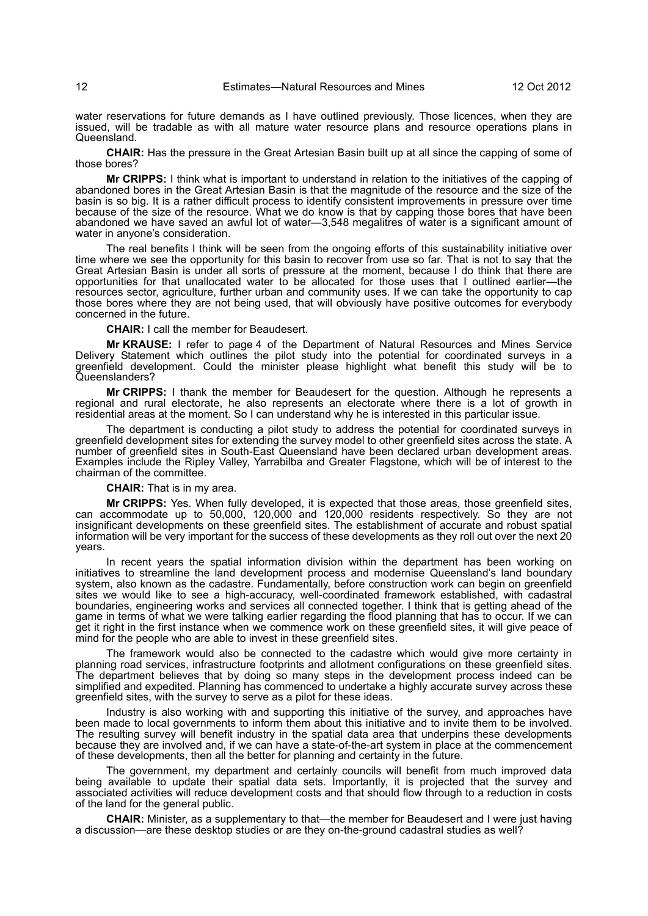water reservations for future demands as I have outlined previously. Those licences, when they are issued, will be tradable as with all mature water resource plans and resource operations plans in Queensland.

**CHAIR:** Has the pressure in the Great Artesian Basin built up at all since the capping of some of those bores?

**Mr CRIPPS:** I think what is important to understand in relation to the initiatives of the capping of abandoned bores in the Great Artesian Basin is that the magnitude of the resource and the size of the basin is so big. It is a rather difficult process to identify consistent improvements in pressure over time because of the size of the resource. What we do know is that by capping those bores that have been abandoned we have saved an awful lot of water—3,548 megalitres of water is a significant amount of water in anyone's consideration.

The real benefits I think will be seen from the ongoing efforts of this sustainability initiative over time where we see the opportunity for this basin to recover from use so far. That is not to say that the Great Artesian Basin is under all sorts of pressure at the moment, because I do think that there are opportunities for that unallocated water to be allocated for those uses that I outlined earlier—the resources sector, agriculture, further urban and community uses. If we can take the opportunity to cap those bores where they are not being used, that will obviously have positive outcomes for everybody concerned in the future.

**CHAIR:** I call the member for Beaudesert.

**Mr KRAUSE:** I refer to page 4 of the Department of Natural Resources and Mines Service Delivery Statement which outlines the pilot study into the potential for coordinated surveys in a greenfield development. Could the minister please highlight what benefit this study will be to Queenslanders?

**Mr CRIPPS:** I thank the member for Beaudesert for the question. Although he represents a regional and rural electorate, he also represents an electorate where there is a lot of growth in residential areas at the moment. So I can understand why he is interested in this particular issue.

The department is conducting a pilot study to address the potential for coordinated surveys in greenfield development sites for extending the survey model to other greenfield sites across the state. A number of greenfield sites in South-East Queensland have been declared urban development areas. Examples include the Ripley Valley, Yarrabilba and Greater Flagstone, which will be of interest to the chairman of the committee.

#### **CHAIR:** That is in my area.

**Mr CRIPPS:** Yes. When fully developed, it is expected that those areas, those greenfield sites, can accommodate up to 50,000, 120,000 and 120,000 residents respectively. So they are not insignificant developments on these greenfield sites. The establishment of accurate and robust spatial information will be very important for the success of these developments as they roll out over the next 20 years.

In recent years the spatial information division within the department has been working on initiatives to streamline the land development process and modernise Queensland's land boundary system, also known as the cadastre. Fundamentally, before construction work can begin on greenfield sites we would like to see a high-accuracy, well-coordinated framework established, with cadastral boundaries, engineering works and services all connected together. I think that is getting ahead of the game in terms of what we were talking earlier regarding the flood planning that has to occur. If we can get it right in the first instance when we commence work on these greenfield sites, it will give peace of mind for the people who are able to invest in these greenfield sites.

The framework would also be connected to the cadastre which would give more certainty in planning road services, infrastructure footprints and allotment configurations on these greenfield sites. The department believes that by doing so many steps in the development process indeed can be simplified and expedited. Planning has commenced to undertake a highly accurate survey across these greenfield sites, with the survey to serve as a pilot for these ideas.

Industry is also working with and supporting this initiative of the survey, and approaches have been made to local governments to inform them about this initiative and to invite them to be involved. The resulting survey will benefit industry in the spatial data area that underpins these developments because they are involved and, if we can have a state-of-the-art system in place at the commencement of these developments, then all the better for planning and certainty in the future.

The government, my department and certainly councils will benefit from much improved data being available to update their spatial data sets. Importantly, it is projected that the survey and associated activities will reduce development costs and that should flow through to a reduction in costs of the land for the general public.

**CHAIR:** Minister, as a supplementary to that—the member for Beaudesert and I were just having a discussion—are these desktop studies or are they on-the-ground cadastral studies as well?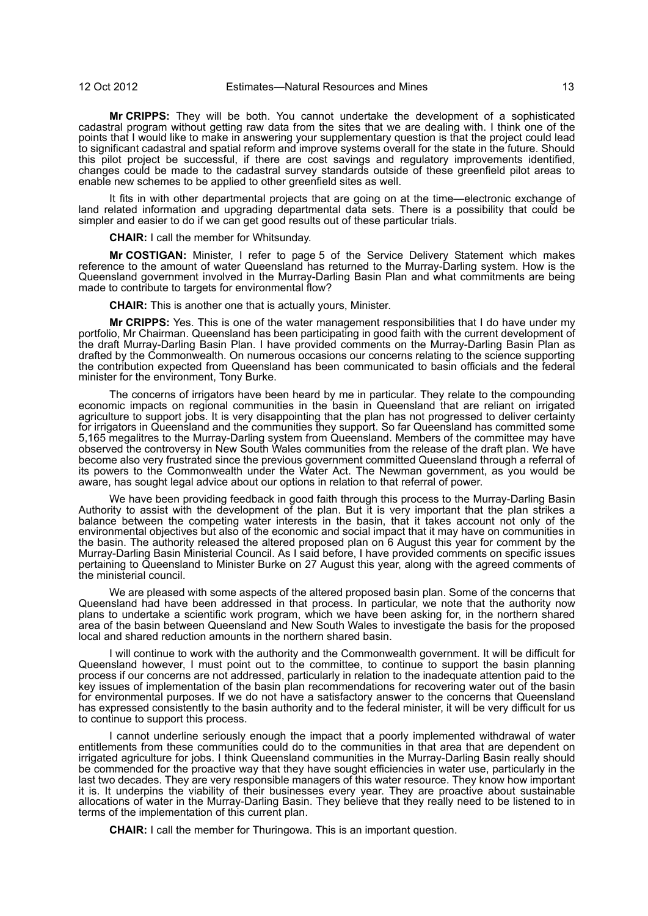**Mr CRIPPS:** They will be both. You cannot undertake the development of a sophisticated cadastral program without getting raw data from the sites that we are dealing with. I think one of the points that I would like to make in answering your supplementary question is that the project could lead to significant cadastral and spatial reform and improve systems overall for the state in the future. Should this pilot project be successful, if there are cost savings and regulatory improvements identified, changes could be made to the cadastral survey standards outside of these greenfield pilot areas to enable new schemes to be applied to other greenfield sites as well.

It fits in with other departmental projects that are going on at the time—electronic exchange of land related information and upgrading departmental data sets. There is a possibility that could be simpler and easier to do if we can get good results out of these particular trials.

**CHAIR:** I call the member for Whitsunday.

**Mr COSTIGAN:** Minister, I refer to page 5 of the Service Delivery Statement which makes reference to the amount of water Queensland has returned to the Murray-Darling system. How is the Queensland government involved in the Murray-Darling Basin Plan and what commitments are being made to contribute to targets for environmental flow?

**CHAIR:** This is another one that is actually yours, Minister.

**Mr CRIPPS:** Yes. This is one of the water management responsibilities that I do have under my portfolio, Mr Chairman. Queensland has been participating in good faith with the current development of the draft Murray-Darling Basin Plan. I have provided comments on the Murray-Darling Basin Plan as drafted by the Commonwealth. On numerous occasions our concerns relating to the science supporting the contribution expected from Queensland has been communicated to basin officials and the federal minister for the environment, Tony Burke.

The concerns of irrigators have been heard by me in particular. They relate to the compounding economic impacts on regional communities in the basin in Queensland that are reliant on irrigated agriculture to support jobs. It is very disappointing that the plan has not progressed to deliver certainty for irrigators in Queensland and the communities they support. So far Queensland has committed some 5,165 megalitres to the Murray-Darling system from Queensland. Members of the committee may have observed the controversy in New South Wales communities from the release of the draft plan. We have become also very frustrated since the previous government committed Queensland through a referral of its powers to the Commonwealth under the Water Act. The Newman government, as you would be aware, has sought legal advice about our options in relation to that referral of power.

We have been providing feedback in good faith through this process to the Murray-Darling Basin Authority to assist with the development of the plan. But it is very important that the plan strikes a balance between the competing water interests in the basin, that it takes account not only of the environmental objectives but also of the economic and social impact that it may have on communities in the basin. The authority released the altered proposed plan on 6 August this year for comment by the Murray-Darling Basin Ministerial Council. As I said before, I have provided comments on specific issues pertaining to Queensland to Minister Burke on 27 August this year, along with the agreed comments of the ministerial council.

We are pleased with some aspects of the altered proposed basin plan. Some of the concerns that Queensland had have been addressed in that process. In particular, we note that the authority now plans to undertake a scientific work program, which we have been asking for, in the northern shared area of the basin between Queensland and New South Wales to investigate the basis for the proposed local and shared reduction amounts in the northern shared basin.

I will continue to work with the authority and the Commonwealth government. It will be difficult for Queensland however, I must point out to the committee, to continue to support the basin planning process if our concerns are not addressed, particularly in relation to the inadequate attention paid to the key issues of implementation of the basin plan recommendations for recovering water out of the basin for environmental purposes. If we do not have a satisfactory answer to the concerns that Queensland has expressed consistently to the basin authority and to the federal minister, it will be very difficult for us to continue to support this process.

I cannot underline seriously enough the impact that a poorly implemented withdrawal of water entitlements from these communities could do to the communities in that area that are dependent on irrigated agriculture for jobs. I think Queensland communities in the Murray-Darling Basin really should be commended for the proactive way that they have sought efficiencies in water use, particularly in the last two decades. They are very responsible managers of this water resource. They know how important it is. It underpins the viability of their businesses every year. They are proactive about sustainable allocations of water in the Murray-Darling Basin. They believe that they really need to be listened to in terms of the implementation of this current plan.

**CHAIR:** I call the member for Thuringowa. This is an important question.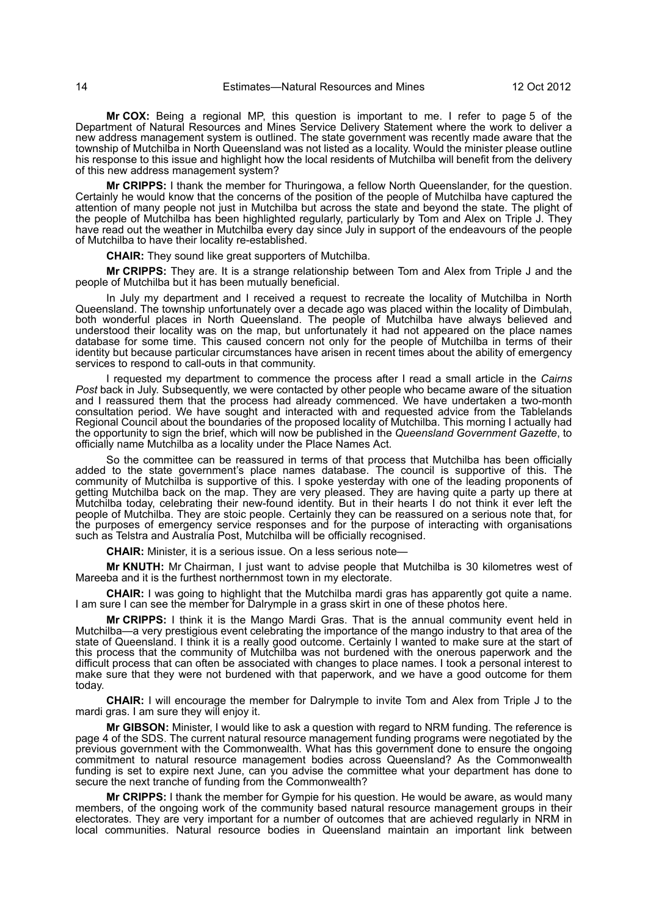**Mr COX:** Being a regional MP, this question is important to me. I refer to page 5 of the Department of Natural Resources and Mines Service Delivery Statement where the work to deliver a new address management system is outlined. The state government was recently made aware that the township of Mutchilba in North Queensland was not listed as a locality. Would the minister please outline his response to this issue and highlight how the local residents of Mutchilba will benefit from the delivery of this new address management system?

**Mr CRIPPS:** I thank the member for Thuringowa, a fellow North Queenslander, for the question. Certainly he would know that the concerns of the position of the people of Mutchilba have captured the attention of many people not just in Mutchilba but across the state and beyond the state. The plight of the people of Mutchilba has been highlighted regularly, particularly by Tom and Alex on Triple J. They have read out the weather in Mutchilba every day since July in support of the endeavours of the people of Mutchilba to have their locality re-established.

**CHAIR:** They sound like great supporters of Mutchilba.

**Mr CRIPPS:** They are. It is a strange relationship between Tom and Alex from Triple J and the people of Mutchilba but it has been mutually beneficial.

In July my department and I received a request to recreate the locality of Mutchilba in North Queensland. The township unfortunately over a decade ago was placed within the locality of Dimbulah, both wonderful places in North Queensland. The people of Mutchilba have always believed and understood their locality was on the map, but unfortunately it had not appeared on the place names database for some time. This caused concern not only for the people of Mutchilba in terms of their identity but because particular circumstances have arisen in recent times about the ability of emergency services to respond to call-outs in that community.

I requested my department to commence the process after I read a small article in the *Cairns Post* back in July. Subsequently, we were contacted by other people who became aware of the situation and I reassured them that the process had already commenced. We have undertaken a two-month consultation period. We have sought and interacted with and requested advice from the Tablelands Regional Council about the boundaries of the proposed locality of Mutchilba. This morning I actually had the opportunity to sign the brief, which will now be published in the *Queensland Government Gazette*, to officially name Mutchilba as a locality under the Place Names Act.

So the committee can be reassured in terms of that process that Mutchilba has been officially added to the state government's place names database. The council is supportive of this. The community of Mutchilba is supportive of this. I spoke yesterday with one of the leading proponents of getting Mutchilba back on the map. They are very pleased. They are having quite a party up there at Mutchilba today, celebrating their new-found identity. But in their hearts I do not think it ever left the people of Mutchilba. They are stoic people. Certainly they can be reassured on a serious note that, for the purposes of emergency service responses and for the purpose of interacting with organisations such as Telstra and Australia Post, Mutchilba will be officially recognised.

**CHAIR:** Minister, it is a serious issue. On a less serious note—

**Mr KNUTH:** Mr Chairman, I just want to advise people that Mutchilba is 30 kilometres west of Mareeba and it is the furthest northernmost town in my electorate.

**CHAIR:** I was going to highlight that the Mutchilba mardi gras has apparently got quite a name. I am sure I can see the member for Dalrymple in a grass skirt in one of these photos here.

**Mr CRIPPS:** I think it is the Mango Mardi Gras. That is the annual community event held in Mutchilba—a very prestigious event celebrating the importance of the mango industry to that area of the state of Queensland. I think it is a really good outcome. Certainly I wanted to make sure at the start of this process that the community of Mutchilba was not burdened with the onerous paperwork and the difficult process that can often be associated with changes to place names. I took a personal interest to make sure that they were not burdened with that paperwork, and we have a good outcome for them today.

**CHAIR:** I will encourage the member for Dalrymple to invite Tom and Alex from Triple J to the mardi gras. I am sure they will enjoy it.

**Mr GIBSON:** Minister, I would like to ask a question with regard to NRM funding. The reference is page 4 of the SDS. The current natural resource management funding programs were negotiated by the previous government with the Commonwealth. What has this government done to ensure the ongoing commitment to natural resource management bodies across Queensland? As the Commonwealth funding is set to expire next June, can you advise the committee what your department has done to secure the next tranche of funding from the Commonwealth?

**Mr CRIPPS:** I thank the member for Gympie for his question. He would be aware, as would many members, of the ongoing work of the community based natural resource management groups in their electorates. They are very important for a number of outcomes that are achieved regularly in NRM in local communities. Natural resource bodies in Queensland maintain an important link between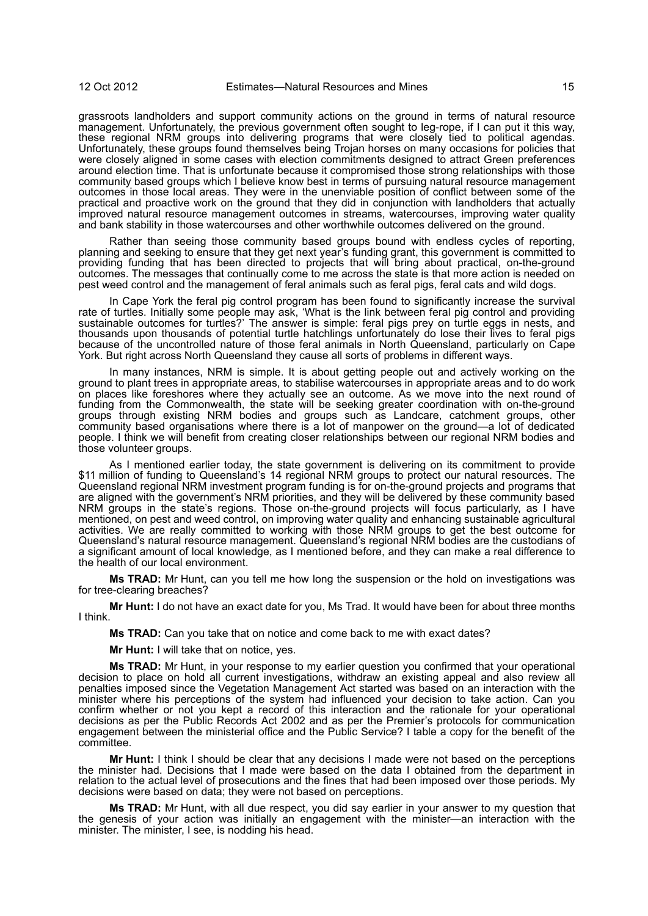grassroots landholders and support community actions on the ground in terms of natural resource management. Unfortunately, the previous government often sought to leg-rope, if I can put it this way, these regional NRM groups into delivering programs that were closely tied to political agendas. Unfortunately, these groups found themselves being Trojan horses on many occasions for policies that were closely aligned in some cases with election commitments designed to attract Green preferences around election time. That is unfortunate because it compromised those strong relationships with those community based groups which I believe know best in terms of pursuing natural resource management outcomes in those local areas. They were in the unenviable position of conflict between some of the practical and proactive work on the ground that they did in conjunction with landholders that actually improved natural resource management outcomes in streams, watercourses, improving water quality and bank stability in those watercourses and other worthwhile outcomes delivered on the ground.

Rather than seeing those community based groups bound with endless cycles of reporting, planning and seeking to ensure that they get next year's funding grant, this government is committed to providing funding that has been directed to projects that will bring about practical, on-the-ground outcomes. The messages that continually come to me across the state is that more action is needed on pest weed control and the management of feral animals such as feral pigs, feral cats and wild dogs.

In Cape York the feral pig control program has been found to significantly increase the survival rate of turtles. Initially some people may ask, 'What is the link between feral pig control and providing sustainable outcomes for turtles?' The answer is simple: feral pigs prey on turtle eggs in nests, and thousands upon thousands of potential turtle hatchlings unfortunately do lose their lives to feral pigs because of the uncontrolled nature of those feral animals in North Queensland, particularly on Cape York. But right across North Queensland they cause all sorts of problems in different ways.

In many instances, NRM is simple. It is about getting people out and actively working on the ground to plant trees in appropriate areas, to stabilise watercourses in appropriate areas and to do work on places like foreshores where they actually see an outcome. As we move into the next round of funding from the Commonwealth, the state will be seeking greater coordination with on-the-ground groups through existing NRM bodies and groups such as Landcare, catchment groups, other community based organisations where there is a lot of manpower on the ground—a lot of dedicated people. I think we will benefit from creating closer relationships between our regional NRM bodies and those volunteer groups.

As I mentioned earlier today, the state government is delivering on its commitment to provide \$11 million of funding to Queensland's 14 regional NRM groups to protect our natural resources. The Queensland regional NRM investment program funding is for on-the-ground projects and programs that are aligned with the government's NRM priorities, and they will be delivered by these community based NRM groups in the state's regions. Those on-the-ground projects will focus particularly, as I have mentioned, on pest and weed control, on improving water quality and enhancing sustainable agricultural activities. We are really committed to working with those NRM groups to get the best outcome for Queensland's natural resource management. Queensland's regional NRM bodies are the custodians of a significant amount of local knowledge, as I mentioned before, and they can make a real difference to the health of our local environment.

**Ms TRAD:** Mr Hunt, can you tell me how long the suspension or the hold on investigations was for tree-clearing breaches?

**Mr Hunt:** I do not have an exact date for you, Ms Trad. It would have been for about three months I think.

**Ms TRAD:** Can you take that on notice and come back to me with exact dates?

**Mr Hunt:** I will take that on notice, yes.

**Ms TRAD:** Mr Hunt, in your response to my earlier question you confirmed that your operational decision to place on hold all current investigations, withdraw an existing appeal and also review all penalties imposed since the Vegetation Management Act started was based on an interaction with the minister where his perceptions of the system had influenced your decision to take action. Can you confirm whether or not you kept a record of this interaction and the rationale for your operational decisions as per the Public Records Act 2002 and as per the Premier's protocols for communication engagement between the ministerial office and the Public Service? I table a copy for the benefit of the committee.

**Mr Hunt:** I think I should be clear that any decisions I made were not based on the perceptions the minister had. Decisions that I made were based on the data I obtained from the department in relation to the actual level of prosecutions and the fines that had been imposed over those periods. My decisions were based on data; they were not based on perceptions.

**Ms TRAD:** Mr Hunt, with all due respect, you did say earlier in your answer to my question that the genesis of your action was initially an engagement with the minister—an interaction with the minister. The minister, I see, is nodding his head.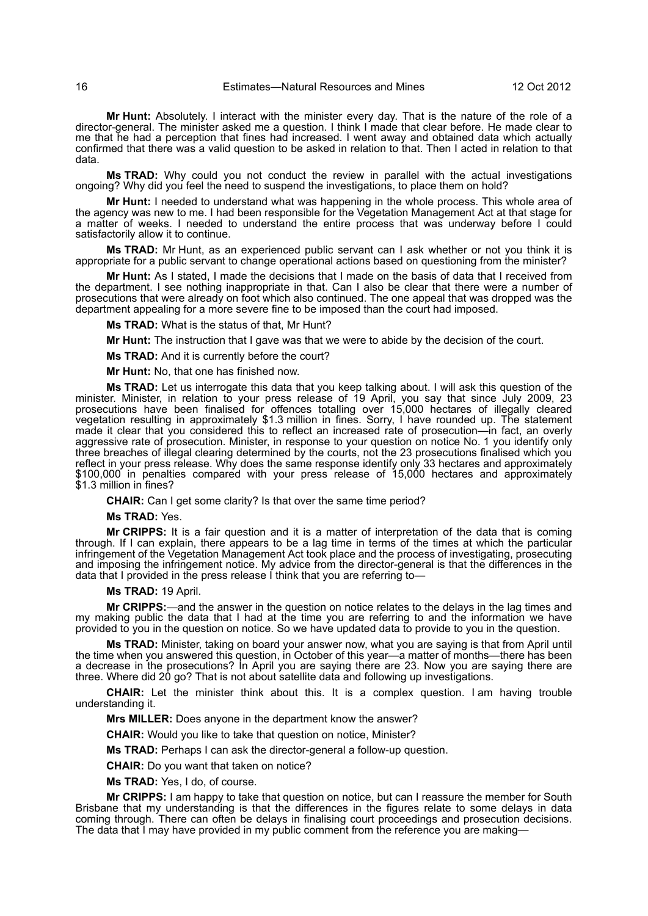**Mr Hunt:** Absolutely. I interact with the minister every day. That is the nature of the role of a director-general. The minister asked me a question. I think I made that clear before. He made clear to me that he had a perception that fines had increased. I went away and obtained data which actually confirmed that there was a valid question to be asked in relation to that. Then I acted in relation to that data.

**Ms TRAD:** Why could you not conduct the review in parallel with the actual investigations ongoing? Why did you feel the need to suspend the investigations, to place them on hold?

**Mr Hunt:** I needed to understand what was happening in the whole process. This whole area of the agency was new to me. I had been responsible for the Vegetation Management Act at that stage for a matter of weeks. I needed to understand the entire process that was underway before I could satisfactorily allow it to continue.

**Ms TRAD:** Mr Hunt, as an experienced public servant can I ask whether or not you think it is appropriate for a public servant to change operational actions based on questioning from the minister?

**Mr Hunt:** As I stated, I made the decisions that I made on the basis of data that I received from the department. I see nothing inappropriate in that. Can I also be clear that there were a number of prosecutions that were already on foot which also continued. The one appeal that was dropped was the department appealing for a more severe fine to be imposed than the court had imposed.

**Ms TRAD:** What is the status of that, Mr Hunt?

**Mr Hunt:** The instruction that I gave was that we were to abide by the decision of the court.

**Ms TRAD:** And it is currently before the court?

**Mr Hunt:** No, that one has finished now.

**Ms TRAD:** Let us interrogate this data that you keep talking about. I will ask this question of the minister. Minister, in relation to your press release of 19 April, you say that since July 2009, 23 prosecutions have been finalised for offences totalling over 15,000 hectares of illegally cleared vegetation resulting in approximately \$1.3 million in fines. Sorry, I have rounded up. The statement made it clear that you considered this to reflect an increased rate of prosecution—in fact, an overly aggressive rate of prosecution. Minister, in response to your question on notice No. 1 you identify only three breaches of illegal clearing determined by the courts, not the 23 prosecutions finalised which you reflect in your press release. Why does the same response identify only 33 hectares and approximately \$100,000 in penalties compared with your press release of 15,000 hectares and approximately \$1.3 million in fines?

**CHAIR:** Can I get some clarity? Is that over the same time period?

**Ms TRAD:** Yes.

**Mr CRIPPS:** It is a fair question and it is a matter of interpretation of the data that is coming through. If I can explain, there appears to be a lag time in terms of the times at which the particular infringement of the Vegetation Management Act took place and the process of investigating, prosecuting and imposing the infringement notice. My advice from the director-general is that the differences in the data that I provided in the press release I think that you are referring to-

**Ms TRAD:** 19 April.

**Mr CRIPPS:**—and the answer in the question on notice relates to the delays in the lag times and my making public the data that I had at the time you are referring to and the information we have provided to you in the question on notice. So we have updated data to provide to you in the question.

**Ms TRAD:** Minister, taking on board your answer now, what you are saying is that from April until the time when you answered this question, in October of this year—a matter of months—there has been a decrease in the prosecutions? In April you are saying there are 23. Now you are saying there are three. Where did 20 go? That is not about satellite data and following up investigations.

**CHAIR:** Let the minister think about this. It is a complex question. I am having trouble understanding it.

**Mrs MILLER:** Does anyone in the department know the answer?

**CHAIR:** Would you like to take that question on notice, Minister?

**Ms TRAD:** Perhaps I can ask the director-general a follow-up question.

**CHAIR:** Do you want that taken on notice?

**Ms TRAD:** Yes, I do, of course.

**Mr CRIPPS:** I am happy to take that question on notice, but can I reassure the member for South Brisbane that my understanding is that the differences in the figures relate to some delays in data coming through. There can often be delays in finalising court proceedings and prosecution decisions. The data that I may have provided in my public comment from the reference you are making—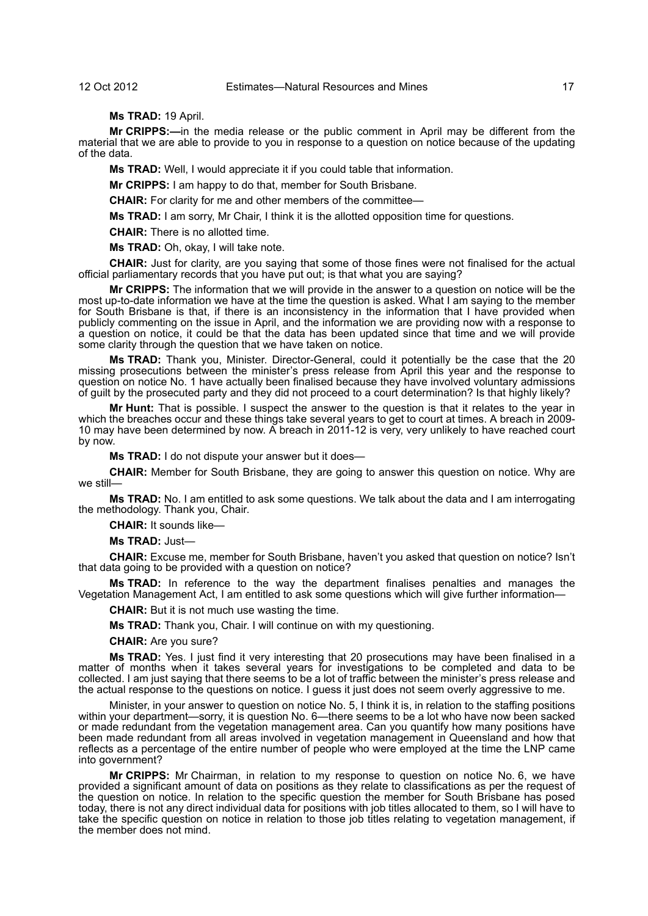**Ms TRAD:** 19 April.

**Mr CRIPPS:—**in the media release or the public comment in April may be different from the material that we are able to provide to you in response to a question on notice because of the updating of the data.

**Ms TRAD:** Well, I would appreciate it if you could table that information.

**Mr CRIPPS:** I am happy to do that, member for South Brisbane.

**CHAIR:** For clarity for me and other members of the committee—

**Ms TRAD:** I am sorry, Mr Chair, I think it is the allotted opposition time for questions.

**CHAIR:** There is no allotted time.

**Ms TRAD:** Oh, okay, I will take note.

**CHAIR:** Just for clarity, are you saying that some of those fines were not finalised for the actual official parliamentary records that you have put out; is that what you are saying?

**Mr CRIPPS:** The information that we will provide in the answer to a question on notice will be the most up-to-date information we have at the time the question is asked. What I am saying to the member for South Brisbane is that, if there is an inconsistency in the information that I have provided when publicly commenting on the issue in April, and the information we are providing now with a response to a question on notice, it could be that the data has been updated since that time and we will provide some clarity through the question that we have taken on notice.

**Ms TRAD:** Thank you, Minister. Director-General, could it potentially be the case that the 20 missing prosecutions between the minister's press release from April this year and the response to question on notice No. 1 have actually been finalised because they have involved voluntary admissions of guilt by the prosecuted party and they did not proceed to a court determination? Is that highly likely?

**Mr Hunt:** That is possible. I suspect the answer to the question is that it relates to the year in which the breaches occur and these things take several years to get to court at times. A breach in 2009-10 may have been determined by now. A breach in 2011-12 is very, very unlikely to have reached court by now.

**Ms TRAD:** I do not dispute your answer but it does—

**CHAIR:** Member for South Brisbane, they are going to answer this question on notice. Why are we still—

**Ms TRAD:** No. I am entitled to ask some questions. We talk about the data and I am interrogating the methodology. Thank you, Chair.

**CHAIR:** It sounds like—

**Ms TRAD:** Just—

**CHAIR:** Excuse me, member for South Brisbane, haven't you asked that question on notice? Isn't that data going to be provided with a question on notice?

**Ms TRAD:** In reference to the way the department finalises penalties and manages the Vegetation Management Act, I am entitled to ask some questions which will give further information—

**CHAIR:** But it is not much use wasting the time.

**Ms TRAD:** Thank you, Chair. I will continue on with my questioning.

**CHAIR:** Are you sure?

**Ms TRAD:** Yes. I just find it very interesting that 20 prosecutions may have been finalised in a matter of months when it takes several years for investigations to be completed and data to be collected. I am just saying that there seems to be a lot of traffic between the minister's press release and the actual response to the questions on notice. I guess it just does not seem overly aggressive to me.

Minister, in your answer to question on notice No. 5, I think it is, in relation to the staffing positions within your department—sorry, it is question No. 6—there seems to be a lot who have now been sacked or made redundant from the vegetation management area. Can you quantify how many positions have been made redundant from all areas involved in vegetation management in Queensland and how that reflects as a percentage of the entire number of people who were employed at the time the LNP came into government?

**Mr CRIPPS:** Mr Chairman, in relation to my response to question on notice No. 6, we have provided a significant amount of data on positions as they relate to classifications as per the request of the question on notice. In relation to the specific question the member for South Brisbane has posed today, there is not any direct individual data for positions with job titles allocated to them, so I will have to take the specific question on notice in relation to those job titles relating to vegetation management, if the member does not mind.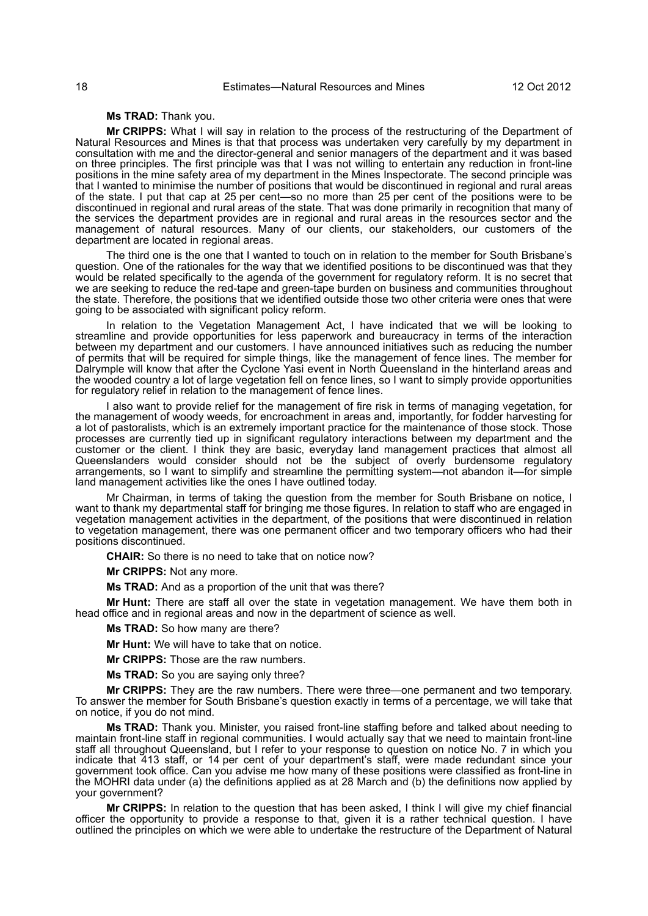### **Ms TRAD:** Thank you.

**Mr CRIPPS:** What I will say in relation to the process of the restructuring of the Department of Natural Resources and Mines is that that process was undertaken very carefully by my department in consultation with me and the director-general and senior managers of the department and it was based on three principles. The first principle was that I was not willing to entertain any reduction in front-line positions in the mine safety area of my department in the Mines Inspectorate. The second principle was that I wanted to minimise the number of positions that would be discontinued in regional and rural areas of the state. I put that cap at 25 per cent—so no more than 25 per cent of the positions were to be discontinued in regional and rural areas of the state. That was done primarily in recognition that many of the services the department provides are in regional and rural areas in the resources sector and the management of natural resources. Many of our clients, our stakeholders, our customers of the department are located in regional areas.

The third one is the one that I wanted to touch on in relation to the member for South Brisbane's question. One of the rationales for the way that we identified positions to be discontinued was that they would be related specifically to the agenda of the government for regulatory reform. It is no secret that we are seeking to reduce the red-tape and green-tape burden on business and communities throughout the state. Therefore, the positions that we identified outside those two other criteria were ones that were going to be associated with significant policy reform.

In relation to the Vegetation Management Act, I have indicated that we will be looking to streamline and provide opportunities for less paperwork and bureaucracy in terms of the interaction between my department and our customers. I have announced initiatives such as reducing the number of permits that will be required for simple things, like the management of fence lines. The member for Dalrymple will know that after the Cyclone Yasi event in North Queensland in the hinterland areas and the wooded country a lot of large vegetation fell on fence lines, so I want to simply provide opportunities for regulatory relief in relation to the management of fence lines.

I also want to provide relief for the management of fire risk in terms of managing vegetation, for the management of woody weeds, for encroachment in areas and, importantly, for fodder harvesting for a lot of pastoralists, which is an extremely important practice for the maintenance of those stock. Those processes are currently tied up in significant regulatory interactions between my department and the customer or the client. I think they are basic, everyday land management practices that almost all Queenslanders would consider should not be the subject of overly burdensome regulatory arrangements, so I want to simplify and streamline the permitting system—not abandon it—for simple land management activities like the ones I have outlined today.

Mr Chairman, in terms of taking the question from the member for South Brisbane on notice, I want to thank my departmental staff for bringing me those figures. In relation to staff who are engaged in vegetation management activities in the department, of the positions that were discontinued in relation to vegetation management, there was one permanent officer and two temporary officers who had their positions discontinued.

**CHAIR:** So there is no need to take that on notice now?

**Mr CRIPPS:** Not any more.

**Ms TRAD:** And as a proportion of the unit that was there?

**Mr Hunt:** There are staff all over the state in vegetation management. We have them both in head office and in regional areas and now in the department of science as well.

**Ms TRAD:** So how many are there?

**Mr Hunt:** We will have to take that on notice.

**Mr CRIPPS:** Those are the raw numbers.

**Ms TRAD:** So you are saying only three?

**Mr CRIPPS:** They are the raw numbers. There were three—one permanent and two temporary. To answer the member for South Brisbane's question exactly in terms of a percentage, we will take that on notice, if you do not mind.

**Ms TRAD:** Thank you. Minister, you raised front-line staffing before and talked about needing to maintain front-line staff in regional communities. I would actually say that we need to maintain front-line staff all throughout Queensland, but I refer to your response to question on notice No. 7 in which you indicate that 413 staff, or 14 per cent of your department's staff, were made redundant since your government took office. Can you advise me how many of these positions were classified as front-line in the MOHRI data under (a) the definitions applied as at 28 March and (b) the definitions now applied by your government?

**Mr CRIPPS:** In relation to the question that has been asked, I think I will give my chief financial officer the opportunity to provide a response to that, given it is a rather technical question. I have outlined the principles on which we were able to undertake the restructure of the Department of Natural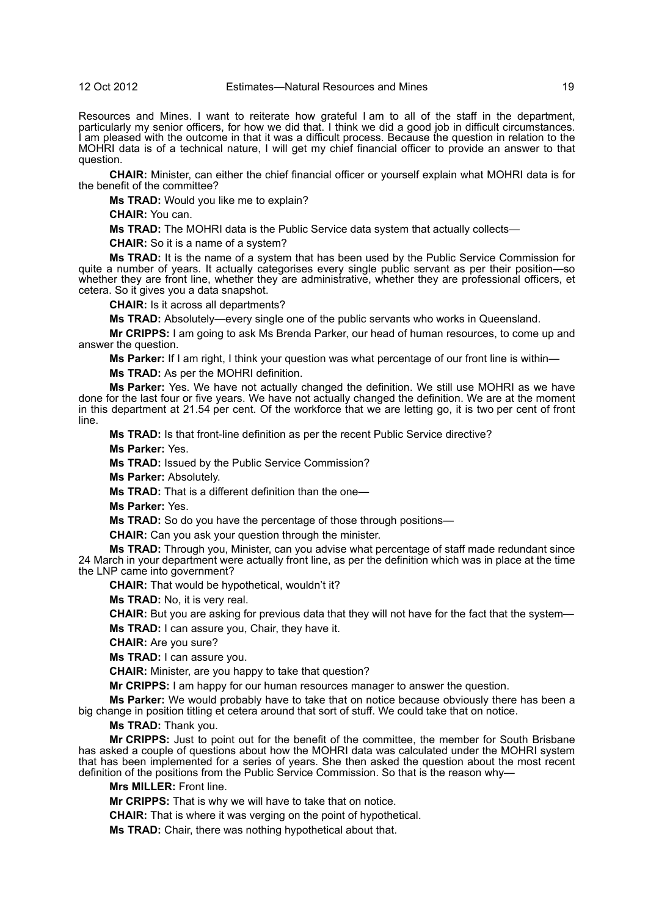#### 12 Oct 2012 Estimates—Natural Resources and Mines 19

Resources and Mines. I want to reiterate how grateful I am to all of the staff in the department, particularly my senior officers, for how we did that. I think we did a good job in difficult circumstances. I am pleased with the outcome in that it was a difficult process. Because the question in relation to the MOHRI data is of a technical nature, I will get my chief financial officer to provide an answer to that question.

**CHAIR:** Minister, can either the chief financial officer or yourself explain what MOHRI data is for the benefit of the committee?

**Ms TRAD:** Would you like me to explain?

**CHAIR:** You can.

**Ms TRAD:** The MOHRI data is the Public Service data system that actually collects—

**CHAIR:** So it is a name of a system?

**Ms TRAD:** It is the name of a system that has been used by the Public Service Commission for quite a number of years. It actually categorises every single public servant as per their position—so whether they are front line, whether they are administrative, whether they are professional officers, et cetera. So it gives you a data snapshot.

**CHAIR:** Is it across all departments?

**Ms TRAD:** Absolutely—every single one of the public servants who works in Queensland.

**Mr CRIPPS:** I am going to ask Ms Brenda Parker, our head of human resources, to come up and answer the question.

**Ms Parker:** If I am right, I think your question was what percentage of our front line is within—

**Ms TRAD:** As per the MOHRI definition.

**Ms Parker:** Yes. We have not actually changed the definition. We still use MOHRI as we have done for the last four or five years. We have not actually changed the definition. We are at the moment in this department at 21.54 per cent. Of the workforce that we are letting go, it is two per cent of front line.

**Ms TRAD:** Is that front-line definition as per the recent Public Service directive?

**Ms Parker:** Yes.

**Ms TRAD:** Issued by the Public Service Commission?

**Ms Parker:** Absolutely.

**Ms TRAD:** That is a different definition than the one—

**Ms Parker:** Yes.

**Ms TRAD:** So do you have the percentage of those through positions—

**CHAIR:** Can you ask your question through the minister.

**Ms TRAD:** Through you, Minister, can you advise what percentage of staff made redundant since 24 March in your department were actually front line, as per the definition which was in place at the time the LNP came into government?

**CHAIR:** That would be hypothetical, wouldn't it?

**Ms TRAD:** No, it is very real.

**CHAIR:** But you are asking for previous data that they will not have for the fact that the system— **Ms TRAD:** I can assure you, Chair, they have it.

**CHAIR:** Are you sure?

**Ms TRAD:** I can assure you.

**CHAIR:** Minister, are you happy to take that question?

**Mr CRIPPS:** I am happy for our human resources manager to answer the question.

**Ms Parker:** We would probably have to take that on notice because obviously there has been a big change in position titling et cetera around that sort of stuff. We could take that on notice.

**Ms TRAD:** Thank you.

**Mr CRIPPS:** Just to point out for the benefit of the committee, the member for South Brisbane has asked a couple of questions about how the MOHRI data was calculated under the MOHRI system that has been implemented for a series of years. She then asked the question about the most recent definition of the positions from the Public Service Commission. So that is the reason why—

**Mrs MILLER:** Front line.

**Mr CRIPPS:** That is why we will have to take that on notice.

**CHAIR:** That is where it was verging on the point of hypothetical.

**Ms TRAD:** Chair, there was nothing hypothetical about that.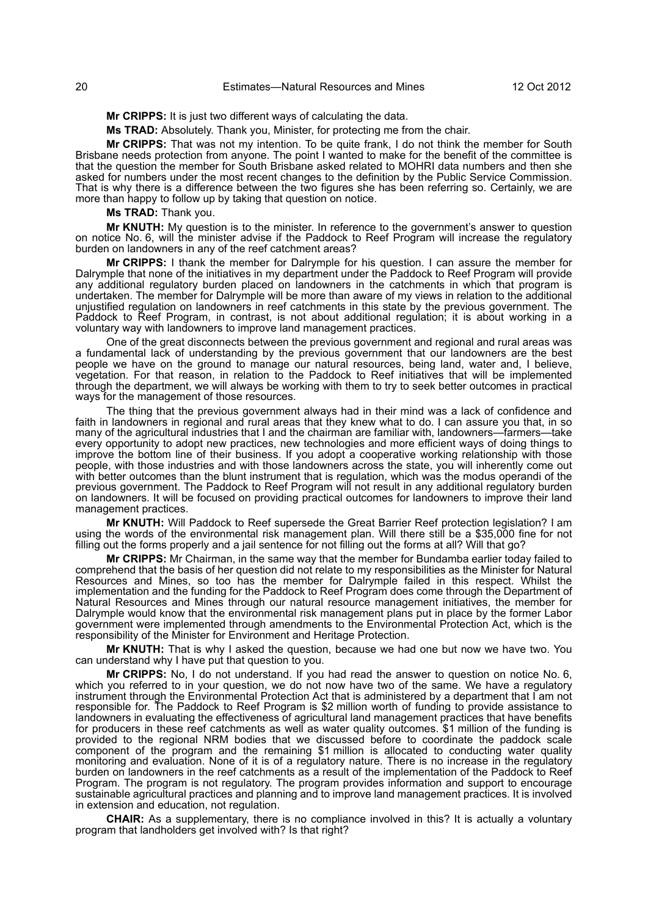**Ms TRAD:** Absolutely. Thank you, Minister, for protecting me from the chair.

**Mr CRIPPS:** That was not my intention. To be quite frank, I do not think the member for South Brisbane needs protection from anyone. The point I wanted to make for the benefit of the committee is that the question the member for South Brisbane asked related to MOHRI data numbers and then she asked for numbers under the most recent changes to the definition by the Public Service Commission. That is why there is a difference between the two figures she has been referring so. Certainly, we are more than happy to follow up by taking that question on notice.

**Ms TRAD:** Thank you.

**Mr KNUTH:** My question is to the minister. In reference to the government's answer to question on notice No. 6, will the minister advise if the Paddock to Reef Program will increase the regulatory burden on landowners in any of the reef catchment areas?

**Mr CRIPPS:** I thank the member for Dalrymple for his question. I can assure the member for Dalrymple that none of the initiatives in my department under the Paddock to Reef Program will provide any additional regulatory burden placed on landowners in the catchments in which that program is undertaken. The member for Dalrymple will be more than aware of my views in relation to the additional unjustified regulation on landowners in reef catchments in this state by the previous government. The Paddock to Reef Program, in contrast, is not about additional regulation; it is about working in a voluntary way with landowners to improve land management practices.

One of the great disconnects between the previous government and regional and rural areas was a fundamental lack of understanding by the previous government that our landowners are the best people we have on the ground to manage our natural resources, being land, water and, I believe, vegetation. For that reason, in relation to the Paddock to Reef initiatives that will be implemented through the department, we will always be working with them to try to seek better outcomes in practical ways for the management of those resources.

The thing that the previous government always had in their mind was a lack of confidence and faith in landowners in regional and rural areas that they knew what to do. I can assure you that, in so many of the agricultural industries that I and the chairman are familiar with, landowners—farmers—take every opportunity to adopt new practices, new technologies and more efficient ways of doing things to improve the bottom line of their business. If you adopt a cooperative working relationship with those people, with those industries and with those landowners across the state, you will inherently come out with better outcomes than the blunt instrument that is regulation, which was the modus operandi of the previous government. The Paddock to Reef Program will not result in any additional regulatory burden on landowners. It will be focused on providing practical outcomes for landowners to improve their land management practices.

**Mr KNUTH:** Will Paddock to Reef supersede the Great Barrier Reef protection legislation? I am using the words of the environmental risk management plan. Will there still be a \$35,000 fine for not filling out the forms properly and a jail sentence for not filling out the forms at all? Will that go?

**Mr CRIPPS:** Mr Chairman, in the same way that the member for Bundamba earlier today failed to comprehend that the basis of her question did not relate to my responsibilities as the Minister for Natural Resources and Mines, so too has the member for Dalrymple failed in this respect. Whilst the implementation and the funding for the Paddock to Reef Program does come through the Department of Natural Resources and Mines through our natural resource management initiatives, the member for Dalrymple would know that the environmental risk management plans put in place by the former Labor government were implemented through amendments to the Environmental Protection Act, which is the responsibility of the Minister for Environment and Heritage Protection.

**Mr KNUTH:** That is why I asked the question, because we had one but now we have two. You can understand why I have put that question to you.

**Mr CRIPPS:** No, I do not understand. If you had read the answer to question on notice No. 6, which you referred to in your question, we do not now have two of the same. We have a regulatory instrument through the Environmental Protection Act that is administered by a department that I am not responsible for. The Paddock to Reef Program is \$2 million worth of funding to provide assistance to landowners in evaluating the effectiveness of agricultural land management practices that have benefits for producers in these reef catchments as well as water quality outcomes. \$1 million of the funding is provided to the regional NRM bodies that we discussed before to coordinate the paddock scale component of the program and the remaining \$1 million is allocated to conducting water quality monitoring and evaluation. None of it is of a regulatory nature. There is no increase in the regulatory burden on landowners in the reef catchments as a result of the implementation of the Paddock to Reef Program. The program is not regulatory. The program provides information and support to encourage sustainable agricultural practices and planning and to improve land management practices. It is involved in extension and education, not regulation.

**CHAIR:** As a supplementary, there is no compliance involved in this? It is actually a voluntary program that landholders get involved with? Is that right?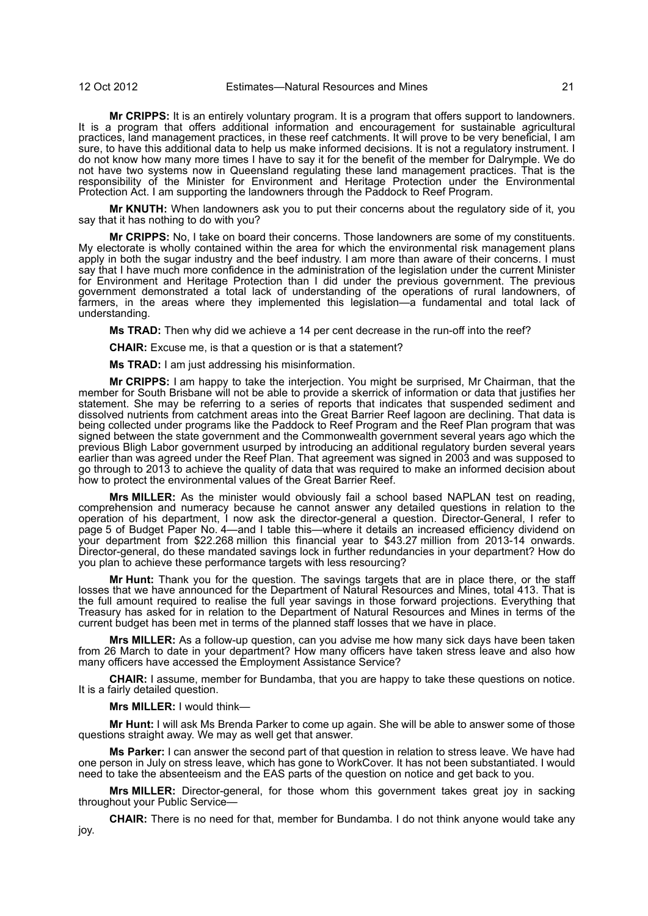**Mr CRIPPS:** It is an entirely voluntary program. It is a program that offers support to landowners. It is a program that offers additional information and encouragement for sustainable agricultural practices, land management practices, in these reef catchments. It will prove to be very beneficial, I am sure, to have this additional data to help us make informed decisions. It is not a regulatory instrument. I do not know how many more times I have to say it for the benefit of the member for Dalrymple. We do not have two systems now in Queensland regulating these land management practices. That is the responsibility of the Minister for Environment and Heritage Protection under the Environmental Protection Act. I am supporting the landowners through the Paddock to Reef Program.

**Mr KNUTH:** When landowners ask you to put their concerns about the regulatory side of it, you say that it has nothing to do with you?

**Mr CRIPPS:** No, I take on board their concerns. Those landowners are some of my constituents. My electorate is wholly contained within the area for which the environmental risk management plans apply in both the sugar industry and the beef industry. I am more than aware of their concerns. I must say that I have much more confidence in the administration of the legislation under the current Minister for Environment and Heritage Protection than I did under the previous government. The previous government demonstrated a total lack of understanding of the operations of rural landowners, of farmers, in the areas where they implemented this legislation—a fundamental and total lack of understanding.

**Ms TRAD:** Then why did we achieve a 14 per cent decrease in the run-off into the reef?

**CHAIR:** Excuse me, is that a question or is that a statement?

**Ms TRAD:** I am just addressing his misinformation.

**Mr CRIPPS:** I am happy to take the interjection. You might be surprised, Mr Chairman, that the member for South Brisbane will not be able to provide a skerrick of information or data that justifies her statement. She may be referring to a series of reports that indicates that suspended sediment and dissolved nutrients from catchment areas into the Great Barrier Reef lagoon are declining. That data is being collected under programs like the Paddock to Reef Program and the Reef Plan program that was signed between the state government and the Commonwealth government several years ago which the previous Bligh Labor government usurped by introducing an additional regulatory burden several years earlier than was agreed under the Reef Plan. That agreement was signed in 2003 and was supposed to go through to 2013 to achieve the quality of data that was required to make an informed decision about how to protect the environmental values of the Great Barrier Reef.

**Mrs MILLER:** As the minister would obviously fail a school based NAPLAN test on reading, comprehension and numeracy because he cannot answer any detailed questions in relation to the operation of his department, I now ask the director-general a question. Director-General, I refer to page 5 of Budget Paper No. 4—and I table this—where it details an increased efficiency dividend on your department from \$22.268 million this financial year to \$43.27 million from 2013-14 onwards. Director-general, do these mandated savings lock in further redundancies in your department? How do you plan to achieve these performance targets with less resourcing?

**Mr Hunt:** Thank you for the question. The savings targets that are in place there, or the staff losses that we have announced for the Department of Natural Resources and Mines, total 413. That is the full amount required to realise the full year savings in those forward projections. Everything that Treasury has asked for in relation to the Department of Natural Resources and Mines in terms of the current budget has been met in terms of the planned staff losses that we have in place.

**Mrs MILLER:** As a follow-up question, can you advise me how many sick days have been taken from 26 March to date in your department? How many officers have taken stress leave and also how many officers have accessed the Employment Assistance Service?

**CHAIR:** I assume, member for Bundamba, that you are happy to take these questions on notice. It is a fairly detailed question.

**Mrs MILLER:** I would think—

**Mr Hunt:** I will ask Ms Brenda Parker to come up again. She will be able to answer some of those questions straight away. We may as well get that answer.

**Ms Parker:** I can answer the second part of that question in relation to stress leave. We have had one person in July on stress leave, which has gone to WorkCover. It has not been substantiated. I would need to take the absenteeism and the EAS parts of the question on notice and get back to you.

**Mrs MILLER:** Director-general, for those whom this government takes great joy in sacking throughout your Public Service—

**CHAIR:** There is no need for that, member for Bundamba. I do not think anyone would take any joy.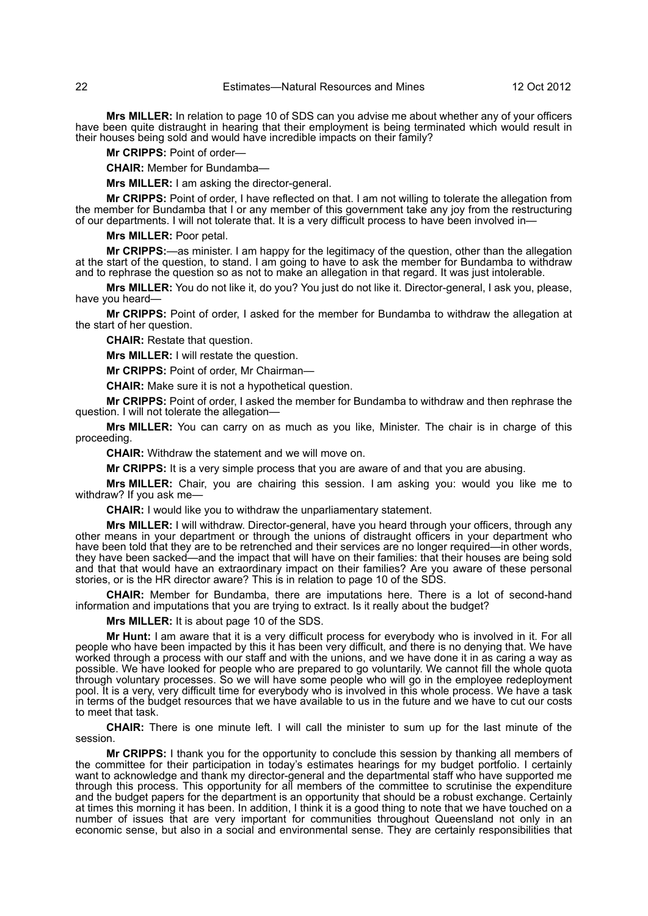**Mrs MILLER:** In relation to page 10 of SDS can you advise me about whether any of your officers have been quite distraught in hearing that their employment is being terminated which would result in their houses being sold and would have incredible impacts on their family?

**Mr CRIPPS:** Point of order—

**CHAIR:** Member for Bundamba—

**Mrs MILLER:** I am asking the director-general.

**Mr CRIPPS:** Point of order, I have reflected on that. I am not willing to tolerate the allegation from the member for Bundamba that I or any member of this government take any joy from the restructuring of our departments. I will not tolerate that. It is a very difficult process to have been involved in—

**Mrs MILLER:** Poor petal.

**Mr CRIPPS:**—as minister. I am happy for the legitimacy of the question, other than the allegation at the start of the question, to stand. I am going to have to ask the member for Bundamba to withdraw and to rephrase the question so as not to make an allegation in that regard. It was just intolerable.

**Mrs MILLER:** You do not like it, do you? You just do not like it. Director-general, I ask you, please, have you heard—

**Mr CRIPPS:** Point of order, I asked for the member for Bundamba to withdraw the allegation at the start of her question.

**CHAIR:** Restate that question.

**Mrs MILLER:** I will restate the question.

**Mr CRIPPS:** Point of order, Mr Chairman—

**CHAIR:** Make sure it is not a hypothetical question.

**Mr CRIPPS:** Point of order, I asked the member for Bundamba to withdraw and then rephrase the question. I will not tolerate the allegation—

**Mrs MILLER:** You can carry on as much as you like, Minister. The chair is in charge of this proceeding.

**CHAIR:** Withdraw the statement and we will move on.

**Mr CRIPPS:** It is a very simple process that you are aware of and that you are abusing.

**Mrs MILLER:** Chair, you are chairing this session. I am asking you: would you like me to withdraw? If you ask me—

**CHAIR:** I would like you to withdraw the unparliamentary statement.

**Mrs MILLER:** I will withdraw. Director-general, have you heard through your officers, through any other means in your department or through the unions of distraught officers in your department who have been told that they are to be retrenched and their services are no longer required—in other words, they have been sacked—and the impact that will have on their families: that their houses are being sold and that that would have an extraordinary impact on their families? Are you aware of these personal stories, or is the HR director aware? This is in relation to page 10 of the SDS.

**CHAIR:** Member for Bundamba, there are imputations here. There is a lot of second-hand information and imputations that you are trying to extract. Is it really about the budget?

**Mrs MILLER:** It is about page 10 of the SDS.

**Mr Hunt:** I am aware that it is a very difficult process for everybody who is involved in it. For all people who have been impacted by this it has been very difficult, and there is no denying that. We have worked through a process with our staff and with the unions, and we have done it in as caring a way as possible. We have looked for people who are prepared to go voluntarily. We cannot fill the whole quota through voluntary processes. So we will have some people who will go in the employee redeployment pool. It is a very, very difficult time for everybody who is involved in this whole process. We have a task in terms of the budget resources that we have available to us in the future and we have to cut our costs to meet that task.

**CHAIR:** There is one minute left. I will call the minister to sum up for the last minute of the session.

**Mr CRIPPS:** I thank you for the opportunity to conclude this session by thanking all members of the committee for their participation in today's estimates hearings for my budget portfolio. I certainly want to acknowledge and thank my director-general and the departmental staff who have supported me through this process. This opportunity for all members of the committee to scrutinise the expenditure and the budget papers for the department is an opportunity that should be a robust exchange. Certainly at times this morning it has been. In addition, I think it is a good thing to note that we have touched on a number of issues that are very important for communities throughout Queensland not only in an economic sense, but also in a social and environmental sense. They are certainly responsibilities that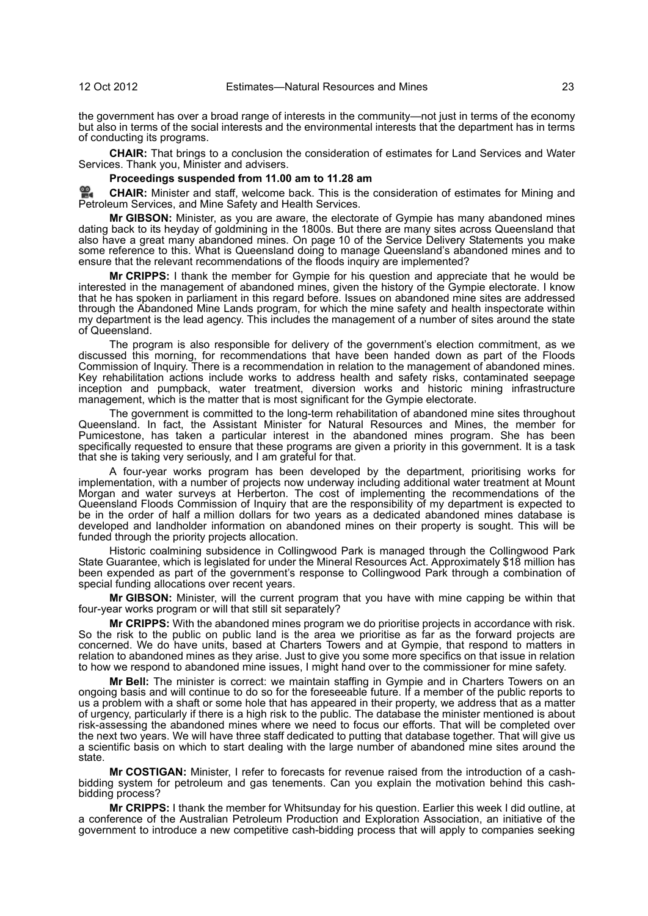the government has over a broad range of interests in the community—not just in terms of the economy but also in terms of the social interests and the environmental interests that the department has in terms of conducting its programs.

**CHAIR:** That brings to a conclusion the consideration of estimates for Land Services and Water Services. Thank you, Minister and advisers.

#### **Proceedings suspended from 11.00 am to 11.28 am**

≌. **[CHAIR:](http://www.parliament.qld.gov.au/docs/find.aspx?id=0Mba20121012_112911)** Minister and staff, welcome back. This is the consideration of estimates for Mining and [Pet](http://www.parliament.qld.gov.au/docs/find.aspx?id=0Mba20121012_112911)roleum Services, and Mine Safety and Health Services.

**Mr GIBSON:** Minister, as you are aware, the electorate of Gympie has many abandoned mines dating back to its heyday of goldmining in the 1800s. But there are many sites across Queensland that also have a great many abandoned mines. On page 10 of the Service Delivery Statements you make some reference to this. What is Queensland doing to manage Queensland's abandoned mines and to ensure that the relevant recommendations of the floods inquiry are implemented?

**Mr CRIPPS:** I thank the member for Gympie for his question and appreciate that he would be interested in the management of abandoned mines, given the history of the Gympie electorate. I know that he has spoken in parliament in this regard before. Issues on abandoned mine sites are addressed through the Abandoned Mine Lands program, for which the mine safety and health inspectorate within my department is the lead agency. This includes the management of a number of sites around the state of Queensland.

The program is also responsible for delivery of the government's election commitment, as we discussed this morning, for recommendations that have been handed down as part of the Floods Commission of Inquiry. There is a recommendation in relation to the management of abandoned mines. Key rehabilitation actions include works to address health and safety risks, contaminated seepage inception and pumpback, water treatment, diversion works and historic mining infrastructure management, which is the matter that is most significant for the Gympie electorate.

The government is committed to the long-term rehabilitation of abandoned mine sites throughout Queensland. In fact, the Assistant Minister for Natural Resources and Mines, the member for Pumicestone, has taken a particular interest in the abandoned mines program. She has been specifically requested to ensure that these programs are given a priority in this government. It is a task that she is taking very seriously, and I am grateful for that.

A four-year works program has been developed by the department, prioritising works for implementation, with a number of projects now underway including additional water treatment at Mount Morgan and water surveys at Herberton. The cost of implementing the recommendations of the Queensland Floods Commission of Inquiry that are the responsibility of my department is expected to be in the order of half a million dollars for two years as a dedicated abandoned mines database is developed and landholder information on abandoned mines on their property is sought. This will be funded through the priority projects allocation.

Historic coalmining subsidence in Collingwood Park is managed through the Collingwood Park State Guarantee, which is legislated for under the Mineral Resources Act. Approximately \$18 million has been expended as part of the government's response to Collingwood Park through a combination of special funding allocations over recent years.

**Mr GIBSON:** Minister, will the current program that you have with mine capping be within that four-year works program or will that still sit separately?

**Mr CRIPPS:** With the abandoned mines program we do prioritise projects in accordance with risk. So the risk to the public on public land is the area we prioritise as far as the forward projects are concerned. We do have units, based at Charters Towers and at Gympie, that respond to matters in relation to abandoned mines as they arise. Just to give you some more specifics on that issue in relation to how we respond to abandoned mine issues, I might hand over to the commissioner for mine safety.

**Mr Bell:** The minister is correct: we maintain staffing in Gympie and in Charters Towers on an ongoing basis and will continue to do so for the foreseeable future. If a member of the public reports to us a problem with a shaft or some hole that has appeared in their property, we address that as a matter of urgency, particularly if there is a high risk to the public. The database the minister mentioned is about risk-assessing the abandoned mines where we need to focus our efforts. That will be completed over the next two years. We will have three staff dedicated to putting that database together. That will give us a scientific basis on which to start dealing with the large number of abandoned mine sites around the state.

**Mr COSTIGAN:** Minister, I refer to forecasts for revenue raised from the introduction of a cashbidding system for petroleum and gas tenements. Can you explain the motivation behind this cashbidding process?

**Mr CRIPPS:** I thank the member for Whitsunday for his question. Earlier this week I did outline, at a conference of the Australian Petroleum Production and Exploration Association, an initiative of the government to introduce a new competitive cash-bidding process that will apply to companies seeking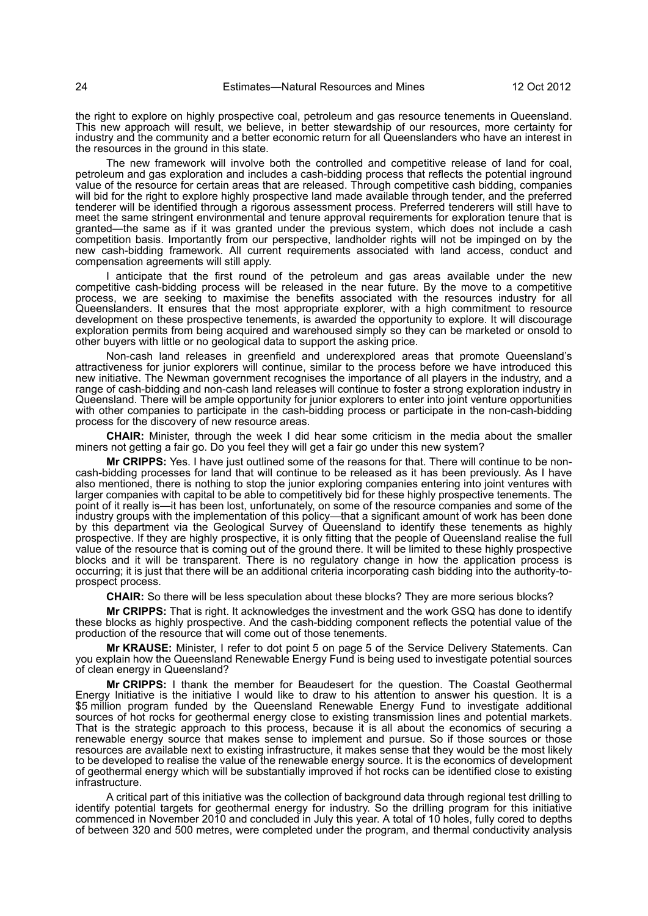the right to explore on highly prospective coal, petroleum and gas resource tenements in Queensland. This new approach will result, we believe, in better stewardship of our resources, more certainty for industry and the community and a better economic return for all Queenslanders who have an interest in the resources in the ground in this state.

The new framework will involve both the controlled and competitive release of land for coal, petroleum and gas exploration and includes a cash-bidding process that reflects the potential inground value of the resource for certain areas that are released. Through competitive cash bidding, companies will bid for the right to explore highly prospective land made available through tender, and the preferred tenderer will be identified through a rigorous assessment process. Preferred tenderers will still have to meet the same stringent environmental and tenure approval requirements for exploration tenure that is granted—the same as if it was granted under the previous system, which does not include a cash competition basis. Importantly from our perspective, landholder rights will not be impinged on by the new cash-bidding framework. All current requirements associated with land access, conduct and compensation agreements will still apply.

I anticipate that the first round of the petroleum and gas areas available under the new competitive cash-bidding process will be released in the near future. By the move to a competitive process, we are seeking to maximise the benefits associated with the resources industry for all Queenslanders. It ensures that the most appropriate explorer, with a high commitment to resource development on these prospective tenements, is awarded the opportunity to explore. It will discourage exploration permits from being acquired and warehoused simply so they can be marketed or onsold to other buyers with little or no geological data to support the asking price.

Non-cash land releases in greenfield and underexplored areas that promote Queensland's attractiveness for junior explorers will continue, similar to the process before we have introduced this new initiative. The Newman government recognises the importance of all players in the industry, and a range of cash-bidding and non-cash land releases will continue to foster a strong exploration industry in Queensland. There will be ample opportunity for junior explorers to enter into joint venture opportunities with other companies to participate in the cash-bidding process or participate in the non-cash-bidding process for the discovery of new resource areas.

**CHAIR:** Minister, through the week I did hear some criticism in the media about the smaller miners not getting a fair go. Do you feel they will get a fair go under this new system?

**Mr CRIPPS:** Yes. I have just outlined some of the reasons for that. There will continue to be noncash-bidding processes for land that will continue to be released as it has been previously. As I have also mentioned, there is nothing to stop the junior exploring companies entering into joint ventures with larger companies with capital to be able to competitively bid for these highly prospective tenements. The point of it really is—it has been lost, unfortunately, on some of the resource companies and some of the industry groups with the implementation of this policy—that a significant amount of work has been done by this department via the Geological Survey of Queensland to identify these tenements as highly prospective. If they are highly prospective, it is only fitting that the people of Queensland realise the full value of the resource that is coming out of the ground there. It will be limited to these highly prospective blocks and it will be transparent. There is no regulatory change in how the application process is occurring; it is just that there will be an additional criteria incorporating cash bidding into the authority-toprospect process.

**CHAIR:** So there will be less speculation about these blocks? They are more serious blocks?

**Mr CRIPPS:** That is right. It acknowledges the investment and the work GSQ has done to identify these blocks as highly prospective. And the cash-bidding component reflects the potential value of the production of the resource that will come out of those tenements.

**Mr KRAUSE:** Minister, I refer to dot point 5 on page 5 of the Service Delivery Statements. Can you explain how the Queensland Renewable Energy Fund is being used to investigate potential sources of clean energy in Queensland?

**Mr CRIPPS:** I thank the member for Beaudesert for the question. The Coastal Geothermal Energy Initiative is the initiative I would like to draw to his attention to answer his question. It is a \$5 million program funded by the Queensland Renewable Energy Fund to investigate additional sources of hot rocks for geothermal energy close to existing transmission lines and potential markets. That is the strategic approach to this process, because it is all about the economics of securing a renewable energy source that makes sense to implement and pursue. So if those sources or those resources are available next to existing infrastructure, it makes sense that they would be the most likely to be developed to realise the value of the renewable energy source. It is the economics of development of geothermal energy which will be substantially improved if hot rocks can be identified close to existing infrastructure.

A critical part of this initiative was the collection of background data through regional test drilling to identify potential targets for geothermal energy for industry. So the drilling program for this initiative commenced in November 2010 and concluded in July this year. A total of 10 holes, fully cored to depths of between 320 and 500 metres, were completed under the program, and thermal conductivity analysis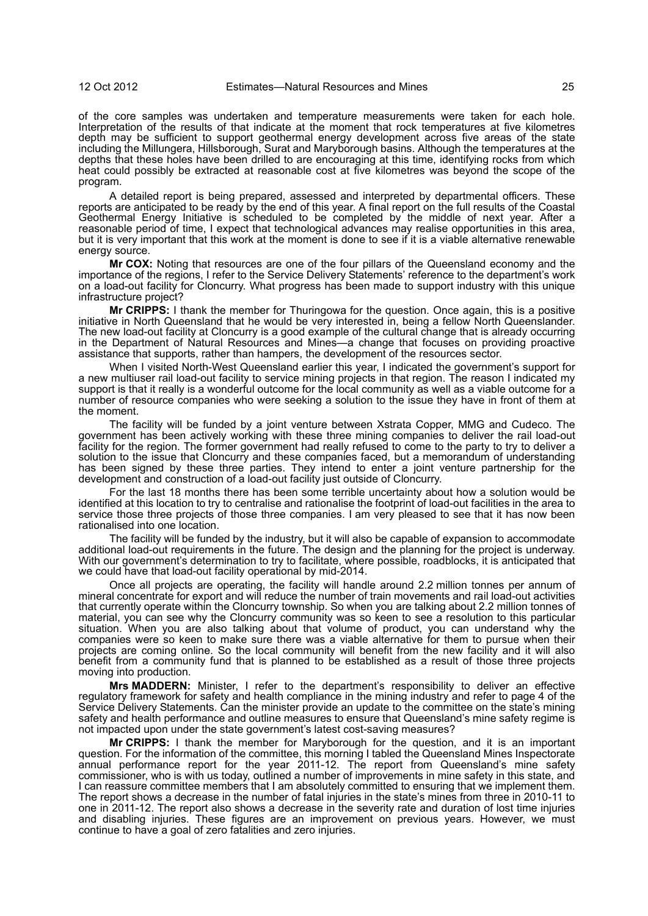of the core samples was undertaken and temperature measurements were taken for each hole. Interpretation of the results of that indicate at the moment that rock temperatures at five kilometres depth may be sufficient to support geothermal energy development across five areas of the state including the Millungera, Hillsborough, Surat and Maryborough basins. Although the temperatures at the depths that these holes have been drilled to are encouraging at this time, identifying rocks from which heat could possibly be extracted at reasonable cost at five kilometres was beyond the scope of the program.

A detailed report is being prepared, assessed and interpreted by departmental officers. These reports are anticipated to be ready by the end of this year. A final report on the full results of the Coastal Geothermal Energy Initiative is scheduled to be completed by the middle of next year. After a reasonable period of time, I expect that technological advances may realise opportunities in this area, but it is very important that this work at the moment is done to see if it is a viable alternative renewable energy source.

**Mr COX:** Noting that resources are one of the four pillars of the Queensland economy and the importance of the regions, I refer to the Service Delivery Statements' reference to the department's work on a load-out facility for Cloncurry. What progress has been made to support industry with this unique infrastructure project?

**Mr CRIPPS:** I thank the member for Thuringowa for the question. Once again, this is a positive initiative in North Queensland that he would be very interested in, being a fellow North Queenslander. The new load-out facility at Cloncurry is a good example of the cultural change that is already occurring in the Department of Natural Resources and Mines—a change that focuses on providing proactive assistance that supports, rather than hampers, the development of the resources sector.

When I visited North-West Queensland earlier this year, I indicated the government's support for a new multiuser rail load-out facility to service mining projects in that region. The reason I indicated my support is that it really is a wonderful outcome for the local community as well as a viable outcome for a number of resource companies who were seeking a solution to the issue they have in front of them at the moment.

The facility will be funded by a joint venture between Xstrata Copper, MMG and Cudeco. The government has been actively working with these three mining companies to deliver the rail load-out facility for the region. The former government had really refused to come to the party to try to deliver a solution to the issue that Cloncurry and these companies faced, but a memorandum of understanding has been signed by these three parties. They intend to enter a joint venture partnership for the development and construction of a load-out facility just outside of Cloncurry.

For the last 18 months there has been some terrible uncertainty about how a solution would be identified at this location to try to centralise and rationalise the footprint of load-out facilities in the area to service those three projects of those three companies. I am very pleased to see that it has now been rationalised into one location.

The facility will be funded by the industry, but it will also be capable of expansion to accommodate additional load-out requirements in the future. The design and the planning for the project is underway. With our government's determination to try to facilitate, where possible, roadblocks, it is anticipated that we could have that load-out facility operational by mid-2014.

Once all projects are operating, the facility will handle around 2.2 million tonnes per annum of mineral concentrate for export and will reduce the number of train movements and rail load-out activities that currently operate within the Cloncurry township. So when you are talking about 2.2 million tonnes of material, you can see why the Cloncurry community was so keen to see a resolution to this particular situation. When you are also talking about that volume of product, you can understand why the companies were so keen to make sure there was a viable alternative for them to pursue when their projects are coming online. So the local community will benefit from the new facility and it will also benefit from a community fund that is planned to be established as a result of those three projects moving into production.

**Mrs MADDERN:** Minister, I refer to the department's responsibility to deliver an effective regulatory framework for safety and health compliance in the mining industry and refer to page 4 of the Service Delivery Statements. Can the minister provide an update to the committee on the state's mining safety and health performance and outline measures to ensure that Queensland's mine safety regime is not impacted upon under the state government's latest cost-saving measures?

**Mr CRIPPS:** I thank the member for Maryborough for the question, and it is an important question. For the information of the committee, this morning I tabled the Queensland Mines Inspectorate annual performance report for the year 2011-12. The report from Queensland's mine safety commissioner, who is with us today, outlined a number of improvements in mine safety in this state, and I can reassure committee members that I am absolutely committed to ensuring that we implement them. The report shows a decrease in the number of fatal injuries in the state's mines from three in 2010-11 to one in 2011-12. The report also shows a decrease in the severity rate and duration of lost time injuries and disabling injuries. These figures are an improvement on previous years. However, we must continue to have a goal of zero fatalities and zero injuries.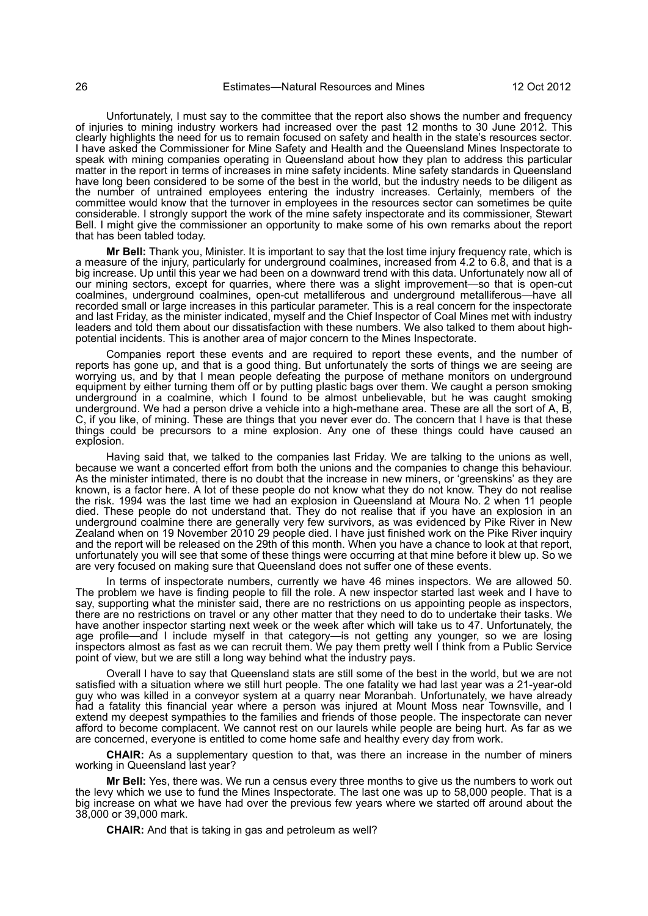Unfortunately, I must say to the committee that the report also shows the number and frequency of injuries to mining industry workers had increased over the past 12 months to 30 June 2012. This clearly highlights the need for us to remain focused on safety and health in the state's resources sector. I have asked the Commissioner for Mine Safety and Health and the Queensland Mines Inspectorate to speak with mining companies operating in Queensland about how they plan to address this particular matter in the report in terms of increases in mine safety incidents. Mine safety standards in Queensland have long been considered to be some of the best in the world, but the industry needs to be diligent as the number of untrained employees entering the industry increases. Certainly, members of the committee would know that the turnover in employees in the resources sector can sometimes be quite considerable. I strongly support the work of the mine safety inspectorate and its commissioner, Stewart Bell. I might give the commissioner an opportunity to make some of his own remarks about the report that has been tabled today.

**Mr Bell:** Thank you, Minister. It is important to say that the lost time injury frequency rate, which is a measure of the injury, particularly for underground coalmines, increased from 4.2 to 6.8, and that is a big increase. Up until this year we had been on a downward trend with this data. Unfortunately now all of our mining sectors, except for quarries, where there was a slight improvement—so that is open-cut coalmines, underground coalmines, open-cut metalliferous and underground metalliferous—have all recorded small or large increases in this particular parameter. This is a real concern for the inspectorate and last Friday, as the minister indicated, myself and the Chief Inspector of Coal Mines met with industry leaders and told them about our dissatisfaction with these numbers. We also talked to them about highpotential incidents. This is another area of major concern to the Mines Inspectorate.

Companies report these events and are required to report these events, and the number of reports has gone up, and that is a good thing. But unfortunately the sorts of things we are seeing are worrying us, and by that I mean people defeating the purpose of methane monitors on underground equipment by either turning them off or by putting plastic bags over them. We caught a person smoking underground in a coalmine, which I found to be almost unbelievable, but he was caught smoking underground. We had a person drive a vehicle into a high-methane area. These are all the sort of A, B, C, if you like, of mining. These are things that you never ever do. The concern that I have is that these things could be precursors to a mine explosion. Any one of these things could have caused an explosion.

Having said that, we talked to the companies last Friday. We are talking to the unions as well, because we want a concerted effort from both the unions and the companies to change this behaviour. As the minister intimated, there is no doubt that the increase in new miners, or 'greenskins' as they are known, is a factor here. A lot of these people do not know what they do not know. They do not realise the risk. 1994 was the last time we had an explosion in Queensland at Moura No. 2 when 11 people died. These people do not understand that. They do not realise that if you have an explosion in an underground coalmine there are generally very few survivors, as was evidenced by Pike River in New Zealand when on 19 November 2010 29 people died. I have just finished work on the Pike River inquiry and the report will be released on the 29th of this month. When you have a chance to look at that report, unfortunately you will see that some of these things were occurring at that mine before it blew up. So we are very focused on making sure that Queensland does not suffer one of these events.

In terms of inspectorate numbers, currently we have 46 mines inspectors. We are allowed 50. The problem we have is finding people to fill the role. A new inspector started last week and I have to say, supporting what the minister said, there are no restrictions on us appointing people as inspectors, there are no restrictions on travel or any other matter that they need to do to undertake their tasks. We have another inspector starting next week or the week after which will take us to 47. Unfortunately, the age profile—and I include myself in that category—is not getting any younger, so we are losing inspectors almost as fast as we can recruit them. We pay them pretty well I think from a Public Service point of view, but we are still a long way behind what the industry pays.

Overall I have to say that Queensland stats are still some of the best in the world, but we are not satisfied with a situation where we still hurt people. The one fatality we had last year was a 21-year-old guy who was killed in a conveyor system at a quarry near Moranbah. Unfortunately, we have already had a fatality this financial year where a person was injured at Mount Moss near Townsville, and I extend my deepest sympathies to the families and friends of those people. The inspectorate can never afford to become complacent. We cannot rest on our laurels while people are being hurt. As far as we are concerned, everyone is entitled to come home safe and healthy every day from work.

**CHAIR:** As a supplementary question to that, was there an increase in the number of miners working in Queensland last year?

**Mr Bell:** Yes, there was. We run a census every three months to give us the numbers to work out the levy which we use to fund the Mines Inspectorate. The last one was up to 58,000 people. That is a big increase on what we have had over the previous few years where we started off around about the 38,000 or 39,000 mark.

**CHAIR:** And that is taking in gas and petroleum as well?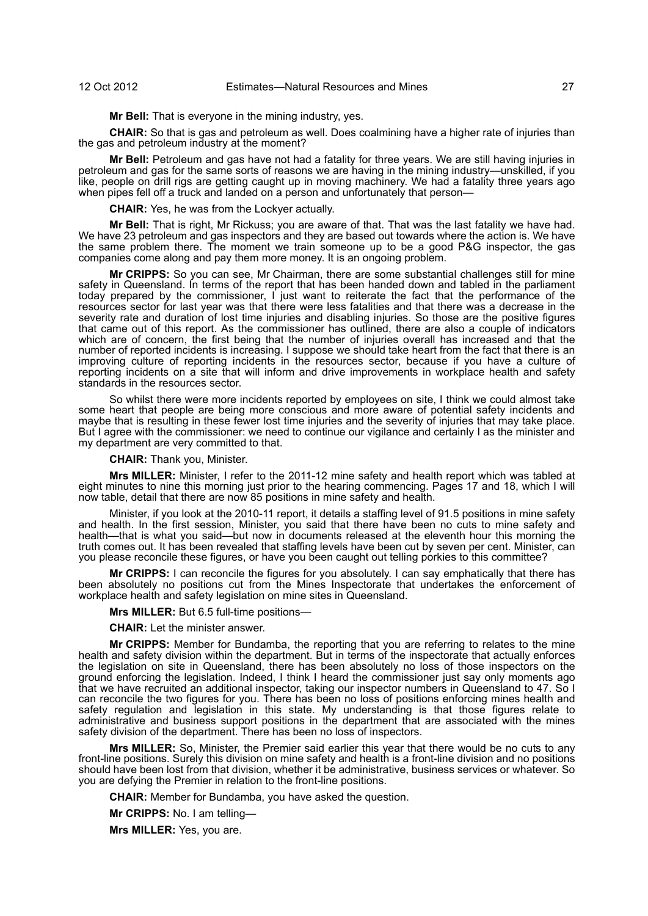**Mr Bell:** That is everyone in the mining industry, yes.

**CHAIR:** So that is gas and petroleum as well. Does coalmining have a higher rate of injuries than the gas and petroleum industry at the moment?

**Mr Bell:** Petroleum and gas have not had a fatality for three years. We are still having injuries in petroleum and gas for the same sorts of reasons we are having in the mining industry—unskilled, if you like, people on drill rigs are getting caught up in moving machinery. We had a fatality three years ago when pipes fell off a truck and landed on a person and unfortunately that person-

**CHAIR:** Yes, he was from the Lockyer actually.

**Mr Bell:** That is right, Mr Rickuss; you are aware of that. That was the last fatality we have had. We have 23 petroleum and gas inspectors and they are based out towards where the action is. We have the same problem there. The moment we train someone up to be a good P&G inspector, the gas companies come along and pay them more money. It is an ongoing problem.

**Mr CRIPPS:** So you can see, Mr Chairman, there are some substantial challenges still for mine safety in Queensland. In terms of the report that has been handed down and tabled in the parliament today prepared by the commissioner, I just want to reiterate the fact that the performance of the resources sector for last year was that there were less fatalities and that there was a decrease in the severity rate and duration of lost time injuries and disabling injuries. So those are the positive figures that came out of this report. As the commissioner has outlined, there are also a couple of indicators which are of concern, the first being that the number of injuries overall has increased and that the number of reported incidents is increasing. I suppose we should take heart from the fact that there is an improving culture of reporting incidents in the resources sector, because if you have a culture of reporting incidents on a site that will inform and drive improvements in workplace health and safety standards in the resources sector.

So whilst there were more incidents reported by employees on site, I think we could almost take some heart that people are being more conscious and more aware of potential safety incidents and maybe that is resulting in these fewer lost time injuries and the severity of injuries that may take place. But I agree with the commissioner: we need to continue our vigilance and certainly I as the minister and my department are very committed to that.

**CHAIR:** Thank you, Minister.

**Mrs MILLER:** Minister, I refer to the 2011-12 mine safety and health report which was tabled at eight minutes to nine this morning just prior to the hearing commencing. Pages 17 and 18, which I will now table, detail that there are now 85 positions in mine safety and health.

Minister, if you look at the 2010-11 report, it details a staffing level of 91.5 positions in mine safety and health. In the first session, Minister, you said that there have been no cuts to mine safety and health—that is what you said—but now in documents released at the eleventh hour this morning the truth comes out. It has been revealed that staffing levels have been cut by seven per cent. Minister, can you please reconcile these figures, or have you been caught out telling porkies to this committee?

**Mr CRIPPS:** I can reconcile the figures for you absolutely. I can say emphatically that there has been absolutely no positions cut from the Mines Inspectorate that undertakes the enforcement of workplace health and safety legislation on mine sites in Queensland.

**Mrs MILLER:** But 6.5 full-time positions—

**CHAIR:** Let the minister answer.

**Mr CRIPPS:** Member for Bundamba, the reporting that you are referring to relates to the mine health and safety division within the department. But in terms of the inspectorate that actually enforces the legislation on site in Queensland, there has been absolutely no loss of those inspectors on the ground enforcing the legislation. Indeed, I think I heard the commissioner just say only moments ago that we have recruited an additional inspector, taking our inspector numbers in Queensland to 47. So I can reconcile the two figures for you. There has been no loss of positions enforcing mines health and safety regulation and legislation in this state. My understanding is that those figures relate to administrative and business support positions in the department that are associated with the mines safety division of the department. There has been no loss of inspectors.

**Mrs MILLER:** So, Minister, the Premier said earlier this year that there would be no cuts to any front-line positions. Surely this division on mine safety and health is a front-line division and no positions should have been lost from that division, whether it be administrative, business services or whatever. So you are defying the Premier in relation to the front-line positions.

**CHAIR:** Member for Bundamba, you have asked the question.

**Mr CRIPPS:** No. I am telling—

**Mrs MILLER:** Yes, you are.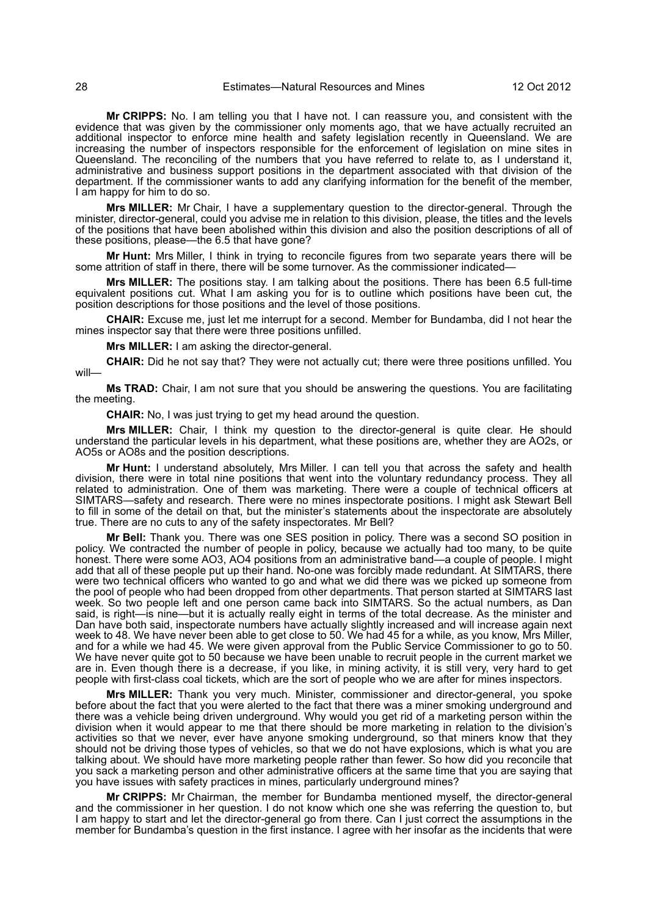**Mr CRIPPS:** No. I am telling you that I have not. I can reassure you, and consistent with the evidence that was given by the commissioner only moments ago, that we have actually recruited an additional inspector to enforce mine health and safety legislation recently in Queensland. We are increasing the number of inspectors responsible for the enforcement of legislation on mine sites in Queensland. The reconciling of the numbers that you have referred to relate to, as I understand it, administrative and business support positions in the department associated with that division of the department. If the commissioner wants to add any clarifying information for the benefit of the member, I am happy for him to do so.

**Mrs MILLER:** Mr Chair, I have a supplementary question to the director-general. Through the minister, director-general, could you advise me in relation to this division, please, the titles and the levels of the positions that have been abolished within this division and also the position descriptions of all of these positions, please—the 6.5 that have gone?

**Mr Hunt:** Mrs Miller, I think in trying to reconcile figures from two separate years there will be some attrition of staff in there, there will be some turnover. As the commissioner indicated—

**Mrs MILLER:** The positions stay. I am talking about the positions. There has been 6.5 full-time equivalent positions cut. What I am asking you for is to outline which positions have been cut, the position descriptions for those positions and the level of those positions.

**CHAIR:** Excuse me, just let me interrupt for a second. Member for Bundamba, did I not hear the mines inspector say that there were three positions unfilled.

**Mrs MILLER:** I am asking the director-general.

**CHAIR:** Did he not say that? They were not actually cut; there were three positions unfilled. You will—

**Ms TRAD:** Chair, I am not sure that you should be answering the questions. You are facilitating the meeting.

**CHAIR:** No, I was just trying to get my head around the question.

**Mrs MILLER:** Chair, I think my question to the director-general is quite clear. He should understand the particular levels in his department, what these positions are, whether they are AO2s, or AO5s or AO8s and the position descriptions.

**Mr Hunt:** I understand absolutely, Mrs Miller. I can tell you that across the safety and health division, there were in total nine positions that went into the voluntary redundancy process. They all related to administration. One of them was marketing. There were a couple of technical officers at SIMTARS—safety and research. There were no mines inspectorate positions. I might ask Stewart Bell to fill in some of the detail on that, but the minister's statements about the inspectorate are absolutely true. There are no cuts to any of the safety inspectorates. Mr Bell?

**Mr Bell:** Thank you. There was one SES position in policy. There was a second SO position in policy. We contracted the number of people in policy, because we actually had too many, to be quite honest. There were some AO3, AO4 positions from an administrative band—a couple of people. I might add that all of these people put up their hand. No-one was forcibly made redundant. At SIMTARS, there were two technical officers who wanted to go and what we did there was we picked up someone from the pool of people who had been dropped from other departments. That person started at SIMTARS last week. So two people left and one person came back into SIMTARS. So the actual numbers, as Dan said, is right—is nine—but it is actually really eight in terms of the total decrease. As the minister and Dan have both said, inspectorate numbers have actually slightly increased and will increase again next week to 48. We have never been able to get close to 50. We had 45 for a while, as you know, Mrs Miller, and for a while we had 45. We were given approval from the Public Service Commissioner to go to 50. We have never quite got to 50 because we have been unable to recruit people in the current market we are in. Even though there is a decrease, if you like, in mining activity, it is still very, very hard to get people with first-class coal tickets, which are the sort of people who we are after for mines inspectors.

**Mrs MILLER:** Thank you very much. Minister, commissioner and director-general, you spoke before about the fact that you were alerted to the fact that there was a miner smoking underground and there was a vehicle being driven underground. Why would you get rid of a marketing person within the division when it would appear to me that there should be more marketing in relation to the division's activities so that we never, ever have anyone smoking underground, so that miners know that they should not be driving those types of vehicles, so that we do not have explosions, which is what you are talking about. We should have more marketing people rather than fewer. So how did you reconcile that you sack a marketing person and other administrative officers at the same time that you are saying that you have issues with safety practices in mines, particularly underground mines?

**Mr CRIPPS:** Mr Chairman, the member for Bundamba mentioned myself, the director-general and the commissioner in her question. I do not know which one she was referring the question to, but I am happy to start and let the director-general go from there. Can I just correct the assumptions in the member for Bundamba's question in the first instance. I agree with her insofar as the incidents that were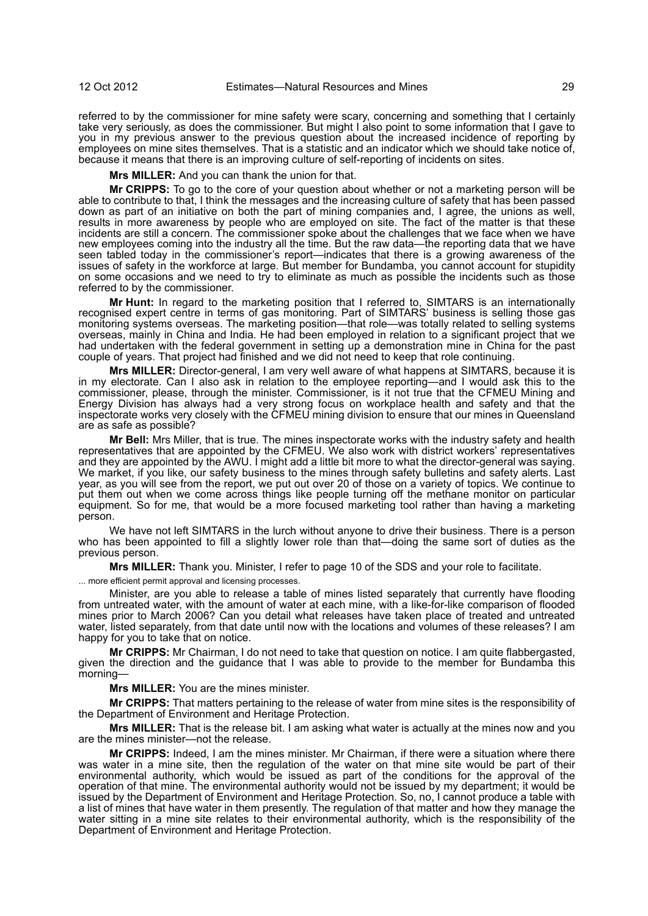referred to by the commissioner for mine safety were scary, concerning and something that I certainly take very seriously, as does the commissioner. But might I also point to some information that I gave to you in my previous answer to the previous question about the increased incidence of reporting by employees on mine sites themselves. That is a statistic and an indicator which we should take notice of, because it means that there is an improving culture of self-reporting of incidents on sites.

**Mrs MILLER:** And you can thank the union for that.

**Mr CRIPPS:** To go to the core of your question about whether or not a marketing person will be able to contribute to that, I think the messages and the increasing culture of safety that has been passed down as part of an initiative on both the part of mining companies and, I agree, the unions as well, results in more awareness by people who are employed on site. The fact of the matter is that these incidents are still a concern. The commissioner spoke about the challenges that we face when we have new employees coming into the industry all the time. But the raw data—the reporting data that we have seen tabled today in the commissioner's report—indicates that there is a growing awareness of the issues of safety in the workforce at large. But member for Bundamba, you cannot account for stupidity on some occasions and we need to try to eliminate as much as possible the incidents such as those referred to by the commissioner.

**Mr Hunt:** In regard to the marketing position that I referred to, SIMTARS is an internationally recognised expert centre in terms of gas monitoring. Part of SIMTARS' business is selling those gas monitoring systems overseas. The marketing position—that role—was totally related to selling systems overseas, mainly in China and India. He had been employed in relation to a significant project that we had undertaken with the federal government in setting up a demonstration mine in China for the past couple of years. That project had finished and we did not need to keep that role continuing.

**LLER:** Director-general, I am very well aware of what happens at SIMTARS, because it is in my electorate. Can I also ask in relation to the employee reporting—and I would ask this to the commissioner, please, through the minister. Commissioner, is it not true that the CFMEU Mining and Energy Division has always had a very strong focus on workplace health and safety and that the inspectorate works very closely with the CFMEU mining division to ensure that our mines in Queensland are as safe as possible?

**Mr Bell:** Mrs Miller, that is true. The mines inspectorate works with the industry safety and health representatives that are appointed by the CFMEU. We also work with district workers' representatives and they are appointed by the AWU. I might add a little bit more to what the director-general was saying. We market, if you like, our safety business to the mines through safety bulletins and safety alerts. Last year, as you will see from the report, we put out over 20 of those on a variety of topics. We continue to put them out when we come across things like people turning off the methane monitor on particular equipment. So for me, that would be a more focused marketing tool rather than having a marketing person.

We have not left SIMTARS in the lurch without anyone to drive their business. There is a person who has been appointed to fill a slightly lower role than that—doing the same sort of duties as the previous person.

**Mrs MILLER:** Thank you. Minister, I refer to page 10 of the SDS and your role to facilitate.

... more efficient permit approval and licensing processes.

Minister, are you able to release a table of mines listed separately that currently have flooding from untreated water, with the amount of water at each mine, with a like-for-like comparison of flooded mines prior to March 2006? Can you detail what releases have taken place of treated and untreated water, listed separately, from that date until now with the locations and volumes of these releases? I am happy for you to take that on notice.

**Mr CRIPPS:** Mr Chairman, I do not need to take that question on notice. I am quite flabbergasted, given the direction and the guidance that I was able to provide to the member for Bundamba this morning—

**Mrs MILLER:** You are the mines minister.

**Mr CRIPPS:** That matters pertaining to the release of water from mine sites is the responsibility of the Department of Environment and Heritage Protection.

**Mrs MILLER:** That is the release bit. I am asking what water is actually at the mines now and you are the mines minister—not the release.

**Mr CRIPPS:** Indeed, I am the mines minister. Mr Chairman, if there were a situation where there was water in a mine site, then the regulation of the water on that mine site would be part of their environmental authority, which would be issued as part of the conditions for the approval of the operation of that mine. The environmental authority would not be issued by my department; it would be issued by the Department of Environment and Heritage Protection. So, no, I cannot produce a table with a list of mines that have water in them presently. The regulation of that matter and how they manage the water sitting in a mine site relates to their environmental authority, which is the responsibility of the Department of Environment and Heritage Protection.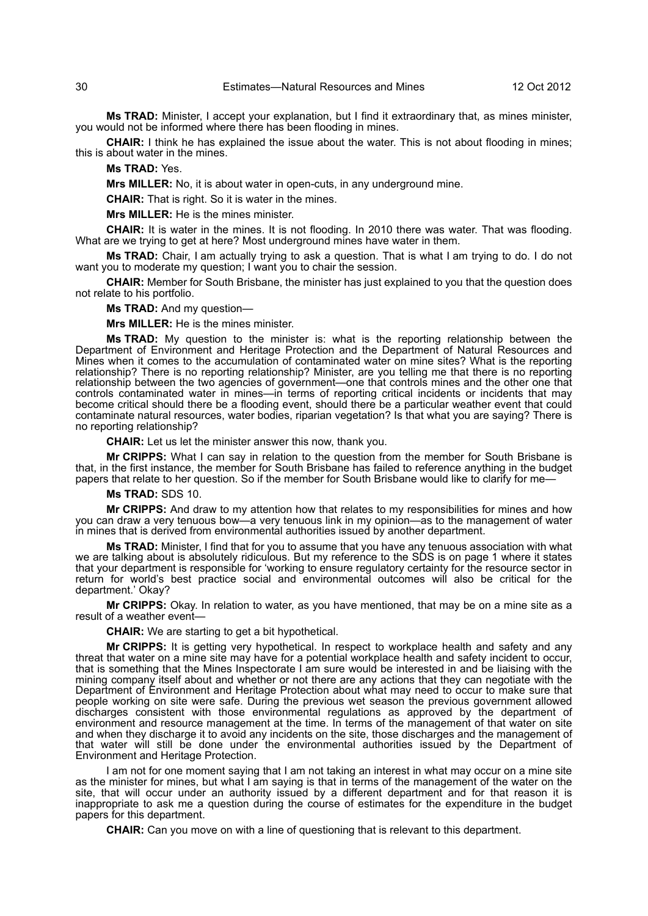**Ms TRAD:** Minister, I accept your explanation, but I find it extraordinary that, as mines minister, you would not be informed where there has been flooding in mines.

**CHAIR:** I think he has explained the issue about the water. This is not about flooding in mines; this is about water in the mines.

## **Ms TRAD:** Yes.

**Mrs MILLER:** No, it is about water in open-cuts, in any underground mine.

**CHAIR:** That is right. So it is water in the mines.

**Mrs MILLER:** He is the mines minister.

**CHAIR:** It is water in the mines. It is not flooding. In 2010 there was water. That was flooding. What are we trying to get at here? Most underground mines have water in them.

**Ms TRAD:** Chair, I am actually trying to ask a question. That is what I am trying to do. I do not want you to moderate my question; I want you to chair the session.

**CHAIR:** Member for South Brisbane, the minister has just explained to you that the question does not relate to his portfolio.

**Ms TRAD:** And my question—

**Mrs MILLER:** He is the mines minister.

**Ms TRAD:** My question to the minister is: what is the reporting relationship between the Department of Environment and Heritage Protection and the Department of Natural Resources and Mines when it comes to the accumulation of contaminated water on mine sites? What is the reporting relationship? There is no reporting relationship? Minister, are you telling me that there is no reporting relationship between the two agencies of government—one that controls mines and the other one that controls contaminated water in mines—in terms of reporting critical incidents or incidents that may become critical should there be a flooding event, should there be a particular weather event that could contaminate natural resources, water bodies, riparian vegetation? Is that what you are saying? There is no reporting relationship?

**CHAIR:** Let us let the minister answer this now, thank you.

**Mr CRIPPS:** What I can say in relation to the question from the member for South Brisbane is that, in the first instance, the member for South Brisbane has failed to reference anything in the budget papers that relate to her question. So if the member for South Brisbane would like to clarify for me—

**Ms TRAD:** SDS 10.

**Mr CRIPPS:** And draw to my attention how that relates to my responsibilities for mines and how you can draw a very tenuous bow—a very tenuous link in my opinion—as to the management of water in mines that is derived from environmental authorities issued by another department.

**Ms TRAD:** Minister, I find that for you to assume that you have any tenuous association with what we are talking about is absolutely ridiculous. But my reference to the SDS is on page 1 where it states that your department is responsible for 'working to ensure regulatory certainty for the resource sector in return for world's best practice social and environmental outcomes will also be critical for the department.' Okay?

**Mr CRIPPS:** Okay. In relation to water, as you have mentioned, that may be on a mine site as a result of a weather event—

**CHAIR:** We are starting to get a bit hypothetical.

**Mr CRIPPS:** It is getting very hypothetical. In respect to workplace health and safety and any threat that water on a mine site may have for a potential workplace health and safety incident to occur, that is something that the Mines Inspectorate I am sure would be interested in and be liaising with the mining company itself about and whether or not there are any actions that they can negotiate with the Department of Environment and Heritage Protection about what may need to occur to make sure that people working on site were safe. During the previous wet season the previous government allowed discharges consistent with those environmental regulations as approved by the department of environment and resource management at the time. In terms of the management of that water on site and when they discharge it to avoid any incidents on the site, those discharges and the management of that water will still be done under the environmental authorities issued by the Department of Environment and Heritage Protection.

I am not for one moment saying that I am not taking an interest in what may occur on a mine site as the minister for mines, but what I am saying is that in terms of the management of the water on the site, that will occur under an authority issued by a different department and for that reason it is inappropriate to ask me a question during the course of estimates for the expenditure in the budget papers for this department.

**CHAIR:** Can you move on with a line of questioning that is relevant to this department.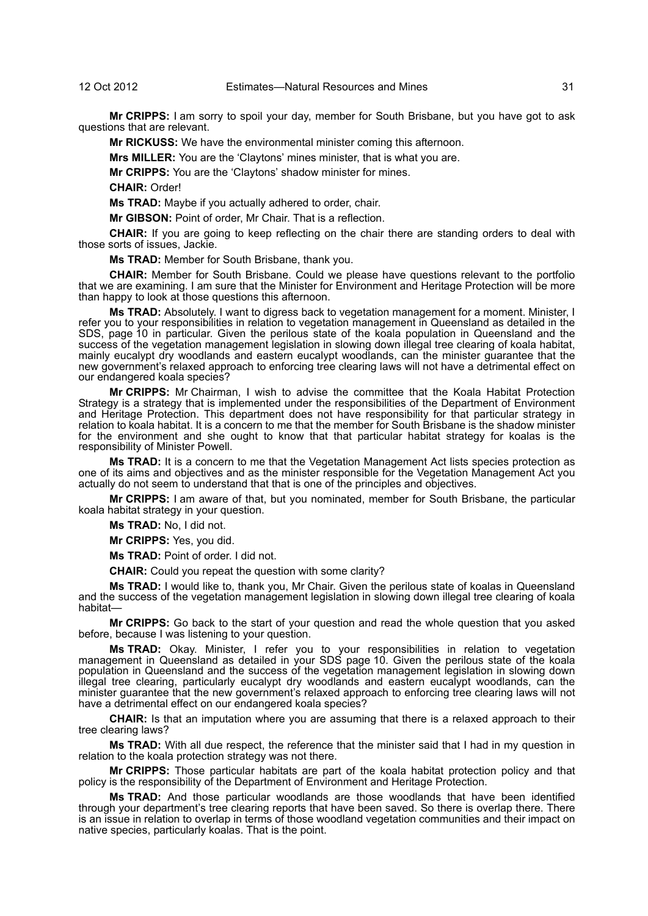**Mr CRIPPS:** I am sorry to spoil your day, member for South Brisbane, but you have got to ask questions that are relevant.

**Mr RICKUSS:** We have the environmental minister coming this afternoon.

**Mrs MILLER:** You are the 'Claytons' mines minister, that is what you are.

**Mr CRIPPS:** You are the 'Claytons' shadow minister for mines.

**CHAIR:** Order!

**Ms TRAD:** Maybe if you actually adhered to order, chair.

**Mr GIBSON:** Point of order, Mr Chair. That is a reflection.

**CHAIR:** If you are going to keep reflecting on the chair there are standing orders to deal with those sorts of issues, Jackie.

**Ms TRAD:** Member for South Brisbane, thank you.

**CHAIR:** Member for South Brisbane. Could we please have questions relevant to the portfolio that we are examining. I am sure that the Minister for Environment and Heritage Protection will be more than happy to look at those questions this afternoon.

**Ms TRAD:** Absolutely. I want to digress back to vegetation management for a moment. Minister, I refer you to your responsibilities in relation to vegetation management in Queensland as detailed in the SDS, page 10 in particular. Given the perilous state of the koala population in Queensland and the success of the vegetation management legislation in slowing down illegal tree clearing of koala habitat, mainly eucalypt dry woodlands and eastern eucalypt woodlands, can the minister guarantee that the new government's relaxed approach to enforcing tree clearing laws will not have a detrimental effect on our endangered koala species?

**Mr CRIPPS:** Mr Chairman, I wish to advise the committee that the Koala Habitat Protection Strategy is a strategy that is implemented under the responsibilities of the Department of Environment and Heritage Protection. This department does not have responsibility for that particular strategy in relation to koala habitat. It is a concern to me that the member for South Brisbane is the shadow minister for the environment and she ought to know that that particular habitat strategy for koalas is the responsibility of Minister Powell.

**Ms TRAD:** It is a concern to me that the Vegetation Management Act lists species protection as one of its aims and objectives and as the minister responsible for the Vegetation Management Act you actually do not seem to understand that that is one of the principles and objectives.

**Mr CRIPPS:** I am aware of that, but you nominated, member for South Brisbane, the particular koala habitat strategy in your question.

**Ms TRAD:** No, I did not.

**Mr CRIPPS:** Yes, you did.

**Ms TRAD:** Point of order. I did not.

**CHAIR:** Could you repeat the question with some clarity?

**Ms TRAD:** I would like to, thank you, Mr Chair. Given the perilous state of koalas in Queensland and the success of the vegetation management legislation in slowing down illegal tree clearing of koala habitat—

**Mr CRIPPS:** Go back to the start of your question and read the whole question that you asked before, because I was listening to your question.

**Ms TRAD:** Okay. Minister, I refer you to your responsibilities in relation to vegetation management in Queensland as detailed in your SDS page 10. Given the perilous state of the koala population in Queensland and the success of the vegetation management legislation in slowing down illegal tree clearing, particularly eucalypt dry woodlands and eastern eucalypt woodlands, can the minister guarantee that the new government's relaxed approach to enforcing tree clearing laws will not have a detrimental effect on our endangered koala species?

**CHAIR:** Is that an imputation where you are assuming that there is a relaxed approach to their tree clearing laws?

**Ms TRAD:** With all due respect, the reference that the minister said that I had in my question in relation to the koala protection strategy was not there.

**Mr CRIPPS:** Those particular habitats are part of the koala habitat protection policy and that policy is the responsibility of the Department of Environment and Heritage Protection.

**Ms TRAD:** And those particular woodlands are those woodlands that have been identified through your department's tree clearing reports that have been saved. So there is overlap there. There is an issue in relation to overlap in terms of those woodland vegetation communities and their impact on native species, particularly koalas. That is the point.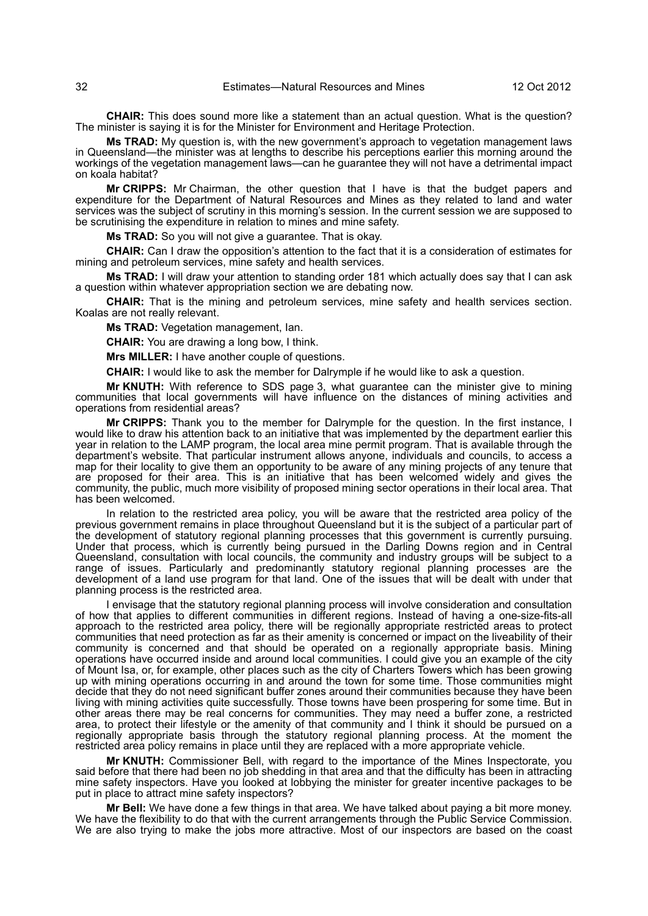**CHAIR:** This does sound more like a statement than an actual question. What is the question? The minister is saying it is for the Minister for Environment and Heritage Protection.

**Ms TRAD:** My question is, with the new government's approach to vegetation management laws in Queensland—the minister was at lengths to describe his perceptions earlier this morning around the workings of the vegetation management laws—can he guarantee they will not have a detrimental impact on koala habitat?

**Mr CRIPPS:** Mr Chairman, the other question that I have is that the budget papers and expenditure for the Department of Natural Resources and Mines as they related to land and water services was the subject of scrutiny in this morning's session. In the current session we are supposed to be scrutinising the expenditure in relation to mines and mine safety.

**Ms TRAD:** So you will not give a guarantee. That is okay.

**CHAIR:** Can I draw the opposition's attention to the fact that it is a consideration of estimates for mining and petroleum services, mine safety and health services.

**Ms TRAD:** I will draw your attention to standing order 181 which actually does say that I can ask a question within whatever appropriation section we are debating now.

**CHAIR:** That is the mining and petroleum services, mine safety and health services section. Koalas are not really relevant.

**Ms TRAD:** Vegetation management, Ian.

**CHAIR:** You are drawing a long bow, I think.

**Mrs MILLER:** I have another couple of questions.

**CHAIR:** I would like to ask the member for Dalrymple if he would like to ask a question.

**Mr KNUTH:** With reference to SDS page 3, what guarantee can the minister give to mining communities that local governments will have influence on the distances of mining activities and operations from residential areas?

**Mr CRIPPS:** Thank you to the member for Dalrymple for the question. In the first instance, I would like to draw his attention back to an initiative that was implemented by the department earlier this year in relation to the LAMP program, the local area mine permit program. That is available through the department's website. That particular instrument allows anyone, individuals and councils, to access a map for their locality to give them an opportunity to be aware of any mining projects of any tenure that are proposed for their area. This is an initiative that has been welcomed widely and gives the community, the public, much more visibility of proposed mining sector operations in their local area. That has been welcomed.

In relation to the restricted area policy, you will be aware that the restricted area policy of the previous government remains in place throughout Queensland but it is the subject of a particular part of the development of statutory regional planning processes that this government is currently pursuing. Under that process, which is currently being pursued in the Darling Downs region and in Central Queensland, consultation with local councils, the community and industry groups will be subject to a range of issues. Particularly and predominantly statutory regional planning processes are the development of a land use program for that land. One of the issues that will be dealt with under that planning process is the restricted area.

I envisage that the statutory regional planning process will involve consideration and consultation of how that applies to different communities in different regions. Instead of having a one-size-fits-all approach to the restricted area policy, there will be regionally appropriate restricted areas to protect communities that need protection as far as their amenity is concerned or impact on the liveability of their community is concerned and that should be operated on a regionally appropriate basis. Mining operations have occurred inside and around local communities. I could give you an example of the city of Mount Isa, or, for example, other places such as the city of Charters Towers which has been growing up with mining operations occurring in and around the town for some time. Those communities might decide that they do not need significant buffer zones around their communities because they have been living with mining activities quite successfully. Those towns have been prospering for some time. But in other areas there may be real concerns for communities. They may need a buffer zone, a restricted area, to protect their lifestyle or the amenity of that community and I think it should be pursued on a regionally appropriate basis through the statutory regional planning process. At the moment the restricted area policy remains in place until they are replaced with a more appropriate vehicle.

**Mr KNUTH:** Commissioner Bell, with regard to the importance of the Mines Inspectorate, you said before that there had been no job shedding in that area and that the difficulty has been in attracting mine safety inspectors. Have you looked at lobbying the minister for greater incentive packages to be put in place to attract mine safety inspectors?

**Mr Bell:** We have done a few things in that area. We have talked about paying a bit more money. We have the flexibility to do that with the current arrangements through the Public Service Commission. We are also trying to make the jobs more attractive. Most of our inspectors are based on the coast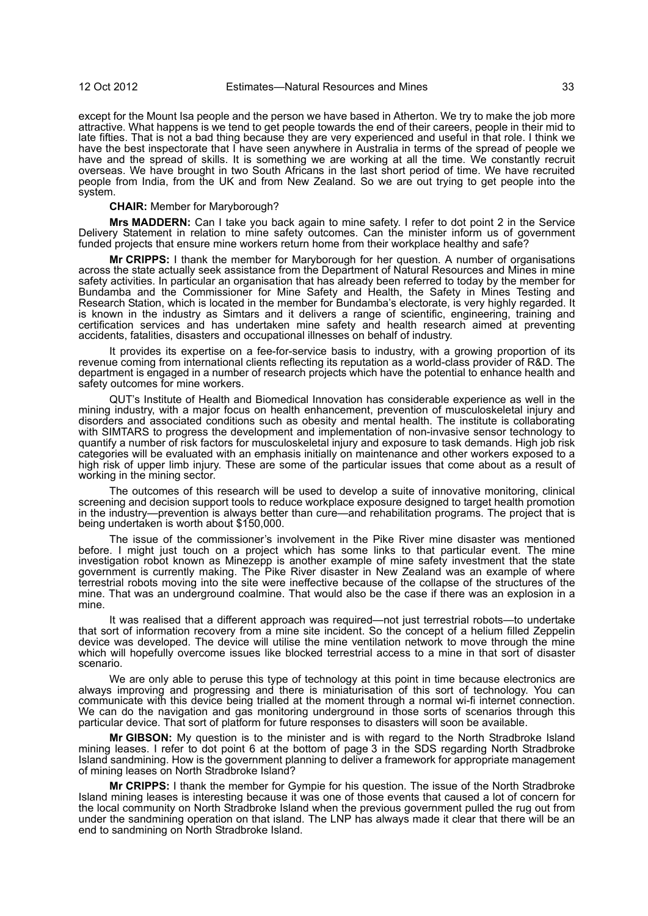except for the Mount Isa people and the person we have based in Atherton. We try to make the job more attractive. What happens is we tend to get people towards the end of their careers, people in their mid to late fifties. That is not a bad thing because they are very experienced and useful in that role. I think we have the best inspectorate that I have seen anywhere in Australia in terms of the spread of people we have and the spread of skills. It is something we are working at all the time. We constantly recruit overseas. We have brought in two South Africans in the last short period of time. We have recruited people from India, from the UK and from New Zealand. So we are out trying to get people into the system.

**CHAIR:** Member for Maryborough?

**Mrs MADDERN:** Can I take you back again to mine safety. I refer to dot point 2 in the Service Delivery Statement in relation to mine safety outcomes. Can the minister inform us of government funded projects that ensure mine workers return home from their workplace healthy and safe?

**Mr CRIPPS:** I thank the member for Maryborough for her question. A number of organisations across the state actually seek assistance from the Department of Natural Resources and Mines in mine safety activities. In particular an organisation that has already been referred to today by the member for Bundamba and the Commissioner for Mine Safety and Health, the Safety in Mines Testing and Research Station, which is located in the member for Bundamba's electorate, is very highly regarded. It is known in the industry as Simtars and it delivers a range of scientific, engineering, training and certification services and has undertaken mine safety and health research aimed at preventing accidents, fatalities, disasters and occupational illnesses on behalf of industry.

It provides its expertise on a fee-for-service basis to industry, with a growing proportion of its revenue coming from international clients reflecting its reputation as a world-class provider of R&D. The department is engaged in a number of research projects which have the potential to enhance health and safety outcomes for mine workers.

QUT's Institute of Health and Biomedical Innovation has considerable experience as well in the mining industry, with a major focus on health enhancement, prevention of musculoskeletal injury and disorders and associated conditions such as obesity and mental health. The institute is collaborating with SIMTARS to progress the development and implementation of non-invasive sensor technology to quantify a number of risk factors for musculoskeletal injury and exposure to task demands. High job risk categories will be evaluated with an emphasis initially on maintenance and other workers exposed to a high risk of upper limb injury. These are some of the particular issues that come about as a result of working in the mining sector.

The outcomes of this research will be used to develop a suite of innovative monitoring, clinical screening and decision support tools to reduce workplace exposure designed to target health promotion in the industry—prevention is always better than cure—and rehabilitation programs. The project that is being undertaken is worth about \$150,000.

The issue of the commissioner's involvement in the Pike River mine disaster was mentioned before. I might just touch on a project which has some links to that particular event. The mine investigation robot known as Minezepp is another example of mine safety investment that the state government is currently making. The Pike River disaster in New Zealand was an example of where terrestrial robots moving into the site were ineffective because of the collapse of the structures of the mine. That was an underground coalmine. That would also be the case if there was an explosion in a mine.

It was realised that a different approach was required—not just terrestrial robots—to undertake that sort of information recovery from a mine site incident. So the concept of a helium filled Zeppelin device was developed. The device will utilise the mine ventilation network to move through the mine which will hopefully overcome issues like blocked terrestrial access to a mine in that sort of disaster scenario.

We are only able to peruse this type of technology at this point in time because electronics are always improving and progressing and there is miniaturisation of this sort of technology. You can communicate with this device being trialled at the moment through a normal wi-fi internet connection. We can do the navigation and gas monitoring underground in those sorts of scenarios through this particular device. That sort of platform for future responses to disasters will soon be available.

**Mr GIBSON:** My question is to the minister and is with regard to the North Stradbroke Island mining leases. I refer to dot point 6 at the bottom of page 3 in the SDS regarding North Stradbroke Island sandmining. How is the government planning to deliver a framework for appropriate management of mining leases on North Stradbroke Island?

**Mr CRIPPS:** I thank the member for Gympie for his question. The issue of the North Stradbroke Island mining leases is interesting because it was one of those events that caused a lot of concern for the local community on North Stradbroke Island when the previous government pulled the rug out from under the sandmining operation on that island. The LNP has always made it clear that there will be an end to sandmining on North Stradbroke Island.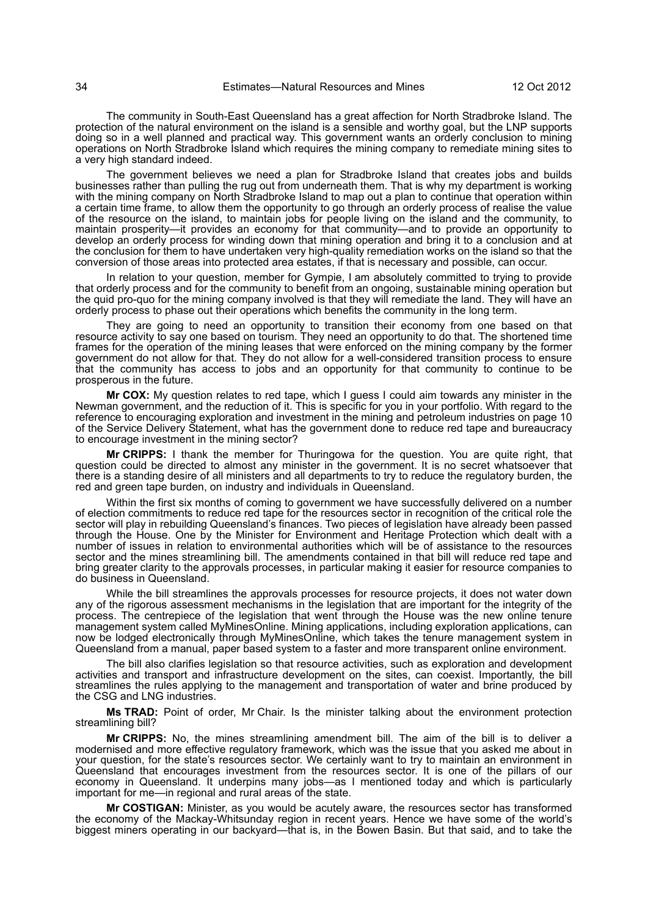The community in South-East Queensland has a great affection for North Stradbroke Island. The protection of the natural environment on the island is a sensible and worthy goal, but the LNP supports doing so in a well planned and practical way. This government wants an orderly conclusion to mining operations on North Stradbroke Island which requires the mining company to remediate mining sites to a very high standard indeed.

The government believes we need a plan for Stradbroke Island that creates jobs and builds businesses rather than pulling the rug out from underneath them. That is why my department is working with the mining company on North Stradbroke Island to map out a plan to continue that operation within a certain time frame, to allow them the opportunity to go through an orderly process of realise the value of the resource on the island, to maintain jobs for people living on the island and the community, to maintain prosperity—it provides an economy for that community—and to provide an opportunity to develop an orderly process for winding down that mining operation and bring it to a conclusion and at the conclusion for them to have undertaken very high-quality remediation works on the island so that the conversion of those areas into protected area estates, if that is necessary and possible, can occur.

In relation to your question, member for Gympie, I am absolutely committed to trying to provide that orderly process and for the community to benefit from an ongoing, sustainable mining operation but the quid pro-quo for the mining company involved is that they will remediate the land. They will have an orderly process to phase out their operations which benefits the community in the long term.

They are going to need an opportunity to transition their economy from one based on that resource activity to say one based on tourism. They need an opportunity to do that. The shortened time frames for the operation of the mining leases that were enforced on the mining company by the former government do not allow for that. They do not allow for a well-considered transition process to ensure that the community has access to jobs and an opportunity for that community to continue to be prosperous in the future.

**Mr COX:** My question relates to red tape, which I guess I could aim towards any minister in the Newman government, and the reduction of it. This is specific for you in your portfolio. With regard to the reference to encouraging exploration and investment in the mining and petroleum industries on page 10 of the Service Delivery Statement, what has the government done to reduce red tape and bureaucracy to encourage investment in the mining sector?

**Mr CRIPPS:** I thank the member for Thuringowa for the question. You are quite right, that question could be directed to almost any minister in the government. It is no secret whatsoever that there is a standing desire of all ministers and all departments to try to reduce the regulatory burden, the red and green tape burden, on industry and individuals in Queensland.

Within the first six months of coming to government we have successfully delivered on a number of election commitments to reduce red tape for the resources sector in recognition of the critical role the sector will play in rebuilding Queensland's finances. Two pieces of legislation have already been passed through the House. One by the Minister for Environment and Heritage Protection which dealt with a number of issues in relation to environmental authorities which will be of assistance to the resources sector and the mines streamlining bill. The amendments contained in that bill will reduce red tape and bring greater clarity to the approvals processes, in particular making it easier for resource companies to do business in Queensland.

While the bill streamlines the approvals processes for resource projects, it does not water down any of the rigorous assessment mechanisms in the legislation that are important for the integrity of the process. The centrepiece of the legislation that went through the House was the new online tenure management system called MyMinesOnline. Mining applications, including exploration applications, can now be lodged electronically through MyMinesOnline, which takes the tenure management system in Queensland from a manual, paper based system to a faster and more transparent online environment.

The bill also clarifies legislation so that resource activities, such as exploration and development activities and transport and infrastructure development on the sites, can coexist. Importantly, the bill streamlines the rules applying to the management and transportation of water and brine produced by the CSG and LNG industries.

**Ms TRAD:** Point of order, Mr Chair. Is the minister talking about the environment protection streamlining bill?

**Mr CRIPPS:** No, the mines streamlining amendment bill. The aim of the bill is to deliver a modernised and more effective regulatory framework, which was the issue that you asked me about in your question, for the state's resources sector. We certainly want to try to maintain an environment in Queensland that encourages investment from the resources sector. It is one of the pillars of our economy in Queensland. It underpins many jobs—as I mentioned today and which is particularly important for me—in regional and rural areas of the state.

**Mr COSTIGAN:** Minister, as you would be acutely aware, the resources sector has transformed the economy of the Mackay-Whitsunday region in recent years. Hence we have some of the world's biggest miners operating in our backyard—that is, in the Bowen Basin. But that said, and to take the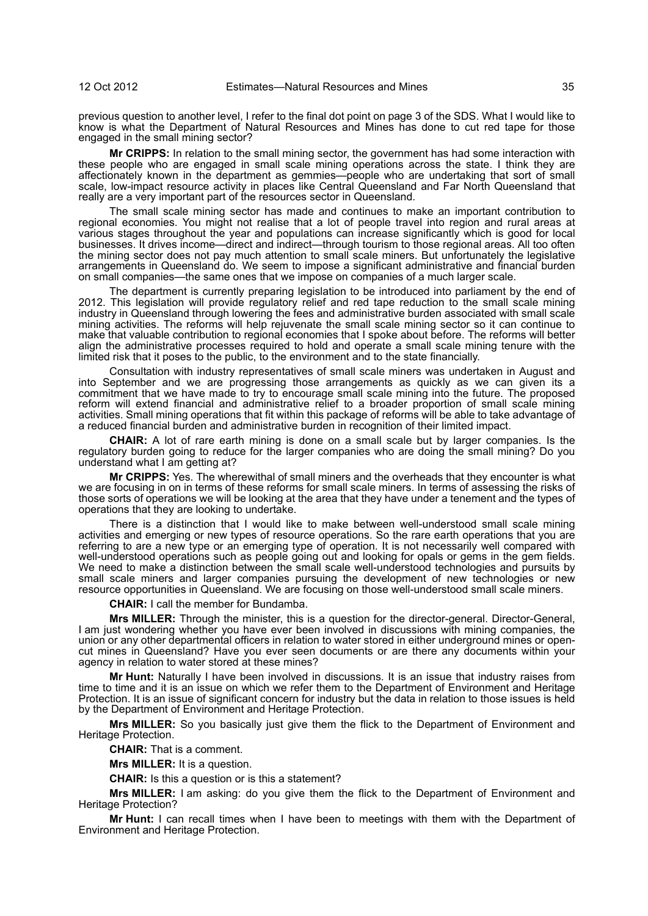previous question to another level, I refer to the final dot point on page 3 of the SDS. What I would like to know is what the Department of Natural Resources and Mines has done to cut red tape for those engaged in the small mining sector?

**Mr CRIPPS:** In relation to the small mining sector, the government has had some interaction with these people who are engaged in small scale mining operations across the state. I think they are affectionately known in the department as gemmies—people who are undertaking that sort of small scale, low-impact resource activity in places like Central Queensland and Far North Queensland that really are a very important part of the resources sector in Queensland.

The small scale mining sector has made and continues to make an important contribution to regional economies. You might not realise that a lot of people travel into region and rural areas at various stages throughout the year and populations can increase significantly which is good for local businesses. It drives income—direct and indirect—through tourism to those regional areas. All too often the mining sector does not pay much attention to small scale miners. But unfortunately the legislative arrangements in Queensland do. We seem to impose a significant administrative and financial burden on small companies—the same ones that we impose on companies of a much larger scale.

The department is currently preparing legislation to be introduced into parliament by the end of 2012. This legislation will provide regulatory relief and red tape reduction to the small scale mining industry in Queensland through lowering the fees and administrative burden associated with small scale mining activities. The reforms will help rejuvenate the small scale mining sector so it can continue to make that valuable contribution to regional economies that I spoke about before. The reforms will better align the administrative processes required to hold and operate a small scale mining tenure with the limited risk that it poses to the public, to the environment and to the state financially.

Consultation with industry representatives of small scale miners was undertaken in August and into September and we are progressing those arrangements as quickly as we can given its a commitment that we have made to try to encourage small scale mining into the future. The proposed reform will extend financial and administrative relief to a broader proportion of small scale mining activities. Small mining operations that fit within this package of reforms will be able to take advantage of a reduced financial burden and administrative burden in recognition of their limited impact.

**CHAIR:** A lot of rare earth mining is done on a small scale but by larger companies. Is the regulatory burden going to reduce for the larger companies who are doing the small mining? Do you understand what I am getting at?

**Mr CRIPPS:** Yes. The wherewithal of small miners and the overheads that they encounter is what we are focusing in on in terms of these reforms for small scale miners. In terms of assessing the risks of those sorts of operations we will be looking at the area that they have under a tenement and the types of operations that they are looking to undertake.

There is a distinction that I would like to make between well-understood small scale mining activities and emerging or new types of resource operations. So the rare earth operations that you are referring to are a new type or an emerging type of operation. It is not necessarily well compared with well-understood operations such as people going out and looking for opals or gems in the gem fields. We need to make a distinction between the small scale well-understood technologies and pursuits by small scale miners and larger companies pursuing the development of new technologies or new resource opportunities in Queensland. We are focusing on those well-understood small scale miners.

**CHAIR:** I call the member for Bundamba.

**Mrs MILLER:** Through the minister, this is a question for the director-general. Director-General, I am just wondering whether you have ever been involved in discussions with mining companies, the union or any other departmental officers in relation to water stored in either underground mines or opencut mines in Queensland? Have you ever seen documents or are there any documents within your agency in relation to water stored at these mines?

**Mr Hunt:** Naturally I have been involved in discussions. It is an issue that industry raises from time to time and it is an issue on which we refer them to the Department of Environment and Heritage Protection. It is an issue of significant concern for industry but the data in relation to those issues is held by the Department of Environment and Heritage Protection.

**Mrs MILLER:** So you basically just give them the flick to the Department of Environment and Heritage Protection.

**CHAIR:** That is a comment.

**Mrs MILLER:** It is a question.

**CHAIR:** Is this a question or is this a statement?

**Mrs MILLER:** I am asking: do you give them the flick to the Department of Environment and Heritage Protection?

**Mr Hunt:** I can recall times when I have been to meetings with them with the Department of Environment and Heritage Protection.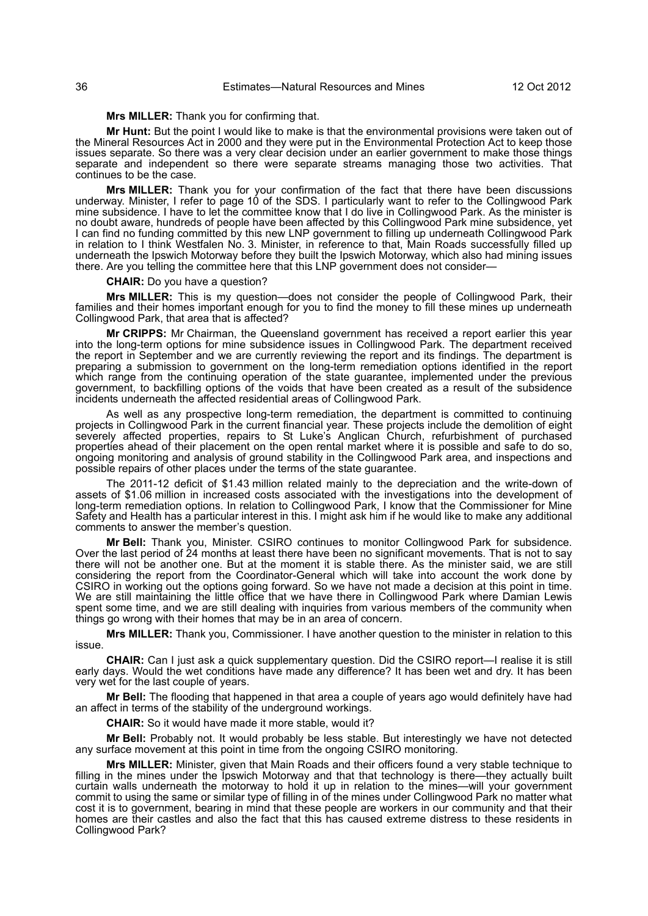**Mrs MILLER:** Thank you for confirming that.

**Mr Hunt:** But the point I would like to make is that the environmental provisions were taken out of the Mineral Resources Act in 2000 and they were put in the Environmental Protection Act to keep those issues separate. So there was a very clear decision under an earlier government to make those things separate and independent so there were separate streams managing those two activities. That continues to be the case.

**Mrs MILLER:** Thank you for your confirmation of the fact that there have been discussions underway. Minister, I refer to page 10 of the SDS. I particularly want to refer to the Collingwood Park mine subsidence. I have to let the committee know that I do live in Collingwood Park. As the minister is no doubt aware, hundreds of people have been affected by this Collingwood Park mine subsidence, yet I can find no funding committed by this new LNP government to filling up underneath Collingwood Park in relation to I think Westfalen No. 3. Minister, in reference to that, Main Roads successfully filled up underneath the Ipswich Motorway before they built the Ipswich Motorway, which also had mining issues there. Are you telling the committee here that this LNP government does not consider—

#### **CHAIR:** Do you have a question?

**Mrs MILLER:** This is my question—does not consider the people of Collingwood Park, their families and their homes important enough for you to find the money to fill these mines up underneath Collingwood Park, that area that is affected?

**Mr CRIPPS:** Mr Chairman, the Queensland government has received a report earlier this year into the long-term options for mine subsidence issues in Collingwood Park. The department received the report in September and we are currently reviewing the report and its findings. The department is preparing a submission to government on the long-term remediation options identified in the report which range from the continuing operation of the state guarantee, implemented under the previous government, to backfilling options of the voids that have been created as a result of the subsidence incidents underneath the affected residential areas of Collingwood Park.

As well as any prospective long-term remediation, the department is committed to continuing projects in Collingwood Park in the current financial year. These projects include the demolition of eight severely affected properties, repairs to St Luke's Anglican Church, refurbishment of purchased properties ahead of their placement on the open rental market where it is possible and safe to do so, ongoing monitoring and analysis of ground stability in the Collingwood Park area, and inspections and possible repairs of other places under the terms of the state guarantee.

The 2011-12 deficit of \$1.43 million related mainly to the depreciation and the write-down of assets of \$1.06 million in increased costs associated with the investigations into the development of long-term remediation options. In relation to Collingwood Park, I know that the Commissioner for Mine Safety and Health has a particular interest in this. I might ask him if he would like to make any additional comments to answer the member's question.

**Mr Bell:** Thank you, Minister. CSIRO continues to monitor Collingwood Park for subsidence. Over the last period of 24 months at least there have been no significant movements. That is not to say there will not be another one. But at the moment it is stable there. As the minister said, we are still considering the report from the Coordinator-General which will take into account the work done by CSIRO in working out the options going forward. So we have not made a decision at this point in time. We are still maintaining the little office that we have there in Collingwood Park where Damian Lewis spent some time, and we are still dealing with inquiries from various members of the community when things go wrong with their homes that may be in an area of concern.

**Mrs MILLER:** Thank you, Commissioner. I have another question to the minister in relation to this issue.

**CHAIR:** Can I just ask a quick supplementary question. Did the CSIRO report—I realise it is still early days. Would the wet conditions have made any difference? It has been wet and dry. It has been very wet for the last couple of years.

**Mr Bell:** The flooding that happened in that area a couple of years ago would definitely have had an affect in terms of the stability of the underground workings.

**CHAIR:** So it would have made it more stable, would it?

**Mr Bell:** Probably not. It would probably be less stable. But interestingly we have not detected any surface movement at this point in time from the ongoing CSIRO monitoring.

**Mrs MILLER:** Minister, given that Main Roads and their officers found a very stable technique to filling in the mines under the Ipswich Motorway and that that technology is there—they actually built curtain walls underneath the motorway to hold it up in relation to the mines—will your government commit to using the same or similar type of filling in of the mines under Collingwood Park no matter what cost it is to government, bearing in mind that these people are workers in our community and that their homes are their castles and also the fact that this has caused extreme distress to these residents in Collingwood Park?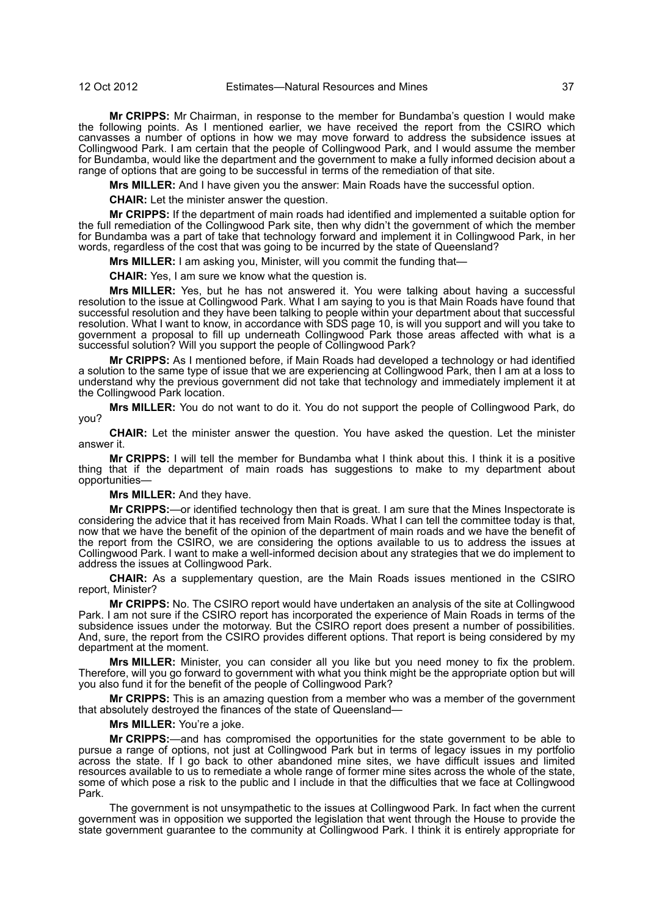**Mr CRIPPS:** Mr Chairman, in response to the member for Bundamba's question I would make the following points. As I mentioned earlier, we have received the report from the CSIRO which canvasses a number of options in how we may move forward to address the subsidence issues at Collingwood Park. I am certain that the people of Collingwood Park, and I would assume the member for Bundamba, would like the department and the government to make a fully informed decision about a range of options that are going to be successful in terms of the remediation of that site.

**Mrs MILLER:** And I have given you the answer: Main Roads have the successful option.

**CHAIR:** Let the minister answer the question.

**Mr CRIPPS:** If the department of main roads had identified and implemented a suitable option for the full remediation of the Collingwood Park site, then why didn't the government of which the member for Bundamba was a part of take that technology forward and implement it in Collingwood Park, in her words, regardless of the cost that was going to be incurred by the state of Queensland?

**Mrs MILLER:** I am asking you, Minister, will you commit the funding that-

**CHAIR:** Yes, I am sure we know what the question is.

**Mrs MILLER:** Yes, but he has not answered it. You were talking about having a successful resolution to the issue at Collingwood Park. What I am saying to you is that Main Roads have found that successful resolution and they have been talking to people within your department about that successful resolution. What I want to know, in accordance with SDS page 10, is will you support and will you take to government a proposal to fill up underneath Collingwood Park those areas affected with what is a successful solution? Will you support the people of Collingwood Park?

**Mr CRIPPS:** As I mentioned before, if Main Roads had developed a technology or had identified a solution to the same type of issue that we are experiencing at Collingwood Park, then I am at a loss to understand why the previous government did not take that technology and immediately implement it at the Collingwood Park location.

**Mrs MILLER:** You do not want to do it. You do not support the people of Collingwood Park, do you?

**CHAIR:** Let the minister answer the question. You have asked the question. Let the minister answer it.

**Mr CRIPPS:** I will tell the member for Bundamba what I think about this. I think it is a positive thing that if the department of main roads has suggestions to make to my department about opportunities—

## **Mrs MILLER:** And they have.

**Mr CRIPPS:**—or identified technology then that is great. I am sure that the Mines Inspectorate is considering the advice that it has received from Main Roads. What I can tell the committee today is that, now that we have the benefit of the opinion of the department of main roads and we have the benefit of the report from the CSIRO, we are considering the options available to us to address the issues at Collingwood Park. I want to make a well-informed decision about any strategies that we do implement to address the issues at Collingwood Park.

**CHAIR:** As a supplementary question, are the Main Roads issues mentioned in the CSIRO report, Minister?

**Mr CRIPPS:** No. The CSIRO report would have undertaken an analysis of the site at Collingwood Park. I am not sure if the CSIRO report has incorporated the experience of Main Roads in terms of the subsidence issues under the motorway. But the CSIRO report does present a number of possibilities. And, sure, the report from the CSIRO provides different options. That report is being considered by my department at the moment.

**Mrs MILLER:** Minister, you can consider all you like but you need money to fix the problem. Therefore, will you go forward to government with what you think might be the appropriate option but will you also fund it for the benefit of the people of Collingwood Park?

**Mr CRIPPS:** This is an amazing question from a member who was a member of the government that absolutely destroyed the finances of the state of Queensland—

**Mrs MILLER:** You're a joke.

**Mr CRIPPS:**—and has compromised the opportunities for the state government to be able to pursue a range of options, not just at Collingwood Park but in terms of legacy issues in my portfolio across the state. If I go back to other abandoned mine sites, we have difficult issues and limited resources available to us to remediate a whole range of former mine sites across the whole of the state, some of which pose a risk to the public and I include in that the difficulties that we face at Collingwood Park.

The government is not unsympathetic to the issues at Collingwood Park. In fact when the current government was in opposition we supported the legislation that went through the House to provide the state government guarantee to the community at Collingwood Park. I think it is entirely appropriate for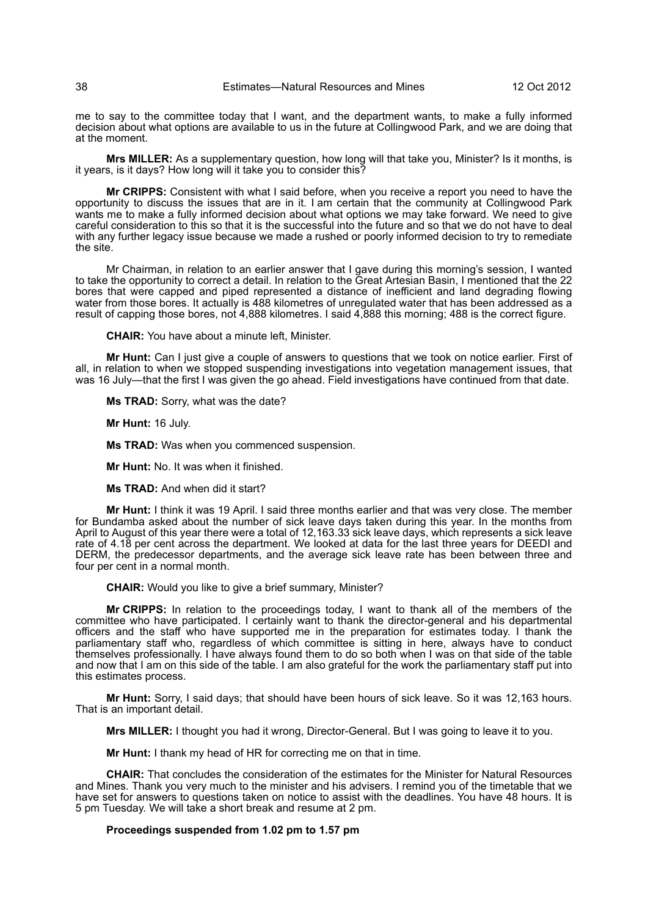me to say to the committee today that I want, and the department wants, to make a fully informed decision about what options are available to us in the future at Collingwood Park, and we are doing that at the moment.

**Mrs MILLER:** As a supplementary question, how long will that take you, Minister? Is it months, is it years, is it days? How long will it take you to consider this?

**Mr CRIPPS:** Consistent with what I said before, when you receive a report you need to have the opportunity to discuss the issues that are in it. I am certain that the community at Collingwood Park wants me to make a fully informed decision about what options we may take forward. We need to give careful consideration to this so that it is the successful into the future and so that we do not have to deal with any further legacy issue because we made a rushed or poorly informed decision to try to remediate the site.

Mr Chairman, in relation to an earlier answer that I gave during this morning's session, I wanted to take the opportunity to correct a detail. In relation to the Great Artesian Basin, I mentioned that the 22 bores that were capped and piped represented a distance of inefficient and land degrading flowing water from those bores. It actually is 488 kilometres of unregulated water that has been addressed as a result of capping those bores, not 4,888 kilometres. I said 4,888 this morning; 488 is the correct figure.

**CHAIR:** You have about a minute left, Minister.

**Mr Hunt:** Can I just give a couple of answers to questions that we took on notice earlier. First of all, in relation to when we stopped suspending investigations into vegetation management issues, that was 16 July—that the first I was given the go ahead. Field investigations have continued from that date.

**Ms TRAD:** Sorry, what was the date?

**Mr Hunt:** 16 July.

**Ms TRAD:** Was when you commenced suspension.

**Mr Hunt:** No. It was when it finished.

**Ms TRAD:** And when did it start?

**Mr Hunt:** I think it was 19 April. I said three months earlier and that was very close. The member for Bundamba asked about the number of sick leave days taken during this year. In the months from April to August of this year there were a total of 12,163.33 sick leave days, which represents a sick leave rate of 4.18 per cent across the department. We looked at data for the last three years for DEEDI and DERM, the predecessor departments, and the average sick leave rate has been between three and four per cent in a normal month.

**CHAIR:** Would you like to give a brief summary, Minister?

**Mr CRIPPS:** In relation to the proceedings today, I want to thank all of the members of the committee who have participated. I certainly want to thank the director-general and his departmental officers and the staff who have supported me in the preparation for estimates today. I thank the parliamentary staff who, regardless of which committee is sitting in here, always have to conduct themselves professionally. I have always found them to do so both when I was on that side of the table and now that I am on this side of the table. I am also grateful for the work the parliamentary staff put into this estimates process.

**Mr Hunt:** Sorry, I said days; that should have been hours of sick leave. So it was 12,163 hours. That is an important detail.

**Mrs MILLER:** I thought you had it wrong, Director-General. But I was going to leave it to you.

**Mr Hunt:** I thank my head of HR for correcting me on that in time.

**CHAIR:** That concludes the consideration of the estimates for the Minister for Natural Resources and Mines. Thank you very much to the minister and his advisers. I remind you of the timetable that we have set for answers to questions taken on notice to assist with the deadlines. You have 48 hours. It is 5 pm Tuesday. We will take a short break and resume at 2 pm.

## **Proceedings suspended from 1.02 pm to 1.57 pm**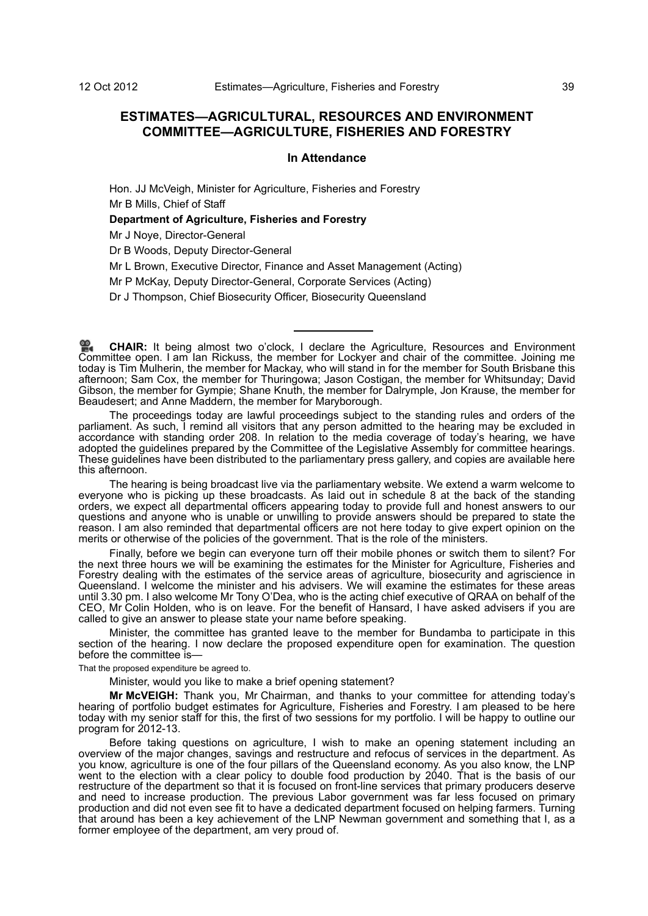# **ESTIMATES—AGRICULTURAL, RESOURCES AND ENVIRONMENT COMMITTEE—AGRICULTURE, FISHERIES AND FORESTRY**

### **In Attendance**

Hon. JJ McVeigh, Minister for Agriculture, Fisheries and Forestry Mr B Mills, Chief of Staff

**Department of Agriculture, Fisheries and Forestry**

Mr J Noye, Director-General

Dr B Woods, Deputy Director-General

Mr L Brown, Executive Director, Finance and Asset Management (Acting)

Mr P McKay, Deputy Director-General, Corporate Services (Acting)

Dr J Thompson, Chief Biosecurity Officer, Biosecurity Queensland

The proceedings today are lawful proceedings subject to the standing rules and orders of the parliament. As such, I remind all visitors that any person admitted to the hearing may be excluded in accordance with standing order 208. In relation to the media coverage of today's hearing, we have adopted the guidelines prepared by the Committee of the Legislative Assembly for committee hearings. These guidelines have been distributed to the parliamentary press gallery, and copies are available here this afternoon.

The hearing is being broadcast live via the parliamentary website. We extend a warm welcome to everyone who is picking up these broadcasts. As laid out in schedule 8 at the back of the standing orders, we expect all departmental officers appearing today to provide full and honest answers to our questions and anyone who is unable or unwilling to provide answers should be prepared to state the reason. I am also reminded that departmental officers are not here today to give expert opinion on the merits or otherwise of the policies of the government. That is the role of the ministers.

Finally, before we begin can everyone turn off their mobile phones or switch them to silent? For the next three hours we will be examining the estimates for the Minister for Agriculture, Fisheries and Forestry dealing with the estimates of the service areas of agriculture, biosecurity and agriscience in Queensland. I welcome the minister and his advisers. We will examine the estimates for these areas until 3.30 pm. I also welcome Mr Tony O'Dea, who is the acting chief executive of QRAA on behalf of the CEO, Mr Colin Holden, who is on leave. For the benefit of Hansard, I have asked advisers if you are called to give an answer to please state your name before speaking.

Minister, the committee has granted leave to the member for Bundamba to participate in this section of the hearing. I now declare the proposed expenditure open for examination. The question before the committee is-

That the proposed expenditure be agreed to.

Minister, would you like to make a brief opening statement?

**Mr McVEIGH:** Thank you, Mr Chairman, and thanks to your committee for attending today's hearing of portfolio budget estimates for Agriculture, Fisheries and Forestry. I am pleased to be here today with my senior staff for this, the first of two sessions for my portfolio. I will be happy to outline our program for 2012-13.

Before taking questions on agriculture, I wish to make an opening statement including an overview of the major changes, savings and restructure and refocus of services in the department. As you know, agriculture is one of the four pillars of the Queensland economy. As you also know, the LNP went to the election with a clear policy to double food production by 2040. That is the basis of our restructure of the department so that it is focused on front-line services that primary producers deserve and need to increase production. The previous Labor government was far less focused on primary production and did not even see fit to have a dedicated department focused on helping farmers. Turning that around has been a key achievement of the LNP Newman government and something that I, as a former employee of the department, am very proud of.

**CHAIR:** [It being almost two o'clock, I declare the Agriculture, Resources and Environment](http://www.parliament.qld.gov.au/docs/find.aspx?id=0Mba20121012_135917) [Com](http://www.parliament.qld.gov.au/docs/find.aspx?id=0Mba20121012_135917)mittee open. I am Ian Rickuss, the member for Lockyer and chair of the committee. Joining me today is Tim Mulherin, the member for Mackay, who will stand in for the member for South Brisbane this [afternoon; Sam Cox, the member for Thuringowa; Jason Costigan, the member for Whitsunday; David](http://www.parliament.qld.gov.au/docs/find.aspx?id=0Mba20121012_135917) Gibson, the member for Gympie; Shane Knuth, the member for Dalrymple, Jon Krause, the member for Beaudesert; and Anne Maddern, the member for Maryborough.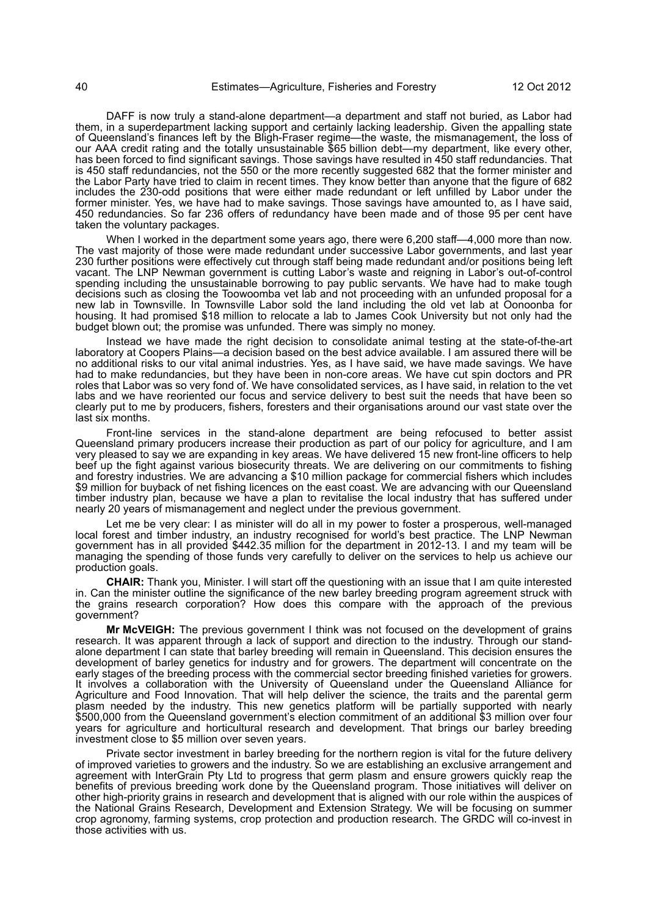DAFF is now truly a stand-alone department—a department and staff not buried, as Labor had them, in a superdepartment lacking support and certainly lacking leadership. Given the appalling state of Queensland's finances left by the Bligh-Fraser regime—the waste, the mismanagement, the loss of our AAA credit rating and the totally unsustainable \$65 billion debt—my department, like every other, has been forced to find significant savings. Those savings have resulted in 450 staff redundancies. That is 450 staff redundancies, not the 550 or the more recently suggested 682 that the former minister and the Labor Party have tried to claim in recent times. They know better than anyone that the figure of 682 includes the 230-odd positions that were either made redundant or left unfilled by Labor under the former minister. Yes, we have had to make savings. Those savings have amounted to, as I have said, 450 redundancies. So far 236 offers of redundancy have been made and of those 95 per cent have taken the voluntary packages.

When I worked in the department some years ago, there were 6,200 staff—4,000 more than now. The vast majority of those were made redundant under successive Labor governments, and last year 230 further positions were effectively cut through staff being made redundant and/or positions being left vacant. The LNP Newman government is cutting Labor's waste and reigning in Labor's out-of-control spending including the unsustainable borrowing to pay public servants. We have had to make tough decisions such as closing the Toowoomba vet lab and not proceeding with an unfunded proposal for a new lab in Townsville. In Townsville Labor sold the land including the old vet lab at Oonoonba for housing. It had promised \$18 million to relocate a lab to James Cook University but not only had the budget blown out; the promise was unfunded. There was simply no money.

Instead we have made the right decision to consolidate animal testing at the state-of-the-art laboratory at Coopers Plains—a decision based on the best advice available. I am assured there will be no additional risks to our vital animal industries. Yes, as I have said, we have made savings. We have had to make redundancies, but they have been in non-core areas. We have cut spin doctors and PR roles that Labor was so very fond of. We have consolidated services, as I have said, in relation to the vet labs and we have reoriented our focus and service delivery to best suit the needs that have been so clearly put to me by producers, fishers, foresters and their organisations around our vast state over the last six months.

Front-line services in the stand-alone department are being refocused to better assist Queensland primary producers increase their production as part of our policy for agriculture, and I am very pleased to say we are expanding in key areas. We have delivered 15 new front-line officers to help beef up the fight against various biosecurity threats. We are delivering on our commitments to fishing and forestry industries. We are advancing a \$10 million package for commercial fishers which includes \$9 million for buyback of net fishing licences on the east coast. We are advancing with our Queensland timber industry plan, because we have a plan to revitalise the local industry that has suffered under nearly 20 years of mismanagement and neglect under the previous government.

Let me be very clear: I as minister will do all in my power to foster a prosperous, well-managed local forest and timber industry, an industry recognised for world's best practice. The LNP Newman government has in all provided \$442.35 million for the department in 2012-13. I and my team will be managing the spending of those funds very carefully to deliver on the services to help us achieve our production goals.

**CHAIR:** Thank you, Minister. I will start off the questioning with an issue that I am quite interested in. Can the minister outline the significance of the new barley breeding program agreement struck with the grains research corporation? How does this compare with the approach of the previous government?

**Mr McVEIGH:** The previous government I think was not focused on the development of grains research. It was apparent through a lack of support and direction to the industry. Through our standalone department I can state that barley breeding will remain in Queensland. This decision ensures the development of barley genetics for industry and for growers. The department will concentrate on the early stages of the breeding process with the commercial sector breeding finished varieties for growers. It involves a collaboration with the University of Queensland under the Queensland Alliance for Agriculture and Food Innovation. That will help deliver the science, the traits and the parental germ plasm needed by the industry. This new genetics platform will be partially supported with nearly \$500,000 from the Queensland government's election commitment of an additional \$3 million over four years for agriculture and horticultural research and development. That brings our barley breeding investment close to \$5 million over seven years.

Private sector investment in barley breeding for the northern region is vital for the future delivery of improved varieties to growers and the industry. So we are establishing an exclusive arrangement and agreement with InterGrain Pty Ltd to progress that germ plasm and ensure growers quickly reap the benefits of previous breeding work done by the Queensland program. Those initiatives will deliver on other high-priority grains in research and development that is aligned with our role within the auspices of the National Grains Research, Development and Extension Strategy. We will be focusing on summer crop agronomy, farming systems, crop protection and production research. The GRDC will co-invest in those activities with us.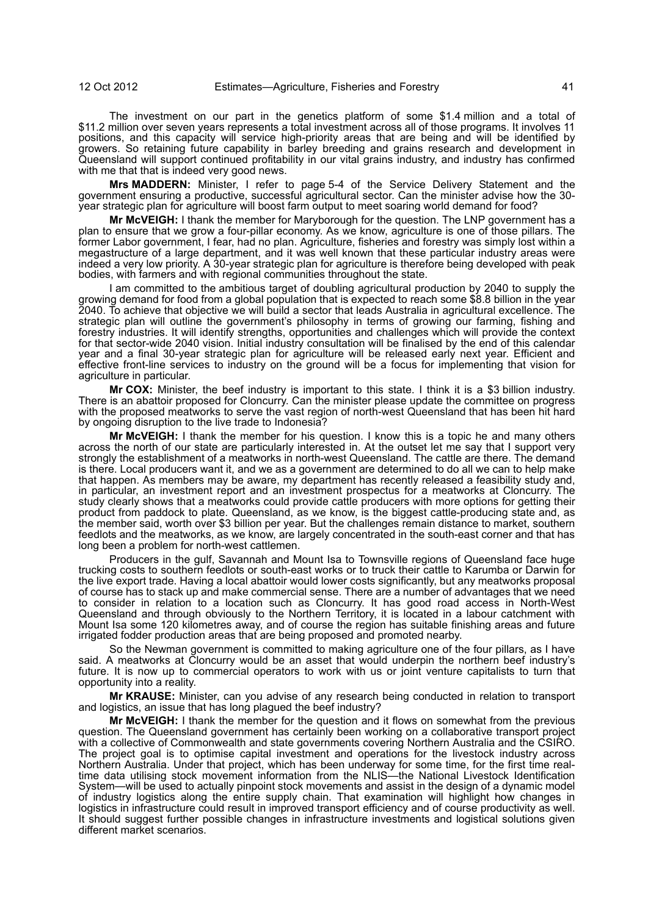The investment on our part in the genetics platform of some \$1.4 million and a total of \$11.2 million over seven years represents a total investment across all of those programs. It involves 11 positions, and this capacity will service high-priority areas that are being and will be identified by growers. So retaining future capability in barley breeding and grains research and development in Queensland will support continued profitability in our vital grains industry, and industry has confirmed with me that that is indeed very good news.

**Mrs MADDERN:** Minister, I refer to page 5-4 of the Service Delivery Statement and the government ensuring a productive, successful agricultural sector. Can the minister advise how the 30 year strategic plan for agriculture will boost farm output to meet soaring world demand for food?

**Mr McVEIGH:** I thank the member for Maryborough for the question. The LNP government has a plan to ensure that we grow a four-pillar economy. As we know, agriculture is one of those pillars. The former Labor government, I fear, had no plan. Agriculture, fisheries and forestry was simply lost within a megastructure of a large department, and it was well known that these particular industry areas were indeed a very low priority. A 30-year strategic plan for agriculture is therefore being developed with peak bodies, with farmers and with regional communities throughout the state.

I am committed to the ambitious target of doubling agricultural production by 2040 to supply the growing demand for food from a global population that is expected to reach some \$8.8 billion in the year 2040. To achieve that objective we will build a sector that leads Australia in agricultural excellence. The strategic plan will outline the government's philosophy in terms of growing our farming, fishing and forestry industries. It will identify strengths, opportunities and challenges which will provide the context for that sector-wide 2040 vision. Initial industry consultation will be finalised by the end of this calendar year and a final 30-year strategic plan for agriculture will be released early next year. Efficient and effective front-line services to industry on the ground will be a focus for implementing that vision for agriculture in particular.

**Mr COX:** Minister, the beef industry is important to this state. I think it is a \$3 billion industry. There is an abattoir proposed for Cloncurry. Can the minister please update the committee on progress with the proposed meatworks to serve the vast region of north-west Queensland that has been hit hard by ongoing disruption to the live trade to Indonesia?

**Mr McVEIGH:** I thank the member for his question. I know this is a topic he and many others across the north of our state are particularly interested in. At the outset let me say that I support very strongly the establishment of a meatworks in north-west Queensland. The cattle are there. The demand is there. Local producers want it, and we as a government are determined to do all we can to help make that happen. As members may be aware, my department has recently released a feasibility study and, in particular, an investment report and an investment prospectus for a meatworks at Cloncurry. The study clearly shows that a meatworks could provide cattle producers with more options for getting their product from paddock to plate. Queensland, as we know, is the biggest cattle-producing state and, as the member said, worth over \$3 billion per year. But the challenges remain distance to market, southern feedlots and the meatworks, as we know, are largely concentrated in the south-east corner and that has long been a problem for north-west cattlemen.

Producers in the gulf, Savannah and Mount Isa to Townsville regions of Queensland face huge trucking costs to southern feedlots or south-east works or to truck their cattle to Karumba or Darwin for the live export trade. Having a local abattoir would lower costs significantly, but any meatworks proposal of course has to stack up and make commercial sense. There are a number of advantages that we need to consider in relation to a location such as Cloncurry. It has good road access in North-West Queensland and through obviously to the Northern Territory, it is located in a labour catchment with Mount Isa some 120 kilometres away, and of course the region has suitable finishing areas and future irrigated fodder production areas that are being proposed and promoted nearby.

So the Newman government is committed to making agriculture one of the four pillars, as I have said. A meatworks at Cloncurry would be an asset that would underpin the northern beef industry's future. It is now up to commercial operators to work with us or joint venture capitalists to turn that opportunity into a reality.

**Mr KRAUSE:** Minister, can you advise of any research being conducted in relation to transport and logistics, an issue that has long plagued the beef industry?

**Mr McVEIGH:** I thank the member for the question and it flows on somewhat from the previous question. The Queensland government has certainly been working on a collaborative transport project with a collective of Commonwealth and state governments covering Northern Australia and the CSIRO. The project goal is to optimise capital investment and operations for the livestock industry across Northern Australia. Under that project, which has been underway for some time, for the first time realtime data utilising stock movement information from the NLIS—the National Livestock Identification System—will be used to actually pinpoint stock movements and assist in the design of a dynamic model of industry logistics along the entire supply chain. That examination will highlight how changes in logistics in infrastructure could result in improved transport efficiency and of course productivity as well. It should suggest further possible changes in infrastructure investments and logistical solutions given different market scenarios.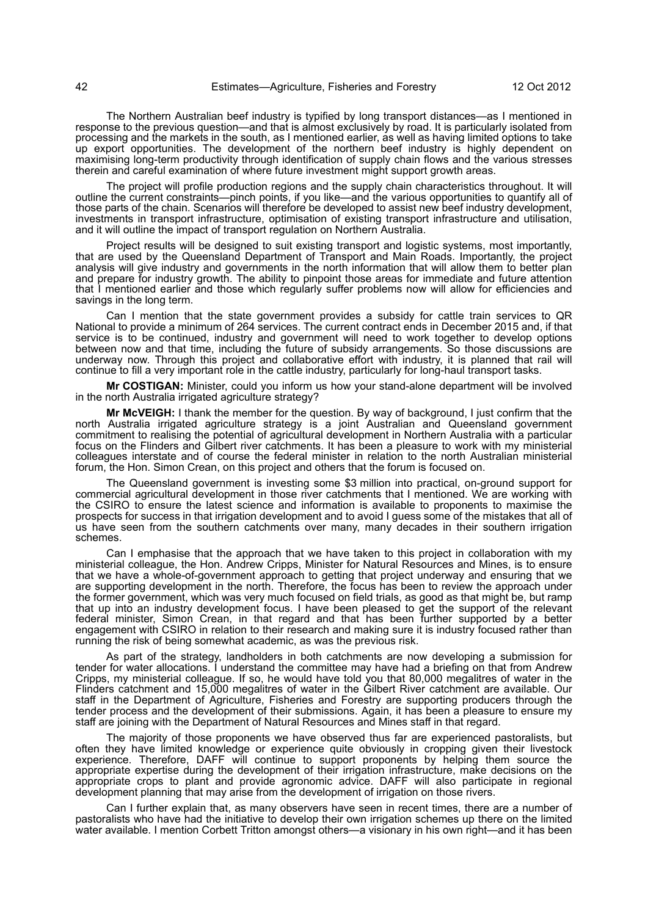The Northern Australian beef industry is typified by long transport distances—as I mentioned in response to the previous question—and that is almost exclusively by road. It is particularly isolated from processing and the markets in the south, as I mentioned earlier, as well as having limited options to take up export opportunities. The development of the northern beef industry is highly dependent on maximising long-term productivity through identification of supply chain flows and the various stresses therein and careful examination of where future investment might support growth areas.

The project will profile production regions and the supply chain characteristics throughout. It will outline the current constraints—pinch points, if you like—and the various opportunities to quantify all of those parts of the chain. Scenarios will therefore be developed to assist new beef industry development, investments in transport infrastructure, optimisation of existing transport infrastructure and utilisation, and it will outline the impact of transport regulation on Northern Australia.

Project results will be designed to suit existing transport and logistic systems, most importantly, that are used by the Queensland Department of Transport and Main Roads. Importantly, the project analysis will give industry and governments in the north information that will allow them to better plan and prepare for industry growth. The ability to pinpoint those areas for immediate and future attention that I mentioned earlier and those which regularly suffer problems now will allow for efficiencies and savings in the long term.

Can I mention that the state government provides a subsidy for cattle train services to QR National to provide a minimum of 264 services. The current contract ends in December 2015 and, if that service is to be continued, industry and government will need to work together to develop options between now and that time, including the future of subsidy arrangements. So those discussions are underway now. Through this project and collaborative effort with industry, it is planned that rail will continue to fill a very important role in the cattle industry, particularly for long-haul transport tasks.

**Mr COSTIGAN:** Minister, could you inform us how your stand-alone department will be involved in the north Australia irrigated agriculture strategy?

**Mr McVEIGH:** I thank the member for the question. By way of background, I just confirm that the north Australia irrigated agriculture strategy is a joint Australian and Queensland government commitment to realising the potential of agricultural development in Northern Australia with a particular focus on the Flinders and Gilbert river catchments. It has been a pleasure to work with my ministerial colleagues interstate and of course the federal minister in relation to the north Australian ministerial forum, the Hon. Simon Crean, on this project and others that the forum is focused on.

The Queensland government is investing some \$3 million into practical, on-ground support for commercial agricultural development in those river catchments that I mentioned. We are working with the CSIRO to ensure the latest science and information is available to proponents to maximise the prospects for success in that irrigation development and to avoid I guess some of the mistakes that all of us have seen from the southern catchments over many, many decades in their southern irrigation schemes.

Can I emphasise that the approach that we have taken to this project in collaboration with my ministerial colleague, the Hon. Andrew Cripps, Minister for Natural Resources and Mines, is to ensure that we have a whole-of-government approach to getting that project underway and ensuring that we are supporting development in the north. Therefore, the focus has been to review the approach under the former government, which was very much focused on field trials, as good as that might be, but ramp that up into an industry development focus. I have been pleased to get the support of the relevant federal minister, Simon Crean, in that regard and that has been further supported by a better engagement with CSIRO in relation to their research and making sure it is industry focused rather than running the risk of being somewhat academic, as was the previous risk.

As part of the strategy, landholders in both catchments are now developing a submission for tender for water allocations. I understand the committee may have had a briefing on that from Andrew Cripps, my ministerial colleague. If so, he would have told you that 80,000 megalitres of water in the Flinders catchment and 15,000 megalitres of water in the Gilbert River catchment are available. Our staff in the Department of Agriculture, Fisheries and Forestry are supporting producers through the tender process and the development of their submissions. Again, it has been a pleasure to ensure my staff are joining with the Department of Natural Resources and Mines staff in that regard.

The majority of those proponents we have observed thus far are experienced pastoralists, but often they have limited knowledge or experience quite obviously in cropping given their livestock experience. Therefore, DAFF will continue to support proponents by helping them source the appropriate expertise during the development of their irrigation infrastructure, make decisions on the appropriate crops to plant and provide agronomic advice. DAFF will also participate in regional development planning that may arise from the development of irrigation on those rivers.

Can I further explain that, as many observers have seen in recent times, there are a number of pastoralists who have had the initiative to develop their own irrigation schemes up there on the limited water available. I mention Corbett Tritton amongst others—a visionary in his own right—and it has been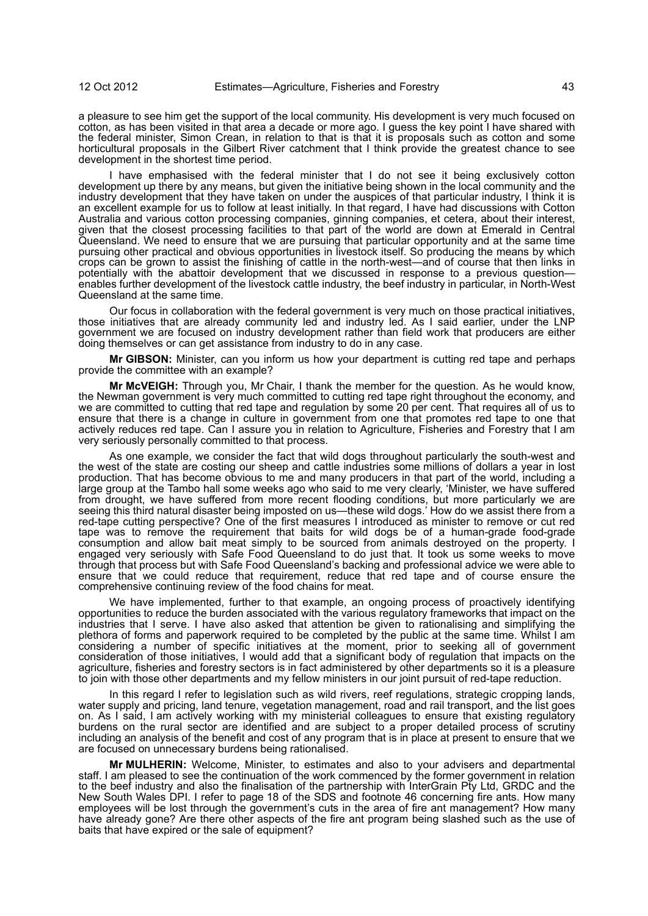a pleasure to see him get the support of the local community. His development is very much focused on cotton, as has been visited in that area a decade or more ago. I guess the key point I have shared with the federal minister, Simon Crean, in relation to that is that it is proposals such as cotton and some horticultural proposals in the Gilbert River catchment that I think provide the greatest chance to see development in the shortest time period.

I have emphasised with the federal minister that I do not see it being exclusively cotton development up there by any means, but given the initiative being shown in the local community and the industry development that they have taken on under the auspices of that particular industry, I think it is an excellent example for us to follow at least initially. In that regard, I have had discussions with Cotton Australia and various cotton processing companies, ginning companies, et cetera, about their interest, given that the closest processing facilities to that part of the world are down at Emerald in Central Queensland. We need to ensure that we are pursuing that particular opportunity and at the same time pursuing other practical and obvious opportunities in livestock itself. So producing the means by which crops can be grown to assist the finishing of cattle in the north-west—and of course that then links in potentially with the abattoir development that we discussed in response to a previous question enables further development of the livestock cattle industry, the beef industry in particular, in North-West Queensland at the same time.

Our focus in collaboration with the federal government is very much on those practical initiatives, those initiatives that are already community led and industry led. As I said earlier, under the LNP government we are focused on industry development rather than field work that producers are either doing themselves or can get assistance from industry to do in any case.

**Mr GIBSON:** Minister, can you inform us how your department is cutting red tape and perhaps provide the committee with an example?

**Mr McVEIGH:** Through you, Mr Chair, I thank the member for the question. As he would know, the Newman government is very much committed to cutting red tape right throughout the economy, and we are committed to cutting that red tape and regulation by some 20 per cent. That requires all of us to ensure that there is a change in culture in government from one that promotes red tape to one that actively reduces red tape. Can I assure you in relation to Agriculture, Fisheries and Forestry that I am very seriously personally committed to that process.

As one example, we consider the fact that wild dogs throughout particularly the south-west and the west of the state are costing our sheep and cattle industries some millions of dollars a year in lost production. That has become obvious to me and many producers in that part of the world, including a large group at the Tambo hall some weeks ago who said to me very clearly, 'Minister, we have suffered from drought, we have suffered from more recent flooding conditions, but more particularly we are seeing this third natural disaster being imposted on us—these wild dogs.' How do we assist there from a red-tape cutting perspective? One of the first measures I introduced as minister to remove or cut red tape was to remove the requirement that baits for wild dogs be of a human-grade food-grade consumption and allow bait meat simply to be sourced from animals destroyed on the property. I engaged very seriously with Safe Food Queensland to do just that. It took us some weeks to move through that process but with Safe Food Queensland's backing and professional advice we were able to ensure that we could reduce that requirement, reduce that red tape and of course ensure the comprehensive continuing review of the food chains for meat.

We have implemented, further to that example, an ongoing process of proactively identifying opportunities to reduce the burden associated with the various regulatory frameworks that impact on the industries that I serve. I have also asked that attention be given to rationalising and simplifying the plethora of forms and paperwork required to be completed by the public at the same time. Whilst I am considering a number of specific initiatives at the moment, prior to seeking all of government consideration of those initiatives, I would add that a significant body of regulation that impacts on the agriculture, fisheries and forestry sectors is in fact administered by other departments so it is a pleasure to join with those other departments and my fellow ministers in our joint pursuit of red-tape reduction.

In this regard I refer to legislation such as wild rivers, reef regulations, strategic cropping lands, water supply and pricing, land tenure, vegetation management, road and rail transport, and the list goes on. As I said, I am actively working with my ministerial colleagues to ensure that existing regulatory burdens on the rural sector are identified and are subject to a proper detailed process of scrutiny including an analysis of the benefit and cost of any program that is in place at present to ensure that we are focused on unnecessary burdens being rationalised.

**Mr MULHERIN:** Welcome, Minister, to estimates and also to your advisers and departmental staff. I am pleased to see the continuation of the work commenced by the former government in relation to the beef industry and also the finalisation of the partnership with InterGrain Pty Ltd, GRDC and the New South Wales DPI. I refer to page 18 of the SDS and footnote 46 concerning fire ants. How many employees will be lost through the government's cuts in the area of fire ant management? How many have already gone? Are there other aspects of the fire ant program being slashed such as the use of baits that have expired or the sale of equipment?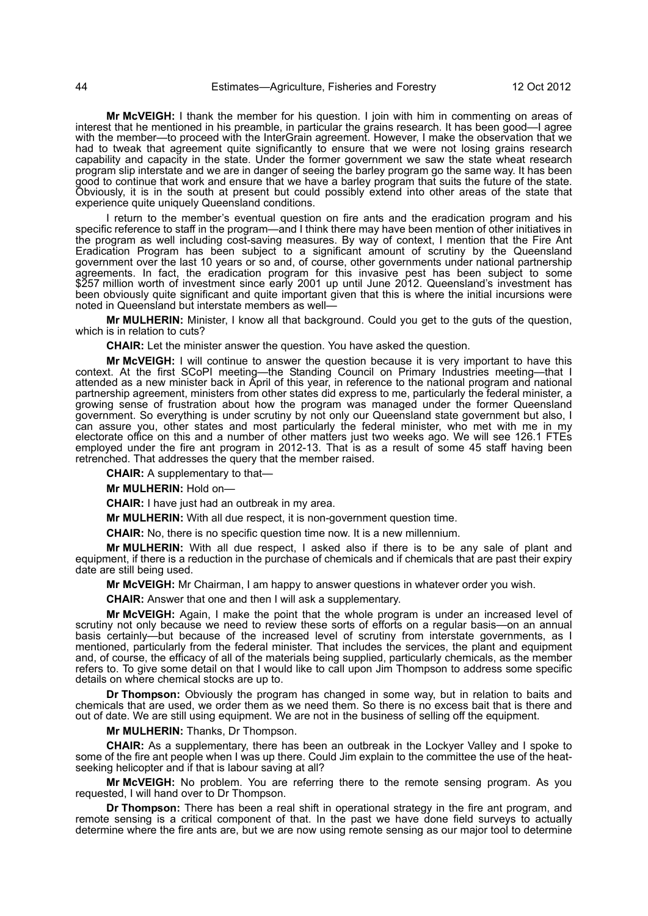**Mr McVEIGH:** I thank the member for his question. I join with him in commenting on areas of interest that he mentioned in his preamble, in particular the grains research. It has been good—I agree with the member—to proceed with the InterGrain agreement. However, I make the observation that we had to tweak that agreement quite significantly to ensure that we were not losing grains research capability and capacity in the state. Under the former government we saw the state wheat research program slip interstate and we are in danger of seeing the barley program go the same way. It has been good to continue that work and ensure that we have a barley program that suits the future of the state. Obviously, it is in the south at present but could possibly extend into other areas of the state that experience quite uniquely Queensland conditions.

I return to the member's eventual question on fire ants and the eradication program and his specific reference to staff in the program—and I think there may have been mention of other initiatives in the program as well including cost-saving measures. By way of context, I mention that the Fire Ant Eradication Program has been subject to a significant amount of scrutiny by the Queensland government over the last 10 years or so and, of course, other governments under national partnership agreements. In fact, the eradication program for this invasive pest has been subject to some \$257 million worth of investment since early 2001 up until June 2012. Queensland's investment has been obviously quite significant and quite important given that this is where the initial incursions were noted in Queensland but interstate members as well—

**Mr MULHERIN:** Minister, I know all that background. Could you get to the guts of the question, which is in relation to cuts?

**CHAIR:** Let the minister answer the question. You have asked the question.

**Mr McVEIGH:** I will continue to answer the question because it is very important to have this context. At the first SCoPI meeting—the Standing Council on Primary Industries meeting—that I attended as a new minister back in April of this year, in reference to the national program and national partnership agreement, ministers from other states did express to me, particularly the federal minister, a growing sense of frustration about how the program was managed under the former Queensland government. So everything is under scrutiny by not only our Queensland state government but also, I can assure you, other states and most particularly the federal minister, who met with me in my electorate office on this and a number of other matters just two weeks ago. We will see 126.1 FTEs employed under the fire ant program in 2012-13. That is as a result of some 45 staff having been retrenched. That addresses the query that the member raised.

**CHAIR:** A supplementary to that—

**Mr MULHERIN:** Hold on—

**CHAIR:** I have just had an outbreak in my area.

**Mr MULHERIN:** With all due respect, it is non-government question time.

**CHAIR:** No, there is no specific question time now. It is a new millennium.

**Mr MULHERIN:** With all due respect, I asked also if there is to be any sale of plant and equipment, if there is a reduction in the purchase of chemicals and if chemicals that are past their expiry date are still being used.

**Mr McVEIGH:** Mr Chairman, I am happy to answer questions in whatever order you wish.

**CHAIR:** Answer that one and then I will ask a supplementary.

**Mr McVEIGH:** Again, I make the point that the whole program is under an increased level of scrutiny not only because we need to review these sorts of efforts on a regular basis—on an annual basis certainly—but because of the increased level of scrutiny from interstate governments, as I mentioned, particularly from the federal minister. That includes the services, the plant and equipment and, of course, the efficacy of all of the materials being supplied, particularly chemicals, as the member refers to. To give some detail on that I would like to call upon Jim Thompson to address some specific details on where chemical stocks are up to.

**Dr Thompson:** Obviously the program has changed in some way, but in relation to baits and chemicals that are used, we order them as we need them. So there is no excess bait that is there and out of date. We are still using equipment. We are not in the business of selling off the equipment.

**Mr MULHERIN:** Thanks, Dr Thompson.

**CHAIR:** As a supplementary, there has been an outbreak in the Lockyer Valley and I spoke to some of the fire ant people when I was up there. Could Jim explain to the committee the use of the heatseeking helicopter and if that is labour saving at all?

**Mr McVEIGH:** No problem. You are referring there to the remote sensing program. As you requested, I will hand over to Dr Thompson.

**Dr Thompson:** There has been a real shift in operational strategy in the fire ant program, and remote sensing is a critical component of that. In the past we have done field surveys to actually determine where the fire ants are, but we are now using remote sensing as our major tool to determine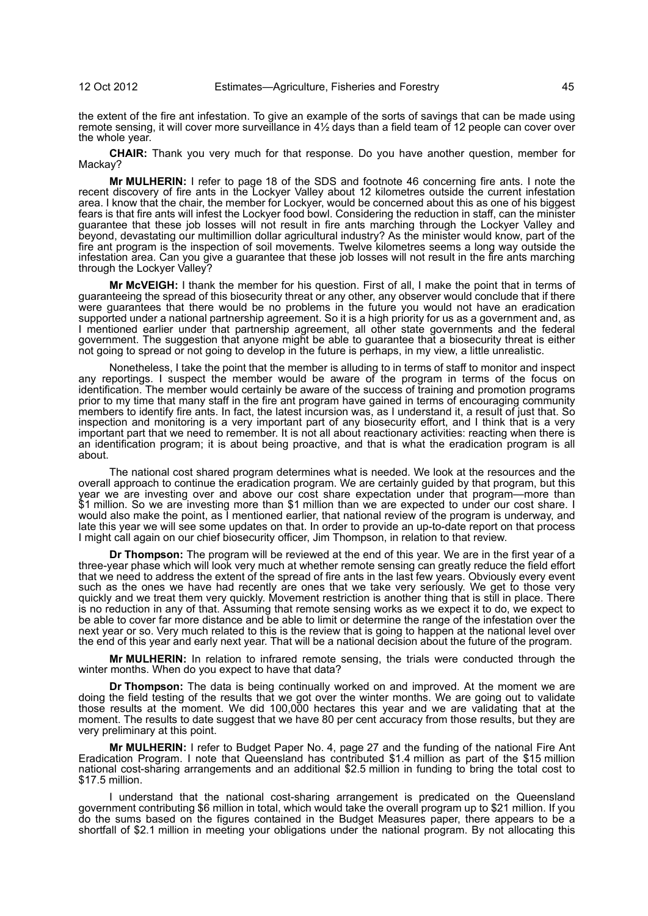the extent of the fire ant infestation. To give an example of the sorts of savings that can be made using remote sensing, it will cover more surveillance in 4½ days than a field team of 12 people can cover over the whole year.

**CHAIR:** Thank you very much for that response. Do you have another question, member for Mackay?

**Mr MULHERIN:** I refer to page 18 of the SDS and footnote 46 concerning fire ants. I note the recent discovery of fire ants in the Lockyer Valley about 12 kilometres outside the current infestation area. I know that the chair, the member for Lockyer, would be concerned about this as one of his biggest fears is that fire ants will infest the Lockyer food bowl. Considering the reduction in staff, can the minister guarantee that these job losses will not result in fire ants marching through the Lockyer Valley and beyond, devastating our multimillion dollar agricultural industry? As the minister would know, part of the fire ant program is the inspection of soil movements. Twelve kilometres seems a long way outside the infestation area. Can you give a guarantee that these job losses will not result in the fire ants marching through the Lockyer Valley?

**Mr McVEIGH:** I thank the member for his question. First of all, I make the point that in terms of guaranteeing the spread of this biosecurity threat or any other, any observer would conclude that if there were guarantees that there would be no problems in the future you would not have an eradication supported under a national partnership agreement. So it is a high priority for us as a government and, as I mentioned earlier under that partnership agreement, all other state governments and the federal government. The suggestion that anyone might be able to guarantee that a biosecurity threat is either not going to spread or not going to develop in the future is perhaps, in my view, a little unrealistic.

Nonetheless, I take the point that the member is alluding to in terms of staff to monitor and inspect any reportings. I suspect the member would be aware of the program in terms of the focus on identification. The member would certainly be aware of the success of training and promotion programs prior to my time that many staff in the fire ant program have gained in terms of encouraging community members to identify fire ants. In fact, the latest incursion was, as I understand it, a result of just that. So inspection and monitoring is a very important part of any biosecurity effort, and I think that is a very important part that we need to remember. It is not all about reactionary activities: reacting when there is an identification program; it is about being proactive, and that is what the eradication program is all about.

The national cost shared program determines what is needed. We look at the resources and the overall approach to continue the eradication program. We are certainly guided by that program, but this year we are investing over and above our cost share expectation under that program—more than \$1 million. So we are investing more than \$1 million than we are expected to under our cost share. I would also make the point, as I mentioned earlier, that national review of the program is underway, and late this year we will see some updates on that. In order to provide an up-to-date report on that process I might call again on our chief biosecurity officer, Jim Thompson, in relation to that review.

**Dr Thompson:** The program will be reviewed at the end of this year. We are in the first year of a three-year phase which will look very much at whether remote sensing can greatly reduce the field effort that we need to address the extent of the spread of fire ants in the last few years. Obviously every event such as the ones we have had recently are ones that we take very seriously. We get to those very quickly and we treat them very quickly. Movement restriction is another thing that is still in place. There is no reduction in any of that. Assuming that remote sensing works as we expect it to do, we expect to be able to cover far more distance and be able to limit or determine the range of the infestation over the next year or so. Very much related to this is the review that is going to happen at the national level over the end of this year and early next year. That will be a national decision about the future of the program.

**Mr MULHERIN:** In relation to infrared remote sensing, the trials were conducted through the winter months. When do you expect to have that data?

**Dr Thompson:** The data is being continually worked on and improved. At the moment we are doing the field testing of the results that we got over the winter months. We are going out to validate those results at the moment. We did 100,000 hectares this year and we are validating that at the moment. The results to date suggest that we have 80 per cent accuracy from those results, but they are very preliminary at this point.

**Mr MULHERIN:** I refer to Budget Paper No. 4, page 27 and the funding of the national Fire Ant Eradication Program. I note that Queensland has contributed \$1.4 million as part of the \$15 million national cost-sharing arrangements and an additional \$2.5 million in funding to bring the total cost to \$17.5 million.

I understand that the national cost-sharing arrangement is predicated on the Queensland government contributing \$6 million in total, which would take the overall program up to \$21 million. If you do the sums based on the figures contained in the Budget Measures paper, there appears to be a shortfall of \$2.1 million in meeting your obligations under the national program. By not allocating this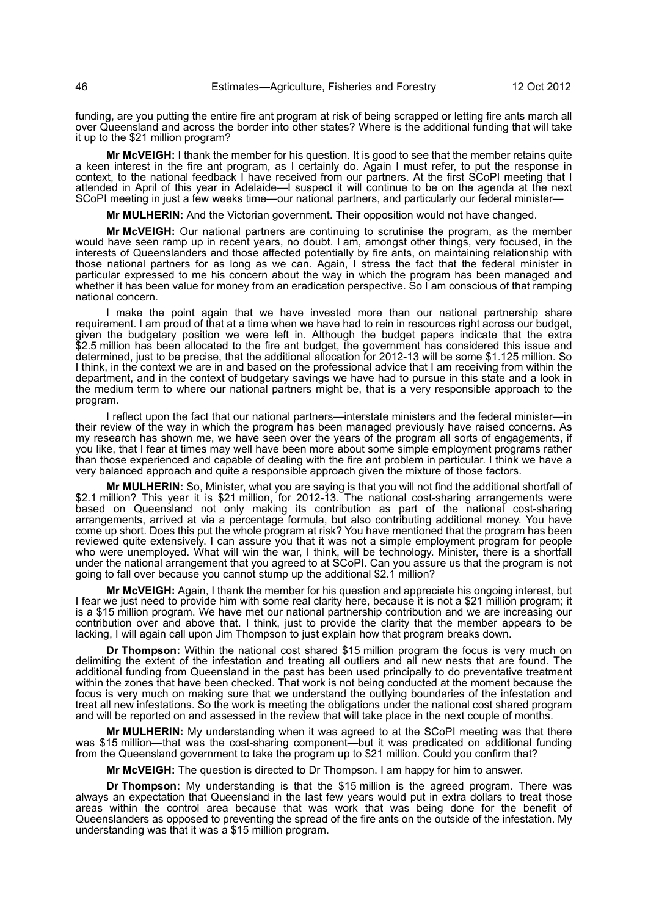funding, are you putting the entire fire ant program at risk of being scrapped or letting fire ants march all over Queensland and across the border into other states? Where is the additional funding that will take it up to the \$21 million program?

**Mr McVEIGH:** I thank the member for his question. It is good to see that the member retains quite a keen interest in the fire ant program, as I certainly do. Again I must refer, to put the response in context, to the national feedback I have received from our partners. At the first SCoPI meeting that I attended in April of this year in Adelaide—I suspect it will continue to be on the agenda at the next SCoPI meeting in just a few weeks time—our national partners, and particularly our federal minister—

**Mr MULHERIN:** And the Victorian government. Their opposition would not have changed.

**Mr McVEIGH:** Our national partners are continuing to scrutinise the program, as the member would have seen ramp up in recent years, no doubt. I am, amongst other things, very focused, in the interests of Queenslanders and those affected potentially by fire ants, on maintaining relationship with those national partners for as long as we can. Again, I stress the fact that the federal minister in particular expressed to me his concern about the way in which the program has been managed and whether it has been value for money from an eradication perspective. So I am conscious of that ramping national concern.

I make the point again that we have invested more than our national partnership share requirement. I am proud of that at a time when we have had to rein in resources right across our budget, given the budgetary position we were left in. Although the budget papers indicate that the extra \$2.5 million has been allocated to the fire ant budget, the government has considered this issue and determined, just to be precise, that the additional allocation for 2012-13 will be some \$1.125 million. So I think, in the context we are in and based on the professional advice that I am receiving from within the department, and in the context of budgetary savings we have had to pursue in this state and a look in the medium term to where our national partners might be, that is a very responsible approach to the program.

I reflect upon the fact that our national partners—interstate ministers and the federal minister—in their review of the way in which the program has been managed previously have raised concerns. As my research has shown me, we have seen over the years of the program all sorts of engagements, if you like, that I fear at times may well have been more about some simple employment programs rather than those experienced and capable of dealing with the fire ant problem in particular. I think we have a very balanced approach and quite a responsible approach given the mixture of those factors.

**Mr MULHERIN:** So, Minister, what you are saying is that you will not find the additional shortfall of \$2.1 million? This year it is \$21 million, for 2012-13. The national cost-sharing arrangements were based on Queensland not only making its contribution as part of the national cost-sharing arrangements, arrived at via a percentage formula, but also contributing additional money. You have come up short. Does this put the whole program at risk? You have mentioned that the program has been reviewed quite extensively. I can assure you that it was not a simple employment program for people who were unemployed. What will win the war, I think, will be technology. Minister, there is a shortfall under the national arrangement that you agreed to at SCoPI. Can you assure us that the program is not going to fall over because you cannot stump up the additional \$2.1 million?

**Mr McVEIGH:** Again, I thank the member for his question and appreciate his ongoing interest, but I fear we just need to provide him with some real clarity here, because it is not a \$21 million program; it is a \$15 million program. We have met our national partnership contribution and we are increasing our contribution over and above that. I think, just to provide the clarity that the member appears to be lacking, I will again call upon Jim Thompson to just explain how that program breaks down.

**Dr Thompson:** Within the national cost shared \$15 million program the focus is very much on delimiting the extent of the infestation and treating all outliers and all new nests that are found. The additional funding from Queensland in the past has been used principally to do preventative treatment within the zones that have been checked. That work is not being conducted at the moment because the focus is very much on making sure that we understand the outlying boundaries of the infestation and treat all new infestations. So the work is meeting the obligations under the national cost shared program and will be reported on and assessed in the review that will take place in the next couple of months.

**Mr MULHERIN:** My understanding when it was agreed to at the SCoPI meeting was that there was \$15 million—that was the cost-sharing component—but it was predicated on additional funding from the Queensland government to take the program up to \$21 million. Could you confirm that?

**Mr McVEIGH:** The question is directed to Dr Thompson. I am happy for him to answer.

**Dr Thompson:** My understanding is that the \$15 million is the agreed program. There was always an expectation that Queensland in the last few years would put in extra dollars to treat those areas within the control area because that was work that was being done for the benefit of Queenslanders as opposed to preventing the spread of the fire ants on the outside of the infestation. My understanding was that it was a \$15 million program.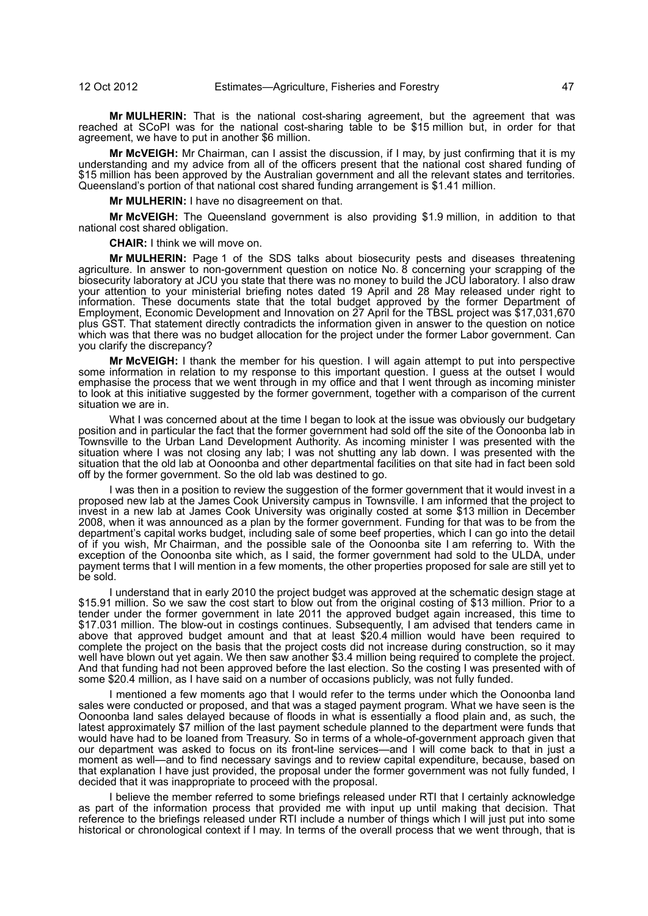**Mr MULHERIN:** That is the national cost-sharing agreement, but the agreement that was reached at SCoPI was for the national cost-sharing table to be \$15 million but, in order for that agreement, we have to put in another \$6 million.

**Mr McVEIGH:** Mr Chairman, can I assist the discussion, if I may, by just confirming that it is my understanding and my advice from all of the officers present that the national cost shared funding of \$15 million has been approved by the Australian government and all the relevant states and territories. Queensland's portion of that national cost shared funding arrangement is \$1.41 million.

**Mr MULHERIN:** I have no disagreement on that.

**Mr McVEIGH:** The Queensland government is also providing \$1.9 million, in addition to that national cost shared obligation.

**CHAIR:** I think we will move on.

**Mr MULHERIN:** Page 1 of the SDS talks about biosecurity pests and diseases threatening agriculture. In answer to non-government question on notice No. 8 concerning your scrapping of the biosecurity laboratory at JCU you state that there was no money to build the JCU laboratory. I also draw your attention to your ministerial briefing notes dated 19 April and 28 May released under right to information. These documents state that the total budget approved by the former Department of Employment, Economic Development and Innovation on 27 April for the TBSL project was \$17,031,670 plus GST. That statement directly contradicts the information given in answer to the question on notice which was that there was no budget allocation for the project under the former Labor government. Can you clarify the discrepancy?

**Mr McVEIGH:** I thank the member for his question. I will again attempt to put into perspective some information in relation to my response to this important question. I quess at the outset I would emphasise the process that we went through in my office and that I went through as incoming minister to look at this initiative suggested by the former government, together with a comparison of the current situation we are in.

What I was concerned about at the time I began to look at the issue was obviously our budgetary position and in particular the fact that the former government had sold off the site of the Oonoonba lab in Townsville to the Urban Land Development Authority. As incoming minister I was presented with the situation where I was not closing any lab; I was not shutting any lab down. I was presented with the situation that the old lab at Oonoonba and other departmental facilities on that site had in fact been sold off by the former government. So the old lab was destined to go.

I was then in a position to review the suggestion of the former government that it would invest in a proposed new lab at the James Cook University campus in Townsville. I am informed that the project to invest in a new lab at James Cook University was originally costed at some \$13 million in December 2008, when it was announced as a plan by the former government. Funding for that was to be from the department's capital works budget, including sale of some beef properties, which I can go into the detail of if you wish, Mr Chairman, and the possible sale of the Oonoonba site I am referring to. With the exception of the Oonoonba site which, as I said, the former government had sold to the ULDA, under payment terms that I will mention in a few moments, the other properties proposed for sale are still yet to be sold.

I understand that in early 2010 the project budget was approved at the schematic design stage at \$15.91 million. So we saw the cost start to blow out from the original costing of \$13 million. Prior to a tender under the former government in late 2011 the approved budget again increased, this time to \$17.031 million. The blow-out in costings continues. Subsequently, I am advised that tenders came in above that approved budget amount and that at least \$20.4 million would have been required to complete the project on the basis that the project costs did not increase during construction, so it may well have blown out yet again. We then saw another \$3.4 million being required to complete the project. And that funding had not been approved before the last election. So the costing I was presented with of some \$20.4 million, as I have said on a number of occasions publicly, was not fully funded.

I mentioned a few moments ago that I would refer to the terms under which the Oonoonba land sales were conducted or proposed, and that was a staged payment program. What we have seen is the Oonoonba land sales delayed because of floods in what is essentially a flood plain and, as such, the latest approximately \$7 million of the last payment schedule planned to the department were funds that would have had to be loaned from Treasury. So in terms of a whole-of-government approach given that our department was asked to focus on its front-line services—and I will come back to that in just a moment as well—and to find necessary savings and to review capital expenditure, because, based on that explanation I have just provided, the proposal under the former government was not fully funded, I decided that it was inappropriate to proceed with the proposal.

I believe the member referred to some briefings released under RTI that I certainly acknowledge as part of the information process that provided me with input up until making that decision. That reference to the briefings released under RTI include a number of things which I will just put into some historical or chronological context if I may. In terms of the overall process that we went through, that is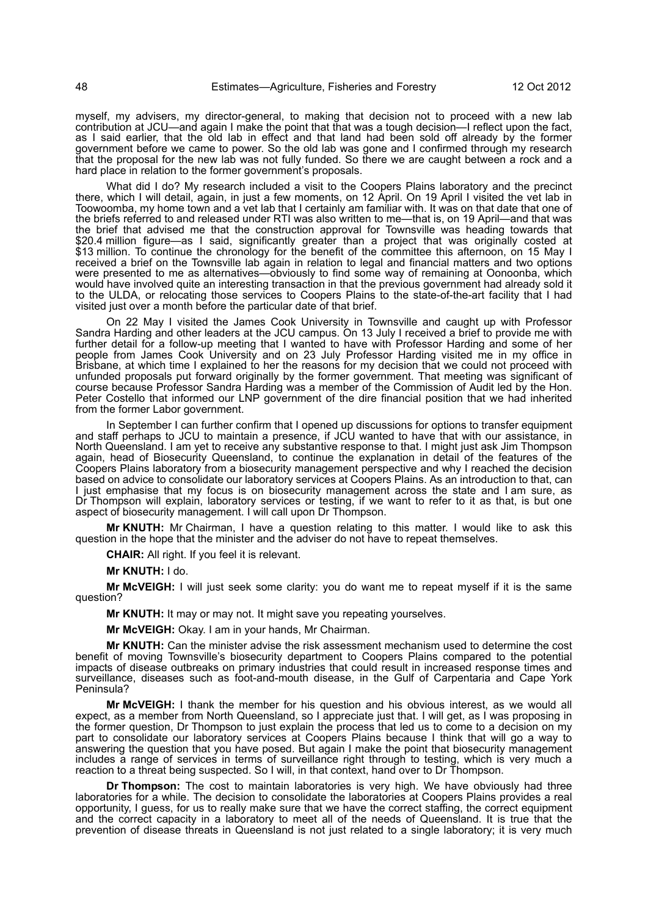myself, my advisers, my director-general, to making that decision not to proceed with a new lab contribution at JCU—and again I make the point that that was a tough decision—I reflect upon the fact, as I said earlier, that the old lab in effect and that land had been sold off already by the former government before we came to power. So the old lab was gone and I confirmed through my research that the proposal for the new lab was not fully funded. So there we are caught between a rock and a hard place in relation to the former government's proposals.

What did I do? My research included a visit to the Coopers Plains laboratory and the precinct there, which I will detail, again, in just a few moments, on 12 April. On 19 April I visited the vet lab in Toowoomba, my home town and a vet lab that I certainly am familiar with. It was on that date that one of the briefs referred to and released under RTI was also written to me—that is, on 19 April—and that was the brief that advised me that the construction approval for Townsville was heading towards that \$20.4 million figure—as I said, significantly greater than a project that was originally costed at \$13 million. To continue the chronology for the benefit of the committee this afternoon, on 15 May I received a brief on the Townsville lab again in relation to legal and financial matters and two options were presented to me as alternatives—obviously to find some way of remaining at Oonoonba, which would have involved quite an interesting transaction in that the previous government had already sold it to the ULDA, or relocating those services to Coopers Plains to the state-of-the-art facility that I had visited just over a month before the particular date of that brief.

On 22 May I visited the James Cook University in Townsville and caught up with Professor Sandra Harding and other leaders at the JCU campus. On 13 July I received a brief to provide me with further detail for a follow-up meeting that I wanted to have with Professor Harding and some of her people from James Cook University and on 23 July Professor Harding visited me in my office in Brisbane, at which time I explained to her the reasons for my decision that we could not proceed with unfunded proposals put forward originally by the former government. That meeting was significant of course because Professor Sandra Harding was a member of the Commission of Audit led by the Hon. Peter Costello that informed our LNP government of the dire financial position that we had inherited from the former Labor government.

In September I can further confirm that I opened up discussions for options to transfer equipment and staff perhaps to JCU to maintain a presence, if JCU wanted to have that with our assistance, in North Queensland. I am yet to receive any substantive response to that. I might just ask Jim Thompson again, head of Biosecurity Queensland, to continue the explanation in detail of the features of the Coopers Plains laboratory from a biosecurity management perspective and why I reached the decision based on advice to consolidate our laboratory services at Coopers Plains. As an introduction to that, can I just emphasise that my focus is on biosecurity management across the state and I am sure, as Dr Thompson will explain, laboratory services or testing, if we want to refer to it as that, is but one aspect of biosecurity management. I will call upon Dr Thompson.

**Mr KNUTH:** Mr Chairman, I have a question relating to this matter. I would like to ask this question in the hope that the minister and the adviser do not have to repeat themselves.

**CHAIR:** All right. If you feel it is relevant.

**Mr KNUTH:** I do.

**Mr McVEIGH:** I will just seek some clarity: you do want me to repeat myself if it is the same question?

**Mr KNUTH:** It may or may not. It might save you repeating yourselves.

**Mr McVEIGH:** Okay. I am in your hands, Mr Chairman.

**Mr KNUTH:** Can the minister advise the risk assessment mechanism used to determine the cost benefit of moving Townsville's biosecurity department to Coopers Plains compared to the potential impacts of disease outbreaks on primary industries that could result in increased response times and surveillance, diseases such as foot-and-mouth disease, in the Gulf of Carpentaria and Cape York Peninsula?

**Mr McVEIGH:** I thank the member for his question and his obvious interest, as we would all expect, as a member from North Queensland, so I appreciate just that. I will get, as I was proposing in the former question, Dr Thompson to just explain the process that led us to come to a decision on my part to consolidate our laboratory services at Coopers Plains because I think that will go a way to answering the question that you have posed. But again I make the point that biosecurity management includes a range of services in terms of surveillance right through to testing, which is very much a reaction to a threat being suspected. So I will, in that context, hand over to Dr Thompson.

**Dr Thompson:** The cost to maintain laboratories is very high. We have obviously had three laboratories for a while. The decision to consolidate the laboratories at Coopers Plains provides a real opportunity, I guess, for us to really make sure that we have the correct staffing, the correct equipment and the correct capacity in a laboratory to meet all of the needs of Queensland. It is true that the prevention of disease threats in Queensland is not just related to a single laboratory; it is very much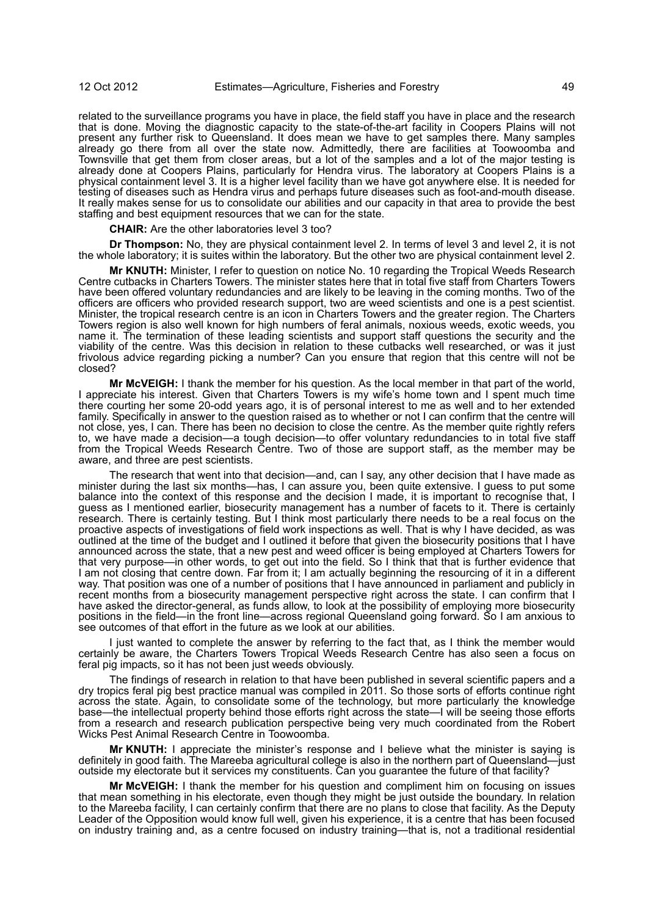related to the surveillance programs you have in place, the field staff you have in place and the research that is done. Moving the diagnostic capacity to the state-of-the-art facility in Coopers Plains will not present any further risk to Queensland. It does mean we have to get samples there. Many samples already go there from all over the state now. Admittedly, there are facilities at Toowoomba and Townsville that get them from closer areas, but a lot of the samples and a lot of the major testing is already done at Coopers Plains, particularly for Hendra virus. The laboratory at Coopers Plains is a physical containment level 3. It is a higher level facility than we have got anywhere else. It is needed for testing of diseases such as Hendra virus and perhaps future diseases such as foot-and-mouth disease. It really makes sense for us to consolidate our abilities and our capacity in that area to provide the best staffing and best equipment resources that we can for the state.

**CHAIR:** Are the other laboratories level 3 too?

**Dr Thompson:** No, they are physical containment level 2. In terms of level 3 and level 2, it is not the whole laboratory; it is suites within the laboratory. But the other two are physical containment level 2.

**Mr KNUTH:** Minister, I refer to question on notice No. 10 regarding the Tropical Weeds Research Centre cutbacks in Charters Towers. The minister states here that in total five staff from Charters Towers have been offered voluntary redundancies and are likely to be leaving in the coming months. Two of the officers are officers who provided research support, two are weed scientists and one is a pest scientist. Minister, the tropical research centre is an icon in Charters Towers and the greater region. The Charters Towers region is also well known for high numbers of feral animals, noxious weeds, exotic weeds, you name it. The termination of these leading scientists and support staff questions the security and the viability of the centre. Was this decision in relation to these cutbacks well researched, or was it just frivolous advice regarding picking a number? Can you ensure that region that this centre will not be closed?

**Mr McVEIGH:** I thank the member for his question. As the local member in that part of the world, I appreciate his interest. Given that Charters Towers is my wife's home town and I spent much time there courting her some 20-odd years ago, it is of personal interest to me as well and to her extended family. Specifically in answer to the question raised as to whether or not I can confirm that the centre will not close, yes, I can. There has been no decision to close the centre. As the member quite rightly refers to, we have made a decision—a tough decision—to offer voluntary redundancies to in total five staff from the Tropical Weeds Research Centre. Two of those are support staff, as the member may be aware, and three are pest scientists.

The research that went into that decision—and, can I say, any other decision that I have made as minister during the last six months—has, I can assure you, been quite extensive. I guess to put some balance into the context of this response and the decision I made, it is important to recognise that, I guess as I mentioned earlier, biosecurity management has a number of facets to it. There is certainly research. There is certainly testing. But I think most particularly there needs to be a real focus on the proactive aspects of investigations of field work inspections as well. That is why I have decided, as was outlined at the time of the budget and I outlined it before that given the biosecurity positions that I have announced across the state, that a new pest and weed officer is being employed at Charters Towers for that very purpose—in other words, to get out into the field. So I think that that is further evidence that I am not closing that centre down. Far from it; I am actually beginning the resourcing of it in a different way. That position was one of a number of positions that I have announced in parliament and publicly in recent months from a biosecurity management perspective right across the state. I can confirm that I have asked the director-general, as funds allow, to look at the possibility of employing more biosecurity positions in the field—in the front line—across regional Queensland going forward. So I am anxious to see outcomes of that effort in the future as we look at our abilities.

I just wanted to complete the answer by referring to the fact that, as I think the member would certainly be aware, the Charters Towers Tropical Weeds Research Centre has also seen a focus on feral pig impacts, so it has not been just weeds obviously.

The findings of research in relation to that have been published in several scientific papers and a dry tropics feral pig best practice manual was compiled in 2011. So those sorts of efforts continue right across the state. Again, to consolidate some of the technology, but more particularly the knowledge base—the intellectual property behind those efforts right across the state—I will be seeing those efforts from a research and research publication perspective being very much coordinated from the Robert Wicks Pest Animal Research Centre in Toowoomba.

**Mr KNUTH:** I appreciate the minister's response and I believe what the minister is saying is definitely in good faith. The Mareeba agricultural college is also in the northern part of Queensland-just outside my electorate but it services my constituents. Can you guarantee the future of that facility?

**Mr McVEIGH:** I thank the member for his question and compliment him on focusing on issues that mean something in his electorate, even though they might be just outside the boundary. In relation to the Mareeba facility, I can certainly confirm that there are no plans to close that facility. As the Deputy Leader of the Opposition would know full well, given his experience, it is a centre that has been focused on industry training and, as a centre focused on industry training—that is, not a traditional residential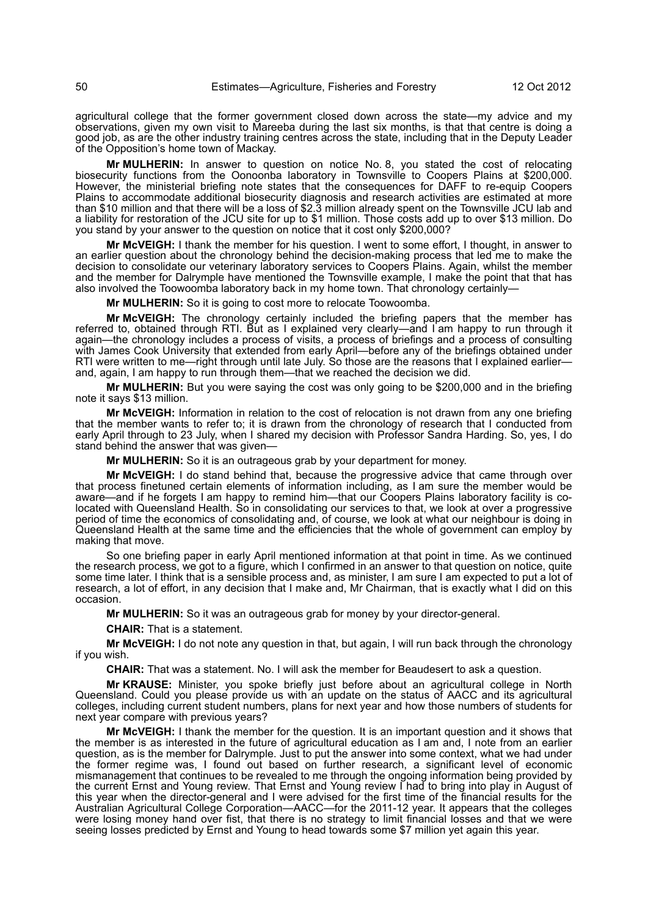agricultural college that the former government closed down across the state—my advice and my observations, given my own visit to Mareeba during the last six months, is that that centre is doing a good job, as are the other industry training centres across the state, including that in the Deputy Leader of the Opposition's home town of Mackay.

**Mr MULHERIN:** In answer to question on notice No. 8, you stated the cost of relocating biosecurity functions from the Oonoonba laboratory in Townsville to Coopers Plains at \$200,000. However, the ministerial briefing note states that the consequences for DAFF to re-equip Coopers Plains to accommodate additional biosecurity diagnosis and research activities are estimated at more than \$10 million and that there will be a loss of \$2.3 million already spent on the Townsville JCU lab and a liability for restoration of the JCU site for up to \$1 million. Those costs add up to over \$13 million. Do you stand by your answer to the question on notice that it cost only \$200,000?

**Mr McVEIGH:** I thank the member for his question. I went to some effort, I thought, in answer to an earlier question about the chronology behind the decision-making process that led me to make the decision to consolidate our veterinary laboratory services to Coopers Plains. Again, whilst the member and the member for Dalrymple have mentioned the Townsville example, I make the point that that has also involved the Toowoomba laboratory back in my home town. That chronology certainly—

**Mr MULHERIN:** So it is going to cost more to relocate Toowoomba.

**Mr McVEIGH:** The chronology certainly included the briefing papers that the member has referred to, obtained through RTI. But as I explained very clearly—and I am happy to run through it again—the chronology includes a process of visits, a process of briefings and a process of consulting with James Cook University that extended from early April—before any of the briefings obtained under RTI were written to me—right through until late July. So those are the reasons that I explained earlier and, again, I am happy to run through them—that we reached the decision we did.

**Mr MULHERIN:** But you were saying the cost was only going to be \$200,000 and in the briefing note it says \$13 million.

**Mr McVEIGH:** Information in relation to the cost of relocation is not drawn from any one briefing that the member wants to refer to; it is drawn from the chronology of research that I conducted from early April through to 23 July, when I shared my decision with Professor Sandra Harding. So, yes, I do stand behind the answer that was given—

**Mr MULHERIN:** So it is an outrageous grab by your department for money.

**Mr McVEIGH:** I do stand behind that, because the progressive advice that came through over that process finetuned certain elements of information including, as I am sure the member would be aware—and if he forgets I am happy to remind him—that our Coopers Plains laboratory facility is colocated with Queensland Health. So in consolidating our services to that, we look at over a progressive period of time the economics of consolidating and, of course, we look at what our neighbour is doing in Queensland Health at the same time and the efficiencies that the whole of government can employ by making that move.

So one briefing paper in early April mentioned information at that point in time. As we continued the research process, we got to a figure, which I confirmed in an answer to that question on notice, quite some time later. I think that is a sensible process and, as minister, I am sure I am expected to put a lot of research, a lot of effort, in any decision that I make and, Mr Chairman, that is exactly what I did on this occasion.

**Mr MULHERIN:** So it was an outrageous grab for money by your director-general.

**CHAIR:** That is a statement.

**Mr McVEIGH:** I do not note any question in that, but again, I will run back through the chronology if you wish.

**CHAIR:** That was a statement. No. I will ask the member for Beaudesert to ask a question.

**Mr KRAUSE:** Minister, you spoke briefly just before about an agricultural college in North Queensland. Could you please provide us with an update on the status of AACC and its agricultural colleges, including current student numbers, plans for next year and how those numbers of students for next year compare with previous years?

**Mr McVEIGH:** I thank the member for the question. It is an important question and it shows that the member is as interested in the future of agricultural education as I am and, I note from an earlier question, as is the member for Dalrymple. Just to put the answer into some context, what we had under the former regime was, I found out based on further research, a significant level of economic mismanagement that continues to be revealed to me through the ongoing information being provided by the current Ernst and Young review. That Ernst and Young review I had to bring into play in August of this year when the director-general and I were advised for the first time of the financial results for the Australian Agricultural College Corporation—AACC—for the 2011-12 year. It appears that the colleges were losing money hand over fist, that there is no strategy to limit financial losses and that we were seeing losses predicted by Ernst and Young to head towards some \$7 million yet again this year.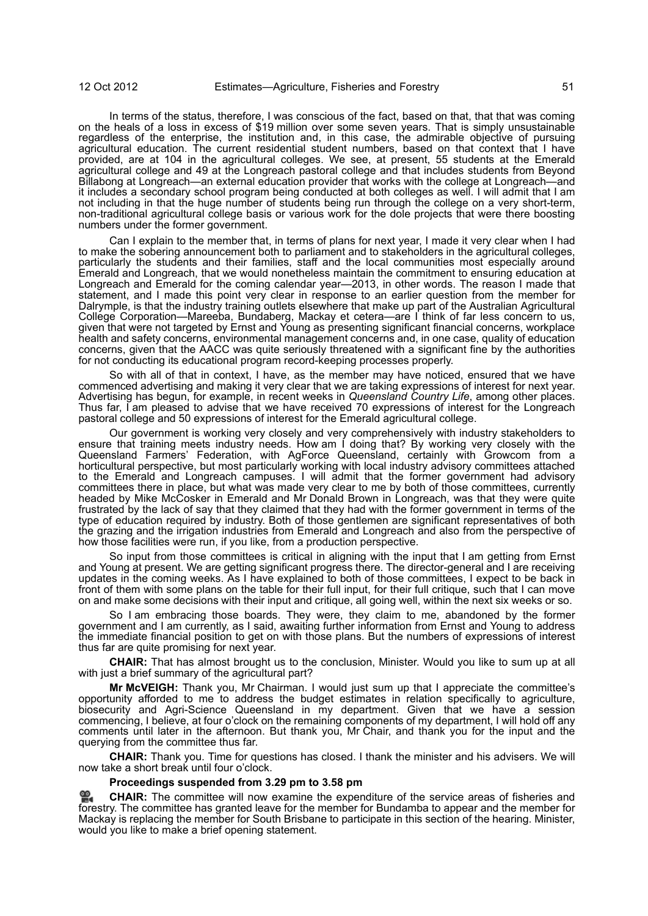In terms of the status, therefore, I was conscious of the fact, based on that, that that was coming on the heals of a loss in excess of \$19 million over some seven years. That is simply unsustainable regardless of the enterprise, the institution and, in this case, the admirable objective of pursuing agricultural education. The current residential student numbers, based on that context that I have provided, are at 104 in the agricultural colleges. We see, at present, 55 students at the Emerald agricultural college and 49 at the Longreach pastoral college and that includes students from Beyond Billabong at Longreach—an external education provider that works with the college at Longreach—and it includes a secondary school program being conducted at both colleges as well. I will admit that I am not including in that the huge number of students being run through the college on a very short-term, non-traditional agricultural college basis or various work for the dole projects that were there boosting numbers under the former government.

Can I explain to the member that, in terms of plans for next year, I made it very clear when I had to make the sobering announcement both to parliament and to stakeholders in the agricultural colleges, particularly the students and their families, staff and the local communities most especially around Emerald and Longreach, that we would nonetheless maintain the commitment to ensuring education at Longreach and Emerald for the coming calendar year—2013, in other words. The reason I made that statement, and I made this point very clear in response to an earlier question from the member for Dalrymple, is that the industry training outlets elsewhere that make up part of the Australian Agricultural College Corporation—Mareeba, Bundaberg, Mackay et cetera—are I think of far less concern to us, given that were not targeted by Ernst and Young as presenting significant financial concerns, workplace health and safety concerns, environmental management concerns and, in one case, quality of education concerns, given that the AACC was quite seriously threatened with a significant fine by the authorities for not conducting its educational program record-keeping processes properly.

So with all of that in context, I have, as the member may have noticed, ensured that we have commenced advertising and making it very clear that we are taking expressions of interest for next year. Advertising has begun, for example, in recent weeks in *Queensland Country Life*, among other places. Thus far, I am pleased to advise that we have received 70 expressions of interest for the Longreach pastoral college and 50 expressions of interest for the Emerald agricultural college.

Our government is working very closely and very comprehensively with industry stakeholders to ensure that training meets industry needs. How am I doing that? By working very closely with the Queensland Farmers' Federation, with AgForce Queensland, certainly with Growcom from a horticultural perspective, but most particularly working with local industry advisory committees attached to the Emerald and Longreach campuses. I will admit that the former government had advisory committees there in place, but what was made very clear to me by both of those committees, currently headed by Mike McCosker in Emerald and Mr Donald Brown in Longreach, was that they were quite frustrated by the lack of say that they claimed that they had with the former government in terms of the type of education required by industry. Both of those gentlemen are significant representatives of both the grazing and the irrigation industries from Emerald and Longreach and also from the perspective of how those facilities were run, if you like, from a production perspective.

So input from those committees is critical in aligning with the input that I am getting from Ernst and Young at present. We are getting significant progress there. The director-general and I are receiving updates in the coming weeks. As I have explained to both of those committees, I expect to be back in front of them with some plans on the table for their full input, for their full critique, such that I can move on and make some decisions with their input and critique, all going well, within the next six weeks or so.

So I am embracing those boards. They were, they claim to me, abandoned by the former government and I am currently, as I said, awaiting further information from Ernst and Young to address the immediate financial position to get on with those plans. But the numbers of expressions of interest thus far are quite promising for next year.

**CHAIR:** That has almost brought us to the conclusion, Minister. Would you like to sum up at all with just a brief summary of the agricultural part?

**Mr McVEIGH:** Thank you, Mr Chairman. I would just sum up that I appreciate the committee's opportunity afforded to me to address the budget estimates in relation specifically to agriculture, biosecurity and Agri-Science Queensland in my department. Given that we have a session commencing, I believe, at four o'clock on the remaining components of my department, I will hold off any comments until later in the afternoon. But thank you, Mr Chair, and thank you for the input and the querying from the committee thus far.

**CHAIR:** Thank you. Time for questions has closed. I thank the minister and his advisers. We will now take a short break until four o'clock.

# **Proceedings suspended from 3.29 pm to 3.58 pm**

쓺. **[CHAIR:](http://www.parliament.qld.gov.au/docs/find.aspx?id=0Mba20121012_155823)** The committee will now examine the expenditure of the service areas of fisheries and [fore](http://www.parliament.qld.gov.au/docs/find.aspx?id=0Mba20121012_155823)stry. The committee has granted leave for the member for Bundamba to appear and the member for Mackay is replacing the member for South Brisbane to participate in this section of the hearing. Minister, would you like to make a brief opening statement.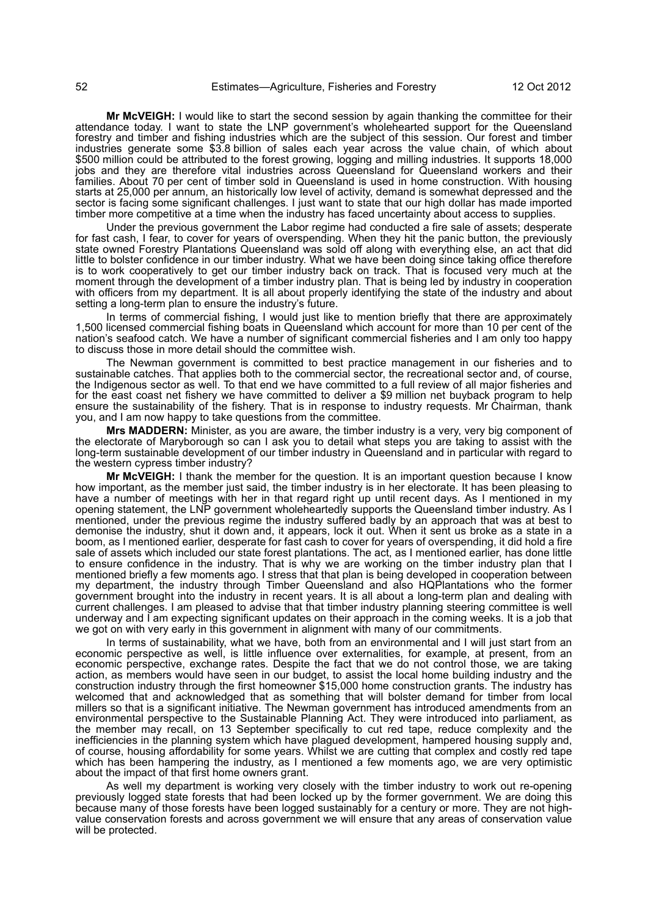**Mr McVEIGH:** I would like to start the second session by again thanking the committee for their attendance today. I want to state the LNP government's wholehearted support for the Queensland forestry and timber and fishing industries which are the subject of this session. Our forest and timber industries generate some \$3.8 billion of sales each year across the value chain, of which about \$500 million could be attributed to the forest growing, logging and milling industries. It supports 18,000 jobs and they are therefore vital industries across Queensland for Queensland workers and their families. About 70 per cent of timber sold in Queensland is used in home construction. With housing starts at 25,000 per annum, an historically low level of activity, demand is somewhat depressed and the sector is facing some significant challenges. I just want to state that our high dollar has made imported timber more competitive at a time when the industry has faced uncertainty about access to supplies.

Under the previous government the Labor regime had conducted a fire sale of assets; desperate for fast cash, I fear, to cover for years of overspending. When they hit the panic button, the previously state owned Forestry Plantations Queensland was sold off along with everything else, an act that did little to bolster confidence in our timber industry. What we have been doing since taking office therefore is to work cooperatively to get our timber industry back on track. That is focused very much at the moment through the development of a timber industry plan. That is being led by industry in cooperation with officers from my department. It is all about properly identifying the state of the industry and about setting a long-term plan to ensure the industry's future.

In terms of commercial fishing, I would just like to mention briefly that there are approximately 1,500 licensed commercial fishing boats in Queensland which account for more than 10 per cent of the nation's seafood catch. We have a number of significant commercial fisheries and I am only too happy to discuss those in more detail should the committee wish.

The Newman government is committed to best practice management in our fisheries and to sustainable catches. That applies both to the commercial sector, the recreational sector and, of course, the Indigenous sector as well. To that end we have committed to a full review of all major fisheries and for the east coast net fishery we have committed to deliver a \$9 million net buyback program to help ensure the sustainability of the fishery. That is in response to industry requests. Mr Chairman, thank you, and I am now happy to take questions from the committee.

**Mrs MADDERN:** Minister, as you are aware, the timber industry is a very, very big component of the electorate of Maryborough so can I ask you to detail what steps you are taking to assist with the long-term sustainable development of our timber industry in Queensland and in particular with regard to the western cypress timber industry?

**Mr McVEIGH:** I thank the member for the question. It is an important question because I know how important, as the member just said, the timber industry is in her electorate. It has been pleasing to have a number of meetings with her in that regard right up until recent days. As I mentioned in my opening statement, the LNP government wholeheartedly supports the Queensland timber industry. As I mentioned, under the previous regime the industry suffered badly by an approach that was at best to demonise the industry, shut it down and, it appears, lock it out. When it sent us broke as a state in a boom, as I mentioned earlier, desperate for fast cash to cover for years of overspending, it did hold a fire sale of assets which included our state forest plantations. The act, as I mentioned earlier, has done little to ensure confidence in the industry. That is why we are working on the timber industry plan that I mentioned briefly a few moments ago. I stress that that plan is being developed in cooperation between my department, the industry through Timber Queensland and also HQPlantations who the former government brought into the industry in recent years. It is all about a long-term plan and dealing with current challenges. I am pleased to advise that that timber industry planning steering committee is well underway and I am expecting significant updates on their approach in the coming weeks. It is a job that we got on with very early in this government in alignment with many of our commitments.

In terms of sustainability, what we have, both from an environmental and I will just start from an economic perspective as well, is little influence over externalities, for example, at present, from an economic perspective, exchange rates. Despite the fact that we do not control those, we are taking action, as members would have seen in our budget, to assist the local home building industry and the construction industry through the first homeowner \$15,000 home construction grants. The industry has welcomed that and acknowledged that as something that will bolster demand for timber from local millers so that is a significant initiative. The Newman government has introduced amendments from an environmental perspective to the Sustainable Planning Act. They were introduced into parliament, as the member may recall, on 13 September specifically to cut red tape, reduce complexity and the inefficiencies in the planning system which have plagued development, hampered housing supply and, of course, housing affordability for some years. Whilst we are cutting that complex and costly red tape which has been hampering the industry, as I mentioned a few moments ago, we are very optimistic about the impact of that first home owners grant.

As well my department is working very closely with the timber industry to work out re-opening previously logged state forests that had been locked up by the former government. We are doing this because many of those forests have been logged sustainably for a century or more. They are not highvalue conservation forests and across government we will ensure that any areas of conservation value will be protected.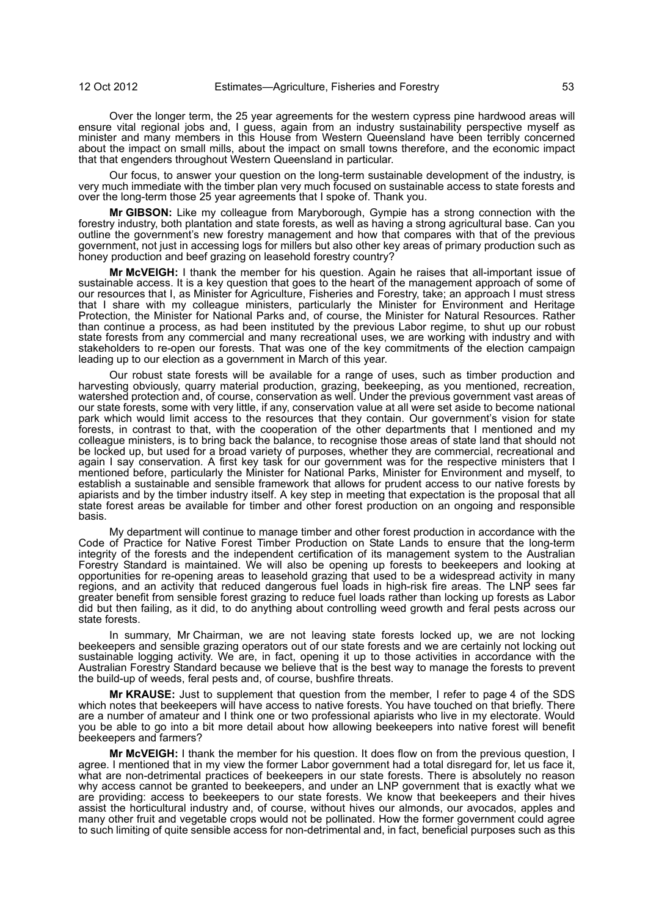Over the longer term, the 25 year agreements for the western cypress pine hardwood areas will ensure vital regional jobs and, I guess, again from an industry sustainability perspective myself as minister and many members in this House from Western Queensland have been terribly concerned about the impact on small mills, about the impact on small towns therefore, and the economic impact that that engenders throughout Western Queensland in particular.

Our focus, to answer your question on the long-term sustainable development of the industry, is very much immediate with the timber plan very much focused on sustainable access to state forests and over the long-term those 25 year agreements that I spoke of. Thank you.

**Mr GIBSON:** Like my colleague from Maryborough, Gympie has a strong connection with the forestry industry, both plantation and state forests, as well as having a strong agricultural base. Can you outline the government's new forestry management and how that compares with that of the previous government, not just in accessing logs for millers but also other key areas of primary production such as honey production and beef grazing on leasehold forestry country?

**Mr McVEIGH:** I thank the member for his question. Again he raises that all-important issue of sustainable access. It is a key question that goes to the heart of the management approach of some of our resources that I, as Minister for Agriculture, Fisheries and Forestry, take; an approach I must stress that I share with my colleague ministers, particularly the Minister for Environment and Heritage Protection, the Minister for National Parks and, of course, the Minister for Natural Resources. Rather than continue a process, as had been instituted by the previous Labor regime, to shut up our robust state forests from any commercial and many recreational uses, we are working with industry and with stakeholders to re-open our forests. That was one of the key commitments of the election campaign leading up to our election as a government in March of this year.

Our robust state forests will be available for a range of uses, such as timber production and harvesting obviously, quarry material production, grazing, beekeeping, as you mentioned, recreation, watershed protection and, of course, conservation as well. Under the previous government vast areas of our state forests, some with very little, if any, conservation value at all were set aside to become national park which would limit access to the resources that they contain. Our government's vision for state forests, in contrast to that, with the cooperation of the other departments that I mentioned and my colleague ministers, is to bring back the balance, to recognise those areas of state land that should not be locked up, but used for a broad variety of purposes, whether they are commercial, recreational and again I say conservation. A first key task for our government was for the respective ministers that I mentioned before, particularly the Minister for National Parks, Minister for Environment and myself, to establish a sustainable and sensible framework that allows for prudent access to our native forests by apiarists and by the timber industry itself. A key step in meeting that expectation is the proposal that all state forest areas be available for timber and other forest production on an ongoing and responsible basis.

My department will continue to manage timber and other forest production in accordance with the Code of Practice for Native Forest Timber Production on State Lands to ensure that the long-term integrity of the forests and the independent certification of its management system to the Australian Forestry Standard is maintained. We will also be opening up forests to beekeepers and looking at opportunities for re-opening areas to leasehold grazing that used to be a widespread activity in many regions, and an activity that reduced dangerous fuel loads in high-risk fire areas. The LNP sees far greater benefit from sensible forest grazing to reduce fuel loads rather than locking up forests as Labor did but then failing, as it did, to do anything about controlling weed growth and feral pests across our state forests.

In summary, Mr Chairman, we are not leaving state forests locked up, we are not locking beekeepers and sensible grazing operators out of our state forests and we are certainly not locking out sustainable logging activity. We are, in fact, opening it up to those activities in accordance with the Australian Forestry Standard because we believe that is the best way to manage the forests to prevent the build-up of weeds, feral pests and, of course, bushfire threats.

**Mr KRAUSE:** Just to supplement that question from the member, I refer to page 4 of the SDS which notes that beekeepers will have access to native forests. You have touched on that briefly. There are a number of amateur and I think one or two professional apiarists who live in my electorate. Would you be able to go into a bit more detail about how allowing beekeepers into native forest will benefit beekeepers and farmers?

**Mr McVEIGH:** I thank the member for his question. It does flow on from the previous question, I agree. I mentioned that in my view the former Labor government had a total disregard for, let us face it, what are non-detrimental practices of beekeepers in our state forests. There is absolutely no reason why access cannot be granted to beekeepers, and under an LNP government that is exactly what we are providing: access to beekeepers to our state forests. We know that beekeepers and their hives assist the horticultural industry and, of course, without hives our almonds, our avocados, apples and many other fruit and vegetable crops would not be pollinated. How the former government could agree to such limiting of quite sensible access for non-detrimental and, in fact, beneficial purposes such as this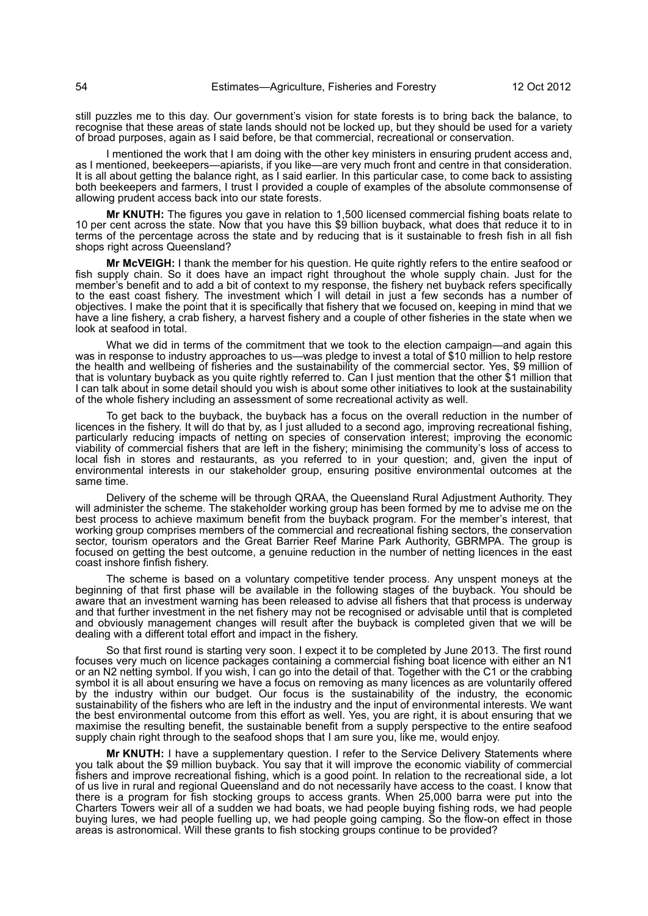still puzzles me to this day. Our government's vision for state forests is to bring back the balance, to recognise that these areas of state lands should not be locked up, but they should be used for a variety of broad purposes, again as I said before, be that commercial, recreational or conservation.

I mentioned the work that I am doing with the other key ministers in ensuring prudent access and, as I mentioned, beekeepers—apiarists, if you like—are very much front and centre in that consideration. It is all about getting the balance right, as I said earlier. In this particular case, to come back to assisting both beekeepers and farmers, I trust I provided a couple of examples of the absolute commonsense of allowing prudent access back into our state forests.

**Mr KNUTH:** The figures you gave in relation to 1,500 licensed commercial fishing boats relate to 10 per cent across the state. Now that you have this \$9 billion buyback, what does that reduce it to in terms of the percentage across the state and by reducing that is it sustainable to fresh fish in all fish shops right across Queensland?

**Mr McVEIGH:** I thank the member for his question. He quite rightly refers to the entire seafood or fish supply chain. So it does have an impact right throughout the whole supply chain. Just for the member's benefit and to add a bit of context to my response, the fishery net buyback refers specifically to the east coast fishery. The investment which I will detail in just a few seconds has a number of objectives. I make the point that it is specifically that fishery that we focused on, keeping in mind that we have a line fishery, a crab fishery, a harvest fishery and a couple of other fisheries in the state when we look at seafood in total.

What we did in terms of the commitment that we took to the election campaign—and again this was in response to industry approaches to us—was pledge to invest a total of \$10 million to help restore the health and wellbeing of fisheries and the sustainability of the commercial sector. Yes, \$9 million of that is voluntary buyback as you quite rightly referred to. Can I just mention that the other \$1 million that I can talk about in some detail should you wish is about some other initiatives to look at the sustainability of the whole fishery including an assessment of some recreational activity as well.

To get back to the buyback, the buyback has a focus on the overall reduction in the number of licences in the fishery. It will do that by, as I just alluded to a second ago, improving recreational fishing, particularly reducing impacts of netting on species of conservation interest; improving the economic viability of commercial fishers that are left in the fishery; minimising the community's loss of access to local fish in stores and restaurants, as you referred to in your question; and, given the input of environmental interests in our stakeholder group, ensuring positive environmental outcomes at the same time.

Delivery of the scheme will be through QRAA, the Queensland Rural Adjustment Authority. They will administer the scheme. The stakeholder working group has been formed by me to advise me on the best process to achieve maximum benefit from the buyback program. For the member's interest, that working group comprises members of the commercial and recreational fishing sectors, the conservation sector, tourism operators and the Great Barrier Reef Marine Park Authority, GBRMPA. The group is focused on getting the best outcome, a genuine reduction in the number of netting licences in the east coast inshore finfish fishery.

The scheme is based on a voluntary competitive tender process. Any unspent moneys at the beginning of that first phase will be available in the following stages of the buyback. You should be aware that an investment warning has been released to advise all fishers that that process is underway and that further investment in the net fishery may not be recognised or advisable until that is completed and obviously management changes will result after the buyback is completed given that we will be dealing with a different total effort and impact in the fishery.

So that first round is starting very soon. I expect it to be completed by June 2013. The first round focuses very much on licence packages containing a commercial fishing boat licence with either an N1 or an N2 netting symbol. If you wish, I can go into the detail of that. Together with the C1 or the crabbing symbol it is all about ensuring we have a focus on removing as many licences as are voluntarily offered by the industry within our budget. Our focus is the sustainability of the industry, the economic sustainability of the fishers who are left in the industry and the input of environmental interests. We want the best environmental outcome from this effort as well. Yes, you are right, it is about ensuring that we maximise the resulting benefit, the sustainable benefit from a supply perspective to the entire seafood supply chain right through to the seafood shops that I am sure you, like me, would enjoy.

**Mr KNUTH:** I have a supplementary question. I refer to the Service Delivery Statements where you talk about the \$9 million buyback. You say that it will improve the economic viability of commercial fishers and improve recreational fishing, which is a good point. In relation to the recreational side, a lot of us live in rural and regional Queensland and do not necessarily have access to the coast. I know that there is a program for fish stocking groups to access grants. When 25,000 barra were put into the Charters Towers weir all of a sudden we had boats, we had people buying fishing rods, we had people buying lures, we had people fuelling up, we had people going camping. So the flow-on effect in those areas is astronomical. Will these grants to fish stocking groups continue to be provided?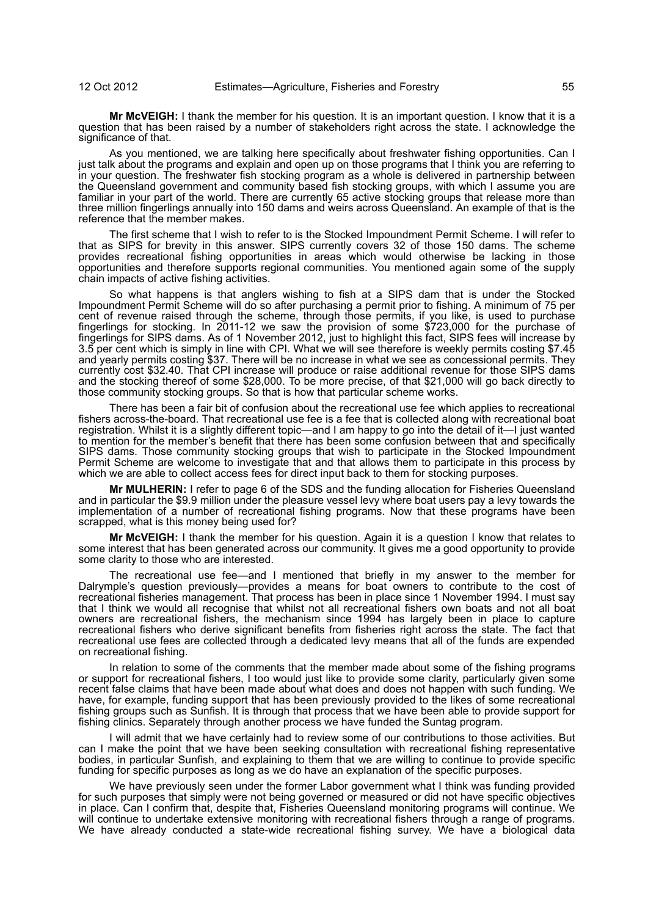**Mr McVEIGH:** I thank the member for his question. It is an important question. I know that it is a question that has been raised by a number of stakeholders right across the state. I acknowledge the significance of that.

As you mentioned, we are talking here specifically about freshwater fishing opportunities. Can I just talk about the programs and explain and open up on those programs that I think you are referring to in your question. The freshwater fish stocking program as a whole is delivered in partnership between the Queensland government and community based fish stocking groups, with which I assume you are familiar in your part of the world. There are currently 65 active stocking groups that release more than three million fingerlings annually into 150 dams and weirs across Queensland. An example of that is the reference that the member makes.

The first scheme that I wish to refer to is the Stocked Impoundment Permit Scheme. I will refer to that as SIPS for brevity in this answer. SIPS currently covers 32 of those 150 dams. The scheme provides recreational fishing opportunities in areas which would otherwise be lacking in those opportunities and therefore supports regional communities. You mentioned again some of the supply chain impacts of active fishing activities.

So what happens is that anglers wishing to fish at a SIPS dam that is under the Stocked Impoundment Permit Scheme will do so after purchasing a permit prior to fishing. A minimum of 75 per cent of revenue raised through the scheme, through those permits, if you like, is used to purchase fingerlings for stocking. In 2011-12 we saw the provision of some \$723,000 for the purchase of fingerlings for SIPS dams. As of 1 November 2012, just to highlight this fact, SIPS fees will increase by 3.5 per cent which is simply in line with CPI. What we will see therefore is weekly permits costing \$7.45 and yearly permits costing \$37. There will be no increase in what we see as concessional permits. They currently cost \$32.40. That CPI increase will produce or raise additional revenue for those SIPS dams and the stocking thereof of some \$28,000. To be more precise, of that \$21,000 will go back directly to those community stocking groups. So that is how that particular scheme works.

There has been a fair bit of confusion about the recreational use fee which applies to recreational fishers across-the-board. That recreational use fee is a fee that is collected along with recreational boat registration. Whilst it is a slightly different topic—and I am happy to go into the detail of it—I just wanted to mention for the member's benefit that there has been some confusion between that and specifically SIPS dams. Those community stocking groups that wish to participate in the Stocked Impoundment Permit Scheme are welcome to investigate that and that allows them to participate in this process by which we are able to collect access fees for direct input back to them for stocking purposes.

**Mr MULHERIN:** I refer to page 6 of the SDS and the funding allocation for Fisheries Queensland and in particular the \$9.9 million under the pleasure vessel levy where boat users pay a levy towards the implementation of a number of recreational fishing programs. Now that these programs have been scrapped, what is this money being used for?

**Mr McVEIGH:** I thank the member for his question. Again it is a question I know that relates to some interest that has been generated across our community. It gives me a good opportunity to provide some clarity to those who are interested.

The recreational use fee—and I mentioned that briefly in my answer to the member for Dalrymple's question previously—provides a means for boat owners to contribute to the cost of recreational fisheries management. That process has been in place since 1 November 1994. I must say that I think we would all recognise that whilst not all recreational fishers own boats and not all boat owners are recreational fishers, the mechanism since 1994 has largely been in place to capture recreational fishers who derive significant benefits from fisheries right across the state. The fact that recreational use fees are collected through a dedicated levy means that all of the funds are expended on recreational fishing.

In relation to some of the comments that the member made about some of the fishing programs or support for recreational fishers, I too would just like to provide some clarity, particularly given some recent false claims that have been made about what does and does not happen with such funding. We have, for example, funding support that has been previously provided to the likes of some recreational fishing groups such as Sunfish. It is through that process that we have been able to provide support for fishing clinics. Separately through another process we have funded the Suntag program.

I will admit that we have certainly had to review some of our contributions to those activities. But can I make the point that we have been seeking consultation with recreational fishing representative bodies, in particular Sunfish, and explaining to them that we are willing to continue to provide specific funding for specific purposes as long as we do have an explanation of the specific purposes.

We have previously seen under the former Labor government what I think was funding provided for such purposes that simply were not being governed or measured or did not have specific objectives in place. Can I confirm that, despite that, Fisheries Queensland monitoring programs will continue. We will continue to undertake extensive monitoring with recreational fishers through a range of programs. We have already conducted a state-wide recreational fishing survey. We have a biological data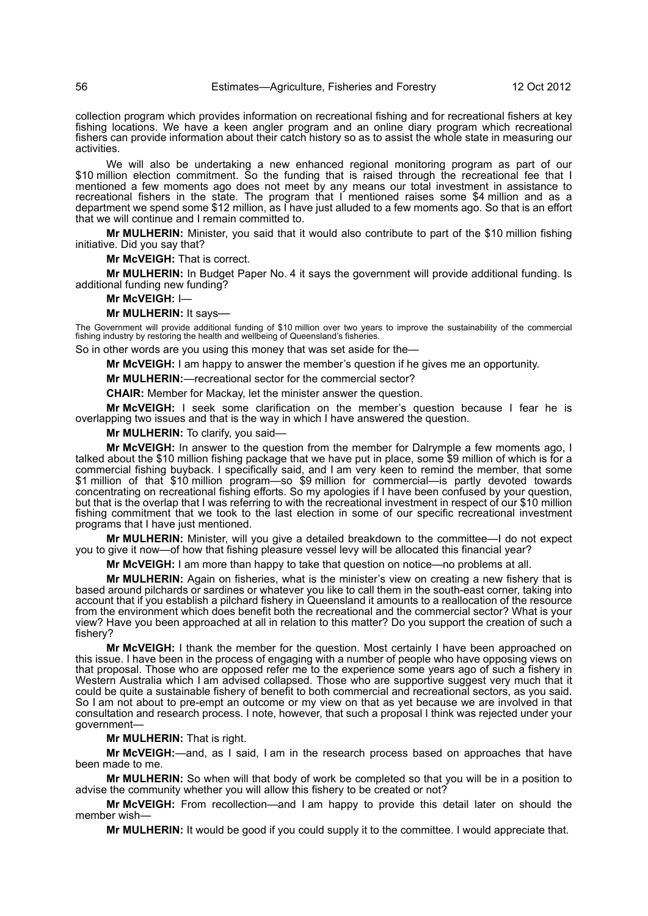collection program which provides information on recreational fishing and for recreational fishers at key fishing locations. We have a keen angler program and an online diary program which recreational fishers can provide information about their catch history so as to assist the whole state in measuring our activities.

We will also be undertaking a new enhanced regional monitoring program as part of our \$10 million election commitment. So the funding that is raised through the recreational fee that I mentioned a few moments ago does not meet by any means our total investment in assistance to recreational fishers in the state. The program that I mentioned raises some \$4 million and as a department we spend some \$12 million, as I have just alluded to a few moments ago. So that is an effort that we will continue and I remain committed to.

**Mr MULHERIN:** Minister, you said that it would also contribute to part of the \$10 million fishing initiative. Did you say that?

**Mr McVEIGH:** That is correct.

**Mr MULHERIN:** In Budget Paper No. 4 it says the government will provide additional funding. Is additional funding new funding?

#### **Mr McVEIGH:** I—

#### **Mr MULHERIN:** It says—

The Government will provide additional funding of \$10 million over two years to improve the sustainability of the commercial fishing industry by restoring the health and wellbeing of Queensland's fisheries.

So in other words are you using this money that was set aside for the—

**Mr McVEIGH:** I am happy to answer the member's question if he gives me an opportunity.

**Mr MULHERIN:**—recreational sector for the commercial sector?

**CHAIR:** Member for Mackay, let the minister answer the question.

**Mr McVEIGH:** I seek some clarification on the member's question because I fear he is overlapping two issues and that is the way in which I have answered the question.

**Mr MULHERIN:** To clarify, you said—

**Mr McVEIGH:** In answer to the question from the member for Dalrymple a few moments ago, I talked about the \$10 million fishing package that we have put in place, some \$9 million of which is for a commercial fishing buyback. I specifically said, and I am very keen to remind the member, that some \$1 million of that \$10 million program—so \$9 million for commercial—is partly devoted towards concentrating on recreational fishing efforts. So my apologies if I have been confused by your question, but that is the overlap that I was referring to with the recreational investment in respect of our \$10 million fishing commitment that we took to the last election in some of our specific recreational investment programs that I have just mentioned.

**Mr MULHERIN:** Minister, will you give a detailed breakdown to the committee—I do not expect you to give it now—of how that fishing pleasure vessel levy will be allocated this financial year?

**Mr McVEIGH:** I am more than happy to take that question on notice—no problems at all.

**Mr MULHERIN:** Again on fisheries, what is the minister's view on creating a new fishery that is based around pilchards or sardines or whatever you like to call them in the south-east corner, taking into account that if you establish a pilchard fishery in Queensland it amounts to a reallocation of the resource from the environment which does benefit both the recreational and the commercial sector? What is your view? Have you been approached at all in relation to this matter? Do you support the creation of such a fishery?

**Mr McVEIGH:** I thank the member for the question. Most certainly I have been approached on this issue. I have been in the process of engaging with a number of people who have opposing views on that proposal. Those who are opposed refer me to the experience some years ago of such a fishery in Western Australia which I am advised collapsed. Those who are supportive suggest very much that it could be quite a sustainable fishery of benefit to both commercial and recreational sectors, as you said. So I am not about to pre-empt an outcome or my view on that as yet because we are involved in that consultation and research process. I note, however, that such a proposal I think was rejected under your government—

**Mr MULHERIN:** That is right.

**Mr McVEIGH:**—and, as I said, I am in the research process based on approaches that have been made to me.

**Mr MULHERIN:** So when will that body of work be completed so that you will be in a position to advise the community whether you will allow this fishery to be created or not?

**Mr McVEIGH:** From recollection—and I am happy to provide this detail later on should the member wish—

**Mr MULHERIN:** It would be good if you could supply it to the committee. I would appreciate that.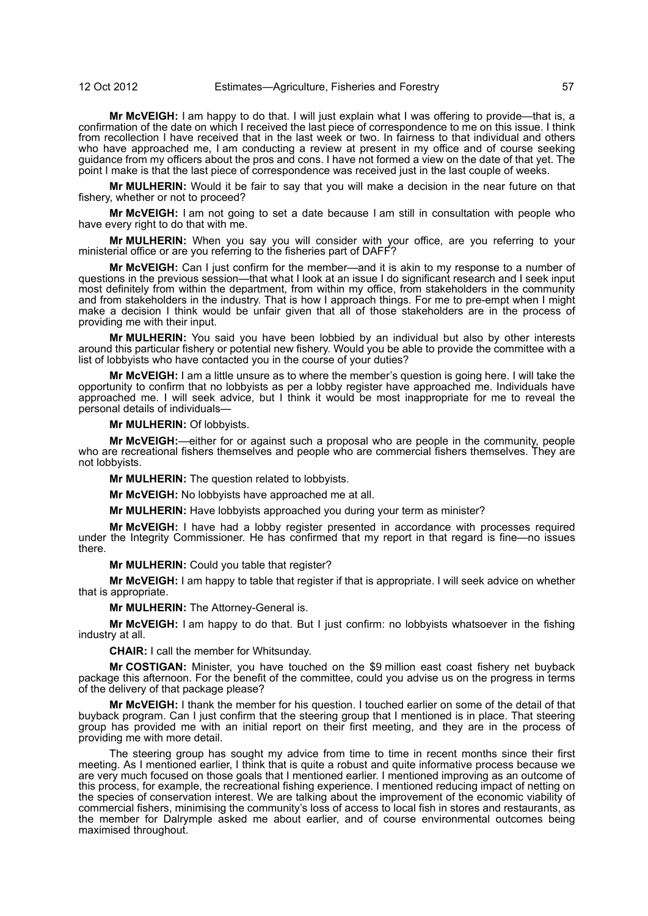**Mr McVEIGH:** I am happy to do that. I will just explain what I was offering to provide—that is, a confirmation of the date on which I received the last piece of correspondence to me on this issue. I think from recollection I have received that in the last week or two. In fairness to that individual and others who have approached me, I am conducting a review at present in my office and of course seeking guidance from my officers about the pros and cons. I have not formed a view on the date of that yet. The point I make is that the last piece of correspondence was received just in the last couple of weeks.

**Mr MULHERIN:** Would it be fair to say that you will make a decision in the near future on that fishery, whether or not to proceed?

**Mr McVEIGH:** I am not going to set a date because I am still in consultation with people who have every right to do that with me.

**Mr MULHERIN:** When you say you will consider with your office, are you referring to your ministerial office or are you referring to the fisheries part of DAFF?

**Mr McVEIGH:** Can I just confirm for the member—and it is akin to my response to a number of questions in the previous session—that what I look at an issue I do significant research and I seek input most definitely from within the department, from within my office, from stakeholders in the community and from stakeholders in the industry. That is how I approach things. For me to pre-empt when I might make a decision I think would be unfair given that all of those stakeholders are in the process of providing me with their input.

**Mr MULHERIN:** You said you have been lobbied by an individual but also by other interests around this particular fishery or potential new fishery. Would you be able to provide the committee with a list of lobbyists who have contacted you in the course of your duties?

**Mr McVEIGH:** I am a little unsure as to where the member's question is going here. I will take the opportunity to confirm that no lobbyists as per a lobby register have approached me. Individuals have approached me. I will seek advice, but I think it would be most inappropriate for me to reveal the personal details of individuals—

**Mr MULHERIN:** Of lobbyists.

**Mr McVEIGH:**—either for or against such a proposal who are people in the community, people who are recreational fishers themselves and people who are commercial fishers themselves. They are not lobbyists.

**Mr MULHERIN:** The question related to lobbyists.

**Mr McVEIGH:** No lobbyists have approached me at all.

**Mr MULHERIN:** Have lobbyists approached you during your term as minister?

**Mr McVEIGH:** I have had a lobby register presented in accordance with processes required under the Integrity Commissioner. He has confirmed that my report in that regard is fine—no issues there.

**Mr MULHERIN:** Could you table that register?

**Mr McVEIGH:** I am happy to table that register if that is appropriate. I will seek advice on whether that is appropriate.

**Mr MULHERIN:** The Attorney-General is.

**Mr McVEIGH:** I am happy to do that. But I just confirm: no lobbyists whatsoever in the fishing industry at all.

**CHAIR:** I call the member for Whitsunday.

**Mr COSTIGAN:** Minister, you have touched on the \$9 million east coast fishery net buyback package this afternoon. For the benefit of the committee, could you advise us on the progress in terms of the delivery of that package please?

**Mr McVEIGH:** I thank the member for his question. I touched earlier on some of the detail of that buyback program. Can I just confirm that the steering group that I mentioned is in place. That steering group has provided me with an initial report on their first meeting, and they are in the process of providing me with more detail.

The steering group has sought my advice from time to time in recent months since their first meeting. As I mentioned earlier, I think that is quite a robust and quite informative process because we are very much focused on those goals that I mentioned earlier. I mentioned improving as an outcome of this process, for example, the recreational fishing experience. I mentioned reducing impact of netting on the species of conservation interest. We are talking about the improvement of the economic viability of commercial fishers, minimising the community's loss of access to local fish in stores and restaurants, as the member for Dalrymple asked me about earlier, and of course environmental outcomes being maximised throughout.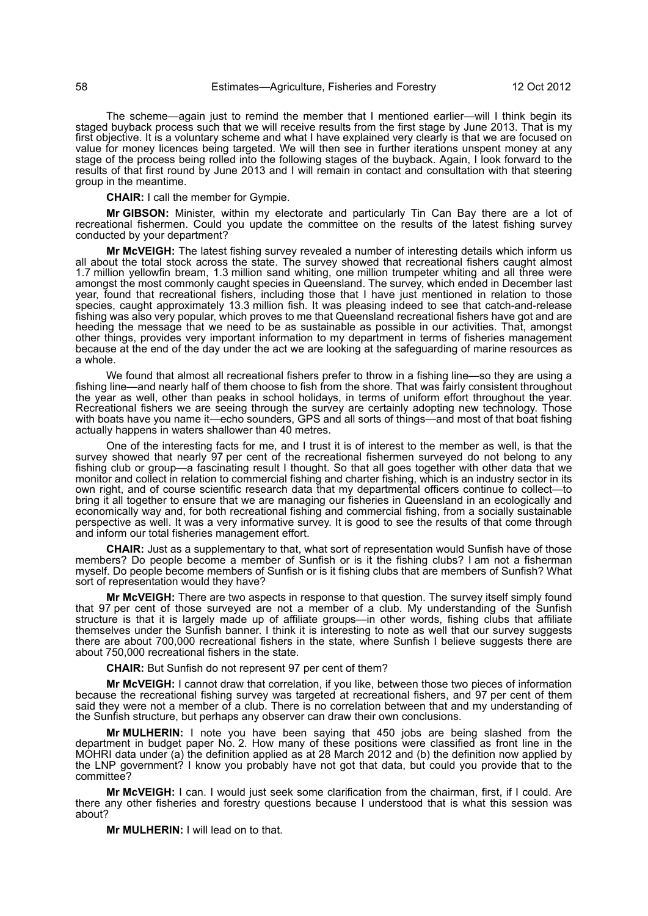The scheme—again just to remind the member that I mentioned earlier—will I think begin its staged buyback process such that we will receive results from the first stage by June 2013. That is my first objective. It is a voluntary scheme and what I have explained very clearly is that we are focused on value for money licences being targeted. We will then see in further iterations unspent money at any stage of the process being rolled into the following stages of the buyback. Again, I look forward to the results of that first round by June 2013 and I will remain in contact and consultation with that steering group in the meantime.

**CHAIR:** I call the member for Gympie.

**Mr GIBSON:** Minister, within my electorate and particularly Tin Can Bay there are a lot of recreational fishermen. Could you update the committee on the results of the latest fishing survey conducted by your department?

**Mr McVEIGH:** The latest fishing survey revealed a number of interesting details which inform us all about the total stock across the state. The survey showed that recreational fishers caught almost 1.7 million yellowfin bream, 1.3 million sand whiting, one million trumpeter whiting and all three were amongst the most commonly caught species in Queensland. The survey, which ended in December last year, found that recreational fishers, including those that I have just mentioned in relation to those species, caught approximately 13.3 million fish. It was pleasing indeed to see that catch-and-release fishing was also very popular, which proves to me that Queensland recreational fishers have got and are heeding the message that we need to be as sustainable as possible in our activities. That, amongst other things, provides very important information to my department in terms of fisheries management because at the end of the day under the act we are looking at the safeguarding of marine resources as a whole.

We found that almost all recreational fishers prefer to throw in a fishing line—so they are using a fishing line—and nearly half of them choose to fish from the shore. That was fairly consistent throughout the year as well, other than peaks in school holidays, in terms of uniform effort throughout the year. Recreational fishers we are seeing through the survey are certainly adopting new technology. Those with boats have you name it—echo sounders, GPS and all sorts of things—and most of that boat fishing actually happens in waters shallower than 40 metres.

One of the interesting facts for me, and I trust it is of interest to the member as well, is that the survey showed that nearly 97 per cent of the recreational fishermen surveyed do not belong to any fishing club or group—a fascinating result I thought. So that all goes together with other data that we monitor and collect in relation to commercial fishing and charter fishing, which is an industry sector in its own right, and of course scientific research data that my departmental officers continue to collect—to bring it all together to ensure that we are managing our fisheries in Queensland in an ecologically and economically way and, for both recreational fishing and commercial fishing, from a socially sustainable perspective as well. It was a very informative survey. It is good to see the results of that come through and inform our total fisheries management effort.

**CHAIR:** Just as a supplementary to that, what sort of representation would Sunfish have of those members? Do people become a member of Sunfish or is it the fishing clubs? I am not a fisherman myself. Do people become members of Sunfish or is it fishing clubs that are members of Sunfish? What sort of representation would they have?

**Mr McVEIGH:** There are two aspects in response to that question. The survey itself simply found that 97 per cent of those surveyed are not a member of a club. My understanding of the Sunfish structure is that it is largely made up of affiliate groups—in other words, fishing clubs that affiliate themselves under the Sunfish banner. I think it is interesting to note as well that our survey suggests there are about 700,000 recreational fishers in the state, where Sunfish I believe suggests there are about 750,000 recreational fishers in the state.

**CHAIR:** But Sunfish do not represent 97 per cent of them?

**Mr McVEIGH:** I cannot draw that correlation, if you like, between those two pieces of information because the recreational fishing survey was targeted at recreational fishers, and 97 per cent of them said they were not a member of a club. There is no correlation between that and my understanding of the Sunfish structure, but perhaps any observer can draw their own conclusions.

**Mr MULHERIN:** I note you have been saying that 450 jobs are being slashed from the department in budget paper No. 2. How many of these positions were classified as front line in the MOHRI data under (a) the definition applied as at 28 March 2012 and (b) the definition now applied by the LNP government? I know you probably have not got that data, but could you provide that to the committee?

**Mr McVEIGH:** I can. I would just seek some clarification from the chairman, first, if I could. Are there any other fisheries and forestry questions because I understood that is what this session was about?

**Mr MULHERIN:** I will lead on to that.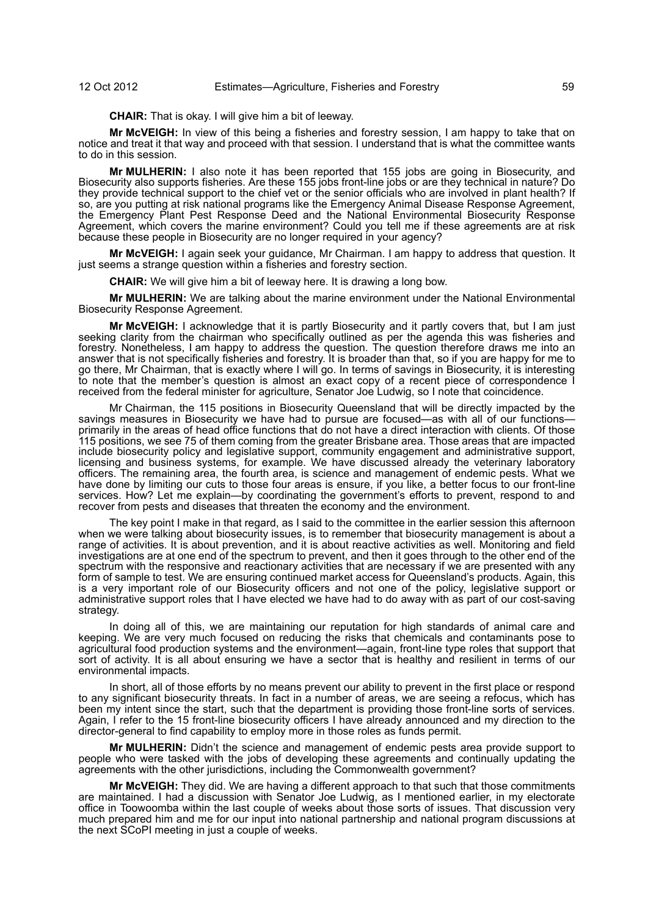**CHAIR:** That is okay. I will give him a bit of leeway.

**Mr McVEIGH:** In view of this being a fisheries and forestry session, I am happy to take that on notice and treat it that way and proceed with that session. I understand that is what the committee wants to do in this session.

**Mr MULHERIN:** I also note it has been reported that 155 jobs are going in Biosecurity, and Biosecurity also supports fisheries. Are these 155 jobs front-line jobs or are they technical in nature? Do they provide technical support to the chief vet or the senior officials who are involved in plant health? If so, are you putting at risk national programs like the Emergency Animal Disease Response Agreement, the Emergency Plant Pest Response Deed and the National Environmental Biosecurity Response Agreement, which covers the marine environment? Could you tell me if these agreements are at risk because these people in Biosecurity are no longer required in your agency?

**Mr McVEIGH:** I again seek your guidance, Mr Chairman. I am happy to address that question. It just seems a strange question within a fisheries and forestry section.

**CHAIR:** We will give him a bit of leeway here. It is drawing a long bow.

**Mr MULHERIN:** We are talking about the marine environment under the National Environmental Biosecurity Response Agreement.

**Mr McVEIGH:** I acknowledge that it is partly Biosecurity and it partly covers that, but I am just seeking clarity from the chairman who specifically outlined as per the agenda this was fisheries and forestry. Nonetheless, I am happy to address the question. The question therefore draws me into an answer that is not specifically fisheries and forestry. It is broader than that, so if you are happy for me to go there, Mr Chairman, that is exactly where I will go. In terms of savings in Biosecurity, it is interesting to note that the member's question is almost an exact copy of a recent piece of correspondence I received from the federal minister for agriculture, Senator Joe Ludwig, so I note that coincidence.

Mr Chairman, the 115 positions in Biosecurity Queensland that will be directly impacted by the savings measures in Biosecurity we have had to pursue are focused—as with all of our functionsprimarily in the areas of head office functions that do not have a direct interaction with clients. Of those 115 positions, we see 75 of them coming from the greater Brisbane area. Those areas that are impacted include biosecurity policy and legislative support, community engagement and administrative support, licensing and business systems, for example. We have discussed already the veterinary laboratory officers. The remaining area, the fourth area, is science and management of endemic pests. What we have done by limiting our cuts to those four areas is ensure, if you like, a better focus to our front-line services. How? Let me explain—by coordinating the government's efforts to prevent, respond to and recover from pests and diseases that threaten the economy and the environment.

The key point I make in that regard, as I said to the committee in the earlier session this afternoon when we were talking about biosecurity issues, is to remember that biosecurity management is about a range of activities. It is about prevention, and it is about reactive activities as well. Monitoring and field investigations are at one end of the spectrum to prevent, and then it goes through to the other end of the spectrum with the responsive and reactionary activities that are necessary if we are presented with any form of sample to test. We are ensuring continued market access for Queensland's products. Again, this is a very important role of our Biosecurity officers and not one of the policy, legislative support or administrative support roles that I have elected we have had to do away with as part of our cost-saving strategy.

In doing all of this, we are maintaining our reputation for high standards of animal care and keeping. We are very much focused on reducing the risks that chemicals and contaminants pose to agricultural food production systems and the environment—again, front-line type roles that support that sort of activity. It is all about ensuring we have a sector that is healthy and resilient in terms of our environmental impacts.

In short, all of those efforts by no means prevent our ability to prevent in the first place or respond to any significant biosecurity threats. In fact in a number of areas, we are seeing a refocus, which has been my intent since the start, such that the department is providing those front-line sorts of services. Again, I refer to the 15 front-line biosecurity officers I have already announced and my direction to the director-general to find capability to employ more in those roles as funds permit.

**Mr MULHERIN:** Didn't the science and management of endemic pests area provide support to people who were tasked with the jobs of developing these agreements and continually updating the agreements with the other jurisdictions, including the Commonwealth government?

**Mr McVEIGH:** They did. We are having a different approach to that such that those commitments are maintained. I had a discussion with Senator Joe Ludwig, as I mentioned earlier, in my electorate office in Toowoomba within the last couple of weeks about those sorts of issues. That discussion very much prepared him and me for our input into national partnership and national program discussions at the next SCoPI meeting in just a couple of weeks.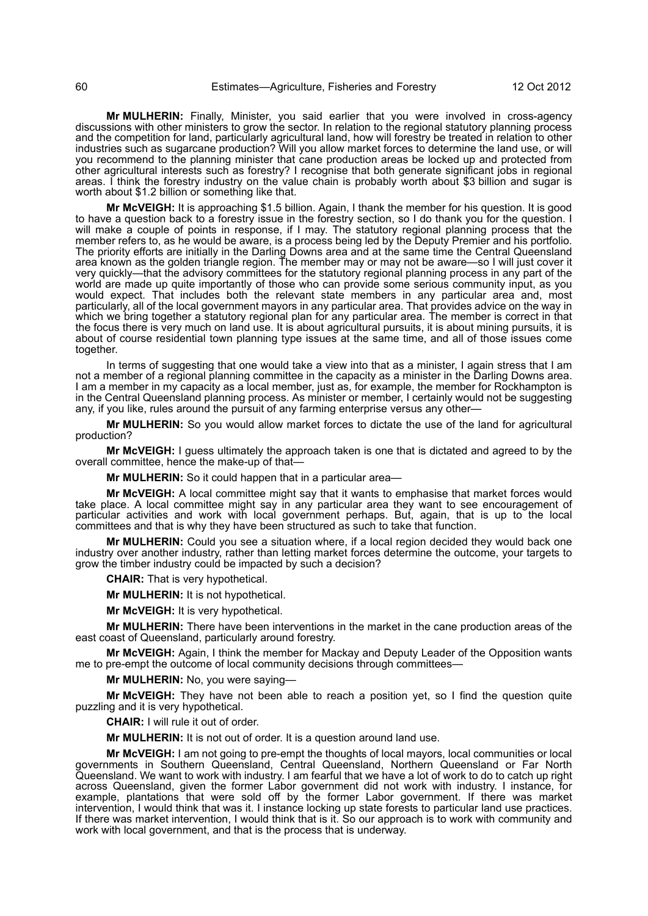**Mr MULHERIN:** Finally, Minister, you said earlier that you were involved in cross-agency discussions with other ministers to grow the sector. In relation to the regional statutory planning process and the competition for land, particularly agricultural land, how will forestry be treated in relation to other industries such as sugarcane production? Will you allow market forces to determine the land use, or will you recommend to the planning minister that cane production areas be locked up and protected from other agricultural interests such as forestry? I recognise that both generate significant jobs in regional areas. I think the forestry industry on the value chain is probably worth about \$3 billion and sugar is worth about \$1.2 billion or something like that.

**Mr McVEIGH:** It is approaching \$1.5 billion. Again, I thank the member for his question. It is good to have a question back to a forestry issue in the forestry section, so I do thank you for the question. I will make a couple of points in response, if I may. The statutory regional planning process that the member refers to, as he would be aware, is a process being led by the Deputy Premier and his portfolio. The priority efforts are initially in the Darling Downs area and at the same time the Central Queensland area known as the golden triangle region. The member may or may not be aware—so I will just cover it very quickly—that the advisory committees for the statutory regional planning process in any part of the world are made up quite importantly of those who can provide some serious community input, as you would expect. That includes both the relevant state members in any particular area and, most particularly, all of the local government mayors in any particular area. That provides advice on the way in which we bring together a statutory regional plan for any particular area. The member is correct in that the focus there is very much on land use. It is about agricultural pursuits, it is about mining pursuits, it is about of course residential town planning type issues at the same time, and all of those issues come together.

In terms of suggesting that one would take a view into that as a minister, I again stress that I am not a member of a regional planning committee in the capacity as a minister in the Darling Downs area. I am a member in my capacity as a local member, just as, for example, the member for Rockhampton is in the Central Queensland planning process. As minister or member, I certainly would not be suggesting any, if you like, rules around the pursuit of any farming enterprise versus any other—

**Mr MULHERIN:** So you would allow market forces to dictate the use of the land for agricultural production?

**Mr McVEIGH:** I guess ultimately the approach taken is one that is dictated and agreed to by the overall committee, hence the make-up of that-

**Mr MULHERIN:** So it could happen that in a particular area—

**Mr McVEIGH:** A local committee might say that it wants to emphasise that market forces would take place. A local committee might say in any particular area they want to see encouragement of particular activities and work with local government perhaps. But, again, that is up to the local committees and that is why they have been structured as such to take that function.

**Mr MULHERIN:** Could you see a situation where, if a local region decided they would back one industry over another industry, rather than letting market forces determine the outcome, your targets to grow the timber industry could be impacted by such a decision?

**CHAIR:** That is very hypothetical.

**Mr MULHERIN:** It is not hypothetical.

**Mr McVEIGH:** It is very hypothetical.

**Mr MULHERIN:** There have been interventions in the market in the cane production areas of the east coast of Queensland, particularly around forestry.

**Mr McVEIGH:** Again, I think the member for Mackay and Deputy Leader of the Opposition wants me to pre-empt the outcome of local community decisions through committees—

**Mr MULHERIN:** No, you were saying—

**Mr McVEIGH:** They have not been able to reach a position yet, so I find the question quite puzzling and it is very hypothetical.

**CHAIR:** I will rule it out of order.

**Mr MULHERIN:** It is not out of order. It is a question around land use.

**Mr McVEIGH:** I am not going to pre-empt the thoughts of local mayors, local communities or local governments in Southern Queensland, Central Queensland, Northern Queensland or Far North Queensland. We want to work with industry. I am fearful that we have a lot of work to do to catch up right across Queensland, given the former Labor government did not work with industry. I instance, for example, plantations that were sold off by the former Labor government. If there was market intervention, I would think that was it. I instance locking up state forests to particular land use practices. If there was market intervention, I would think that is it. So our approach is to work with community and work with local government, and that is the process that is underway.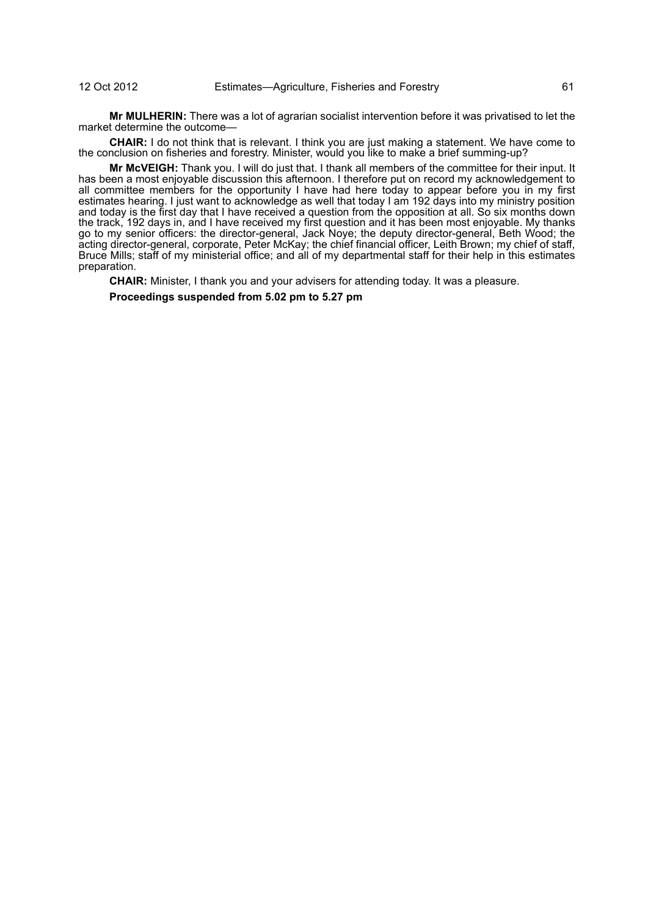**Mr MULHERIN:** There was a lot of agrarian socialist intervention before it was privatised to let the market determine the outcome—

**CHAIR:** I do not think that is relevant. I think you are just making a statement. We have come to the conclusion on fisheries and forestry. Minister, would you like to make a brief summing-up?

**Mr McVEIGH:** Thank you. I will do just that. I thank all members of the committee for their input. It has been a most enjoyable discussion this afternoon. I therefore put on record my acknowledgement to all committee members for the opportunity I have had here today to appear before you in my first estimates hearing. I just want to acknowledge as well that today I am 192 days into my ministry position and today is the first day that I have received a question from the opposition at all. So six months down the track, 192 days in, and I have received my first question and it has been most enjoyable. My thanks go to my senior officers: the director-general, Jack Noye; the deputy director-general, Beth Wood; the acting director-general, corporate, Peter McKay; the chief financial officer, Leith Brown; my chief of staff, Bruce Mills; staff of my ministerial office; and all of my departmental staff for their help in this estimates preparation.

**CHAIR:** Minister, I thank you and your advisers for attending today. It was a pleasure.

**Proceedings suspended from 5.02 pm to 5.27 pm**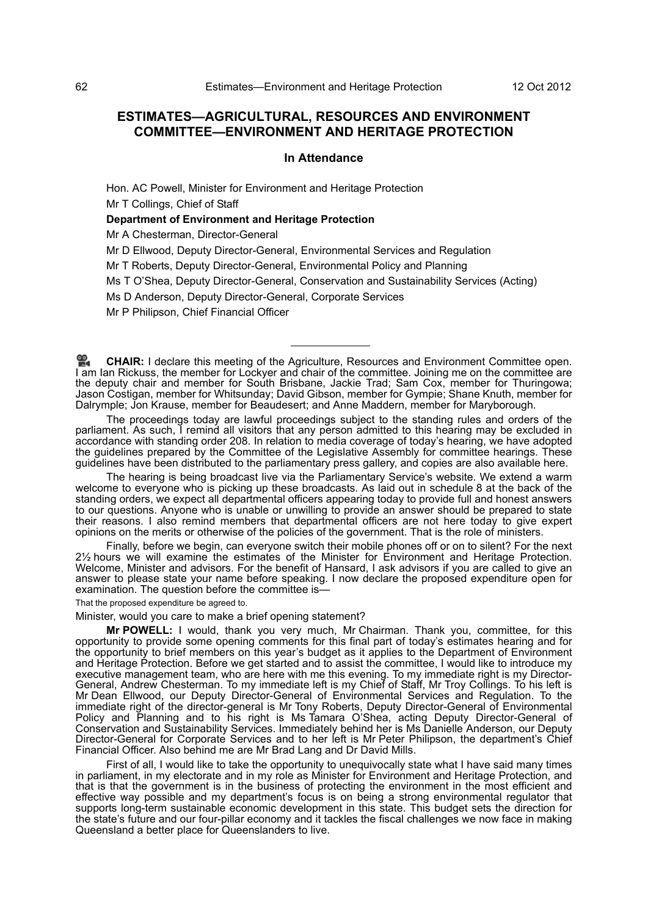# **ESTIMATES—AGRICULTURAL, RESOURCES AND ENVIRONMENT COMMITTEE—ENVIRONMENT AND HERITAGE PROTECTION**

## **In Attendance**

Hon. AC Powell, Minister for Environment and Heritage Protection

Mr T Collings, Chief of Staff

# **Department of Environment and Heritage Protection**

Mr A Chesterman, Director-General

Mr D Ellwood, Deputy Director-General, Environmental Services and Regulation

Mr T Roberts, Deputy Director-General, Environmental Policy and Planning

Ms T O'Shea, Deputy Director-General, Conservation and Sustainability Services (Acting)

Ms D Anderson, Deputy Director-General, Corporate Services

Mr P Philipson, Chief Financial Officer

The proceedings today are lawful proceedings subject to the standing rules and orders of the parliament. As such, I remind all visitors that any person admitted to this hearing may be excluded in accordance with standing order 208. In relation to media coverage of today's hearing, we have adopted the guidelines prepared by the Committee of the Legislative Assembly for committee hearings. These guidelines have been distributed to the parliamentary press gallery, and copies are also available here.

The hearing is being broadcast live via the Parliamentary Service's website. We extend a warm welcome to everyone who is picking up these broadcasts. As laid out in schedule 8 at the back of the standing orders, we expect all departmental officers appearing today to provide full and honest answers to our questions. Anyone who is unable or unwilling to provide an answer should be prepared to state their reasons. I also remind members that departmental officers are not here today to give expert opinions on the merits or otherwise of the policies of the government. That is the role of ministers.

Finally, before we begin, can everyone switch their mobile phones off or on to silent? For the next 2½ hours we will examine the estimates of the Minister for Environment and Heritage Protection. Welcome, Minister and advisors. For the benefit of Hansard, I ask advisors if you are called to give an answer to please state your name before speaking. I now declare the proposed expenditure open for examination. The question before the committee is—

That the proposed expenditure be agreed to.

Minister, would you care to make a brief opening statement?

**Mr POWELL:** I would, thank you very much, Mr Chairman. Thank you, committee, for this opportunity to provide some opening comments for this final part of today's estimates hearing and for the opportunity to brief members on this year's budget as it applies to the Department of Environment and Heritage Protection. Before we get started and to assist the committee, I would like to introduce my executive management team, who are here with me this evening. To my immediate right is my Director-General, Andrew Chesterman. To my immediate left is my Chief of Staff, Mr Troy Collings. To his left is Mr Dean Ellwood, our Deputy Director-General of Environmental Services and Regulation. To the immediate right of the director-general is Mr Tony Roberts, Deputy Director-General of Environmental Policy and Planning and to his right is Ms Tamara O'Shea, acting Deputy Director-General of Conservation and Sustainability Services. Immediately behind her is Ms Danielle Anderson, our Deputy Director-General for Corporate Services and to her left is Mr Peter Philipson, the department's Chief Financial Officer. Also behind me are Mr Brad Lang and Dr David Mills.

First of all, I would like to take the opportunity to unequivocally state what I have said many times in parliament, in my electorate and in my role as Minister for Environment and Heritage Protection, and that is that the government is in the business of protecting the environment in the most efficient and effective way possible and my department's focus is on being a strong environmental regulator that supports long-term sustainable economic development in this state. This budget sets the direction for the state's future and our four-pillar economy and it tackles the fiscal challenges we now face in making Queensland a better place for Queenslanders to live.

**[CHAIR:](http://www.parliament.qld.gov.au/docs/find.aspx?id=0Mba20121012_172825)** I declare this meeting of the Agriculture, Resources and Environment Committee open. [I](http://www.parliament.qld.gov.au/docs/find.aspx?id=0Mba20121012_172825) [am](http://www.parliament.qld.gov.au/docs/find.aspx?id=0Mba20121012_172825) Ian Rickuss, the member for Lockyer and chair of the committee. Joining me on the committee are the deputy chair and member for South Brisbane, Jackie Trad; Sam Cox, member for Thuringowa; Jason Costigan, member for Whitsunday; David Gibson, member for Gympie; Shane Knuth, member for Dalrymple; Jon Krause, member for Beaudesert; and Anne Maddern, member for Maryborough.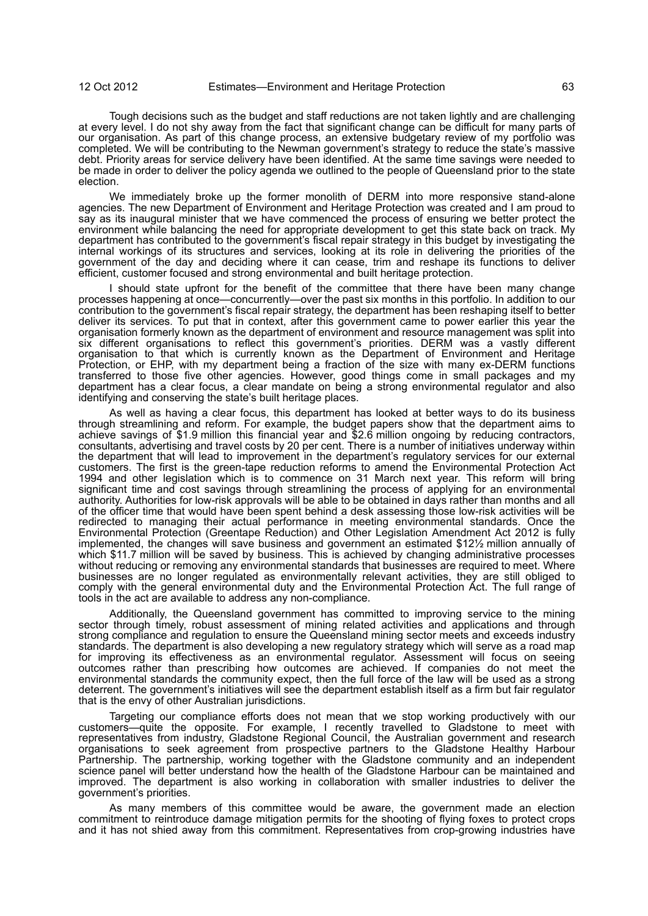Tough decisions such as the budget and staff reductions are not taken lightly and are challenging at every level. I do not shy away from the fact that significant change can be difficult for many parts of our organisation. As part of this change process, an extensive budgetary review of my portfolio was completed. We will be contributing to the Newman government's strategy to reduce the state's massive debt. Priority areas for service delivery have been identified. At the same time savings were needed to be made in order to deliver the policy agenda we outlined to the people of Queensland prior to the state election.

We immediately broke up the former monolith of DERM into more responsive stand-alone agencies. The new Department of Environment and Heritage Protection was created and I am proud to say as its inaugural minister that we have commenced the process of ensuring we better protect the environment while balancing the need for appropriate development to get this state back on track. My department has contributed to the government's fiscal repair strategy in this budget by investigating the internal workings of its structures and services, looking at its role in delivering the priorities of the government of the day and deciding where it can cease, trim and reshape its functions to deliver efficient, customer focused and strong environmental and built heritage protection.

I should state upfront for the benefit of the committee that there have been many change processes happening at once—concurrently—over the past six months in this portfolio. In addition to our contribution to the government's fiscal repair strategy, the department has been reshaping itself to better deliver its services. To put that in context, after this government came to power earlier this year the organisation formerly known as the department of environment and resource management was split into six different organisations to reflect this government's priorities. DERM was a vastly different organisation to that which is currently known as the Department of Environment and Heritage Protection, or EHP, with my department being a fraction of the size with many ex-DERM functions transferred to those five other agencies. However, good things come in small packages and my department has a clear focus, a clear mandate on being a strong environmental regulator and also identifying and conserving the state's built heritage places.

As well as having a clear focus, this department has looked at better ways to do its business through streamlining and reform. For example, the budget papers show that the department aims to achieve savings of \$1.9 million this financial year and \$2.6 million ongoing by reducing contractors, consultants, advertising and travel costs by 20 per cent. There is a number of initiatives underway within the department that will lead to improvement in the department's regulatory services for our external customers. The first is the green-tape reduction reforms to amend the Environmental Protection Act 1994 and other legislation which is to commence on 31 March next year. This reform will bring significant time and cost savings through streamlining the process of applying for an environmental authority. Authorities for low-risk approvals will be able to be obtained in days rather than months and all of the officer time that would have been spent behind a desk assessing those low-risk activities will be redirected to managing their actual performance in meeting environmental standards. Once the Environmental Protection (Greentape Reduction) and Other Legislation Amendment Act 2012 is fully implemented, the changes will save business and government an estimated \$12½ million annually of which \$11.7 million will be saved by business. This is achieved by changing administrative processes without reducing or removing any environmental standards that businesses are required to meet. Where businesses are no longer regulated as environmentally relevant activities, they are still obliged to comply with the general environmental duty and the Environmental Protection Act. The full range of tools in the act are available to address any non-compliance.

Additionally, the Queensland government has committed to improving service to the mining sector through timely, robust assessment of mining related activities and applications and through strong compliance and regulation to ensure the Queensland mining sector meets and exceeds industry standards. The department is also developing a new regulatory strategy which will serve as a road map for improving its effectiveness as an environmental regulator. Assessment will focus on seeing outcomes rather than prescribing how outcomes are achieved. If companies do not meet the environmental standards the community expect, then the full force of the law will be used as a strong deterrent. The government's initiatives will see the department establish itself as a firm but fair regulator that is the envy of other Australian jurisdictions.

Targeting our compliance efforts does not mean that we stop working productively with our customers—quite the opposite. For example, I recently travelled to Gladstone to meet with representatives from industry, Gladstone Regional Council, the Australian government and research organisations to seek agreement from prospective partners to the Gladstone Healthy Harbour Partnership. The partnership, working together with the Gladstone community and an independent science panel will better understand how the health of the Gladstone Harbour can be maintained and improved. The department is also working in collaboration with smaller industries to deliver the government's priorities.

As many members of this committee would be aware, the government made an election commitment to reintroduce damage mitigation permits for the shooting of flying foxes to protect crops and it has not shied away from this commitment. Representatives from crop-growing industries have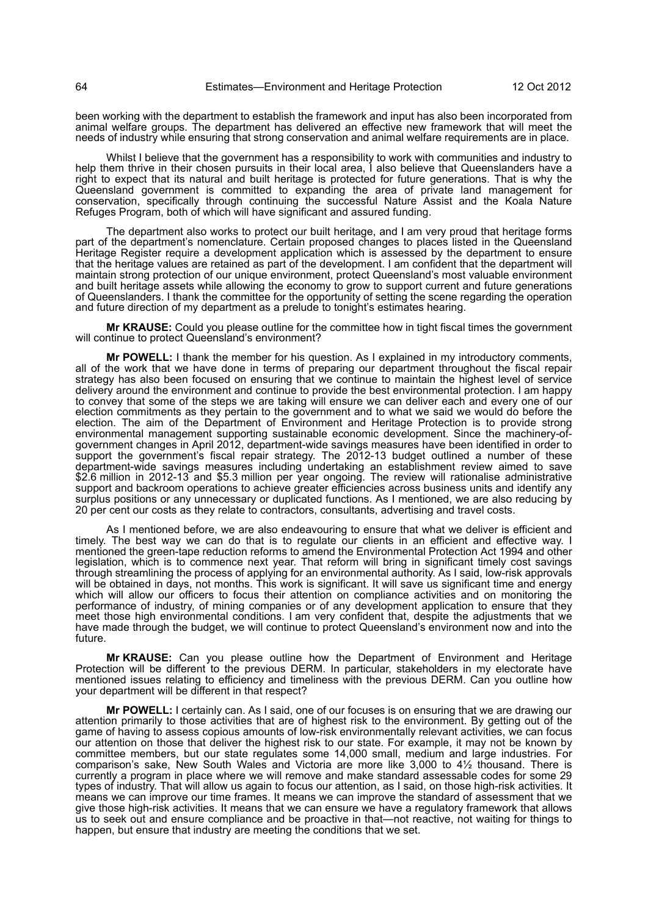been working with the department to establish the framework and input has also been incorporated from animal welfare groups. The department has delivered an effective new framework that will meet the needs of industry while ensuring that strong conservation and animal welfare requirements are in place.

Whilst I believe that the government has a responsibility to work with communities and industry to help them thrive in their chosen pursuits in their local area, I also believe that Queenslanders have a right to expect that its natural and built heritage is protected for future generations. That is why the Queensland government is committed to expanding the area of private land management for conservation, specifically through continuing the successful Nature Assist and the Koala Nature Refuges Program, both of which will have significant and assured funding.

The department also works to protect our built heritage, and I am very proud that heritage forms part of the department's nomenclature. Certain proposed changes to places listed in the Queensland Heritage Register require a development application which is assessed by the department to ensure that the heritage values are retained as part of the development. I am confident that the department will maintain strong protection of our unique environment, protect Queensland's most valuable environment and built heritage assets while allowing the economy to grow to support current and future generations of Queenslanders. I thank the committee for the opportunity of setting the scene regarding the operation and future direction of my department as a prelude to tonight's estimates hearing.

**Mr KRAUSE:** Could you please outline for the committee how in tight fiscal times the government will continue to protect Queensland's environment?

**Mr POWELL:** I thank the member for his question. As I explained in my introductory comments, all of the work that we have done in terms of preparing our department throughout the fiscal repair strategy has also been focused on ensuring that we continue to maintain the highest level of service delivery around the environment and continue to provide the best environmental protection. I am happy to convey that some of the steps we are taking will ensure we can deliver each and every one of our election commitments as they pertain to the government and to what we said we would do before the election. The aim of the Department of Environment and Heritage Protection is to provide strong environmental management supporting sustainable economic development. Since the machinery-ofgovernment changes in April 2012, department-wide savings measures have been identified in order to support the government's fiscal repair strategy. The 2012-13 budget outlined a number of these department-wide savings measures including undertaking an establishment review aimed to save \$2.6 million in 2012-13 and \$5.3 million per year ongoing. The review will rationalise administrative support and backroom operations to achieve greater efficiencies across business units and identify any surplus positions or any unnecessary or duplicated functions. As I mentioned, we are also reducing by 20 per cent our costs as they relate to contractors, consultants, advertising and travel costs.

As I mentioned before, we are also endeavouring to ensure that what we deliver is efficient and timely. The best way we can do that is to regulate our clients in an efficient and effective way. I mentioned the green-tape reduction reforms to amend the Environmental Protection Act 1994 and other legislation, which is to commence next year. That reform will bring in significant timely cost savings through streamlining the process of applying for an environmental authority. As I said, low-risk approvals will be obtained in days, not months. This work is significant. It will save us significant time and energy which will allow our officers to focus their attention on compliance activities and on monitoring the performance of industry, of mining companies or of any development application to ensure that they meet those high environmental conditions. I am very confident that, despite the adjustments that we have made through the budget, we will continue to protect Queensland's environment now and into the future.

**Mr KRAUSE:** Can you please outline how the Department of Environment and Heritage Protection will be different to the previous DERM. In particular, stakeholders in my electorate have mentioned issues relating to efficiency and timeliness with the previous DERM. Can you outline how your department will be different in that respect?

**Mr POWELL:** I certainly can. As I said, one of our focuses is on ensuring that we are drawing our attention primarily to those activities that are of highest risk to the environment. By getting out of the game of having to assess copious amounts of low-risk environmentally relevant activities, we can focus our attention on those that deliver the highest risk to our state. For example, it may not be known by committee members, but our state regulates some 14,000 small, medium and large industries. For comparison's sake, New South Wales and Victoria are more like 3,000 to 4½ thousand. There is currently a program in place where we will remove and make standard assessable codes for some 29 types of industry. That will allow us again to focus our attention, as I said, on those high-risk activities. It means we can improve our time frames. It means we can improve the standard of assessment that we give those high-risk activities. It means that we can ensure we have a regulatory framework that allows us to seek out and ensure compliance and be proactive in that—not reactive, not waiting for things to happen, but ensure that industry are meeting the conditions that we set.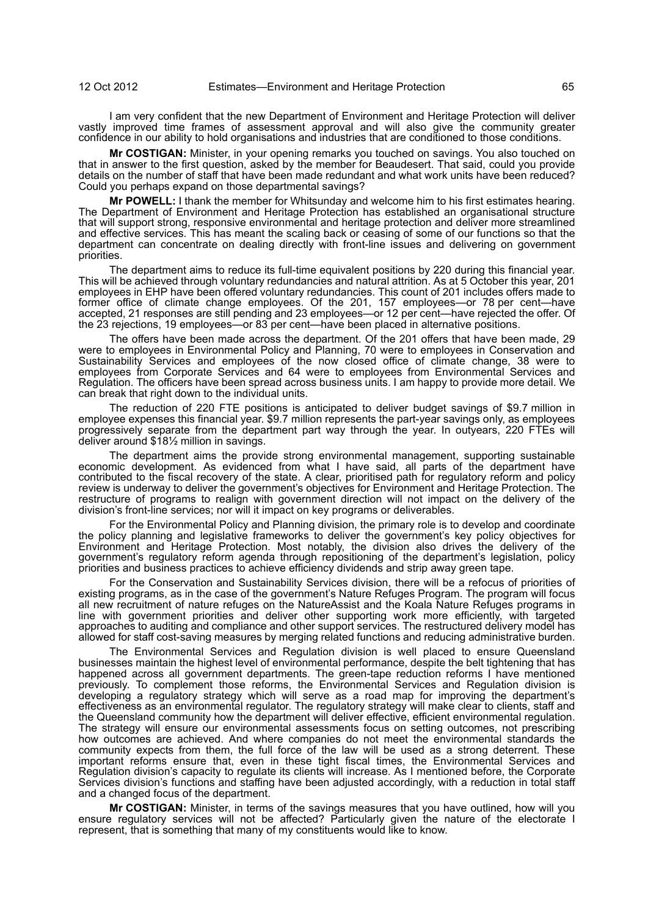I am very confident that the new Department of Environment and Heritage Protection will deliver vastly improved time frames of assessment approval and will also give the community greater confidence in our ability to hold organisations and industries that are conditioned to those conditions.

**Mr COSTIGAN:** Minister, in your opening remarks you touched on savings. You also touched on that in answer to the first question, asked by the member for Beaudesert. That said, could you provide details on the number of staff that have been made redundant and what work units have been reduced? Could you perhaps expand on those departmental savings?

**Mr POWELL:** I thank the member for Whitsunday and welcome him to his first estimates hearing. The Department of Environment and Heritage Protection has established an organisational structure that will support strong, responsive environmental and heritage protection and deliver more streamlined and effective services. This has meant the scaling back or ceasing of some of our functions so that the department can concentrate on dealing directly with front-line issues and delivering on government priorities.

The department aims to reduce its full-time equivalent positions by 220 during this financial year. This will be achieved through voluntary redundancies and natural attrition. As at 5 October this year, 201 employees in EHP have been offered voluntary redundancies. This count of 201 includes offers made to former office of climate change employees. Of the 201, 157 employees—or 78 per cent—have accepted, 21 responses are still pending and 23 employees—or 12 per cent—have rejected the offer. Of the 23 rejections, 19 employees—or 83 per cent—have been placed in alternative positions.

The offers have been made across the department. Of the 201 offers that have been made, 29 were to employees in Environmental Policy and Planning, 70 were to employees in Conservation and Sustainability Services and employees of the now closed office of climate change, 38 were to employees from Corporate Services and 64 were to employees from Environmental Services and Regulation. The officers have been spread across business units. I am happy to provide more detail. We can break that right down to the individual units.

The reduction of 220 FTE positions is anticipated to deliver budget savings of \$9.7 million in employee expenses this financial year. \$9.7 million represents the part-year savings only, as employees progressively separate from the department part way through the year. In outyears, 220 FTEs will deliver around \$18½ million in savings.

The department aims the provide strong environmental management, supporting sustainable economic development. As evidenced from what I have said, all parts of the department have contributed to the fiscal recovery of the state. A clear, prioritised path for regulatory reform and policy review is underway to deliver the government's objectives for Environment and Heritage Protection. The restructure of programs to realign with government direction will not impact on the delivery of the division's front-line services; nor will it impact on key programs or deliverables.

For the Environmental Policy and Planning division, the primary role is to develop and coordinate the policy planning and legislative frameworks to deliver the government's key policy objectives for Environment and Heritage Protection. Most notably, the division also drives the delivery of the government's regulatory reform agenda through repositioning of the department's legislation, policy priorities and business practices to achieve efficiency dividends and strip away green tape.

For the Conservation and Sustainability Services division, there will be a refocus of priorities of existing programs, as in the case of the government's Nature Refuges Program. The program will focus all new recruitment of nature refuges on the NatureAssist and the Koala Nature Refuges programs in line with government priorities and deliver other supporting work more efficiently, with targeted approaches to auditing and compliance and other support services. The restructured delivery model has allowed for staff cost-saving measures by merging related functions and reducing administrative burden.

The Environmental Services and Regulation division is well placed to ensure Queensland businesses maintain the highest level of environmental performance, despite the belt tightening that has happened across all government departments. The green-tape reduction reforms I have mentioned previously. To complement those reforms, the Environmental Services and Regulation division is developing a regulatory strategy which will serve as a road map for improving the department's effectiveness as an environmental regulator. The regulatory strategy will make clear to clients, staff and the Queensland community how the department will deliver effective, efficient environmental regulation. The strategy will ensure our environmental assessments focus on setting outcomes, not prescribing how outcomes are achieved. And where companies do not meet the environmental standards the community expects from them, the full force of the law will be used as a strong deterrent. These important reforms ensure that, even in these tight fiscal times, the Environmental Services and Regulation division's capacity to regulate its clients will increase. As I mentioned before, the Corporate Services division's functions and staffing have been adjusted accordingly, with a reduction in total staff and a changed focus of the department.

**Mr COSTIGAN:** Minister, in terms of the savings measures that you have outlined, how will you ensure regulatory services will not be affected? Particularly given the nature of the electorate I represent, that is something that many of my constituents would like to know.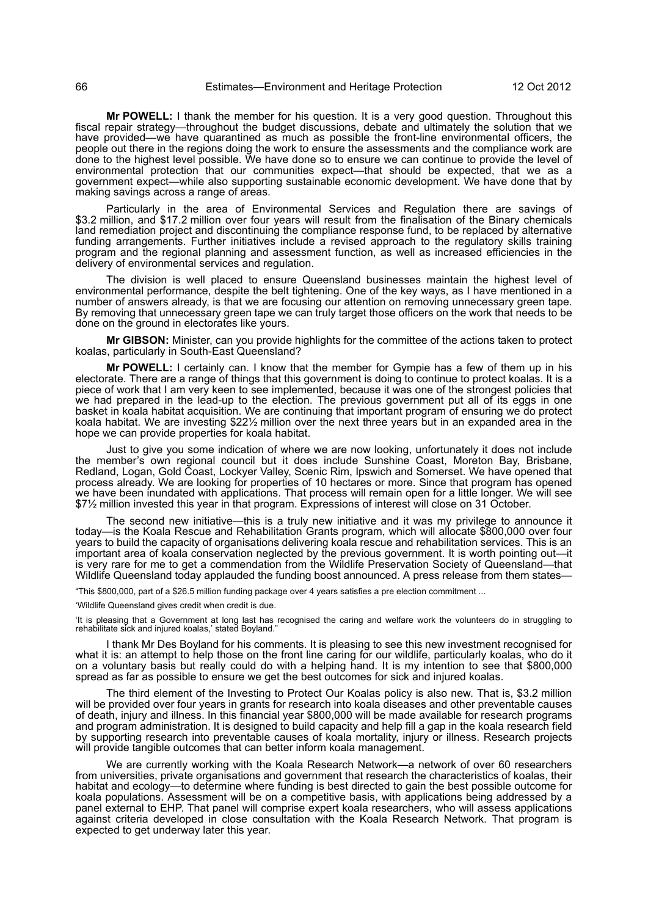**Mr POWELL:** I thank the member for his question. It is a very good question. Throughout this fiscal repair strategy—throughout the budget discussions, debate and ultimately the solution that we have provided—we have quarantined as much as possible the front-line environmental officers, the people out there in the regions doing the work to ensure the assessments and the compliance work are done to the highest level possible. We have done so to ensure we can continue to provide the level of environmental protection that our communities expect—that should be expected, that we as a government expect—while also supporting sustainable economic development. We have done that by making savings across a range of areas.

Particularly in the area of Environmental Services and Regulation there are savings of \$3.2 million, and \$17.2 million over four years will result from the finalisation of the Binary chemicals land remediation project and discontinuing the compliance response fund, to be replaced by alternative funding arrangements. Further initiatives include a revised approach to the regulatory skills training program and the regional planning and assessment function, as well as increased efficiencies in the delivery of environmental services and regulation.

The division is well placed to ensure Queensland businesses maintain the highest level of environmental performance, despite the belt tightening. One of the key ways, as I have mentioned in a number of answers already, is that we are focusing our attention on removing unnecessary green tape. By removing that unnecessary green tape we can truly target those officers on the work that needs to be done on the ground in electorates like yours.

**Mr GIBSON:** Minister, can you provide highlights for the committee of the actions taken to protect koalas, particularly in South-East Queensland?

**Mr POWELL:** I certainly can. I know that the member for Gympie has a few of them up in his electorate. There are a range of things that this government is doing to continue to protect koalas. It is a piece of work that I am very keen to see implemented, because it was one of the strongest policies that we had prepared in the lead-up to the election. The previous government put all of its eggs in one basket in koala habitat acquisition. We are continuing that important program of ensuring we do protect koala habitat. We are investing \$22½ million over the next three years but in an expanded area in the hope we can provide properties for koala habitat.

Just to give you some indication of where we are now looking, unfortunately it does not include the member's own regional council but it does include Sunshine Coast, Moreton Bay, Brisbane, Redland, Logan, Gold Coast, Lockyer Valley, Scenic Rim, Ipswich and Somerset. We have opened that process already. We are looking for properties of 10 hectares or more. Since that program has opened we have been inundated with applications. That process will remain open for a little longer. We will see \$7½ million invested this year in that program. Expressions of interest will close on 31 October.

The second new initiative—this is a truly new initiative and it was my privilege to announce it today—is the Koala Rescue and Rehabilitation Grants program, which will allocate \$800,000 over four years to build the capacity of organisations delivering koala rescue and rehabilitation services. This is an important area of koala conservation neglected by the previous government. It is worth pointing out—it is very rare for me to get a commendation from the Wildlife Preservation Society of Queensland—that Wildlife Queensland today applauded the funding boost announced. A press release from them states—

"This \$800,000, part of a \$26.5 million funding package over 4 years satisfies a pre election commitment ...

'Wildlife Queensland gives credit when credit is due.

'It is pleasing that a Government at long last has recognised the caring and welfare work the volunteers do in struggling to rehabilitate sick and injured koalas,' stated Boyland."

I thank Mr Des Boyland for his comments. It is pleasing to see this new investment recognised for what it is: an attempt to help those on the front line caring for our wildlife, particularly koalas, who do it on a voluntary basis but really could do with a helping hand. It is my intention to see that \$800,000 spread as far as possible to ensure we get the best outcomes for sick and injured koalas.

The third element of the Investing to Protect Our Koalas policy is also new. That is, \$3.2 million will be provided over four years in grants for research into koala diseases and other preventable causes of death, injury and illness. In this financial year \$800,000 will be made available for research programs and program administration. It is designed to build capacity and help fill a gap in the koala research field by supporting research into preventable causes of koala mortality, injury or illness. Research projects will provide tangible outcomes that can better inform koala management.

We are currently working with the Koala Research Network—a network of over 60 researchers from universities, private organisations and government that research the characteristics of koalas, their habitat and ecology—to determine where funding is best directed to gain the best possible outcome for koala populations. Assessment will be on a competitive basis, with applications being addressed by a panel external to EHP. That panel will comprise expert koala researchers, who will assess applications against criteria developed in close consultation with the Koala Research Network. That program is expected to get underway later this year.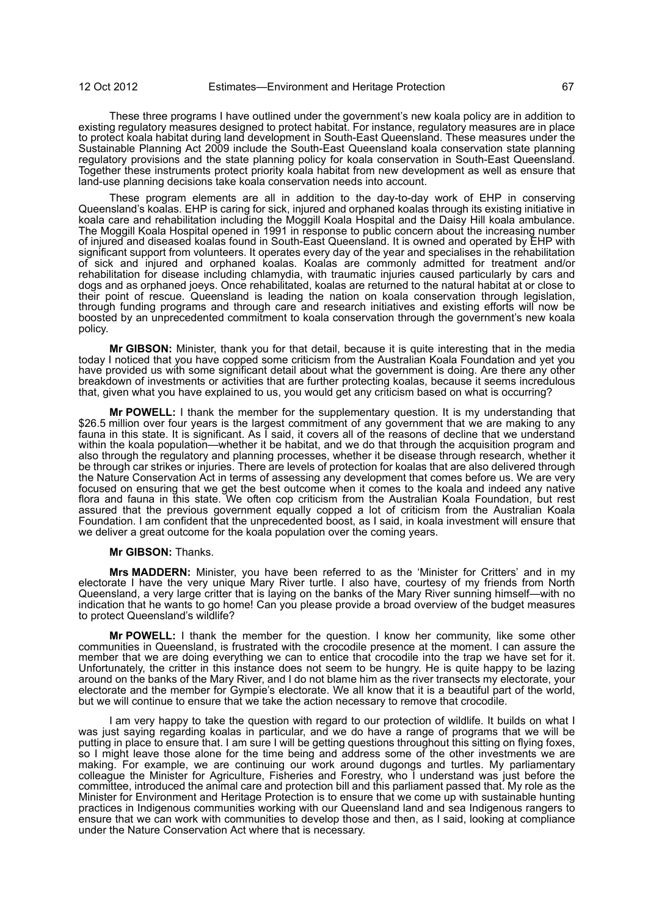These three programs I have outlined under the government's new koala policy are in addition to existing regulatory measures designed to protect habitat. For instance, regulatory measures are in place to protect koala habitat during land development in South-East Queensland. These measures under the Sustainable Planning Act 2009 include the South-East Queensland koala conservation state planning regulatory provisions and the state planning policy for koala conservation in South-East Queensland. Together these instruments protect priority koala habitat from new development as well as ensure that land-use planning decisions take koala conservation needs into account.

These program elements are all in addition to the day-to-day work of EHP in conserving Queensland's koalas. EHP is caring for sick, injured and orphaned koalas through its existing initiative in koala care and rehabilitation including the Moggill Koala Hospital and the Daisy Hill koala ambulance. The Moggill Koala Hospital opened in 1991 in response to public concern about the increasing number of injured and diseased koalas found in South-East Queensland. It is owned and operated by EHP with significant support from volunteers. It operates every day of the year and specialises in the rehabilitation of sick and injured and orphaned koalas. Koalas are commonly admitted for treatment and/or rehabilitation for disease including chlamydia, with traumatic injuries caused particularly by cars and dogs and as orphaned joeys. Once rehabilitated, koalas are returned to the natural habitat at or close to their point of rescue. Queensland is leading the nation on koala conservation through legislation, through funding programs and through care and research initiatives and existing efforts will now be boosted by an unprecedented commitment to koala conservation through the government's new koala policy.

**Mr GIBSON:** Minister, thank you for that detail, because it is quite interesting that in the media today I noticed that you have copped some criticism from the Australian Koala Foundation and yet you have provided us with some significant detail about what the government is doing. Are there any other breakdown of investments or activities that are further protecting koalas, because it seems incredulous that, given what you have explained to us, you would get any criticism based on what is occurring?

**Mr POWELL:** I thank the member for the supplementary question. It is my understanding that \$26.5 million over four years is the largest commitment of any government that we are making to any fauna in this state. It is significant. As I said, it covers all of the reasons of decline that we understand within the koala population—whether it be habitat, and we do that through the acquisition program and also through the regulatory and planning processes, whether it be disease through research, whether it be through car strikes or injuries. There are levels of protection for koalas that are also delivered through the Nature Conservation Act in terms of assessing any development that comes before us. We are very focused on ensuring that we get the best outcome when it comes to the koala and indeed any native flora and fauna in this state. We often cop criticism from the Australian Koala Foundation, but rest assured that the previous government equally copped a lot of criticism from the Australian Koala Foundation. I am confident that the unprecedented boost, as I said, in koala investment will ensure that we deliver a great outcome for the koala population over the coming years.

### **Mr GIBSON:** Thanks.

**Mrs MADDERN:** Minister, you have been referred to as the 'Minister for Critters' and in my electorate I have the very unique Mary River turtle. I also have, courtesy of my friends from North Queensland, a very large critter that is laying on the banks of the Mary River sunning himself—with no indication that he wants to go home! Can you please provide a broad overview of the budget measures to protect Queensland's wildlife?

**Mr POWELL:** I thank the member for the question. I know her community, like some other communities in Queensland, is frustrated with the crocodile presence at the moment. I can assure the member that we are doing everything we can to entice that crocodile into the trap we have set for it. Unfortunately, the critter in this instance does not seem to be hungry. He is quite happy to be lazing around on the banks of the Mary River, and I do not blame him as the river transects my electorate, your electorate and the member for Gympie's electorate. We all know that it is a beautiful part of the world, but we will continue to ensure that we take the action necessary to remove that crocodile.

I am very happy to take the question with regard to our protection of wildlife. It builds on what I was just saying regarding koalas in particular, and we do have a range of programs that we will be putting in place to ensure that. I am sure I will be getting questions throughout this sitting on flying foxes, so I might leave those alone for the time being and address some of the other investments we are making. For example, we are continuing our work around dugongs and turtles. My parliamentary colleague the Minister for Agriculture, Fisheries and Forestry, who I understand was just before the committee, introduced the animal care and protection bill and this parliament passed that. My role as the Minister for Environment and Heritage Protection is to ensure that we come up with sustainable hunting practices in Indigenous communities working with our Queensland land and sea Indigenous rangers to ensure that we can work with communities to develop those and then, as I said, looking at compliance under the Nature Conservation Act where that is necessary.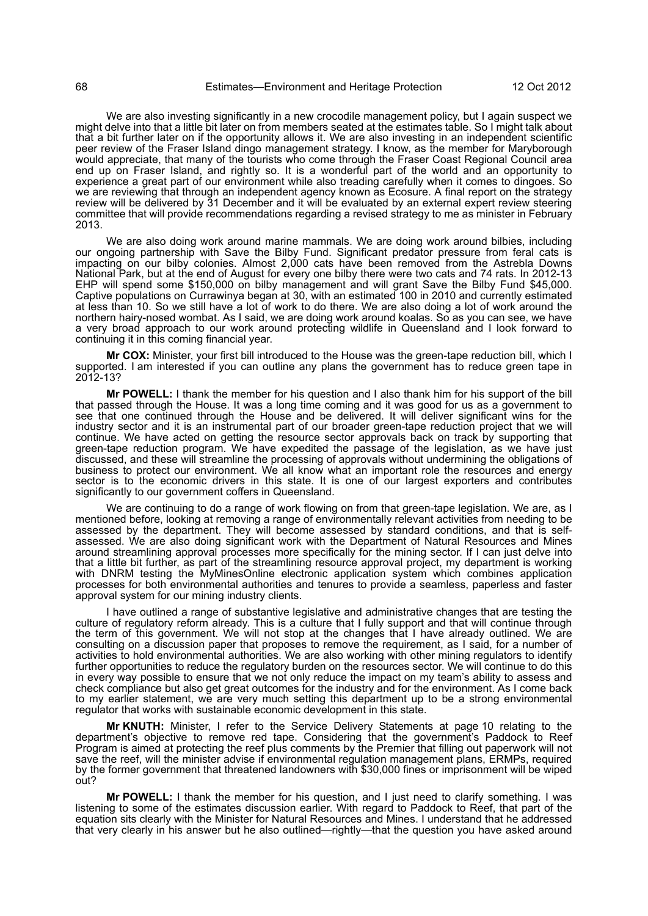We are also investing significantly in a new crocodile management policy, but I again suspect we might delve into that a little bit later on from members seated at the estimates table. So I might talk about that a bit further later on if the opportunity allows it. We are also investing in an independent scientific peer review of the Fraser Island dingo management strategy. I know, as the member for Maryborough would appreciate, that many of the tourists who come through the Fraser Coast Regional Council area end up on Fraser Island, and rightly so. It is a wonderful part of the world and an opportunity to experience a great part of our environment while also treading carefully when it comes to dingoes. So we are reviewing that through an independent agency known as Ecosure. A final report on the strategy review will be delivered by 31 December and it will be evaluated by an external expert review steering committee that will provide recommendations regarding a revised strategy to me as minister in February 2013.

We are also doing work around marine mammals. We are doing work around bilbies, including our ongoing partnership with Save the Bilby Fund. Significant predator pressure from feral cats is impacting on our bilby colonies. Almost 2,000 cats have been removed from the Astrebla Downs National Park, but at the end of August for every one bilby there were two cats and 74 rats. In 2012-13 EHP will spend some \$150,000 on bilby management and will grant Save the Bilby Fund \$45,000. Captive populations on Currawinya began at 30, with an estimated 100 in 2010 and currently estimated at less than 10. So we still have a lot of work to do there. We are also doing a lot of work around the northern hairy-nosed wombat. As I said, we are doing work around koalas. So as you can see, we have a very broad approach to our work around protecting wildlife in Queensland and I look forward to continuing it in this coming financial year.

**Mr COX:** Minister, your first bill introduced to the House was the green-tape reduction bill, which I supported. I am interested if you can outline any plans the government has to reduce green tape in 2012-13?

**Mr POWELL:** I thank the member for his question and I also thank him for his support of the bill that passed through the House. It was a long time coming and it was good for us as a government to see that one continued through the House and be delivered. It will deliver significant wins for the industry sector and it is an instrumental part of our broader green-tape reduction project that we will continue. We have acted on getting the resource sector approvals back on track by supporting that green-tape reduction program. We have expedited the passage of the legislation, as we have just discussed, and these will streamline the processing of approvals without undermining the obligations of business to protect our environment. We all know what an important role the resources and energy sector is to the economic drivers in this state. It is one of our largest exporters and contributes significantly to our government coffers in Queensland.

We are continuing to do a range of work flowing on from that green-tape legislation. We are, as I mentioned before, looking at removing a range of environmentally relevant activities from needing to be assessed by the department. They will become assessed by standard conditions, and that is selfassessed. We are also doing significant work with the Department of Natural Resources and Mines around streamlining approval processes more specifically for the mining sector. If I can just delve into that a little bit further, as part of the streamlining resource approval project, my department is working with DNRM testing the MyMinesOnline electronic application system which combines application processes for both environmental authorities and tenures to provide a seamless, paperless and faster approval system for our mining industry clients.

I have outlined a range of substantive legislative and administrative changes that are testing the culture of regulatory reform already. This is a culture that I fully support and that will continue through the term of this government. We will not stop at the changes that I have already outlined. We are consulting on a discussion paper that proposes to remove the requirement, as I said, for a number of activities to hold environmental authorities. We are also working with other mining regulators to identify further opportunities to reduce the regulatory burden on the resources sector. We will continue to do this in every way possible to ensure that we not only reduce the impact on my team's ability to assess and check compliance but also get great outcomes for the industry and for the environment. As I come back to my earlier statement, we are very much setting this department up to be a strong environmental regulator that works with sustainable economic development in this state.

**Mr KNUTH:** Minister, I refer to the Service Delivery Statements at page 10 relating to the department's objective to remove red tape. Considering that the government's Paddock to Reef Program is aimed at protecting the reef plus comments by the Premier that filling out paperwork will not save the reef, will the minister advise if environmental regulation management plans, ERMPs, required by the former government that threatened landowners with \$30,000 fines or imprisonment will be wiped out?

**Mr POWELL:** I thank the member for his question, and I just need to clarify something. I was listening to some of the estimates discussion earlier. With regard to Paddock to Reef, that part of the equation sits clearly with the Minister for Natural Resources and Mines. I understand that he addressed that very clearly in his answer but he also outlined—rightly—that the question you have asked around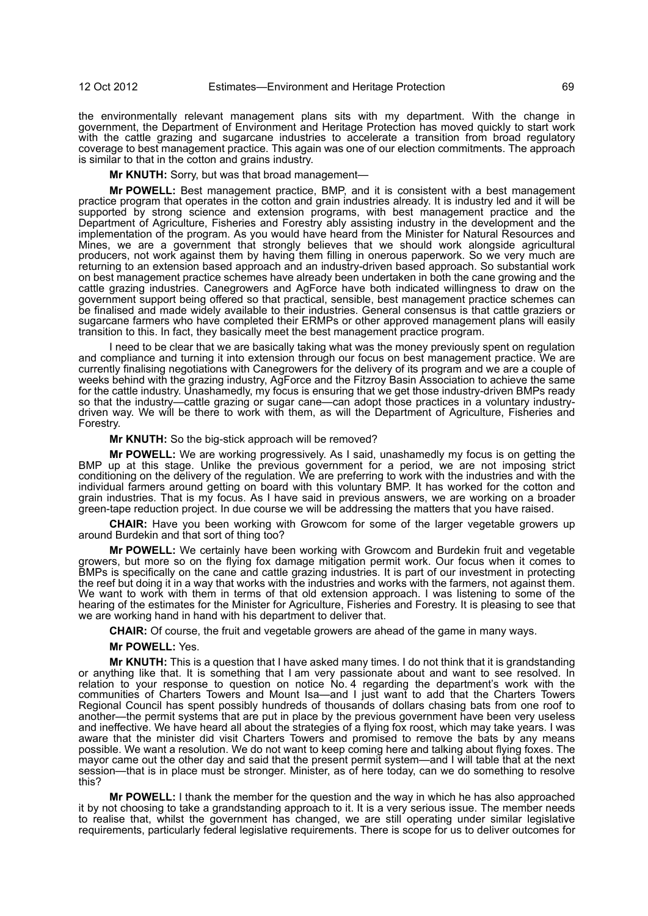the environmentally relevant management plans sits with my department. With the change in government, the Department of Environment and Heritage Protection has moved quickly to start work with the cattle grazing and sugarcane industries to accelerate a transition from broad regulatory coverage to best management practice. This again was one of our election commitments. The approach is similar to that in the cotton and grains industry.

**Mr KNUTH:** Sorry, but was that broad management—

**Mr POWELL:** Best management practice, BMP, and it is consistent with a best management practice program that operates in the cotton and grain industries already. It is industry led and it will be supported by strong science and extension programs, with best management practice and the Department of Agriculture, Fisheries and Forestry ably assisting industry in the development and the implementation of the program. As you would have heard from the Minister for Natural Resources and Mines, we are a government that strongly believes that we should work alongside agricultural producers, not work against them by having them filling in onerous paperwork. So we very much are returning to an extension based approach and an industry-driven based approach. So substantial work on best management practice schemes have already been undertaken in both the cane growing and the cattle grazing industries. Canegrowers and AgForce have both indicated willingness to draw on the government support being offered so that practical, sensible, best management practice schemes can be finalised and made widely available to their industries. General consensus is that cattle graziers or sugarcane farmers who have completed their ERMPs or other approved management plans will easily transition to this. In fact, they basically meet the best management practice program.

I need to be clear that we are basically taking what was the money previously spent on regulation and compliance and turning it into extension through our focus on best management practice. We are currently finalising negotiations with Canegrowers for the delivery of its program and we are a couple of weeks behind with the grazing industry, AgForce and the Fitzroy Basin Association to achieve the same for the cattle industry. Unashamedly, my focus is ensuring that we get those industry-driven BMPs ready so that the industry—cattle grazing or sugar cane—can adopt those practices in a voluntary industrydriven way. We will be there to work with them, as will the Department of Agriculture, Fisheries and Forestry.

**Mr KNUTH:** So the big-stick approach will be removed?

**Mr POWELL:** We are working progressively. As I said, unashamedly my focus is on getting the BMP up at this stage. Unlike the previous government for a period, we are not imposing strict conditioning on the delivery of the regulation. We are preferring to work with the industries and with the individual farmers around getting on board with this voluntary BMP. It has worked for the cotton and grain industries. That is my focus. As I have said in previous answers, we are working on a broader green-tape reduction project. In due course we will be addressing the matters that you have raised.

**CHAIR:** Have you been working with Growcom for some of the larger vegetable growers up around Burdekin and that sort of thing too?

**Mr POWELL:** We certainly have been working with Growcom and Burdekin fruit and vegetable growers, but more so on the flying fox damage mitigation permit work. Our focus when it comes to BMPs is specifically on the cane and cattle grazing industries. It is part of our investment in protecting the reef but doing it in a way that works with the industries and works with the farmers, not against them. We want to work with them in terms of that old extension approach. I was listening to some of the hearing of the estimates for the Minister for Agriculture, Fisheries and Forestry. It is pleasing to see that we are working hand in hand with his department to deliver that.

**CHAIR:** Of course, the fruit and vegetable growers are ahead of the game in many ways.

**Mr POWELL:** Yes.

**Mr KNUTH:** This is a question that I have asked many times. I do not think that it is grandstanding or anything like that. It is something that I am very passionate about and want to see resolved. In relation to your response to question on notice No. 4 regarding the department's work with the communities of Charters Towers and Mount Isa—and I just want to add that the Charters Towers Regional Council has spent possibly hundreds of thousands of dollars chasing bats from one roof to another—the permit systems that are put in place by the previous government have been very useless and ineffective. We have heard all about the strategies of a flying fox roost, which may take years. I was aware that the minister did visit Charters Towers and promised to remove the bats by any means possible. We want a resolution. We do not want to keep coming here and talking about flying foxes. The mayor came out the other day and said that the present permit system—and I will table that at the next session—that is in place must be stronger. Minister, as of here today, can we do something to resolve this?

**Mr POWELL:** I thank the member for the question and the way in which he has also approached it by not choosing to take a grandstanding approach to it. It is a very serious issue. The member needs to realise that, whilst the government has changed, we are still operating under similar legislative requirements, particularly federal legislative requirements. There is scope for us to deliver outcomes for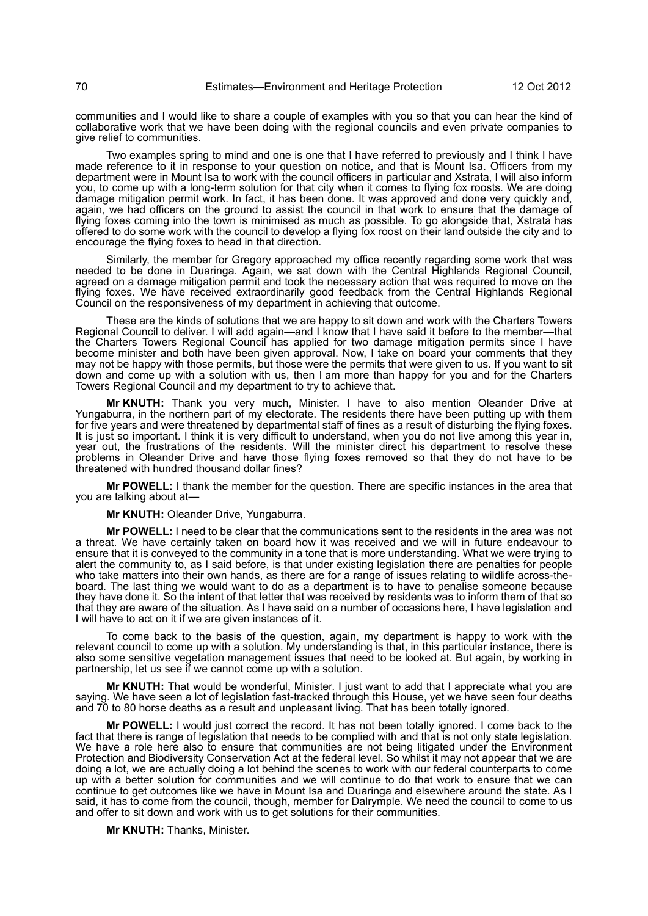communities and I would like to share a couple of examples with you so that you can hear the kind of collaborative work that we have been doing with the regional councils and even private companies to give relief to communities.

Two examples spring to mind and one is one that I have referred to previously and I think I have made reference to it in response to your question on notice, and that is Mount Isa. Officers from my department were in Mount Isa to work with the council officers in particular and Xstrata, I will also inform you, to come up with a long-term solution for that city when it comes to flying fox roosts. We are doing damage mitigation permit work. In fact, it has been done. It was approved and done very quickly and, again, we had officers on the ground to assist the council in that work to ensure that the damage of flying foxes coming into the town is minimised as much as possible. To go alongside that, Xstrata has offered to do some work with the council to develop a flying fox roost on their land outside the city and to encourage the flying foxes to head in that direction.

Similarly, the member for Gregory approached my office recently regarding some work that was needed to be done in Duaringa. Again, we sat down with the Central Highlands Regional Council, agreed on a damage mitigation permit and took the necessary action that was required to move on the flying foxes. We have received extraordinarily good feedback from the Central Highlands Regional Council on the responsiveness of my department in achieving that outcome.

These are the kinds of solutions that we are happy to sit down and work with the Charters Towers Regional Council to deliver. I will add again—and I know that I have said it before to the member—that the Charters Towers Regional Council has applied for two damage mitigation permits since I have become minister and both have been given approval. Now, I take on board your comments that they may not be happy with those permits, but those were the permits that were given to us. If you want to sit down and come up with a solution with us, then I am more than happy for you and for the Charters Towers Regional Council and my department to try to achieve that.

**Mr KNUTH:** Thank you very much, Minister. I have to also mention Oleander Drive at Yungaburra, in the northern part of my electorate. The residents there have been putting up with them for five years and were threatened by departmental staff of fines as a result of disturbing the flying foxes. It is just so important. I think it is very difficult to understand, when you do not live among this year in, year out, the frustrations of the residents. Will the minister direct his department to resolve these problems in Oleander Drive and have those flying foxes removed so that they do not have to be threatened with hundred thousand dollar fines?

**Mr POWELL:** I thank the member for the question. There are specific instances in the area that you are talking about at—

#### **Mr KNUTH:** Oleander Drive, Yungaburra.

**Mr POWELL:** I need to be clear that the communications sent to the residents in the area was not a threat. We have certainly taken on board how it was received and we will in future endeavour to ensure that it is conveyed to the community in a tone that is more understanding. What we were trying to alert the community to, as I said before, is that under existing legislation there are penalties for people who take matters into their own hands, as there are for a range of issues relating to wildlife across-theboard. The last thing we would want to do as a department is to have to penalise someone because they have done it. So the intent of that letter that was received by residents was to inform them of that so that they are aware of the situation. As I have said on a number of occasions here, I have legislation and I will have to act on it if we are given instances of it.

To come back to the basis of the question, again, my department is happy to work with the relevant council to come up with a solution. My understanding is that, in this particular instance, there is also some sensitive vegetation management issues that need to be looked at. But again, by working in partnership, let us see if we cannot come up with a solution.

**Mr KNUTH:** That would be wonderful, Minister. I just want to add that I appreciate what you are saying. We have seen a lot of legislation fast-tracked through this House, yet we have seen four deaths and 70 to 80 horse deaths as a result and unpleasant living. That has been totally ignored.

**Mr POWELL:** I would just correct the record. It has not been totally ignored. I come back to the fact that there is range of legislation that needs to be complied with and that is not only state legislation. We have a role here also to ensure that communities are not being litigated under the Environment Protection and Biodiversity Conservation Act at the federal level. So whilst it may not appear that we are doing a lot, we are actually doing a lot behind the scenes to work with our federal counterparts to come up with a better solution for communities and we will continue to do that work to ensure that we can continue to get outcomes like we have in Mount Isa and Duaringa and elsewhere around the state. As I said, it has to come from the council, though, member for Dalrymple. We need the council to come to us and offer to sit down and work with us to get solutions for their communities.

**Mr KNUTH:** Thanks, Minister.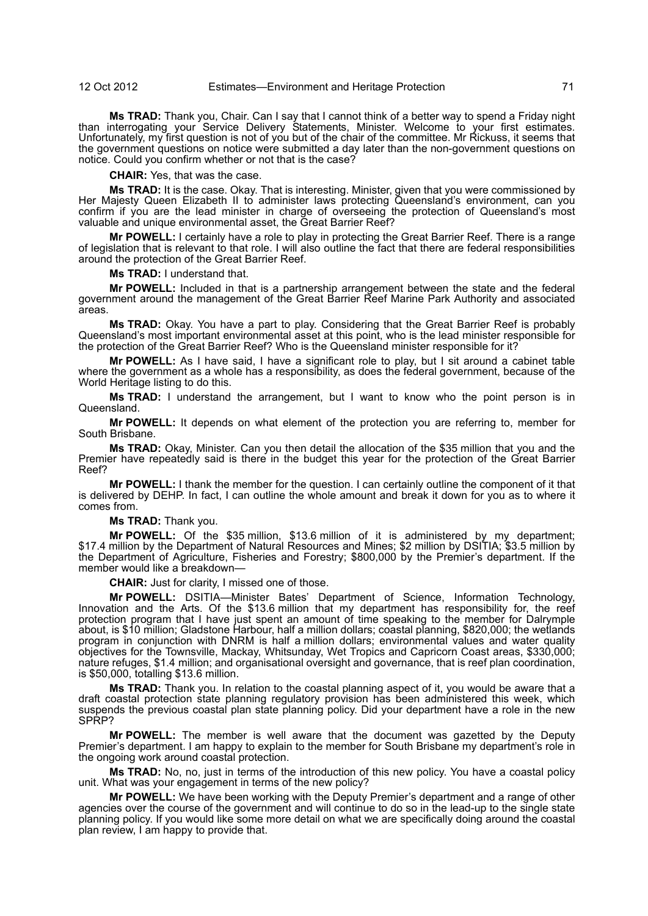**Ms TRAD:** Thank you, Chair. Can I say that I cannot think of a better way to spend a Friday night than interrogating your Service Delivery Statements, Minister. Welcome to your first estimates. Unfortunately, my first question is not of you but of the chair of the committee. Mr Rickuss, it seems that the government questions on notice were submitted a day later than the non-government questions on notice. Could you confirm whether or not that is the case?

**CHAIR:** Yes, that was the case.

**Ms TRAD:** It is the case. Okay. That is interesting. Minister, given that you were commissioned by Her Majesty Queen Elizabeth II to administer laws protecting Queensland's environment, can you confirm if you are the lead minister in charge of overseeing the protection of Queensland's most valuable and unique environmental asset, the Great Barrier Reef?

**Mr POWELL:** I certainly have a role to play in protecting the Great Barrier Reef. There is a range of legislation that is relevant to that role. I will also outline the fact that there are federal responsibilities around the protection of the Great Barrier Reef.

**Ms TRAD:** I understand that.

**Mr POWELL:** Included in that is a partnership arrangement between the state and the federal government around the management of the Great Barrier Reef Marine Park Authority and associated areas.

**Ms TRAD:** Okay. You have a part to play. Considering that the Great Barrier Reef is probably Queensland's most important environmental asset at this point, who is the lead minister responsible for the protection of the Great Barrier Reef? Who is the Queensland minister responsible for it?

**Mr POWELL:** As I have said, I have a significant role to play, but I sit around a cabinet table where the government as a whole has a responsibility, as does the federal government, because of the World Heritage listing to do this.

**Ms TRAD:** I understand the arrangement, but I want to know who the point person is in Queensland.

**Mr POWELL:** It depends on what element of the protection you are referring to, member for South Brisbane.

**Ms TRAD:** Okay, Minister. Can you then detail the allocation of the \$35 million that you and the Premier have repeatedly said is there in the budget this year for the protection of the Great Barrier Reef?

**Mr POWELL:** I thank the member for the question. I can certainly outline the component of it that is delivered by DEHP. In fact, I can outline the whole amount and break it down for you as to where it comes from.

**Ms TRAD:** Thank you.

**Mr POWELL:** Of the \$35 million, \$13.6 million of it is administered by my department; \$17.4 million by the Department of Natural Resources and Mines; \$2 million by DSITIA; \$3.5 million by the Department of Agriculture, Fisheries and Forestry; \$800,000 by the Premier's department. If the member would like a breakdown-

**CHAIR:** Just for clarity, I missed one of those.

**Mr POWELL:** DSITIA—Minister Bates' Department of Science, Information Technology, Innovation and the Arts. Of the \$13.6 million that my department has responsibility for, the reef protection program that I have just spent an amount of time speaking to the member for Dalrymple about, is \$10 million; Gladstone Harbour, half a million dollars; coastal planning, \$820,000; the wetlands program in conjunction with DNRM is half a million dollars; environmental values and water quality objectives for the Townsville, Mackay, Whitsunday, Wet Tropics and Capricorn Coast areas, \$330,000; nature refuges, \$1.4 million; and organisational oversight and governance, that is reef plan coordination, is \$50,000, totalling \$13.6 million.

**Ms TRAD:** Thank you. In relation to the coastal planning aspect of it, you would be aware that a draft coastal protection state planning regulatory provision has been administered this week, which suspends the previous coastal plan state planning policy. Did your department have a role in the new SPRP?

**Mr POWELL:** The member is well aware that the document was gazetted by the Deputy Premier's department. I am happy to explain to the member for South Brisbane my department's role in the ongoing work around coastal protection.

**Ms TRAD:** No, no, just in terms of the introduction of this new policy. You have a coastal policy unit. What was your engagement in terms of the new policy?

**Mr POWELL:** We have been working with the Deputy Premier's department and a range of other agencies over the course of the government and will continue to do so in the lead-up to the single state planning policy. If you would like some more detail on what we are specifically doing around the coastal plan review, I am happy to provide that.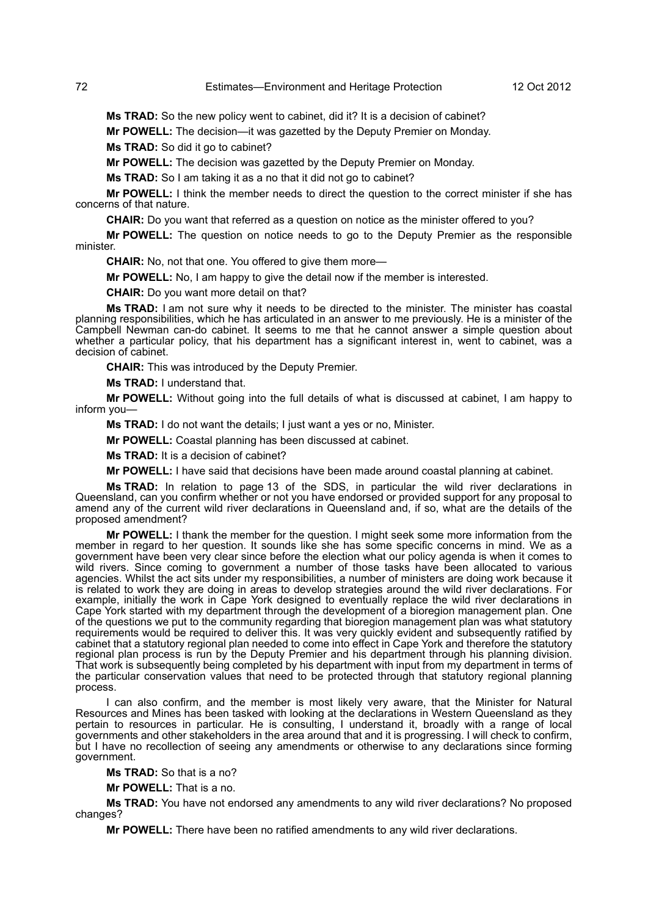**Ms TRAD:** So the new policy went to cabinet, did it? It is a decision of cabinet?

**Mr POWELL:** The decision—it was gazetted by the Deputy Premier on Monday.

**Ms TRAD:** So did it go to cabinet?

**Mr POWELL:** The decision was gazetted by the Deputy Premier on Monday.

**Ms TRAD:** So I am taking it as a no that it did not go to cabinet?

**Mr POWELL:** I think the member needs to direct the question to the correct minister if she has concerns of that nature.

**CHAIR:** Do you want that referred as a question on notice as the minister offered to you?

**Mr POWELL:** The question on notice needs to go to the Deputy Premier as the responsible minister.

**CHAIR:** No, not that one. You offered to give them more—

**Mr POWELL:** No, I am happy to give the detail now if the member is interested.

**CHAIR:** Do you want more detail on that?

**Ms TRAD:** I am not sure why it needs to be directed to the minister. The minister has coastal planning responsibilities, which he has articulated in an answer to me previously. He is a minister of the Campbell Newman can-do cabinet. It seems to me that he cannot answer a simple question about whether a particular policy, that his department has a significant interest in, went to cabinet, was a decision of cabinet.

**CHAIR:** This was introduced by the Deputy Premier.

**Ms TRAD:** I understand that.

**Mr POWELL:** Without going into the full details of what is discussed at cabinet, I am happy to inform you—

**Ms TRAD:** I do not want the details; I just want a yes or no, Minister.

**Mr POWELL:** Coastal planning has been discussed at cabinet.

**Ms TRAD:** It is a decision of cabinet?

**Mr POWELL:** I have said that decisions have been made around coastal planning at cabinet.

**Ms TRAD:** In relation to page 13 of the SDS, in particular the wild river declarations in Queensland, can you confirm whether or not you have endorsed or provided support for any proposal to amend any of the current wild river declarations in Queensland and, if so, what are the details of the proposed amendment?

**Mr POWELL:** I thank the member for the question. I might seek some more information from the member in regard to her question. It sounds like she has some specific concerns in mind. We as a government have been very clear since before the election what our policy agenda is when it comes to wild rivers. Since coming to government a number of those tasks have been allocated to various agencies. Whilst the act sits under my responsibilities, a number of ministers are doing work because it is related to work they are doing in areas to develop strategies around the wild river declarations. For example, initially the work in Cape York designed to eventually replace the wild river declarations in Cape York started with my department through the development of a bioregion management plan. One of the questions we put to the community regarding that bioregion management plan was what statutory requirements would be required to deliver this. It was very quickly evident and subsequently ratified by cabinet that a statutory regional plan needed to come into effect in Cape York and therefore the statutory regional plan process is run by the Deputy Premier and his department through his planning division. That work is subsequently being completed by his department with input from my department in terms of the particular conservation values that need to be protected through that statutory regional planning process.

I can also confirm, and the member is most likely very aware, that the Minister for Natural Resources and Mines has been tasked with looking at the declarations in Western Queensland as they pertain to resources in particular. He is consulting, I understand it, broadly with a range of local governments and other stakeholders in the area around that and it is progressing. I will check to confirm, but I have no recollection of seeing any amendments or otherwise to any declarations since forming government.

**Ms TRAD:** So that is a no?

**Mr POWELL:** That is a no.

**Ms TRAD:** You have not endorsed any amendments to any wild river declarations? No proposed changes?

**Mr POWELL:** There have been no ratified amendments to any wild river declarations.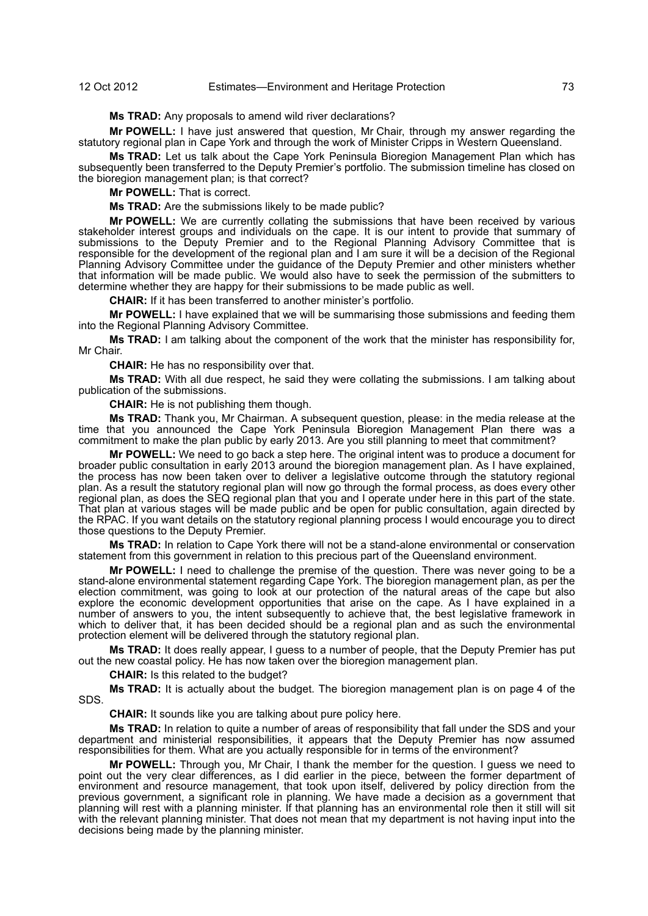**Ms TRAD:** Any proposals to amend wild river declarations?

**Mr POWELL:** I have just answered that question, Mr Chair, through my answer regarding the statutory regional plan in Cape York and through the work of Minister Cripps in Western Queensland.

**Ms TRAD:** Let us talk about the Cape York Peninsula Bioregion Management Plan which has subsequently been transferred to the Deputy Premier's portfolio. The submission timeline has closed on the bioregion management plan; is that correct?

**Mr POWELL:** That is correct.

**Ms TRAD:** Are the submissions likely to be made public?

**Mr POWELL:** We are currently collating the submissions that have been received by various stakeholder interest groups and individuals on the cape. It is our intent to provide that summary of submissions to the Deputy Premier and to the Regional Planning Advisory Committee that is responsible for the development of the regional plan and I am sure it will be a decision of the Regional Planning Advisory Committee under the guidance of the Deputy Premier and other ministers whether that information will be made public. We would also have to seek the permission of the submitters to determine whether they are happy for their submissions to be made public as well.

**CHAIR:** If it has been transferred to another minister's portfolio.

**Mr POWELL:** I have explained that we will be summarising those submissions and feeding them into the Regional Planning Advisory Committee.

**Ms TRAD:** I am talking about the component of the work that the minister has responsibility for, Mr Chair.

**CHAIR:** He has no responsibility over that.

**Ms TRAD:** With all due respect, he said they were collating the submissions. I am talking about publication of the submissions.

**CHAIR:** He is not publishing them though.

**Ms TRAD:** Thank you, Mr Chairman. A subsequent question, please: in the media release at the time that you announced the Cape York Peninsula Bioregion Management Plan there was a commitment to make the plan public by early 2013. Are you still planning to meet that commitment?

**Mr POWELL:** We need to go back a step here. The original intent was to produce a document for broader public consultation in early 2013 around the bioregion management plan. As I have explained, the process has now been taken over to deliver a legislative outcome through the statutory regional plan. As a result the statutory regional plan will now go through the formal process, as does every other regional plan, as does the SEQ regional plan that you and I operate under here in this part of the state. That plan at various stages will be made public and be open for public consultation, again directed by the RPAC. If you want details on the statutory regional planning process I would encourage you to direct those questions to the Deputy Premier.

**Ms TRAD:** In relation to Cape York there will not be a stand-alone environmental or conservation statement from this government in relation to this precious part of the Queensland environment.

**Mr POWELL:** I need to challenge the premise of the question. There was never going to be a stand-alone environmental statement regarding Cape York. The bioregion management plan, as per the election commitment, was going to look at our protection of the natural areas of the cape but also explore the economic development opportunities that arise on the cape. As I have explained in a number of answers to you, the intent subsequently to achieve that, the best legislative framework in which to deliver that, it has been decided should be a regional plan and as such the environmental protection element will be delivered through the statutory regional plan.

**Ms TRAD:** It does really appear, I quess to a number of people, that the Deputy Premier has put out the new coastal policy. He has now taken over the bioregion management plan.

**CHAIR:** Is this related to the budget?

**Ms TRAD:** It is actually about the budget. The bioregion management plan is on page 4 of the SDS.

**CHAIR:** It sounds like you are talking about pure policy here.

**Ms TRAD:** In relation to quite a number of areas of responsibility that fall under the SDS and your department and ministerial responsibilities, it appears that the Deputy Premier has now assumed responsibilities for them. What are you actually responsible for in terms of the environment?

**Mr POWELL:** Through you, Mr Chair, I thank the member for the question. I guess we need to point out the very clear differences, as I did earlier in the piece, between the former department of environment and resource management, that took upon itself, delivered by policy direction from the previous government, a significant role in planning. We have made a decision as a government that planning will rest with a planning minister. If that planning has an environmental role then it still will sit with the relevant planning minister. That does not mean that my department is not having input into the decisions being made by the planning minister.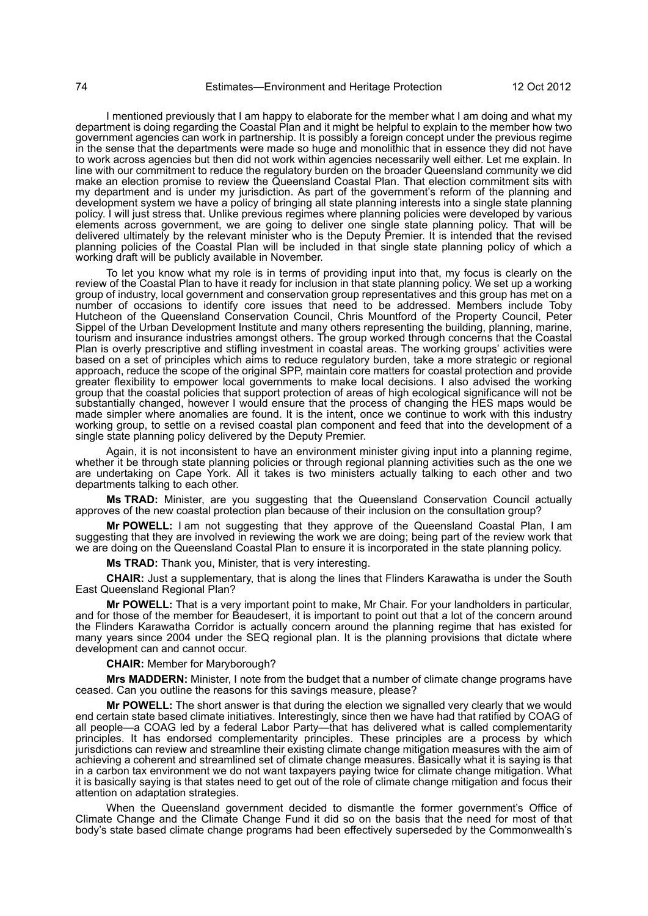I mentioned previously that I am happy to elaborate for the member what I am doing and what my department is doing regarding the Coastal Plan and it might be helpful to explain to the member how two government agencies can work in partnership. It is possibly a foreign concept under the previous regime in the sense that the departments were made so huge and monolithic that in essence they did not have to work across agencies but then did not work within agencies necessarily well either. Let me explain. In line with our commitment to reduce the regulatory burden on the broader Queensland community we did mid wat sell seminarized to review the Queensland Coastal Plan. That election commitment sits with my department and is under my jurisdiction. As part of the government's reform of the planning and development system we have a policy of bringing all state planning interests into a single state planning policy. I will just stress that. Unlike previous regimes where planning policies were developed by various elements across government, we are going to deliver one single state planning policy. That will be delivered ultimately by the relevant minister who is the Deputy Premier. It is intended that the revised planning policies of the Coastal Plan will be included in that single state planning policy of which a working draft will be publicly available in November.

To let you know what my role is in terms of providing input into that, my focus is clearly on the review of the Coastal Plan to have it ready for inclusion in that state planning policy. We set up a working group of industry, local government and conservation group representatives and this group has met on a number of occasions to identify core issues that need to be addressed. Members include Toby Hutcheon of the Queensland Conservation Council, Chris Mountford of the Property Council, Peter Sippel of the Urban Development Institute and many others representing the building, planning, marine, tourism and insurance industries amongst others. The group worked through concerns that the Coastal Plan is overly prescriptive and stifling investment in coastal areas. The working groups' activities were based on a set of principles which aims to reduce regulatory burden, take a more strategic or regional approach, reduce the scope of the original SPP, maintain core matters for coastal protection and provide greater flexibility to empower local governments to make local decisions. I also advised the working group that the coastal policies that support protection of areas of high ecological significance will not be substantially changed, however I would ensure that the process of changing the HES maps would be made simpler where anomalies are found. It is the intent, once we continue to work with this industry working group, to settle on a revised coastal plan component and feed that into the development of a single state planning policy delivered by the Deputy Premier.

Again, it is not inconsistent to have an environment minister giving input into a planning regime, whether it be through state planning policies or through regional planning activities such as the one we are undertaking on Cape York. All it takes is two ministers actually talking to each other and two departments talking to each other.

**Ms TRAD:** Minister, are you suggesting that the Queensland Conservation Council actually approves of the new coastal protection plan because of their inclusion on the consultation group?

**Mr POWELL:** I am not suggesting that they approve of the Queensland Coastal Plan, I am suggesting that they are involved in reviewing the work we are doing; being part of the review work that we are doing on the Queensland Coastal Plan to ensure it is incorporated in the state planning policy.

**Ms TRAD:** Thank you, Minister, that is very interesting.

**CHAIR:** Just a supplementary, that is along the lines that Flinders Karawatha is under the South East Queensland Regional Plan?

**Mr POWELL:** That is a very important point to make, Mr Chair. For your landholders in particular, and for those of the member for Beaudesert, it is important to point out that a lot of the concern around the Flinders Karawatha Corridor is actually concern around the planning regime that has existed for many years since 2004 under the SEQ regional plan. It is the planning provisions that dictate where development can and cannot occur.

**CHAIR:** Member for Maryborough?

**Mrs MADDERN:** Minister, I note from the budget that a number of climate change programs have ceased. Can you outline the reasons for this savings measure, please?

**Mr POWELL:** The short answer is that during the election we signalled very clearly that we would end certain state based climate initiatives. Interestingly, since then we have had that ratified by COAG of all people—a COAG led by a federal Labor Party—that has delivered what is called complementarity principles. It has endorsed complementarity principles. These principles are a process by which jurisdictions can review and streamline their existing climate change mitigation measures with the aim of achieving a coherent and streamlined set of climate change measures. Basically what it is saying is that in a carbon tax environment we do not want taxpayers paying twice for climate change mitigation. What it is basically saying is that states need to get out of the role of climate change mitigation and focus their attention on adaptation strategies.

When the Queensland government decided to dismantle the former government's Office of Climate Change and the Climate Change Fund it did so on the basis that the need for most of that body's state based climate change programs had been effectively superseded by the Commonwealth's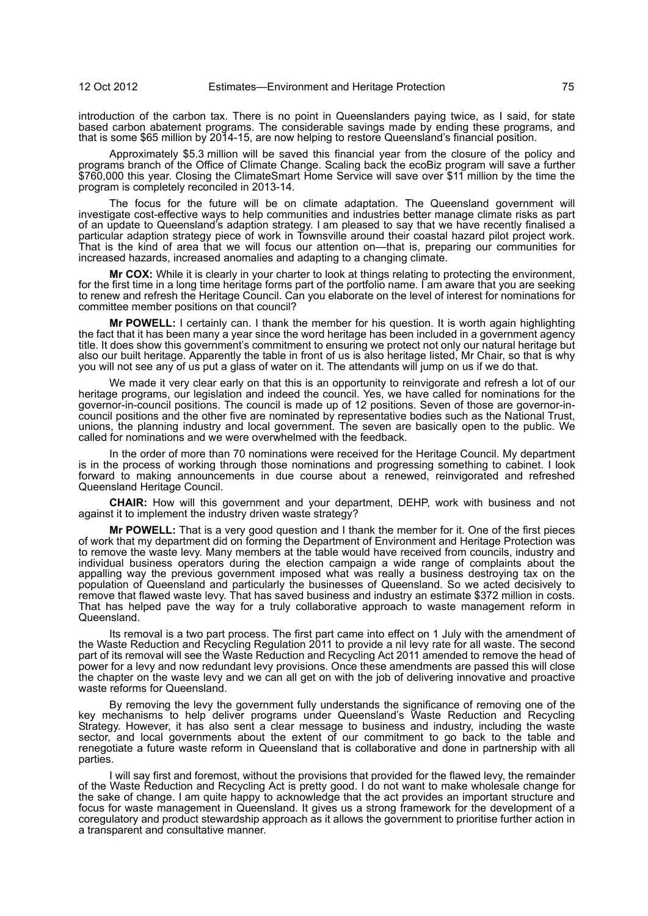introduction of the carbon tax. There is no point in Queenslanders paying twice, as I said, for state based carbon abatement programs. The considerable savings made by ending these programs, and that is some \$65 million by 2014-15, are now helping to restore Queensland's financial position.

Approximately \$5.3 million will be saved this financial year from the closure of the policy and programs branch of the Office of Climate Change. Scaling back the ecoBiz program will save a further \$760,000 this year. Closing the ClimateSmart Home Service will save over \$11 million by the time the program is completely reconciled in 2013-14.

The focus for the future will be on climate adaptation. The Queensland government will investigate cost-effective ways to help communities and industries better manage climate risks as part of an update to Queensland's adaption strategy. I am pleased to say that we have recently finalised a particular adaption strategy piece of work in Townsville around their coastal hazard pilot project work. That is the kind of area that we will focus our attention on—that is, preparing our communities for increased hazards, increased anomalies and adapting to a changing climate.

**Mr COX:** While it is clearly in your charter to look at things relating to protecting the environment, for the first time in a long time heritage forms part of the portfolio name. I am aware that you are seeking to renew and refresh the Heritage Council. Can you elaborate on the level of interest for nominations for committee member positions on that council?

**Mr POWELL:** I certainly can. I thank the member for his question. It is worth again highlighting the fact that it has been many a year since the word heritage has been included in a government agency title. It does show this government's commitment to ensuring we protect not only our natural heritage but also our built heritage. Apparently the table in front of us is also heritage listed, Mr Chair, so that is why you will not see any of us put a glass of water on it. The attendants will jump on us if we do that.

We made it very clear early on that this is an opportunity to reinvigorate and refresh a lot of our heritage programs, our legislation and indeed the council. Yes, we have called for nominations for the governor-in-council positions. The council is made up of 12 positions. Seven of those are governor-incouncil positions and the other five are nominated by representative bodies such as the National Trust, unions, the planning industry and local government. The seven are basically open to the public. We called for nominations and we were overwhelmed with the feedback.

In the order of more than 70 nominations were received for the Heritage Council. My department is in the process of working through those nominations and progressing something to cabinet. I look forward to making announcements in due course about a renewed, reinvigorated and refreshed Queensland Heritage Council.

**CHAIR:** How will this government and your department, DEHP, work with business and not against it to implement the industry driven waste strategy?

**Mr POWELL:** That is a very good question and I thank the member for it. One of the first pieces of work that my department did on forming the Department of Environment and Heritage Protection was to remove the waste levy. Many members at the table would have received from councils, industry and individual business operators during the election campaign a wide range of complaints about the appalling way the previous government imposed what was really a business destroying tax on the population of Queensland and particularly the businesses of Queensland. So we acted decisively to remove that flawed waste levy. That has saved business and industry an estimate \$372 million in costs. That has helped pave the way for a truly collaborative approach to waste management reform in Queensland.

Its removal is a two part process. The first part came into effect on 1 July with the amendment of the Waste Reduction and Recycling Regulation 2011 to provide a nil levy rate for all waste. The second part of its removal will see the Waste Reduction and Recycling Act 2011 amended to remove the head of power for a levy and now redundant levy provisions. Once these amendments are passed this will close the chapter on the waste levy and we can all get on with the job of delivering innovative and proactive waste reforms for Queensland.

By removing the levy the government fully understands the significance of removing one of the key mechanisms to help deliver programs under Queensland's Waste Reduction and Recycling Strategy. However, it has also sent a clear message to business and industry, including the waste sector, and local governments about the extent of our commitment to go back to the table and renegotiate a future waste reform in Queensland that is collaborative and done in partnership with all parties.

I will say first and foremost, without the provisions that provided for the flawed levy, the remainder of the Waste Reduction and Recycling Act is pretty good. I do not want to make wholesale change for the sake of change. I am quite happy to acknowledge that the act provides an important structure and focus for waste management in Queensland. It gives us a strong framework for the development of a coregulatory and product stewardship approach as it allows the government to prioritise further action in a transparent and consultative manner.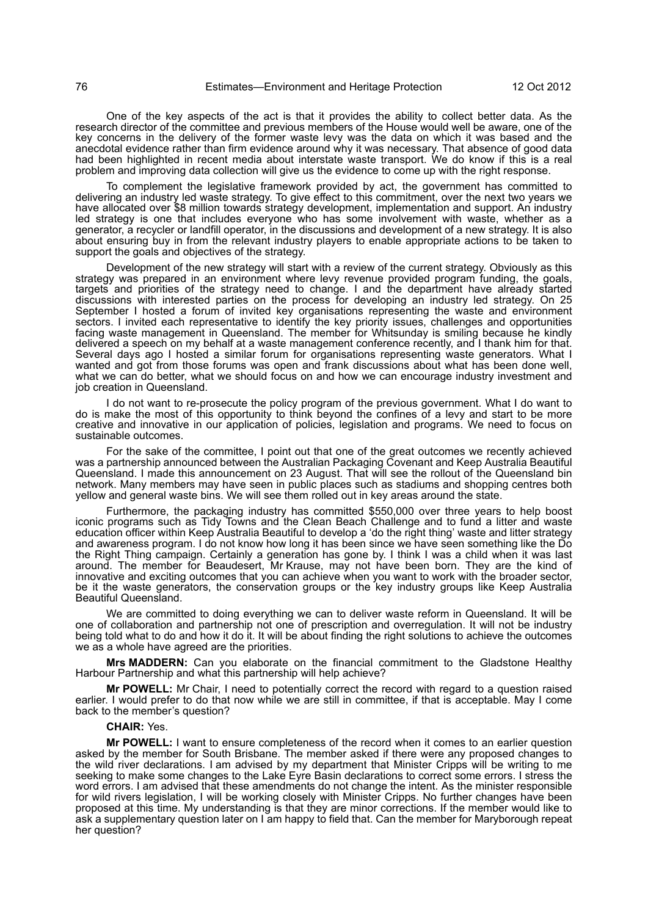One of the key aspects of the act is that it provides the ability to collect better data. As the research director of the committee and previous members of the House would well be aware, one of the key concerns in the delivery of the former waste levy was the data on which it was based and the anecdotal evidence rather than firm evidence around why it was necessary. That absence of good data had been highlighted in recent media about interstate waste transport. We do know if this is a real problem and improving data collection will give us the evidence to come up with the right response.

To complement the legislative framework provided by act, the government has committed to delivering an industry led waste strategy. To give effect to this commitment, over the next two years we have allocated over \$8 million towards strategy development, implementation and support. An industry led strategy is one that includes everyone who has some involvement with waste, whether as a generator, a recycler or landfill operator, in the discussions and development of a new strategy. It is also about ensuring buy in from the relevant industry players to enable appropriate actions to be taken to support the goals and objectives of the strategy.

Development of the new strategy will start with a review of the current strategy. Obviously as this strategy was prepared in an environment where levy revenue provided program funding, the goals, targets and priorities of the strategy need to change. I and the department have already started discussions with interested parties on the process for developing an industry led strategy. On 25 September I hosted a forum of invited key organisations representing the waste and environment sectors. I invited each representative to identify the key priority issues, challenges and opportunities facing waste management in Queensland. The member for Whitsunday is smiling because he kindly delivered a speech on my behalf at a waste management conference recently, and I thank him for that. Several days ago I hosted a similar forum for organisations representing waste generators. What I wanted and got from those forums was open and frank discussions about what has been done well, what we can do better, what we should focus on and how we can encourage industry investment and job creation in Queensland.

I do not want to re-prosecute the policy program of the previous government. What I do want to do is make the most of this opportunity to think beyond the confines of a levy and start to be more creative and innovative in our application of policies, legislation and programs. We need to focus on sustainable outcomes.

For the sake of the committee, I point out that one of the great outcomes we recently achieved was a partnership announced between the Australian Packaging Covenant and Keep Australia Beautiful Queensland. I made this announcement on 23 August. That will see the rollout of the Queensland bin network. Many members may have seen in public places such as stadiums and shopping centres both yellow and general waste bins. We will see them rolled out in key areas around the state.

Furthermore, the packaging industry has committed \$550,000 over three years to help boost iconic programs such as Tidy Towns and the Clean Beach Challenge and to fund a litter and waste education officer within Keep Australia Beautiful to develop a 'do the right thing' waste and litter strategy and awareness program. I do not know how long it has been since we have seen something like the Do the Right Thing campaign. Certainly a generation has gone by. I think I was a child when it was last around. The member for Beaudesert, Mr Krause, may not have been born. They are the kind of innovative and exciting outcomes that you can achieve when you want to work with the broader sector, be it the waste generators, the conservation groups or the key industry groups like Keep Australia Beautiful Queensland.

We are committed to doing everything we can to deliver waste reform in Queensland. It will be one of collaboration and partnership not one of prescription and overregulation. It will not be industry being told what to do and how it do it. It will be about finding the right solutions to achieve the outcomes we as a whole have agreed are the priorities.

**Mrs MADDERN:** Can you elaborate on the financial commitment to the Gladstone Healthy Harbour Partnership and what this partnership will help achieve?

**Mr POWELL:** Mr Chair, I need to potentially correct the record with regard to a question raised earlier. I would prefer to do that now while we are still in committee, if that is acceptable. May I come back to the member's question?

## **CHAIR:** Yes.

**Mr POWELL:** I want to ensure completeness of the record when it comes to an earlier question asked by the member for South Brisbane. The member asked if there were any proposed changes to the wild river declarations. I am advised by my department that Minister Cripps will be writing to me seeking to make some changes to the Lake Eyre Basin declarations to correct some errors. I stress the word errors. I am advised that these amendments do not change the intent. As the minister responsible for wild rivers legislation, I will be working closely with Minister Cripps. No further changes have been proposed at this time. My understanding is that they are minor corrections. If the member would like to ask a supplementary question later on I am happy to field that. Can the member for Maryborough repeat her question?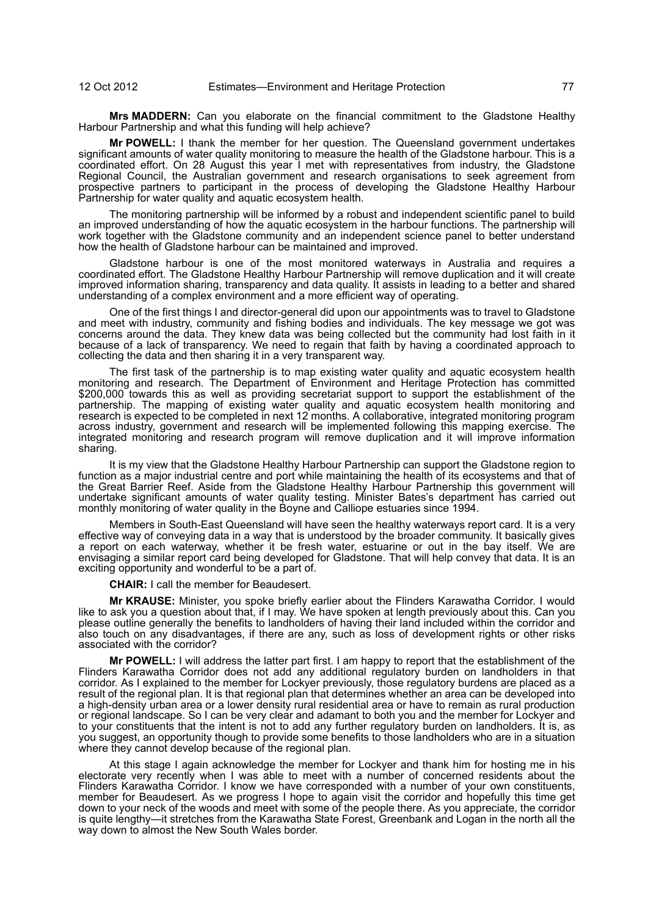**Mrs MADDERN:** Can you elaborate on the financial commitment to the Gladstone Healthy Harbour Partnership and what this funding will help achieve?

**Mr POWELL:** I thank the member for her question. The Queensland government undertakes significant amounts of water quality monitoring to measure the health of the Gladstone harbour. This is a coordinated effort. On 28 August this year I met with representatives from industry, the Gladstone Regional Council, the Australian government and research organisations to seek agreement from prospective partners to participant in the process of developing the Gladstone Healthy Harbour Partnership for water quality and aquatic ecosystem health.

The monitoring partnership will be informed by a robust and independent scientific panel to build an improved understanding of how the aquatic ecosystem in the harbour functions. The partnership will work together with the Gladstone community and an independent science panel to better understand how the health of Gladstone harbour can be maintained and improved.

Gladstone harbour is one of the most monitored waterways in Australia and requires a coordinated effort. The Gladstone Healthy Harbour Partnership will remove duplication and it will create improved information sharing, transparency and data quality. It assists in leading to a better and shared understanding of a complex environment and a more efficient way of operating.

One of the first things I and director-general did upon our appointments was to travel to Gladstone and meet with industry, community and fishing bodies and individuals. The key message we got was concerns around the data. They knew data was being collected but the community had lost faith in it because of a lack of transparency. We need to regain that faith by having a coordinated approach to collecting the data and then sharing it in a very transparent way.

The first task of the partnership is to map existing water quality and aquatic ecosystem health monitoring and research. The Department of Environment and Heritage Protection has committed \$200,000 towards this as well as providing secretariat support to support the establishment of the partnership. The mapping of existing water quality and aquatic ecosystem health monitoring and research is expected to be completed in next 12 months. A collaborative, integrated monitoring program across industry, government and research will be implemented following this mapping exercise. The integrated monitoring and research program will remove duplication and it will improve information sharing.

It is my view that the Gladstone Healthy Harbour Partnership can support the Gladstone region to function as a major industrial centre and port while maintaining the health of its ecosystems and that of the Great Barrier Reef. Aside from the Gladstone Healthy Harbour Partnership this government will undertake significant amounts of water quality testing. Minister Bates's department has carried out monthly monitoring of water quality in the Boyne and Calliope estuaries since 1994.

Members in South-East Queensland will have seen the healthy waterways report card. It is a very effective way of conveying data in a way that is understood by the broader community. It basically gives a report on each waterway, whether it be fresh water, estuarine or out in the bay itself. We are envisaging a similar report card being developed for Gladstone. That will help convey that data. It is an exciting opportunity and wonderful to be a part of.

**CHAIR:** I call the member for Beaudesert.

**Mr KRAUSE:** Minister, you spoke briefly earlier about the Flinders Karawatha Corridor. I would like to ask you a question about that, if I may. We have spoken at length previously about this. Can you please outline generally the benefits to landholders of having their land included within the corridor and also touch on any disadvantages, if there are any, such as loss of development rights or other risks associated with the corridor?

**Mr POWELL:** I will address the latter part first. I am happy to report that the establishment of the Flinders Karawatha Corridor does not add any additional regulatory burden on landholders in that corridor. As I explained to the member for Lockyer previously, those regulatory burdens are placed as a result of the regional plan. It is that regional plan that determines whether an area can be developed into a high-density urban area or a lower density rural residential area or have to remain as rural production or regional landscape. So I can be very clear and adamant to both you and the member for Lockyer and to your constituents that the intent is not to add any further regulatory burden on landholders. It is, as you suggest, an opportunity though to provide some benefits to those landholders who are in a situation where they cannot develop because of the regional plan.

At this stage I again acknowledge the member for Lockyer and thank him for hosting me in his electorate very recently when I was able to meet with a number of concerned residents about the Flinders Karawatha Corridor. I know we have corresponded with a number of your own constituents, member for Beaudesert. As we progress I hope to again visit the corridor and hopefully this time get down to your neck of the woods and meet with some of the people there. As you appreciate, the corridor is quite lengthy—it stretches from the Karawatha State Forest, Greenbank and Logan in the north all the way down to almost the New South Wales border.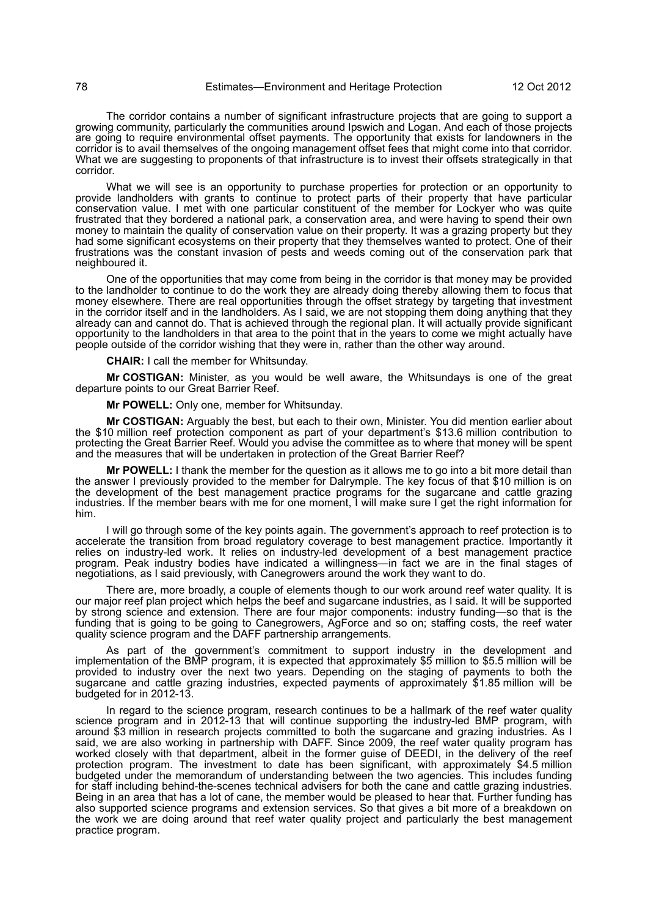The corridor contains a number of significant infrastructure projects that are going to support a growing community, particularly the communities around Ipswich and Logan. And each of those projects are going to require environmental offset payments. The opportunity that exists for landowners in the corridor is to avail themselves of the ongoing management offset fees that might come into that corridor. What we are suggesting to proponents of that infrastructure is to invest their offsets strategically in that corridor.

What we will see is an opportunity to purchase properties for protection or an opportunity to provide landholders with grants to continue to protect parts of their property that have particular conservation value. I met with one particular constituent of the member for Lockyer who was quite frustrated that they bordered a national park, a conservation area, and were having to spend their own money to maintain the quality of conservation value on their property. It was a grazing property but they had some significant ecosystems on their property that they themselves wanted to protect. One of their frustrations was the constant invasion of pests and weeds coming out of the conservation park that neighboured it.

One of the opportunities that may come from being in the corridor is that money may be provided to the landholder to continue to do the work they are already doing thereby allowing them to focus that money elsewhere. There are real opportunities through the offset strategy by targeting that investment in the corridor itself and in the landholders. As I said, we are not stopping them doing anything that they already can and cannot do. That is achieved through the regional plan. It will actually provide significant opportunity to the landholders in that area to the point that in the years to come we might actually have people outside of the corridor wishing that they were in, rather than the other way around.

**CHAIR:** I call the member for Whitsunday.

**Mr COSTIGAN:** Minister, as you would be well aware, the Whitsundays is one of the great departure points to our Great Barrier Reef.

**Mr POWELL:** Only one, member for Whitsunday.

**Mr COSTIGAN:** Arguably the best, but each to their own, Minister. You did mention earlier about the \$10 million reef protection component as part of your department's \$13.6 million contribution to protecting the Great Barrier Reef. Would you advise the committee as to where that money will be spent and the measures that will be undertaken in protection of the Great Barrier Reef?

**Mr POWELL:** I thank the member for the question as it allows me to go into a bit more detail than the answer I previously provided to the member for Dalrymple. The key focus of that \$10 million is on the development of the best management practice programs for the sugarcane and cattle grazing industries. If the member bears with me for one moment, I will make sure I get the right information for him.

I will go through some of the key points again. The government's approach to reef protection is to accelerate the transition from broad regulatory coverage to best management practice. Importantly it relies on industry-led work. It relies on industry-led development of a best management practice program. Peak industry bodies have indicated a willingness—in fact we are in the final stages of negotiations, as I said previously, with Canegrowers around the work they want to do.

There are, more broadly, a couple of elements though to our work around reef water quality. It is our major reef plan project which helps the beef and sugarcane industries, as I said. It will be supported by strong science and extension. There are four major components: industry funding—so that is the funding that is going to be going to Canegrowers, AgForce and so on; staffing costs, the reef water quality science program and the DAFF partnership arrangements.

As part of the government's commitment to support industry in the development and implementation of the BMP program, it is expected that approximately \$5 million to \$5.5 million will be provided to industry over the next two years. Depending on the staging of payments to both the sugarcane and cattle grazing industries, expected payments of approximately \$1.85 million will be budgeted for in 2012-13.

In regard to the science program, research continues to be a hallmark of the reef water quality science program and in 2012-13 that will continue supporting the industry-led BMP program, with around \$3 million in research projects committed to both the sugarcane and grazing industries. As I said, we are also working in partnership with DAFF. Since 2009, the reef water quality program has worked closely with that department, albeit in the former guise of DEEDI, in the delivery of the reef protection program. The investment to date has been significant, with approximately \$4.5 million budgeted under the memorandum of understanding between the two agencies. This includes funding for staff including behind-the-scenes technical advisers for both the cane and cattle grazing industries. Being in an area that has a lot of cane, the member would be pleased to hear that. Further funding has also supported science programs and extension services. So that gives a bit more of a breakdown on the work we are doing around that reef water quality project and particularly the best management practice program.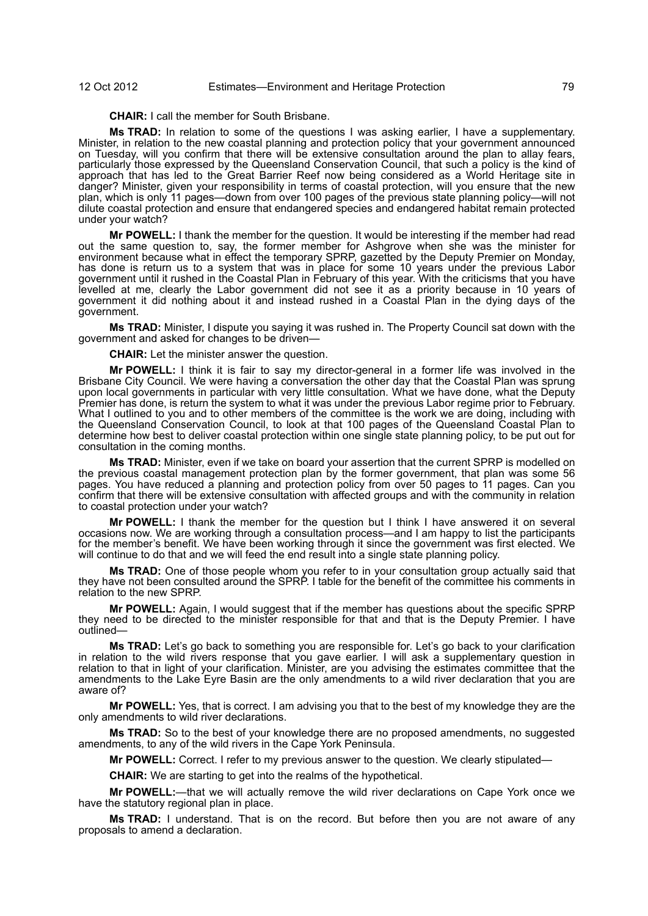## 12 Oct 2012 Estimates—Environment and Heritage Protection 79

**CHAIR:** I call the member for South Brisbane.

**Ms TRAD:** In relation to some of the questions I was asking earlier, I have a supplementary. Minister, in relation to the new coastal planning and protection policy that your government announced on Tuesday, will you confirm that there will be extensive consultation around the plan to allay fears, particularly those expressed by the Queensland Conservation Council, that such a policy is the kind of approach that has led to the Great Barrier Reef now being considered as a World Heritage site in danger? Minister, given your responsibility in terms of coastal protection, will you ensure that the new plan, which is only 11 pages—down from over 100 pages of the previous state planning policy—will not dilute coastal protection and ensure that endangered species and endangered habitat remain protected under your watch?

**Mr POWELL:** I thank the member for the question. It would be interesting if the member had read out the same question to, say, the former member for Ashgrove when she was the minister for environment because what in effect the temporary SPRP, gazetted by the Deputy Premier on Monday, has done is return us to a system that was in place for some 10 years under the previous Labor government until it rushed in the Coastal Plan in February of this year. With the criticisms that you have levelled at me, clearly the Labor government did not see it as a priority because in 10 years of government it did nothing about it and instead rushed in a Coastal Plan in the dying days of the government.

**Ms TRAD:** Minister, I dispute you saying it was rushed in. The Property Council sat down with the government and asked for changes to be driven—

**CHAIR:** Let the minister answer the question.

**Mr POWELL:** I think it is fair to say my director-general in a former life was involved in the Brisbane City Council. We were having a conversation the other day that the Coastal Plan was sprung upon local governments in particular with very little consultation. What we have done, what the Deputy Premier has done, is return the system to what it was under the previous Labor regime prior to February. What I outlined to you and to other members of the committee is the work we are doing, including with the Queensland Conservation Council, to look at that 100 pages of the Queensland Coastal Plan to determine how best to deliver coastal protection within one single state planning policy, to be put out for consultation in the coming months.

**Ms TRAD:** Minister, even if we take on board your assertion that the current SPRP is modelled on the previous coastal management protection plan by the former government, that plan was some 56 pages. You have reduced a planning and protection policy from over 50 pages to 11 pages. Can you confirm that there will be extensive consultation with affected groups and with the community in relation to coastal protection under your watch?

**Mr POWELL:** I thank the member for the question but I think I have answered it on several occasions now. We are working through a consultation process—and I am happy to list the participants for the member's benefit. We have been working through it since the government was first elected. We will continue to do that and we will feed the end result into a single state planning policy.

**Ms TRAD:** One of those people whom you refer to in your consultation group actually said that they have not been consulted around the SPRP. I table for the benefit of the committee his comments in relation to the new SPRP.

**Mr POWELL:** Again, I would suggest that if the member has questions about the specific SPRP they need to be directed to the minister responsible for that and that is the Deputy Premier. I have outlined—

**Ms TRAD:** Let's go back to something you are responsible for. Let's go back to your clarification in relation to the wild rivers response that you gave earlier. I will ask a supplementary question in relation to that in light of your clarification. Minister, are you advising the estimates committee that the amendments to the Lake Eyre Basin are the only amendments to a wild river declaration that you are aware of?

**Mr POWELL:** Yes, that is correct. I am advising you that to the best of my knowledge they are the only amendments to wild river declarations.

**Ms TRAD:** So to the best of your knowledge there are no proposed amendments, no suggested amendments, to any of the wild rivers in the Cape York Peninsula.

**Mr POWELL:** Correct. I refer to my previous answer to the question. We clearly stipulated—

**CHAIR:** We are starting to get into the realms of the hypothetical.

**Mr POWELL:**—that we will actually remove the wild river declarations on Cape York once we have the statutory regional plan in place.

**Ms TRAD:** I understand. That is on the record. But before then you are not aware of any proposals to amend a declaration.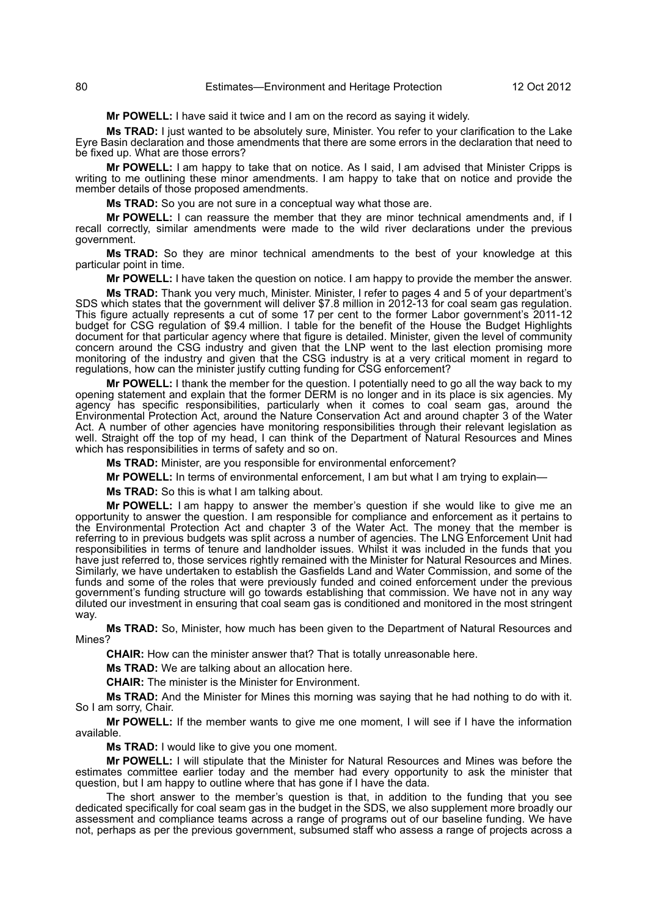**Mr POWELL:** I have said it twice and I am on the record as saying it widely.

**Ms TRAD:** I just wanted to be absolutely sure, Minister. You refer to your clarification to the Lake Eyre Basin declaration and those amendments that there are some errors in the declaration that need to be fixed up. What are those errors?

**Mr POWELL:** I am happy to take that on notice. As I said, I am advised that Minister Cripps is writing to me outlining these minor amendments. I am happy to take that on notice and provide the member details of those proposed amendments.

**Ms TRAD:** So you are not sure in a conceptual way what those are.

**Mr POWELL:** I can reassure the member that they are minor technical amendments and, if I recall correctly, similar amendments were made to the wild river declarations under the previous government.

**Ms TRAD:** So they are minor technical amendments to the best of your knowledge at this particular point in time.

**Mr POWELL:** I have taken the question on notice. I am happy to provide the member the answer.

**Ms TRAD:** Thank you very much, Minister. Minister, I refer to pages 4 and 5 of your department's SDS which states that the government will deliver \$7.8 million in 2012-13 for coal seam gas regulation. This figure actually represents a cut of some 17 per cent to the former Labor government's 2011-12 budget for CSG regulation of \$9.4 million. I table for the benefit of the House the Budget Highlights document for that particular agency where that figure is detailed. Minister, given the level of community concern around the CSG industry and given that the LNP went to the last election promising more monitoring of the industry and given that the CSG industry is at a very critical moment in regard to regulations, how can the minister justify cutting funding for CSG enforcement?

**Mr POWELL:** I thank the member for the question. I potentially need to go all the way back to my opening statement and explain that the former DERM is no longer and in its place is six agencies. My agency has specific responsibilities, particularly when it comes to coal seam gas, around the Environmental Protection Act, around the Nature Conservation Act and around chapter 3 of the Water Act. A number of other agencies have monitoring responsibilities through their relevant legislation as well. Straight off the top of my head, I can think of the Department of Natural Resources and Mines which has responsibilities in terms of safety and so on.

**Ms TRAD:** Minister, are you responsible for environmental enforcement?

**Mr POWELL:** In terms of environmental enforcement, I am but what I am trying to explain—

**Ms TRAD:** So this is what I am talking about.

**Mr POWELL:** I am happy to answer the member's question if she would like to give me an opportunity to answer the question. I am responsible for compliance and enforcement as it pertains to the Environmental Protection Act and chapter 3 of the Water Act. The money that the member is referring to in previous budgets was split across a number of agencies. The LNG Enforcement Unit had responsibilities in terms of tenure and landholder issues. Whilst it was included in the funds that you have just referred to, those services rightly remained with the Minister for Natural Resources and Mines. Similarly, we have undertaken to establish the Gasfields Land and Water Commission, and some of the funds and some of the roles that were previously funded and coined enforcement under the previous government's funding structure will go towards establishing that commission. We have not in any way diluted our investment in ensuring that coal seam gas is conditioned and monitored in the most stringent way.

**Ms TRAD:** So, Minister, how much has been given to the Department of Natural Resources and Mines?

**CHAIR:** How can the minister answer that? That is totally unreasonable here.

**Ms TRAD:** We are talking about an allocation here.

**CHAIR:** The minister is the Minister for Environment.

**Ms TRAD:** And the Minister for Mines this morning was saying that he had nothing to do with it. So I am sorry, Chair.

**Mr POWELL:** If the member wants to give me one moment, I will see if I have the information available.

**Ms TRAD:** I would like to give you one moment.

**Mr POWELL:** I will stipulate that the Minister for Natural Resources and Mines was before the estimates committee earlier today and the member had every opportunity to ask the minister that question, but I am happy to outline where that has gone if I have the data.

The short answer to the member's question is that, in addition to the funding that you see dedicated specifically for coal seam gas in the budget in the SDS, we also supplement more broadly our assessment and compliance teams across a range of programs out of our baseline funding. We have not, perhaps as per the previous government, subsumed staff who assess a range of projects across a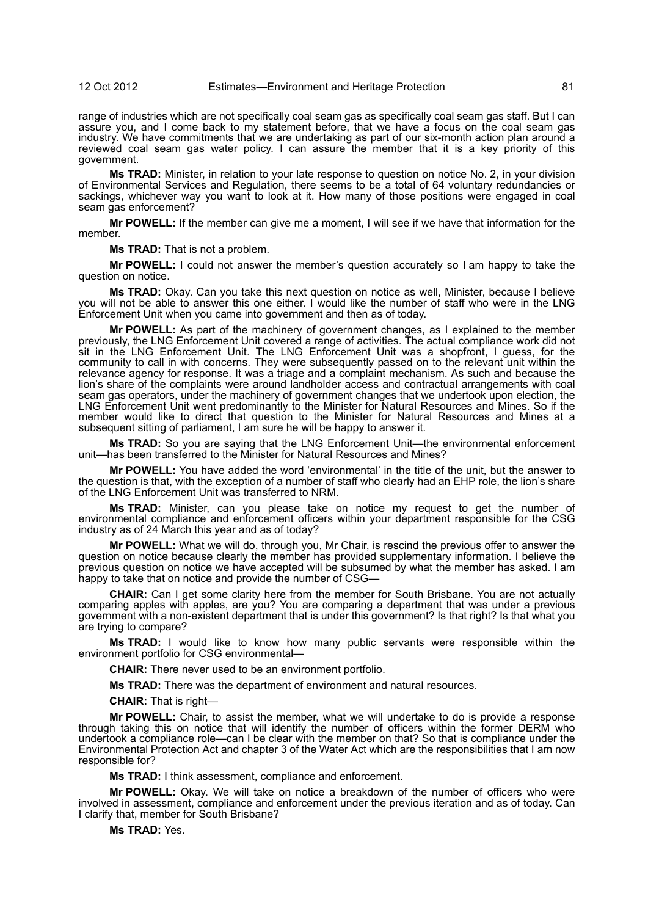range of industries which are not specifically coal seam gas as specifically coal seam gas staff. But I can assure you, and I come back to my statement before, that we have a focus on the coal seam gas industry. We have commitments that we are undertaking as part of our six-month action plan around a reviewed coal seam gas water policy. I can assure the member that it is a key priority of this government.

**Ms TRAD:** Minister, in relation to your late response to question on notice No. 2, in your division of Environmental Services and Regulation, there seems to be a total of 64 voluntary redundancies or sackings, whichever way you want to look at it. How many of those positions were engaged in coal seam gas enforcement?

**Mr POWELL:** If the member can give me a moment, I will see if we have that information for the member.

**Ms TRAD:** That is not a problem.

**Mr POWELL:** I could not answer the member's question accurately so I am happy to take the question on notice.

**Ms TRAD:** Okay. Can you take this next question on notice as well, Minister, because I believe you will not be able to answer this one either. I would like the number of staff who were in the LNG Enforcement Unit when you came into government and then as of today.

**Mr POWELL:** As part of the machinery of government changes, as I explained to the member previously, the LNG Enforcement Unit covered a range of activities. The actual compliance work did not sit in the LNG Enforcement Unit. The LNG Enforcement Unit was a shopfront, I guess, for the community to call in with concerns. They were subsequently passed on to the relevant unit within the relevance agency for response. It was a triage and a complaint mechanism. As such and because the lion's share of the complaints were around landholder access and contractual arrangements with coal seam gas operators, under the machinery of government changes that we undertook upon election, the LNG Enforcement Unit went predominantly to the Minister for Natural Resources and Mines. So if the member would like to direct that question to the Minister for Natural Resources and Mines at a subsequent sitting of parliament, I am sure he will be happy to answer it.

**Ms TRAD:** So you are saying that the LNG Enforcement Unit—the environmental enforcement unit—has been transferred to the Minister for Natural Resources and Mines?

**Mr POWELL:** You have added the word 'environmental' in the title of the unit, but the answer to the question is that, with the exception of a number of staff who clearly had an EHP role, the lion's share of the LNG Enforcement Unit was transferred to NRM.

**Ms TRAD:** Minister, can you please take on notice my request to get the number of environmental compliance and enforcement officers within your department responsible for the CSG industry as of 24 March this year and as of today?

**Mr POWELL:** What we will do, through you, Mr Chair, is rescind the previous offer to answer the question on notice because clearly the member has provided supplementary information. I believe the previous question on notice we have accepted will be subsumed by what the member has asked. I am happy to take that on notice and provide the number of CSG—

**CHAIR:** Can I get some clarity here from the member for South Brisbane. You are not actually comparing apples with apples, are you? You are comparing a department that was under a previous government with a non-existent department that is under this government? Is that right? Is that what you are trying to compare?

**Ms TRAD:** I would like to know how many public servants were responsible within the environment portfolio for CSG environmental—

**CHAIR:** There never used to be an environment portfolio.

**Ms TRAD:** There was the department of environment and natural resources.

**CHAIR:** That is right—

**Mr POWELL:** Chair, to assist the member, what we will undertake to do is provide a response through taking this on notice that will identify the number of officers within the former DERM who undertook a compliance role—can I be clear with the member on that? So that is compliance under the Environmental Protection Act and chapter 3 of the Water Act which are the responsibilities that I am now responsible for?

**Ms TRAD:** I think assessment, compliance and enforcement.

**Mr POWELL:** Okay. We will take on notice a breakdown of the number of officers who were involved in assessment, compliance and enforcement under the previous iteration and as of today. Can I clarify that, member for South Brisbane?

**Ms TRAD:** Yes.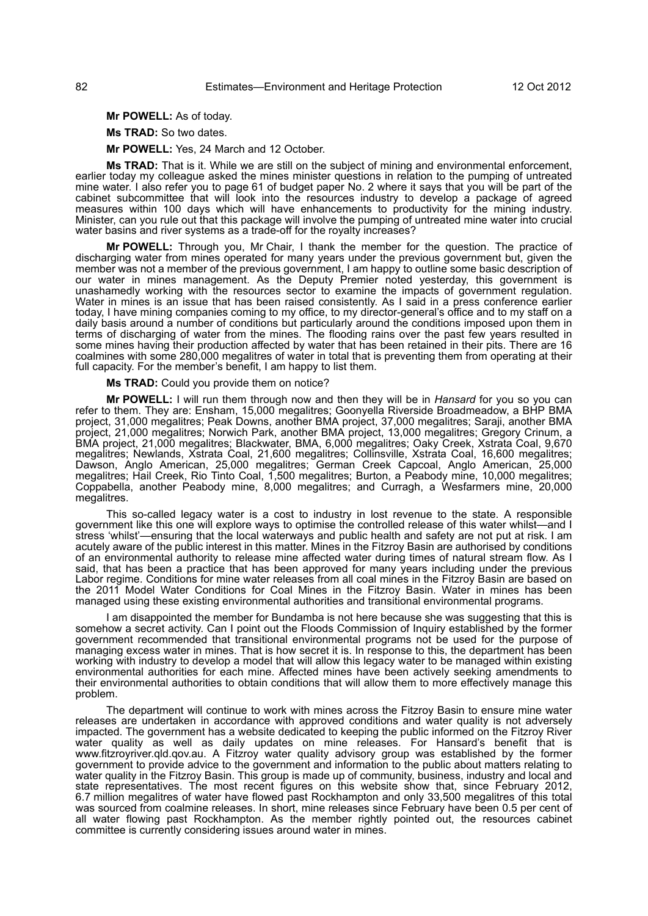**Mr POWELL:** As of today.

**Ms TRAD:** So two dates.

**Mr POWELL:** Yes, 24 March and 12 October.

**Ms TRAD:** That is it. While we are still on the subject of mining and environmental enforcement, earlier today my colleague asked the mines minister questions in relation to the pumping of untreated mine water. I also refer you to page 61 of budget paper No. 2 where it says that you will be part of the cabinet subcommittee that will look into the resources industry to develop a package of agreed measures within 100 days which will have enhancements to productivity for the mining industry. Minister, can you rule out that this package will involve the pumping of untreated mine water into crucial water basins and river systems as a trade-off for the royalty increases?

**Mr POWELL:** Through you, Mr Chair, I thank the member for the question. The practice of discharging water from mines operated for many years under the previous government but, given the member was not a member of the previous government, I am happy to outline some basic description of our water in mines management. As the Deputy Premier noted yesterday, this government is unashamedly working with the resources sector to examine the impacts of government regulation. Water in mines is an issue that has been raised consistently. As I said in a press conference earlier today, I have mining companies coming to my office, to my director-general's office and to my staff on a daily basis around a number of conditions but particularly around the conditions imposed upon them in terms of discharging of water from the mines. The flooding rains over the past few years resulted in some mines having their production affected by water that has been retained in their pits. There are 16 coalmines with some 280,000 megalitres of water in total that is preventing them from operating at their full capacity. For the member's benefit, I am happy to list them.

**Ms TRAD:** Could you provide them on notice?

**Mr POWELL:** I will run them through now and then they will be in *Hansard* for you so you can refer to them. They are: Ensham, 15,000 megalitres; Goonyella Riverside Broadmeadow, a BHP BMA project, 31,000 megalitres; Peak Downs, another BMA project, 37,000 megalitres; Saraji, another BMA project, 21,000 megalitres; Norwich Park, another BMA project, 13,000 megalitres; Gregory Crinum, a BMA project, 21,000 megalitres; Blackwater, BMA, 6,000 megalitres; Oaky Creek, Xstrata Coal, 9,670 megalitres; Newlands, Xstrata Coal, 21,600 megalitres; Collinsville, Xstrata Coal, 16,600 megalitres; Dawson, Anglo American, 25,000 megalitres; German Creek Capcoal, Anglo American, 25,000 megalitres; Hail Creek, Rio Tinto Coal, 1,500 megalitres; Burton, a Peabody mine, 10,000 megalitres; Coppabella, another Peabody mine, 8,000 megalitres; and Curragh, a Wesfarmers mine, 20,000 megalitres.

This so-called legacy water is a cost to industry in lost revenue to the state. A responsible government like this one will explore ways to optimise the controlled release of this water whilst—and I stress 'whilst'—ensuring that the local waterways and public health and safety are not put at risk. I am acutely aware of the public interest in this matter. Mines in the Fitzroy Basin are authorised by conditions of an environmental authority to release mine affected water during times of natural stream flow. As I said, that has been a practice that has been approved for many years including under the previous Labor regime. Conditions for mine water releases from all coal mines in the Fitzroy Basin are based on the 2011 Model Water Conditions for Coal Mines in the Fitzroy Basin. Water in mines has been managed using these existing environmental authorities and transitional environmental programs.

I am disappointed the member for Bundamba is not here because she was suggesting that this is somehow a secret activity. Can I point out the Floods Commission of Inquiry established by the former government recommended that transitional environmental programs not be used for the purpose of managing excess water in mines. That is how secret it is. In response to this, the department has been working with industry to develop a model that will allow this legacy water to be managed within existing environmental authorities for each mine. Affected mines have been actively seeking amendments to their environmental authorities to obtain conditions that will allow them to more effectively manage this problem.

The department will continue to work with mines across the Fitzroy Basin to ensure mine water releases are undertaken in accordance with approved conditions and water quality is not adversely impacted. The government has a website dedicated to keeping the public informed on the Fitzroy River water quality as well as daily updates on mine releases. For Hansard's benefit that is www.fitzroyriver.qld.qov.au. A Fitzroy water quality advisory group was established by the former government to provide advice to the government and information to the public about matters relating to water quality in the Fitzroy Basin. This group is made up of community, business, industry and local and state representatives. The most recent figures on this website show that, since February 2012, 6.7 million megalitres of water have flowed past Rockhampton and only 33,500 megalitres of this total was sourced from coalmine releases. In short, mine releases since February have been 0.5 per cent of all water flowing past Rockhampton. As the member rightly pointed out, the resources cabinet committee is currently considering issues around water in mines.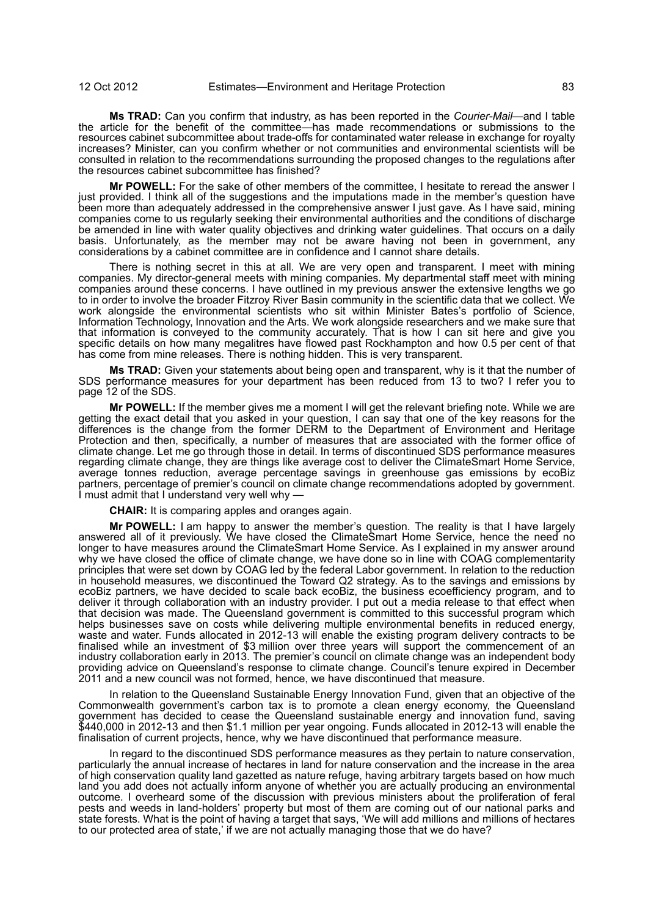**Ms TRAD:** Can you confirm that industry, as has been reported in the *Courier-Mail*—and I table the article for the benefit of the committee—has made recommendations or submissions to the resources cabinet subcommittee about trade-offs for contaminated water release in exchange for royalty increases? Minister, can you confirm whether or not communities and environmental scientists will be consulted in relation to the recommendations surrounding the proposed changes to the regulations after the resources cabinet subcommittee has finished?

**Mr POWELL:** For the sake of other members of the committee, I hesitate to reread the answer I just provided. I think all of the suggestions and the imputations made in the member's question have been more than adequately addressed in the comprehensive answer I just gave. As I have said, mining companies come to us regularly seeking their environmental authorities and the conditions of discharge be amended in line with water quality objectives and drinking water guidelines. That occurs on a daily basis. Unfortunately, as the member may not be aware having not been in government, any considerations by a cabinet committee are in confidence and I cannot share details.

There is nothing secret in this at all. We are very open and transparent. I meet with mining companies. My director-general meets with mining companies. My departmental staff meet with mining companies around these concerns. I have outlined in my previous answer the extensive lengths we go to in order to involve the broader Fitzroy River Basin community in the scientific data that we collect. We work alongside the environmental scientists who sit within Minister Bates's portfolio of Science, Information Technology, Innovation and the Arts. We work alongside researchers and we make sure that that information is conveyed to the community accurately. That is how I can sit here and give you specific details on how many megalitres have flowed past Rockhampton and how 0.5 per cent of that has come from mine releases. There is nothing hidden. This is very transparent.

**Ms TRAD:** Given your statements about being open and transparent, why is it that the number of SDS performance measures for your department has been reduced from 13 to two? I refer you to page 12 of the SDS.

**Mr POWELL:** If the member gives me a moment I will get the relevant briefing note. While we are getting the exact detail that you asked in your question, I can say that one of the key reasons for the differences is the change from the former DERM to the Department of Environment and Heritage Protection and then, specifically, a number of measures that are associated with the former office of climate change. Let me go through those in detail. In terms of discontinued SDS performance measures regarding climate change, they are things like average cost to deliver the ClimateSmart Home Service, average tonnes reduction, average percentage savings in greenhouse gas emissions by ecoBiz partners, percentage of premier's council on climate change recommendations adopted by government. I must admit that I understand very well why -

**CHAIR:** It is comparing apples and oranges again.

**Mr POWELL:** I am happy to answer the member's question. The reality is that I have largely answered all of it previously. We have closed the ClimateSmart Home Service, hence the need no longer to have measures around the ClimateSmart Home Service. As I explained in my answer around why we have closed the office of climate change, we have done so in line with COAG complementarity principles that were set down by COAG led by the federal Labor government. In relation to the reduction in household measures, we discontinued the Toward Q2 strategy. As to the savings and emissions by ecoBiz partners, we have decided to scale back ecoBiz, the business ecoefficiency program, and to deliver it through collaboration with an industry provider. I put out a media release to that effect when that decision was made. The Queensland government is committed to this successful program which helps businesses save on costs while delivering multiple environmental benefits in reduced energy, waste and water. Funds allocated in 2012-13 will enable the existing program delivery contracts to be finalised while an investment of \$3 million over three years will support the commencement of an industry collaboration early in 2013. The premier's council on climate change was an independent body providing advice on Queensland's response to climate change. Council's tenure expired in December 2011 and a new council was not formed, hence, we have discontinued that measure.

In relation to the Queensland Sustainable Energy Innovation Fund, given that an objective of the Commonwealth government's carbon tax is to promote a clean energy economy, the Queensland government has decided to cease the Queensland sustainable energy and innovation fund, saving \$440,000 in 2012-13 and then \$1.1 million per year ongoing. Funds allocated in 2012-13 will enable the finalisation of current projects, hence, why we have discontinued that performance measure.

In regard to the discontinued SDS performance measures as they pertain to nature conservation, particularly the annual increase of hectares in land for nature conservation and the increase in the area of high conservation quality land gazetted as nature refuge, having arbitrary targets based on how much land you add does not actually inform anyone of whether you are actually producing an environmental outcome. I overheard some of the discussion with previous ministers about the proliferation of feral pests and weeds in land-holders' property but most of them are coming out of our national parks and state forests. What is the point of having a target that says, 'We will add millions and millions of hectares to our protected area of state,' if we are not actually managing those that we do have?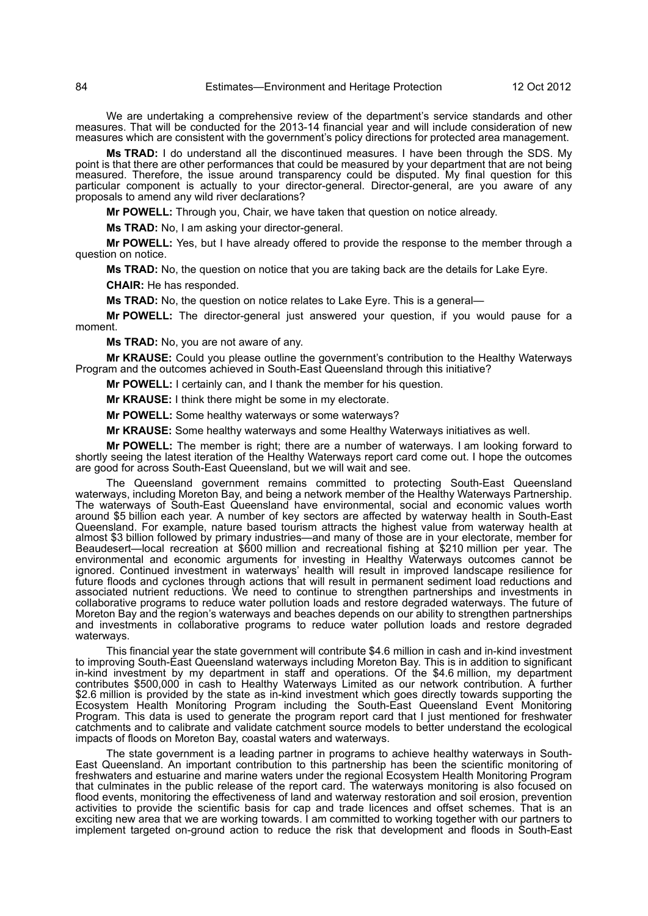We are undertaking a comprehensive review of the department's service standards and other measures. That will be conducted for the 2013-14 financial year and will include consideration of new measures which are consistent with the government's policy directions for protected area management.

**Ms TRAD:** I do understand all the discontinued measures. I have been through the SDS. My point is that there are other performances that could be measured by your department that are not being measured. Therefore, the issue around transparency could be disputed. My final question for this particular component is actually to your director-general. Director-general, are you aware of any proposals to amend any wild river declarations?

**Mr POWELL:** Through you, Chair, we have taken that question on notice already.

**Ms TRAD:** No, I am asking your director-general.

**Mr POWELL:** Yes, but I have already offered to provide the response to the member through a question on notice.

**Ms TRAD:** No, the question on notice that you are taking back are the details for Lake Eyre.

**CHAIR:** He has responded.

**Ms TRAD:** No, the question on notice relates to Lake Eyre. This is a general—

**Mr POWELL:** The director-general just answered your question, if you would pause for a moment.

**Ms TRAD:** No, you are not aware of any.

**Mr KRAUSE:** Could you please outline the government's contribution to the Healthy Waterways Program and the outcomes achieved in South-East Queensland through this initiative?

**Mr POWELL:** I certainly can, and I thank the member for his question.

**Mr KRAUSE:** I think there might be some in my electorate.

**Mr POWELL:** Some healthy waterways or some waterways?

**Mr KRAUSE:** Some healthy waterways and some Healthy Waterways initiatives as well.

**Mr POWELL:** The member is right; there are a number of waterways. I am looking forward to shortly seeing the latest iteration of the Healthy Waterways report card come out. I hope the outcomes are good for across South-East Queensland, but we will wait and see.

The Queensland government remains committed to protecting South-East Queensland waterways, including Moreton Bay, and being a network member of the Healthy Waterways Partnership. The waterways of South-East Queensland have environmental, social and economic values worth around \$5 billion each year. A number of key sectors are affected by waterway health in South-East Queensland. For example, nature based tourism attracts the highest value from waterway health at almost \$3 billion followed by primary industries—and many of those are in your electorate, member for Beaudesert—local recreation at \$600 million and recreational fishing at \$210 million per year. The environmental and economic arguments for investing in Healthy Waterways outcomes cannot be ignored. Continued investment in waterways' health will result in improved landscape resilience for future floods and cyclones through actions that will result in permanent sediment load reductions and associated nutrient reductions. We need to continue to strengthen partnerships and investments in collaborative programs to reduce water pollution loads and restore degraded waterways. The future of Moreton Bay and the region's waterways and beaches depends on our ability to strengthen partnerships and investments in collaborative programs to reduce water pollution loads and restore degraded waterways.

This financial year the state government will contribute \$4.6 million in cash and in-kind investment to improving South-East Queensland waterways including Moreton Bay. This is in addition to significant in-kind investment by my department in staff and operations. Of the \$4.6 million, my department contributes \$500,000 in cash to Healthy Waterways Limited as our network contribution. A further \$2.6 million is provided by the state as in-kind investment which goes directly towards supporting the Ecosystem Health Monitoring Program including the South-East Queensland Event Monitoring Program. This data is used to generate the program report card that I just mentioned for freshwater catchments and to calibrate and validate catchment source models to better understand the ecological impacts of floods on Moreton Bay, coastal waters and waterways.

The state government is a leading partner in programs to achieve healthy waterways in South-East Queensland. An important contribution to this partnership has been the scientific monitoring of freshwaters and estuarine and marine waters under the regional Ecosystem Health Monitoring Program that culminates in the public release of the report card. The waterways monitoring is also focused on flood events, monitoring the effectiveness of land and waterway restoration and soil erosion, prevention activities to provide the scientific basis for cap and trade licences and offset schemes. That is an exciting new area that we are working towards. I am committed to working together with our partners to implement targeted on-ground action to reduce the risk that development and floods in South-East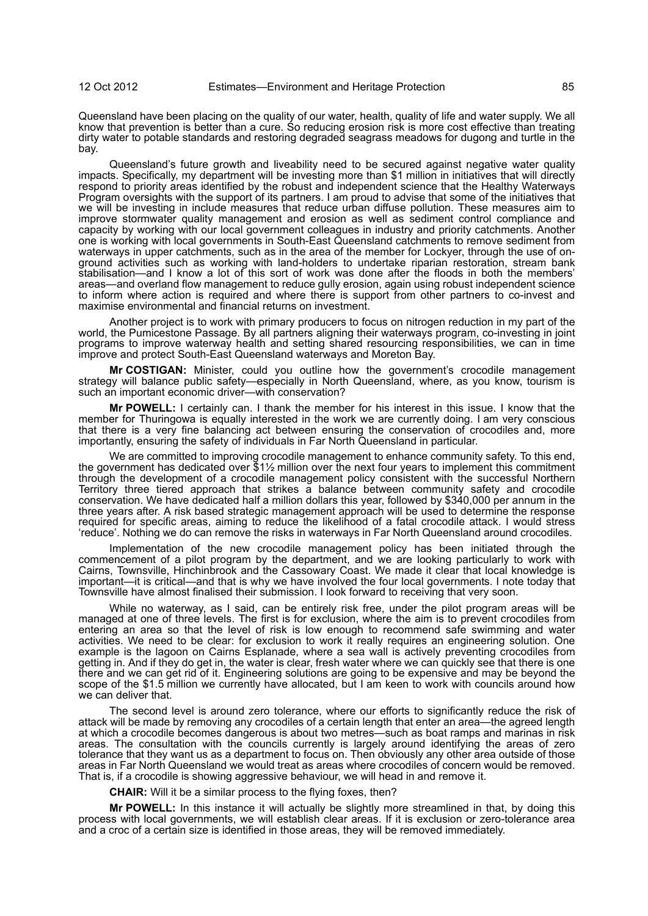Queensland have been placing on the quality of our water, health, quality of life and water supply. We all know that prevention is better than a cure. So reducing erosion risk is more cost effective than treating dirty water to potable standards and restoring degraded seagrass meadows for dugong and turtle in the bay.

Queensland's future growth and liveability need to be secured against negative water quality impacts. Specifically, my department will be investing more than \$1 million in initiatives that will directly respond to priority areas identified by the robust and independent science that the Healthy Waterways Program oversights with the support of its partners. I am proud to advise that some of the initiatives that we will be investing in include measures that reduce urban diffuse pollution. These measures aim to improve stormwater quality management and erosion as well as sediment control compliance and capacity by working with our local government colleagues in industry and priority catchments. Another one is working with local governments in South-East Queensland catchments to remove sediment from waterways in upper catchments, such as in the area of the member for Lockyer, through the use of onground activities such as working with land-holders to undertake riparian restoration, stream bank stabilisation—and I know a lot of this sort of work was done after the floods in both the members' areas—and overland flow management to reduce gully erosion, again using robust independent science to inform where action is required and where there is support from other partners to co-invest and maximise environmental and financial returns on investment.

Another project is to work with primary producers to focus on nitrogen reduction in my part of the world, the Pumicestone Passage. By all partners aligning their waterways program, co-investing in joint programs to improve waterway health and setting shared resourcing responsibilities, we can in time improve and protect South-East Queensland waterways and Moreton Bay.

**Mr COSTIGAN:** Minister, could you outline how the government's crocodile management strategy will balance public safety—especially in North Queensland, where, as you know, tourism is such an important economic driver—with conservation?

**Mr POWELL:** I certainly can. I thank the member for his interest in this issue. I know that the member for Thuringowa is equally interested in the work we are currently doing. I am very conscious that there is a very fine balancing act between ensuring the conservation of crocodiles and, more importantly, ensuring the safety of individuals in Far North Queensland in particular.

We are committed to improving crocodile management to enhance community safety. To this end, the government has dedicated over \$1½ million over the next four years to implement this commitment through the development of a crocodile management policy consistent with the successful Northern Territory three tiered approach that strikes a balance between community safety and crocodile conservation. We have dedicated half a million dollars this year, followed by \$340,000 per annum in the three years after. A risk based strategic management approach will be used to determine the response required for specific areas, aiming to reduce the likelihood of a fatal crocodile attack. I would stress 'reduce'. Nothing we do can remove the risks in waterways in Far North Queensland around crocodiles.

Implementation of the new crocodile management policy has been initiated through the commencement of a pilot program by the department, and we are looking particularly to work with Cairns, Townsville, Hinchinbrook and the Cassowary Coast. We made it clear that local knowledge is important—it is critical—and that is why we have involved the four local governments. I note today that Townsville have almost finalised their submission. I look forward to receiving that very soon.

While no waterway, as I said, can be entirely risk free, under the pilot program areas will be managed at one of three levels. The first is for exclusion, where the aim is to prevent crocodiles from entering an area so that the level of risk is low enough to recommend safe swimming and water activities. We need to be clear: for exclusion to work it really requires an engineering solution. One example is the lagoon on Cairns Esplanade, where a sea wall is actively preventing crocodiles from getting in. And if they do get in, the water is clear, fresh water where we can quickly see that there is one there and we can get rid of it. Engineering solutions are going to be expensive and may be beyond the scope of the \$1.5 million we currently have allocated, but I am keen to work with councils around how we can deliver that.

The second level is around zero tolerance, where our efforts to significantly reduce the risk of attack will be made by removing any crocodiles of a certain length that enter an area—the agreed length at which a crocodile becomes dangerous is about two metres—such as boat ramps and marinas in risk areas. The consultation with the councils currently is largely around identifying the areas of zero tolerance that they want us as a department to focus on. Then obviously any other area outside of those areas in Far North Queensland we would treat as areas where crocodiles of concern would be removed. That is, if a crocodile is showing aggressive behaviour, we will head in and remove it.

**CHAIR:** Will it be a similar process to the flying foxes, then?

**Mr POWELL:** In this instance it will actually be slightly more streamlined in that, by doing this process with local governments, we will establish clear areas. If it is exclusion or zero-tolerance area and a croc of a certain size is identified in those areas, they will be removed immediately.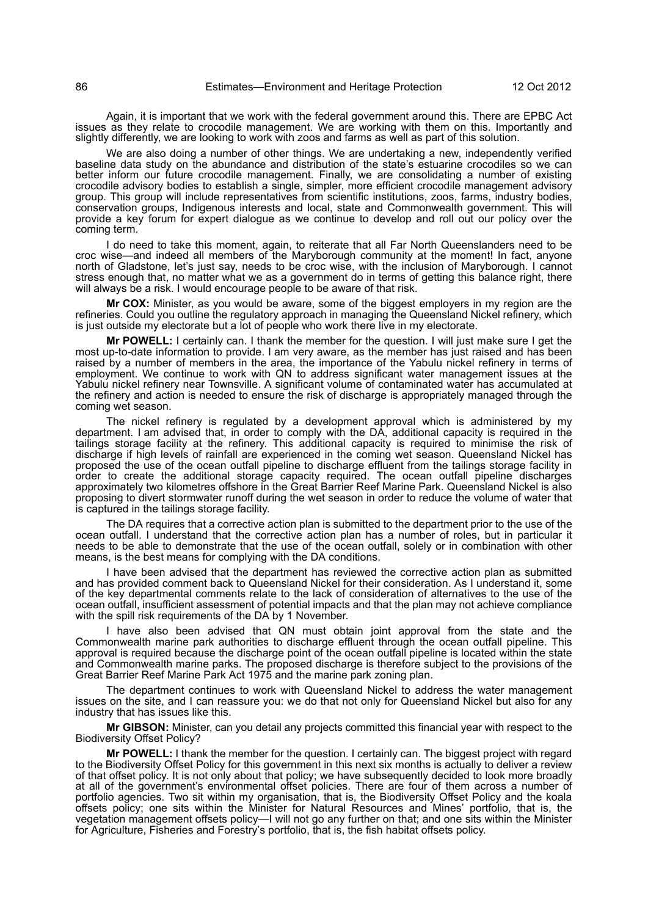Again, it is important that we work with the federal government around this. There are EPBC Act issues as they relate to crocodile management. We are working with them on this. Importantly and slightly differently, we are looking to work with zoos and farms as well as part of this solution.

We are also doing a number of other things. We are undertaking a new, independently verified baseline data study on the abundance and distribution of the state's estuarine crocodiles so we can better inform our future crocodile management. Finally, we are consolidating a number of existing crocodile advisory bodies to establish a single, simpler, more efficient crocodile management advisory group. This group will include representatives from scientific institutions, zoos, farms, industry bodies, conservation groups, Indigenous interests and local, state and Commonwealth government. This will provide a key forum for expert dialogue as we continue to develop and roll out our policy over the coming term.

I do need to take this moment, again, to reiterate that all Far North Queenslanders need to be croc wise—and indeed all members of the Maryborough community at the moment! In fact, anyone north of Gladstone, let's just say, needs to be croc wise, with the inclusion of Maryborough. I cannot stress enough that, no matter what we as a government do in terms of getting this balance right, there will always be a risk. I would encourage people to be aware of that risk.

**Mr COX:** Minister, as you would be aware, some of the biggest employers in my region are the refineries. Could you outline the regulatory approach in managing the Queensland Nickel refinery, which is just outside my electorate but a lot of people who work there live in my electorate.

**Mr POWELL:** I certainly can. I thank the member for the question. I will just make sure I get the most up-to-date information to provide. I am very aware, as the member has just raised and has been raised by a number of members in the area, the importance of the Yabulu nickel refinery in terms of employment. We continue to work with QN to address significant water management issues at the Yabulu nickel refinery near Townsville. A significant volume of contaminated water has accumulated at the refinery and action is needed to ensure the risk of discharge is appropriately managed through the coming wet season.

The nickel refinery is regulated by a development approval which is administered by my department. I am advised that, in order to comply with the DA, additional capacity is required in the tailings storage facility at the refinery. This additional capacity is required to minimise the risk of discharge if high levels of rainfall are experienced in the coming wet season. Queensland Nickel has proposed the use of the ocean outfall pipeline to discharge effluent from the tailings storage facility in order to create the additional storage capacity required. The ocean outfall pipeline discharges approximately two kilometres offshore in the Great Barrier Reef Marine Park. Queensland Nickel is also proposing to divert stormwater runoff during the wet season in order to reduce the volume of water that is captured in the tailings storage facility.

The DA requires that a corrective action plan is submitted to the department prior to the use of the ocean outfall. I understand that the corrective action plan has a number of roles, but in particular it needs to be able to demonstrate that the use of the ocean outfall, solely or in combination with other means, is the best means for complying with the DA conditions.

I have been advised that the department has reviewed the corrective action plan as submitted and has provided comment back to Queensland Nickel for their consideration. As I understand it, some of the key departmental comments relate to the lack of consideration of alternatives to the use of the ocean outfall, insufficient assessment of potential impacts and that the plan may not achieve compliance with the spill risk requirements of the DA by 1 November.

I have also been advised that QN must obtain joint approval from the state and the Commonwealth marine park authorities to discharge effluent through the ocean outfall pipeline. This approval is required because the discharge point of the ocean outfall pipeline is located within the state and Commonwealth marine parks. The proposed discharge is therefore subject to the provisions of the Great Barrier Reef Marine Park Act 1975 and the marine park zoning plan.

The department continues to work with Queensland Nickel to address the water management issues on the site, and I can reassure you: we do that not only for Queensland Nickel but also for any industry that has issues like this.

**Mr GIBSON:** Minister, can you detail any projects committed this financial year with respect to the Biodiversity Offset Policy?

**Mr POWELL:** I thank the member for the question. I certainly can. The biggest project with regard to the Biodiversity Offset Policy for this government in this next six months is actually to deliver a review of that offset policy. It is not only about that policy; we have subsequently decided to look more broadly at all of the government's environmental offset policies. There are four of them across a number of portfolio agencies. Two sit within my organisation, that is, the Biodiversity Offset Policy and the koala offsets policy; one sits within the Minister for Natural Resources and Mines' portfolio, that is, the vegetation management offsets policy—I will not go any further on that; and one sits within the Minister for Agriculture, Fisheries and Forestry's portfolio, that is, the fish habitat offsets policy.